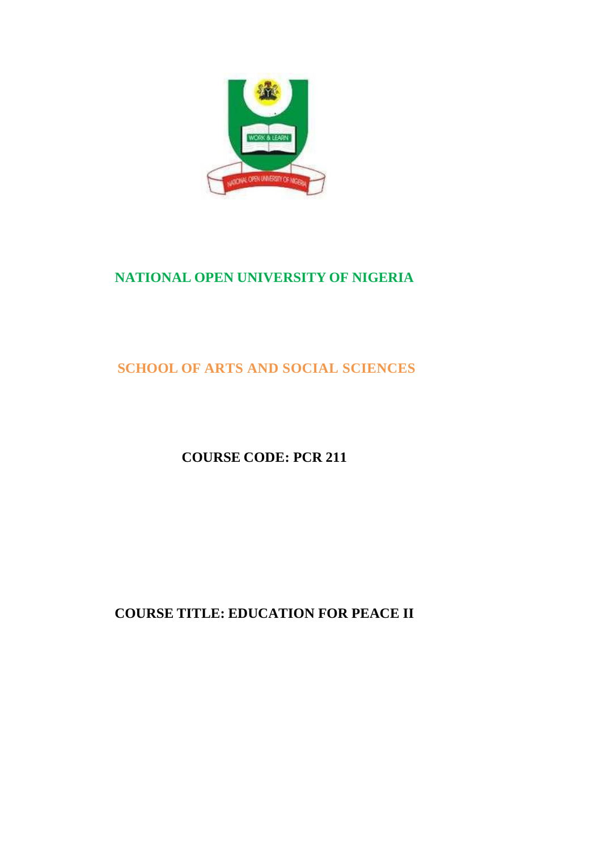

# **NATIONAL OPEN UNIVERSITY OF NIGERIA**

# **SCHOOL OF ARTS AND SOCIAL SCIENCES**

# **COURSE CODE: PCR 211**

# **COURSE TITLE: EDUCATION FOR PEACE II**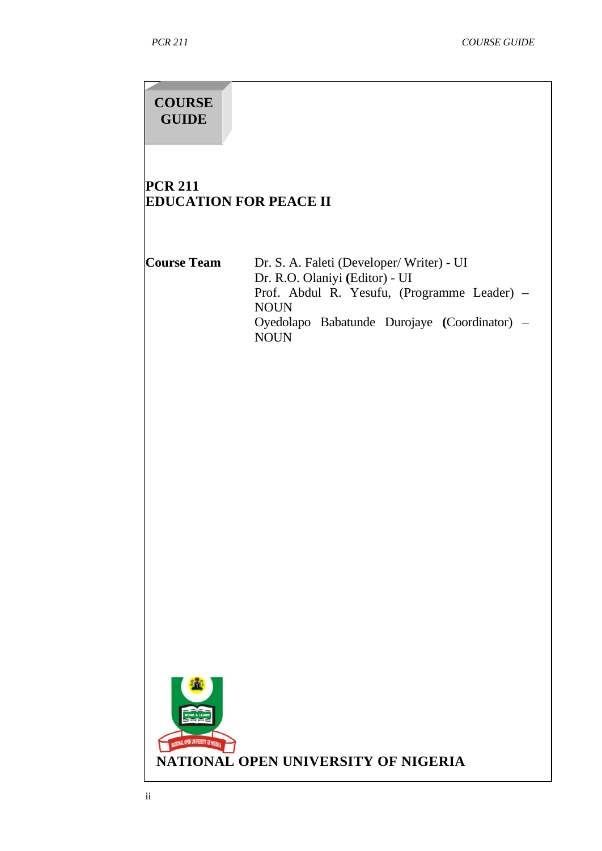#### **COURSE GUIDE**

### **PCR 211 EDUCATION FOR PEACE II**

**Course Team** Dr. S. A. Faleti (Developer/ Writer) - UI Dr. R.O. Olaniyi **(**Editor) - UI Prof. Abdul R. Yesufu, (Programme Leader) – NOUN Oyedolapo Babatunde Durojaye **(**Coordinator) – NOUN

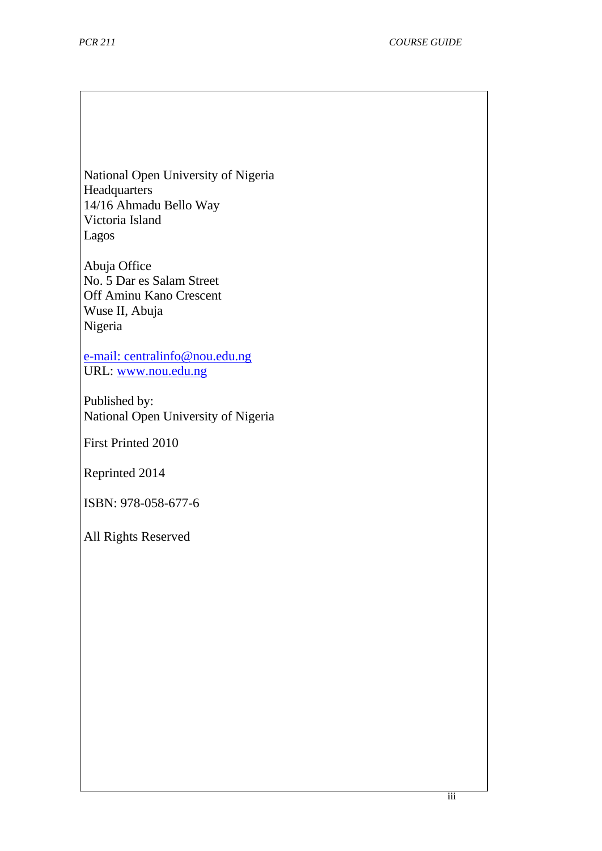National Open University of Nigeria Headquarters 14/16 Ahmadu Bello Way Victoria Island Lagos

Abuja Office No. 5 Dar es Salam Street Off Aminu Kano Crescent Wuse II, Abuja Nigeria

[e-mail:](mailto:centralinfo@nou.edu.ng) centralinfo@nou.edu.ng URL: [www.nou.edu.ng](http://www.nou.edu.ng/)

Published by: National Open University of Nigeria

First Printed 2010

Reprinted 2014

ISBN: 978-058-677-6

All Rights Reserved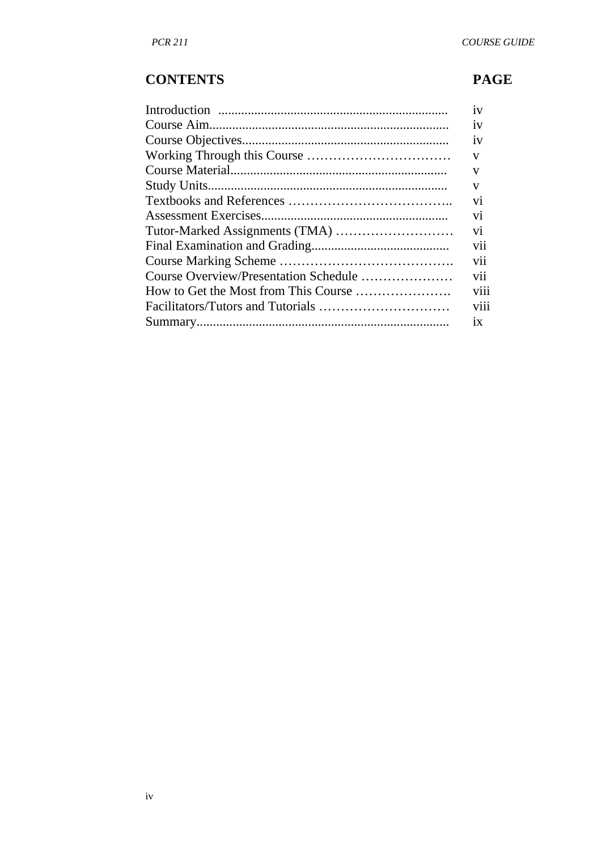# **CONTENTS PAGE**

| 1V             |
|----------------|
| 1V             |
| 1V             |
| V              |
| V              |
| V              |
| V <sub>1</sub> |
| vi             |
| vi             |
| vii            |
| V11            |
| vii            |
| viii           |
| viii           |
| 1X             |
|                |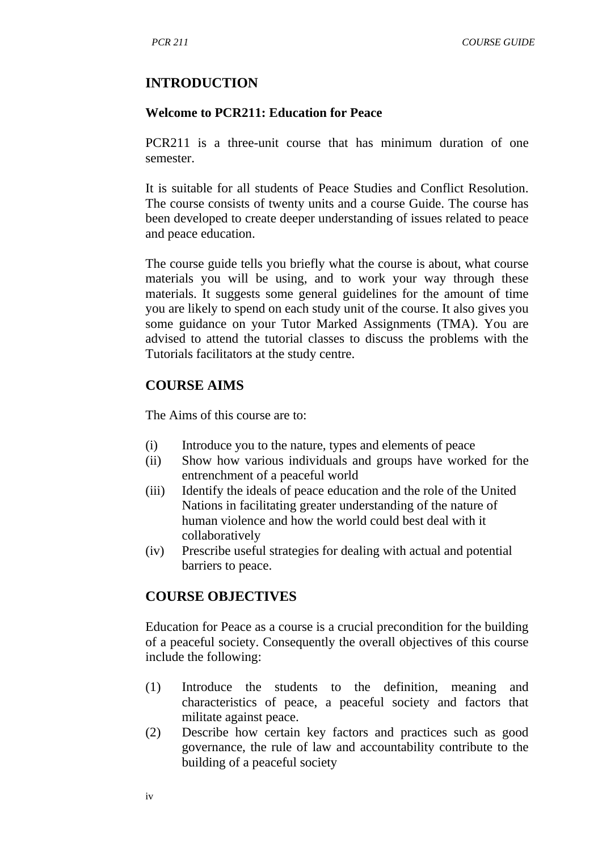#### **INTRODUCTION**

#### **Welcome to PCR211: Education for Peace**

PCR211 is a three-unit course that has minimum duration of one semester.

It is suitable for all students of Peace Studies and Conflict Resolution. The course consists of twenty units and a course Guide. The course has been developed to create deeper understanding of issues related to peace and peace education.

The course guide tells you briefly what the course is about, what course materials you will be using, and to work your way through these materials. It suggests some general guidelines for the amount of time you are likely to spend on each study unit of the course. It also gives you some guidance on your Tutor Marked Assignments (TMA). You are advised to attend the tutorial classes to discuss the problems with the Tutorials facilitators at the study centre.

#### **COURSE AIMS**

The Aims of this course are to:

- (i) Introduce you to the nature, types and elements of peace
- (ii) Show how various individuals and groups have worked for the entrenchment of a peaceful world
- (iii) Identify the ideals of peace education and the role of the United Nations in facilitating greater understanding of the nature of human violence and how the world could best deal with it collaboratively
- (iv) Prescribe useful strategies for dealing with actual and potential barriers to peace.

#### **COURSE OBJECTIVES**

Education for Peace as a course is a crucial precondition for the building of a peaceful society. Consequently the overall objectives of this course include the following:

- (1) Introduce the students to the definition, meaning and characteristics of peace, a peaceful society and factors that militate against peace.
- (2) Describe how certain key factors and practices such as good governance, the rule of law and accountability contribute to the building of a peaceful society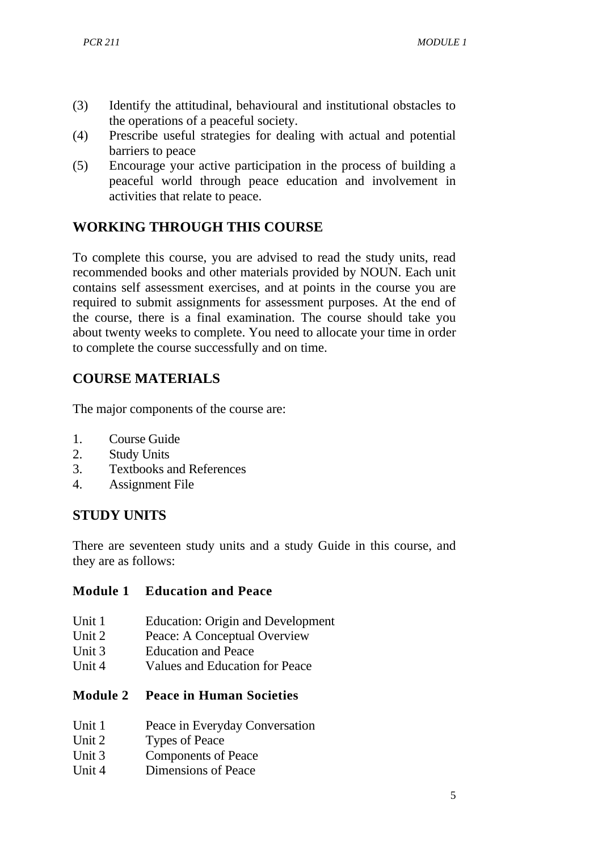- (3) Identify the attitudinal, behavioural and institutional obstacles to the operations of a peaceful society.
- (4) Prescribe useful strategies for dealing with actual and potential barriers to peace
- (5) Encourage your active participation in the process of building a peaceful world through peace education and involvement in activities that relate to peace.

# **WORKING THROUGH THIS COURSE**

To complete this course, you are advised to read the study units, read recommended books and other materials provided by NOUN. Each unit contains self assessment exercises, and at points in the course you are required to submit assignments for assessment purposes. At the end of the course, there is a final examination. The course should take you about twenty weeks to complete. You need to allocate your time in order to complete the course successfully and on time.

# **COURSE MATERIALS**

The major components of the course are:

- 1. Course Guide
- 2. Study Units
- 3. Textbooks and References
- 4. Assignment File

#### **STUDY UNITS**

There are seventeen study units and a study Guide in this course, and they are as follows:

#### **Module 1 Education and Peace**

- Unit 1 Education: Origin and Development<br>
Unit 2 Peace: A Concentual Overview
- Peace: A Conceptual Overview
- Unit 3 Education and Peace
- Unit 4 Values and Education for Peace

#### **Module 2 Peace in Human Societies**

- Unit 1 Peace in Everyday Conversation
- Unit 2 Types of Peace
- Unit 3 Components of Peace
- Unit 4 Dimensions of Peace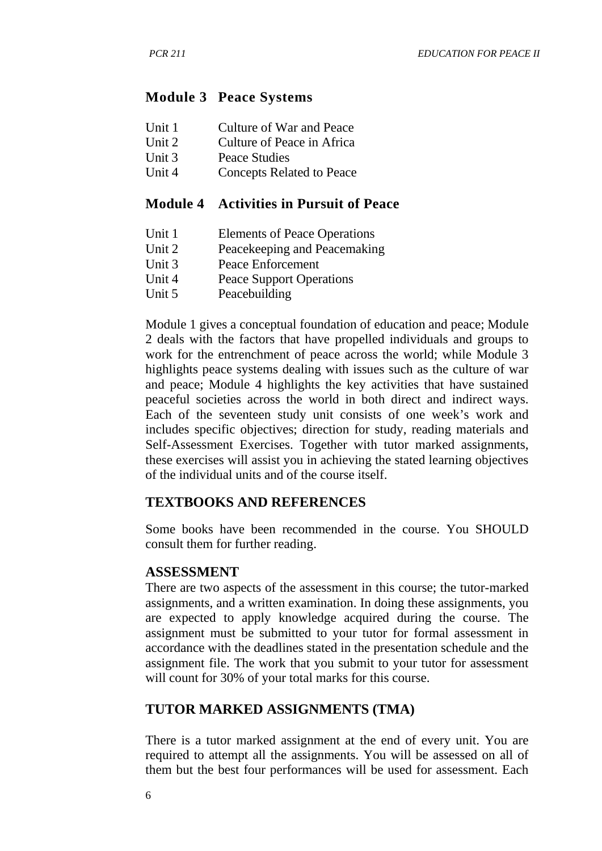#### **Module 3 Peace Systems**

- Unit 1 Culture of War and Peace
- Unit 2 Culture of Peace in Africa
- Unit 3 Peace Studies<br>
Unit 4 Concepts Rela
- Concepts Related to Peace

#### **Module 4 Activities in Pursuit of Peace**

- Unit 1 Elements of Peace Operations<br>Unit 2 Peacekeeping and Peacemakin
- Unit 2 Peacekeeping and Peacemaking<br>Unit 3 Peace Enforcement
- Peace Enforcement
- Unit 4 Peace Support Operations
- Unit 5 Peacebuilding

Module 1 gives a conceptual foundation of education and peace; Module 2 deals with the factors that have propelled individuals and groups to work for the entrenchment of peace across the world; while Module 3 highlights peace systems dealing with issues such as the culture of war and peace; Module 4 highlights the key activities that have sustained peaceful societies across the world in both direct and indirect ways. Each of the seventeen study unit consists of one week's work and includes specific objectives; direction for study, reading materials and Self-Assessment Exercises. Together with tutor marked assignments, these exercises will assist you in achieving the stated learning objectives of the individual units and of the course itself.

#### **TEXTBOOKS AND REFERENCES**

Some books have been recommended in the course. You SHOULD consult them for further reading.

#### **ASSESSMENT**

There are two aspects of the assessment in this course; the tutor-marked assignments, and a written examination. In doing these assignments, you are expected to apply knowledge acquired during the course. The assignment must be submitted to your tutor for formal assessment in accordance with the deadlines stated in the presentation schedule and the assignment file. The work that you submit to your tutor for assessment will count for 30% of your total marks for this course.

# **TUTOR MARKED ASSIGNMENTS (TMA)**

There is a tutor marked assignment at the end of every unit. You are required to attempt all the assignments. You will be assessed on all of them but the best four performances will be used for assessment. Each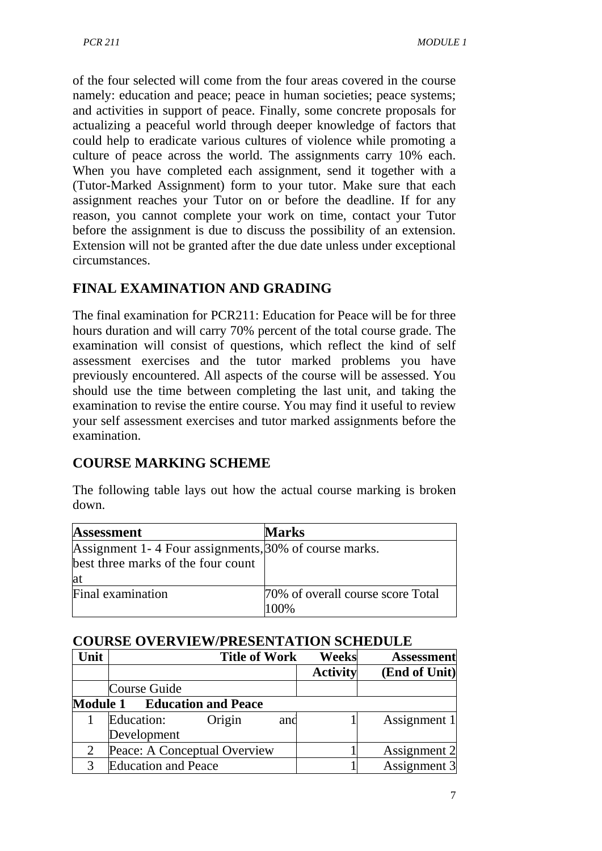of the four selected will come from the four areas covered in the course namely: education and peace; peace in human societies; peace systems; and activities in support of peace. Finally, some concrete proposals for actualizing a peaceful world through deeper knowledge of factors that could help to eradicate various cultures of violence while promoting a culture of peace across the world. The assignments carry 10% each. When you have completed each assignment, send it together with a (Tutor-Marked Assignment) form to your tutor. Make sure that each assignment reaches your Tutor on or before the deadline. If for any reason, you cannot complete your work on time, contact your Tutor before the assignment is due to discuss the possibility of an extension. Extension will not be granted after the due date unless under exceptional circumstances.

# **FINAL EXAMINATION AND GRADING**

The final examination for PCR211: Education for Peace will be for three hours duration and will carry 70% percent of the total course grade. The examination will consist of questions, which reflect the kind of self assessment exercises and the tutor marked problems you have previously encountered. All aspects of the course will be assessed. You should use the time between completing the last unit, and taking the examination to revise the entire course. You may find it useful to review your self assessment exercises and tutor marked assignments before the examination.

# **COURSE MARKING SCHEME**

The following table lays out how the actual course marking is broken down.

| <b>Assessment</b>                                     | <b>Marks</b>                      |
|-------------------------------------------------------|-----------------------------------|
| Assignment 1-4 Four assignments, 30% of course marks. |                                   |
| best three marks of the four count                    |                                   |
| lat                                                   |                                   |
| Final examination                                     | 70% of overall course score Total |
|                                                       | 100%                              |

#### **COURSE OVERVIEW/PRESENTATION SCHEDULE**

| Unit |                                     | <b>Title of Work</b> |     | <b>Weeks</b>    | <b>Assessment</b> |
|------|-------------------------------------|----------------------|-----|-----------------|-------------------|
|      |                                     |                      |     | <b>Activity</b> | (End of Unit)     |
|      | <b>Course Guide</b>                 |                      |     |                 |                   |
|      | <b>Module 1 Education and Peace</b> |                      |     |                 |                   |
|      | Education:                          | Origin               | and |                 | Assignment 1      |
|      | Development                         |                      |     |                 |                   |
| 2    | Peace: A Conceptual Overview        |                      |     |                 | Assignment 2      |
|      | <b>Education and Peace</b>          |                      |     |                 | Assignment 3      |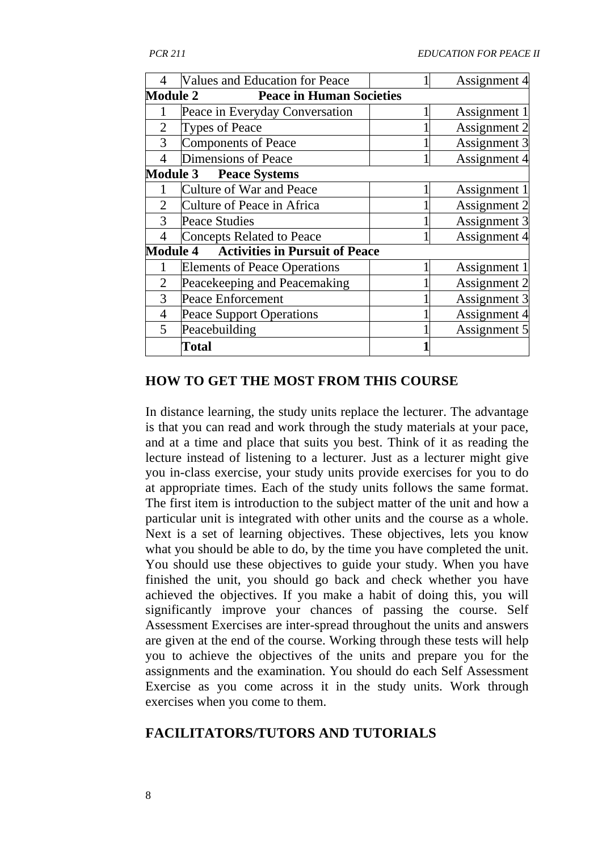| 4               | <b>Values and Education for Peace</b> | Assignment 4 |
|-----------------|---------------------------------------|--------------|
| <b>Module 2</b> | <b>Peace in Human Societies</b>       |              |
|                 | Peace in Everyday Conversation        | Assignment 1 |
| $\overline{2}$  | Types of Peace                        | Assignment 2 |
| 3               | <b>Components of Peace</b>            | Assignment 3 |
| $\overline{4}$  | Dimensions of Peace                   | Assignment 4 |
| <b>Module 3</b> | <b>Peace Systems</b>                  |              |
|                 | Culture of War and Peace              | Assignment 1 |
| $\overline{2}$  | Culture of Peace in Africa            | Assignment 2 |
| 3               | <b>Peace Studies</b>                  | Assignment 3 |
|                 | <b>Concepts Related to Peace</b>      | Assignment 4 |
| <b>Module 4</b> | <b>Activities in Pursuit of Peace</b> |              |
|                 | <b>Elements of Peace Operations</b>   | Assignment 1 |
| 2               | Peacekeeping and Peacemaking          | Assignment 2 |
| 3               | Peace Enforcement                     | Assignment 3 |
| $\overline{4}$  | <b>Peace Support Operations</b>       | Assignment 4 |
| 5               | Peacebuilding                         | Assignment 5 |
|                 | Total                                 |              |

#### **HOW TO GET THE MOST FROM THIS COURSE**

In distance learning, the study units replace the lecturer. The advantage is that you can read and work through the study materials at your pace, and at a time and place that suits you best. Think of it as reading the lecture instead of listening to a lecturer. Just as a lecturer might give you in-class exercise, your study units provide exercises for you to do at appropriate times. Each of the study units follows the same format. The first item is introduction to the subject matter of the unit and how a particular unit is integrated with other units and the course as a whole. Next is a set of learning objectives. These objectives, lets you know what you should be able to do, by the time you have completed the unit. You should use these objectives to guide your study. When you have finished the unit, you should go back and check whether you have achieved the objectives. If you make a habit of doing this, you will significantly improve your chances of passing the course. Self Assessment Exercises are inter-spread throughout the units and answers are given at the end of the course. Working through these tests will help you to achieve the objectives of the units and prepare you for the assignments and the examination. You should do each Self Assessment Exercise as you come across it in the study units. Work through exercises when you come to them.

#### **FACILITATORS/TUTORS AND TUTORIALS**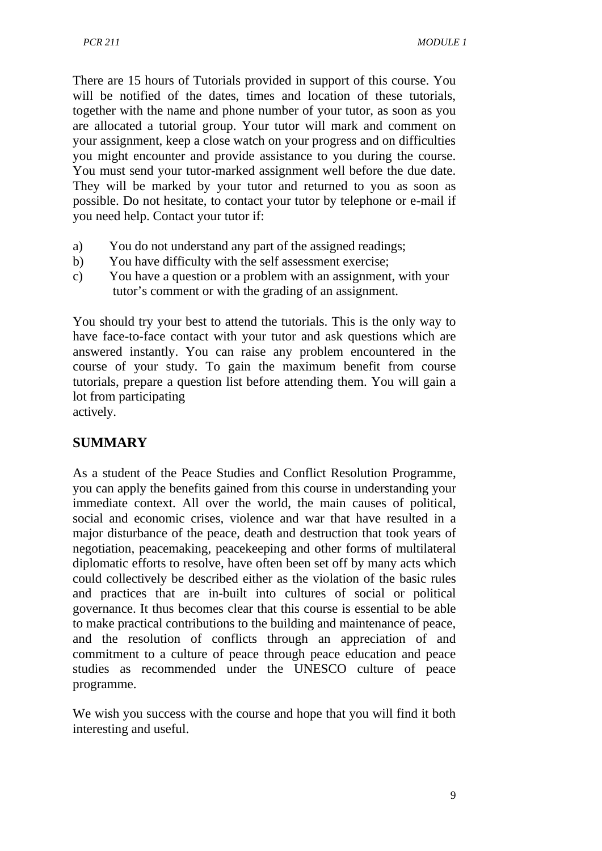There are 15 hours of Tutorials provided in support of this course. You will be notified of the dates, times and location of these tutorials, together with the name and phone number of your tutor, as soon as you are allocated a tutorial group. Your tutor will mark and comment on your assignment, keep a close watch on your progress and on difficulties you might encounter and provide assistance to you during the course. You must send your tutor-marked assignment well before the due date. They will be marked by your tutor and returned to you as soon as possible. Do not hesitate, to contact your tutor by telephone or e-mail if you need help. Contact your tutor if:

- a) You do not understand any part of the assigned readings;
- b) You have difficulty with the self assessment exercise;
- c) You have a question or a problem with an assignment, with your tutor's comment or with the grading of an assignment.

You should try your best to attend the tutorials. This is the only way to have face-to-face contact with your tutor and ask questions which are answered instantly. You can raise any problem encountered in the course of your study. To gain the maximum benefit from course tutorials, prepare a question list before attending them. You will gain a lot from participating

actively.

# **SUMMARY**

As a student of the Peace Studies and Conflict Resolution Programme, you can apply the benefits gained from this course in understanding your immediate context. All over the world, the main causes of political, social and economic crises, violence and war that have resulted in a major disturbance of the peace, death and destruction that took years of negotiation, peacemaking, peacekeeping and other forms of multilateral diplomatic efforts to resolve, have often been set off by many acts which could collectively be described either as the violation of the basic rules and practices that are in-built into cultures of social or political governance. It thus becomes clear that this course is essential to be able to make practical contributions to the building and maintenance of peace, and the resolution of conflicts through an appreciation of and commitment to a culture of peace through peace education and peace studies as recommended under the UNESCO culture of peace programme.

We wish you success with the course and hope that you will find it both interesting and useful.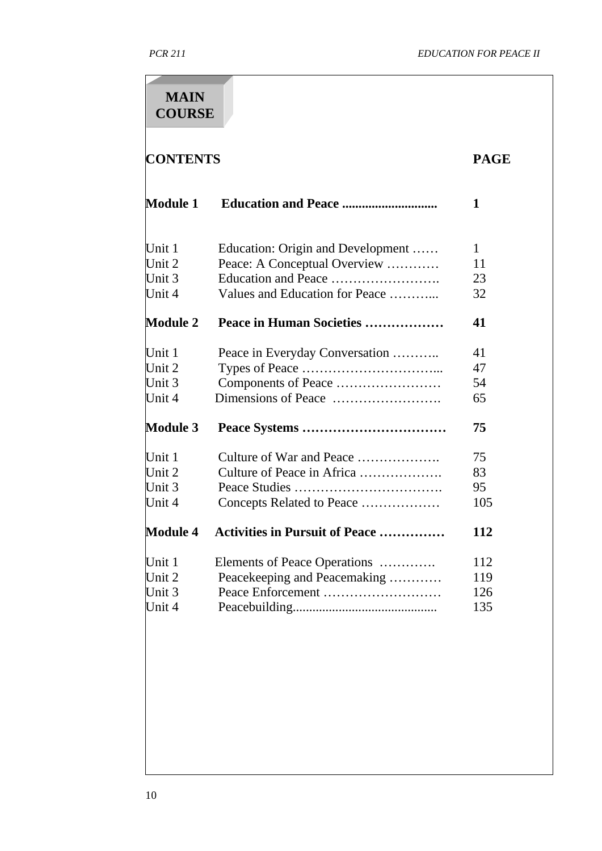| <b>CONTENTS</b> |                                                 |     |  |  |
|-----------------|-------------------------------------------------|-----|--|--|
| <b>Module 1</b> | <b>Education and Peace </b>                     | 1   |  |  |
| Unit 1          | Education: Origin and Development               | 1   |  |  |
| Unit 2          | Peace: A Conceptual Overview                    | 11  |  |  |
| Unit 3          | Education and Peace                             | 23  |  |  |
| Unit 4          | Values and Education for Peace                  | 32  |  |  |
| <b>Module 2</b> | Peace in Human Societies                        | 41  |  |  |
| Unit 1          | Peace in Everyday Conversation                  | 41  |  |  |
| Unit 2          |                                                 | 47  |  |  |
| Unit 3          | Components of Peace                             | 54  |  |  |
| Unit 4          |                                                 | 65  |  |  |
| <b>Module 3</b> |                                                 | 75  |  |  |
| Unit 1          | Culture of War and Peace                        | 75  |  |  |
| Unit 2          | Culture of Peace in Africa                      | 83  |  |  |
| Unit 3          |                                                 | 95  |  |  |
| Unit 4          | Concepts Related to Peace                       | 105 |  |  |
|                 | <b>Module 4 Activities in Pursuit of Peace </b> | 112 |  |  |
| Unit 1          | Elements of Peace Operations                    | 112 |  |  |
| Unit 2          | Peacekeeping and Peacemaking                    | 119 |  |  |
| Unit 3          |                                                 | 126 |  |  |
| Unit 4          |                                                 | 135 |  |  |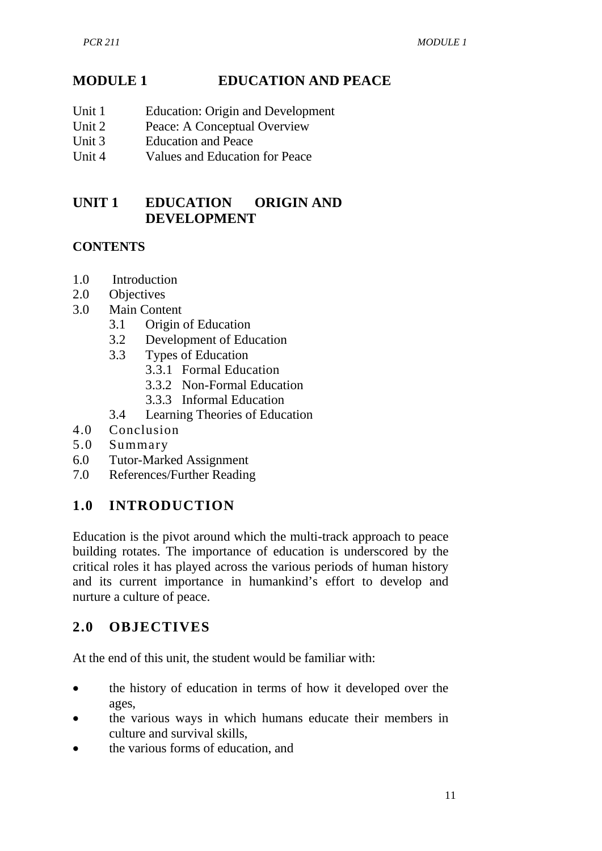# **MODULE 1 EDUCATION AND PEACE**

- Unit 1 Education: Origin and Development
- Unit 2 Peace: A Conceptual Overview<br>Unit 3 Education and Peace
- Unit 3 Education and Peace<br>Unit 4 Values and Education
- Values and Education for Peace

# **UNIT 1 EDUCATION ORIGIN AND DEVELOPMENT**

#### **CONTENTS**

- 1.0 Introduction
- 2.0 Objectives
- 3.0 Main Content
	- 3.1 Origin of Education
	- 3.2 Development of Education
	- 3.3 Types of Education
		- 3.3.1 Formal Education
			- 3.3.2 Non-Formal Education
		- 3.3.3 Informal Education
	- 3.4 Learning Theories of Education
- 4.0 Conclusion
- 5.0 Summary
- 6.0 Tutor-Marked Assignment
- 7.0 References/Further Reading

# **1.0 INTRODUCTION**

Education is the pivot around which the multi-track approach to peace building rotates. The importance of education is underscored by the critical roles it has played across the various periods of human history and its current importance in humankind's effort to develop and nurture a culture of peace.

# **2.0 OBJECTIVES**

At the end of this unit, the student would be familiar with:

- the history of education in terms of how it developed over the ages,
- the various ways in which humans educate their members in culture and survival skills,
- the various forms of education, and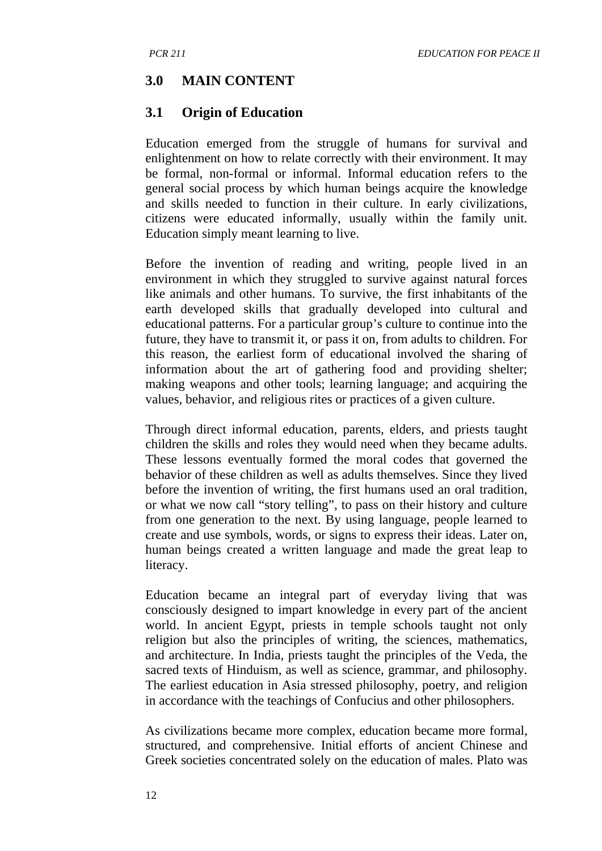#### **3.0 MAIN CONTENT**

#### **3.1 Origin of Education**

Education emerged from the struggle of humans for survival and enlightenment on how to relate correctly with their environment. It may be formal, non-formal or informal. Informal education refers to the general social process by which human beings acquire the knowledge and skills needed to function in their culture. In early civilizations, citizens were educated informally, usually within the family unit. Education simply meant learning to live.

Before the invention of reading and writing, people lived in an environment in which they struggled to survive against natural forces like animals and other humans. To survive, the first inhabitants of the earth developed skills that gradually developed into cultural and educational patterns. For a particular group's culture to continue into the future, they have to transmit it, or pass it on, from adults to children. For this reason, the earliest form of educational involved the sharing of information about the art of gathering food and providing shelter; making weapons and other tools; learning language; and acquiring the values, behavior, and religious rites or practices of a given culture.

Through direct informal education, parents, elders, and priests taught children the skills and roles they would need when they became adults. These lessons eventually formed the moral codes that governed the behavior of these children as well as adults themselves. Since they lived before the invention of writing, the first humans used an oral tradition, or what we now call "story telling", to pass on their history and culture from one generation to the next. By using language, people learned to create and use symbols, words, or signs to express their ideas. Later on, human beings created a written language and made the great leap to literacy.

Education became an integral part of everyday living that was consciously designed to impart knowledge in every part of the ancient world. In ancient Egypt, priests in temple schools taught not only religion but also the principles of writing, the sciences, mathematics, and architecture. In India, priests taught the principles of the Veda, the sacred texts of Hinduism, as well as science, grammar, and philosophy. The earliest education in Asia stressed philosophy, poetry, and religion in accordance with the teachings of Confucius and other philosophers.

As civilizations became more complex, education became more formal, structured, and comprehensive. Initial efforts of ancient Chinese and Greek societies concentrated solely on the education of males. Plato was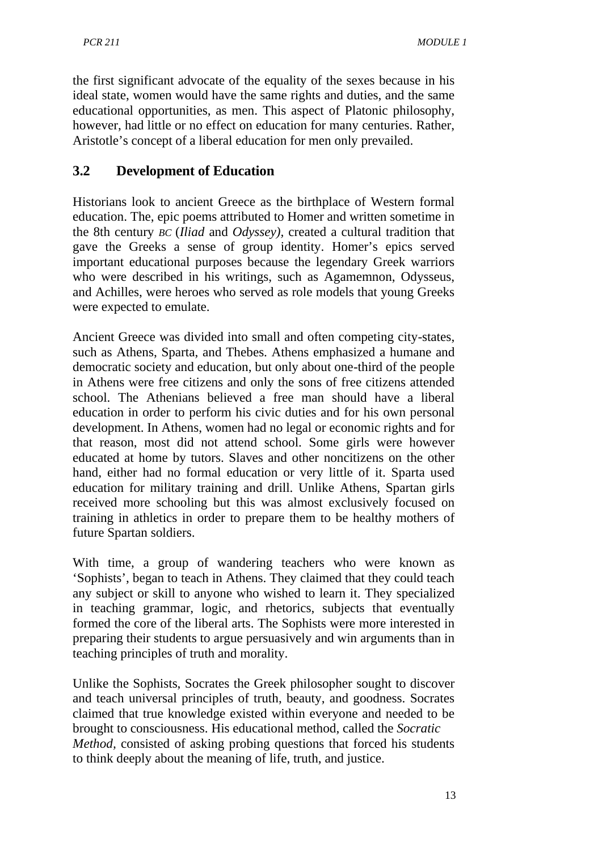the first significant advocate of the equality of the sexes because in his ideal state, women would have the same rights and duties, and the same educational opportunities, as men. This aspect of Platonic philosophy, however, had little or no effect on education for many centuries. Rather, Aristotle's concept of a liberal education for men only prevailed.

#### **3.2 Development of Education**

Historians look to ancient Greece as the birthplace of Western formal education. The, epic poems attributed to Homer and written sometime in the 8th century *BC* (*Iliad* and *Odyssey),* created a cultural tradition that gave the Greeks a sense of group identity. Homer's epics served important educational purposes because the legendary Greek warriors who were described in his writings, such as Agamemnon, Odysseus, and Achilles, were heroes who served as role models that young Greeks were expected to emulate.

Ancient Greece was divided into small and often competing city-states, such as Athens, Sparta, and Thebes. Athens emphasized a humane and democratic society and education, but only about one-third of the people in Athens were free citizens and only the sons of free citizens attended school. The Athenians believed a free man should have a liberal education in order to perform his civic duties and for his own personal development. In Athens, women had no legal or economic rights and for that reason, most did not attend school. Some girls were however educated at home by tutors. Slaves and other noncitizens on the other hand, either had no formal education or very little of it. Sparta used education for military training and drill. Unlike Athens, Spartan girls received more schooling but this was almost exclusively focused on training in athletics in order to prepare them to be healthy mothers of future Spartan soldiers.

With time, a group of wandering teachers who were known as 'Sophists', began to teach in Athens. They claimed that they could teach any subject or skill to anyone who wished to learn it. They specialized in teaching grammar, logic, and rhetorics, subjects that eventually formed the core of the liberal arts. The Sophists were more interested in preparing their students to argue persuasively and win arguments than in teaching principles of truth and morality.

Unlike the Sophists, Socrates the Greek philosopher sought to discover and teach universal principles of truth, beauty, and goodness. Socrates claimed that true knowledge existed within everyone and needed to be brought to consciousness. His educational method, called the *Socratic Method,* consisted of asking probing questions that forced his students to think deeply about the meaning of life, truth, and justice.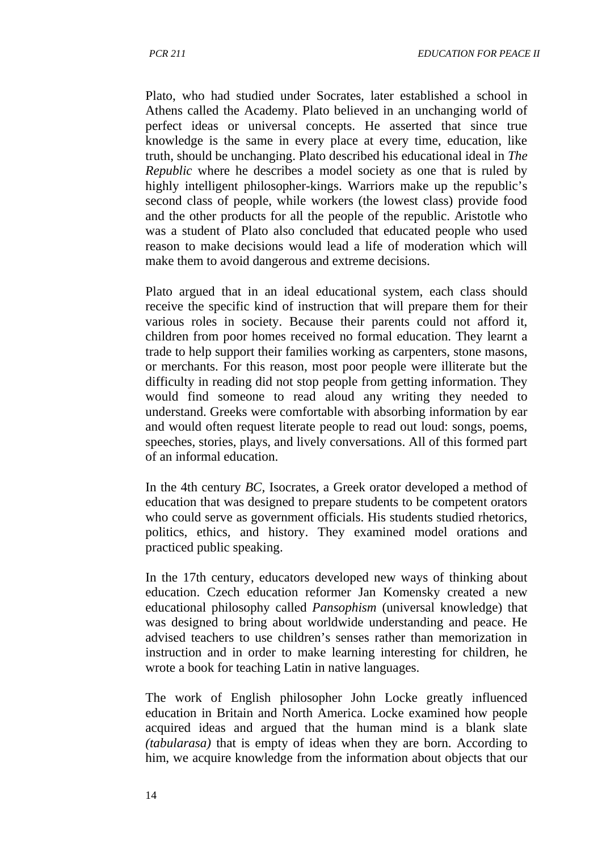Plato, who had studied under Socrates, later established a school in Athens called the Academy. Plato believed in an unchanging world of perfect ideas or universal concepts. He asserted that since true knowledge is the same in every place at every time, education, like truth, should be unchanging. Plato described his educational ideal in *The Republic* where he describes a model society as one that is ruled by highly intelligent philosopher-kings. Warriors make up the republic's second class of people, while workers (the lowest class) provide food and the other products for all the people of the republic. Aristotle who was a student of Plato also concluded that educated people who used reason to make decisions would lead a life of moderation which will make them to avoid dangerous and extreme decisions.

Plato argued that in an ideal educational system, each class should receive the specific kind of instruction that will prepare them for their various roles in society. Because their parents could not afford it, children from poor homes received no formal education. They learnt a trade to help support their families working as carpenters, stone masons, or merchants. For this reason, most poor people were illiterate but the difficulty in reading did not stop people from getting information. They would find someone to read aloud any writing they needed to understand. Greeks were comfortable with absorbing information by ear and would often request literate people to read out loud: songs, poems, speeches, stories, plays, and lively conversations. All of this formed part of an informal education.

In the 4th century *BC,* Isocrates, a Greek orator developed a method of education that was designed to prepare students to be competent orators who could serve as government officials. His students studied rhetorics, politics, ethics, and history. They examined model orations and practiced public speaking.

In the 17th century, educators developed new ways of thinking about education. Czech education reformer Jan Komensky created a new educational philosophy called *Pansophism* (universal knowledge) that was designed to bring about worldwide understanding and peace. He advised teachers to use children's senses rather than memorization in instruction and in order to make learning interesting for children, he wrote a book for teaching Latin in native languages.

The work of English philosopher John Locke greatly influenced education in Britain and North America. Locke examined how people acquired ideas and argued that the human mind is a blank slate *(tabularasa)* that is empty of ideas when they are born. According to him, we acquire knowledge from the information about objects that our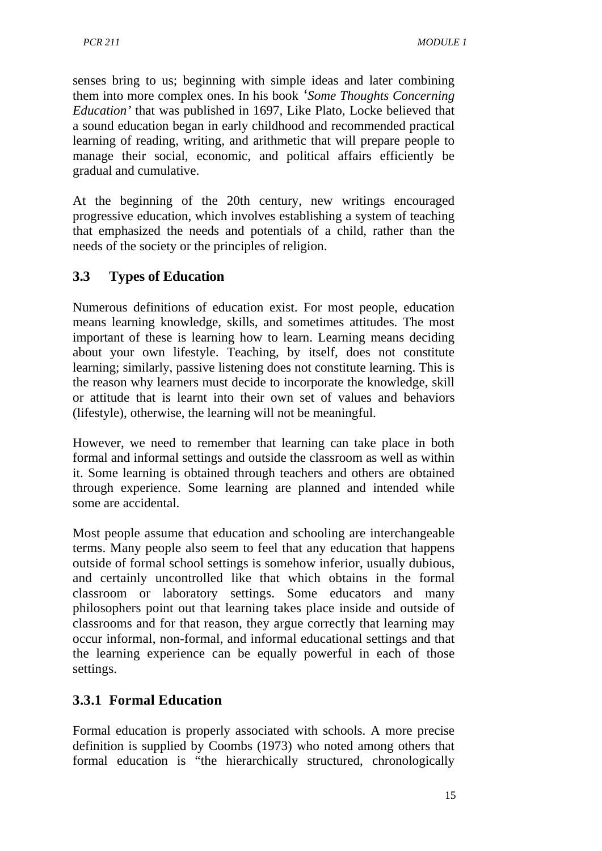senses bring to us; beginning with simple ideas and later combining them into more complex ones. In his book *'Some Thoughts Concerning Education'* that was published in 1697, Like Plato, Locke believed that a sound education began in early childhood and recommended practical learning of reading, writing, and arithmetic that will prepare people to manage their social, economic, and political affairs efficiently be gradual and cumulative.

At the beginning of the 20th century, new writings encouraged progressive education, which involves establishing a system of teaching that emphasized the needs and potentials of a child, rather than the needs of the society or the principles of religion.

### **3.3 Types of Education**

Numerous definitions of education exist. For most people, education means learning knowledge, skills, and sometimes attitudes. The most important of these is learning how to learn. Learning means deciding about your own lifestyle. Teaching, by itself, does not constitute learning; similarly, passive listening does not constitute learning. This is the reason why learners must decide to incorporate the knowledge, skill or attitude that is learnt into their own set of values and behaviors (lifestyle), otherwise, the learning will not be meaningful.

However, we need to remember that learning can take place in both formal and informal settings and outside the classroom as well as within it. Some learning is obtained through teachers and others are obtained through experience. Some learning are planned and intended while some are accidental.

Most people assume that education and schooling are interchangeable terms. Many people also seem to feel that any education that happens outside of formal school settings is somehow inferior, usually dubious, and certainly uncontrolled like that which obtains in the formal classroom or laboratory settings. Some educators and many philosophers point out that learning takes place inside and outside of classrooms and for that reason, they argue correctly that learning may occur informal, non-formal, and informal educational settings and that the learning experience can be equally powerful in each of those settings.

#### **3.3.1 Formal Education**

Formal education is properly associated with schools. A more precise definition is supplied by Coombs (1973) who noted among others that formal education is "the hierarchically structured, chronologically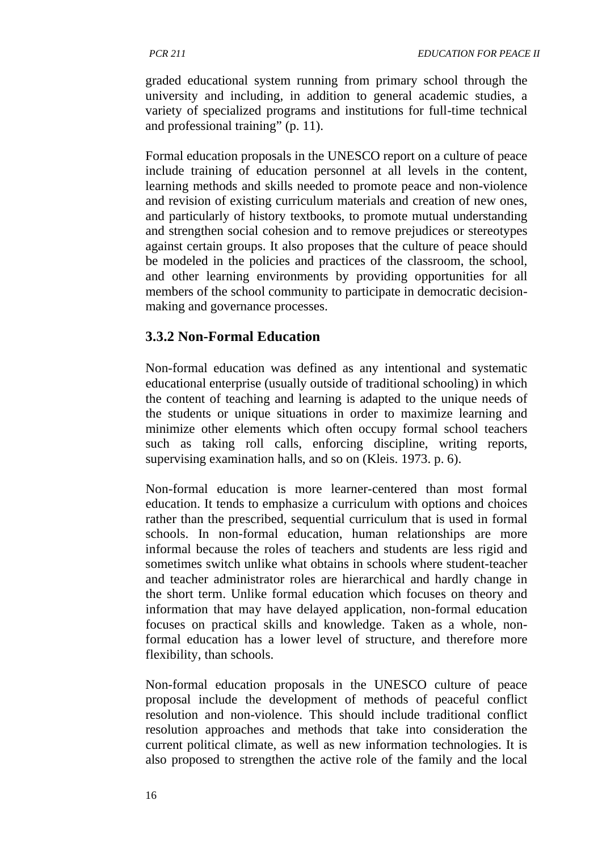graded educational system running from primary school through the university and including, in addition to general academic studies, a variety of specialized programs and institutions for full-time technical and professional training" (p. 11).

Formal education proposals in the UNESCO report on a culture of peace include training of education personnel at all levels in the content, learning methods and skills needed to promote peace and non-violence and revision of existing curriculum materials and creation of new ones, and particularly of history textbooks, to promote mutual understanding and strengthen social cohesion and to remove prejudices or stereotypes against certain groups. It also proposes that the culture of peace should be modeled in the policies and practices of the classroom, the school, and other learning environments by providing opportunities for all members of the school community to participate in democratic decisionmaking and governance processes.

#### **3.3.2 Non-Formal Education**

Non-formal education was defined as any intentional and systematic educational enterprise (usually outside of traditional schooling) in which the content of teaching and learning is adapted to the unique needs of the students or unique situations in order to maximize learning and minimize other elements which often occupy formal school teachers such as taking roll calls, enforcing discipline, writing reports, supervising examination halls, and so on (Kleis. 1973. p. 6).

Non-formal education is more learner-centered than most formal education. It tends to emphasize a curriculum with options and choices rather than the prescribed, sequential curriculum that is used in formal schools. In non-formal education, human relationships are more informal because the roles of teachers and students are less rigid and sometimes switch unlike what obtains in schools where student-teacher and teacher administrator roles are hierarchical and hardly change in the short term. Unlike formal education which focuses on theory and information that may have delayed application, non-formal education focuses on practical skills and knowledge. Taken as a whole, nonformal education has a lower level of structure, and therefore more flexibility, than schools.

Non-formal education proposals in the UNESCO culture of peace proposal include the development of methods of peaceful conflict resolution and non-violence. This should include traditional conflict resolution approaches and methods that take into consideration the current political climate, as well as new information technologies. It is also proposed to strengthen the active role of the family and the local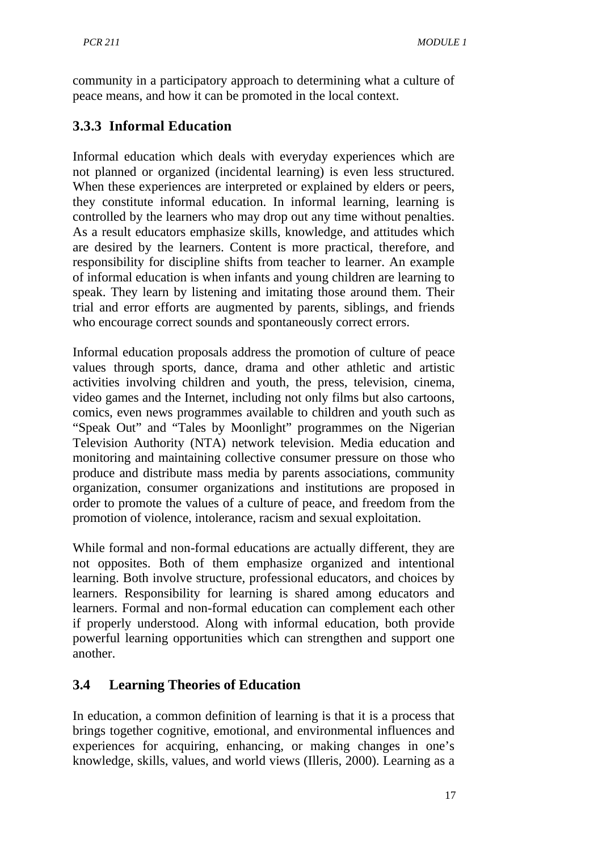community in a participatory approach to determining what a culture of peace means, and how it can be promoted in the local context.

# **3.3.3 Informal Education**

Informal education which deals with everyday experiences which are not planned or organized (incidental learning) is even less structured. When these experiences are interpreted or explained by elders or peers, they constitute informal education. In informal learning, learning is controlled by the learners who may drop out any time without penalties. As a result educators emphasize skills, knowledge, and attitudes which are desired by the learners. Content is more practical, therefore, and responsibility for discipline shifts from teacher to learner. An example of informal education is when infants and young children are learning to speak. They learn by listening and imitating those around them. Their trial and error efforts are augmented by parents, siblings, and friends who encourage correct sounds and spontaneously correct errors.

Informal education proposals address the promotion of culture of peace values through sports, dance, drama and other athletic and artistic activities involving children and youth, the press, television, cinema, video games and the Internet, including not only films but also cartoons, comics, even news programmes available to children and youth such as "Speak Out" and "Tales by Moonlight" programmes on the Nigerian Television Authority (NTA) network television. Media education and monitoring and maintaining collective consumer pressure on those who produce and distribute mass media by parents associations, community organization, consumer organizations and institutions are proposed in order to promote the values of a culture of peace, and freedom from the promotion of violence, intolerance, racism and sexual exploitation.

While formal and non-formal educations are actually different, they are not opposites. Both of them emphasize organized and intentional learning. Both involve structure, professional educators, and choices by learners. Responsibility for learning is shared among educators and learners. Formal and non-formal education can complement each other if properly understood. Along with informal education, both provide powerful learning opportunities which can strengthen and support one another.

# **3.4 Learning Theories of Education**

In education, a common definition of learning is that it is a process that brings together cognitive, emotional, and environmental influences and experiences for acquiring, enhancing, or making changes in one's knowledge, skills, values, and world views (Illeris, 2000). Learning as a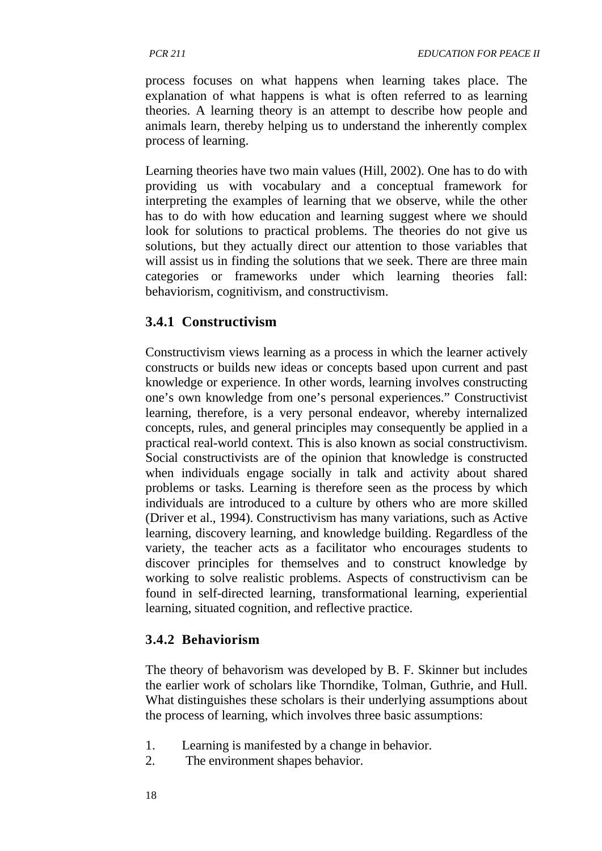process focuses on what happens when learning takes place. The explanation of what happens is what is often referred to as learning theories. A learning theory is an attempt to describe how people and animals learn, thereby helping us to understand the inherently complex process of learning.

Learning theories have two main values (Hill, 2002). One has to do with providing us with vocabulary and a conceptual framework for interpreting the examples of learning that we observe, while the other has to do with how education and learning suggest where we should look for solutions to practical problems. The theories do not give us solutions, but they actually direct our attention to those variables that will assist us in finding the solutions that we seek. There are three main categories or frameworks under which learning theories fall: behaviorism, cognitivism, and constructivism.

# **3.4.1 Constructivism**

Constructivism views learning as a process in which the learner actively constructs or builds new ideas or concepts based upon current and past knowledge or experience. In other words, learning involves constructing one's own knowledge from one's personal experiences." Constructivist learning, therefore, is a very personal endeavor, whereby internalized concepts, rules, and general principles may consequently be applied in a practical real-world context. This is also known as social constructivism. Social constructivists are of the opinion that knowledge is constructed when individuals engage socially in talk and activity about shared problems or tasks. Learning is therefore seen as the process by which individuals are introduced to a culture by others who are more skilled (Driver et al., 1994). Constructivism has many variations, such as Active learning, discovery learning, and knowledge building. Regardless of the variety, the teacher acts as a facilitator who encourages students to discover principles for themselves and to construct knowledge by working to solve realistic problems. Aspects of constructivism can be found in self-directed learning, transformational learning, experiential learning, situated cognition, and reflective practice.

# **3.4.2 Behaviorism**

The theory of behavorism was developed by B. F. Skinner but includes the earlier work of scholars like Thorndike, Tolman, Guthrie, and Hull. What distinguishes these scholars is their underlying assumptions about the process of learning, which involves three basic assumptions:

- 1. Learning is manifested by a change in behavior.
- 2. The environment shapes behavior.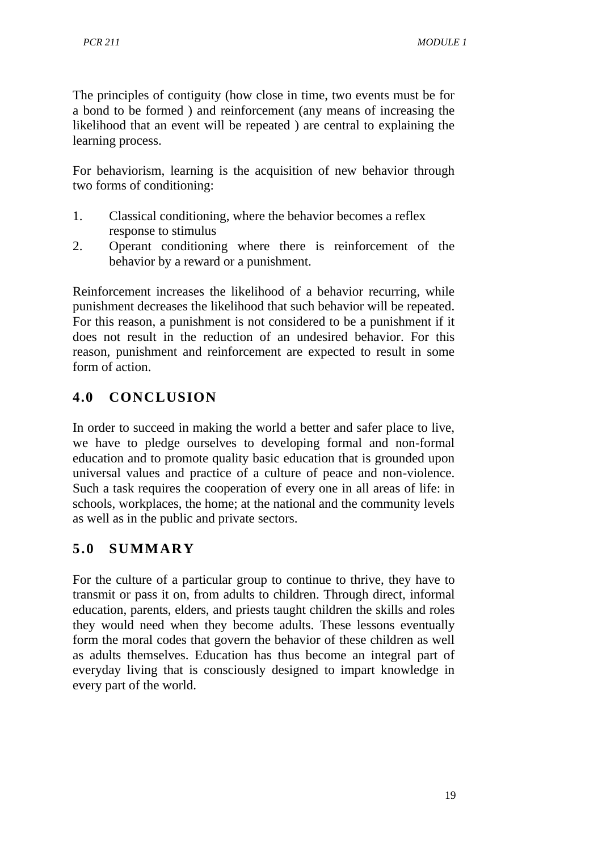The principles of contiguity (how close in time, two events must be for a bond to be formed ) and reinforcement (any means of increasing the likelihood that an event will be repeated ) are central to explaining the learning process.

For behaviorism, learning is the acquisition of new behavior through two forms of conditioning:

- 1. Classical conditioning, where the behavior becomes a reflex response to stimulus
- 2. Operant conditioning where there is reinforcement of the behavior by a reward or a punishment.

Reinforcement increases the likelihood of a behavior recurring, while punishment decreases the likelihood that such behavior will be repeated. For this reason, a punishment is not considered to be a punishment if it does not result in the reduction of an undesired behavior. For this reason, punishment and reinforcement are expected to result in some form of action.

# **4.0 CONCLUSION**

In order to succeed in making the world a better and safer place to live, we have to pledge ourselves to developing formal and non-formal education and to promote quality basic education that is grounded upon universal values and practice of a culture of peace and non-violence. Such a task requires the cooperation of every one in all areas of life: in schools, workplaces, the home; at the national and the community levels as well as in the public and private sectors.

# **5.0 SUMMARY**

For the culture of a particular group to continue to thrive, they have to transmit or pass it on, from adults to children. Through direct, informal education, parents, elders, and priests taught children the skills and roles they would need when they become adults. These lessons eventually form the moral codes that govern the behavior of these children as well as adults themselves. Education has thus become an integral part of everyday living that is consciously designed to impart knowledge in every part of the world.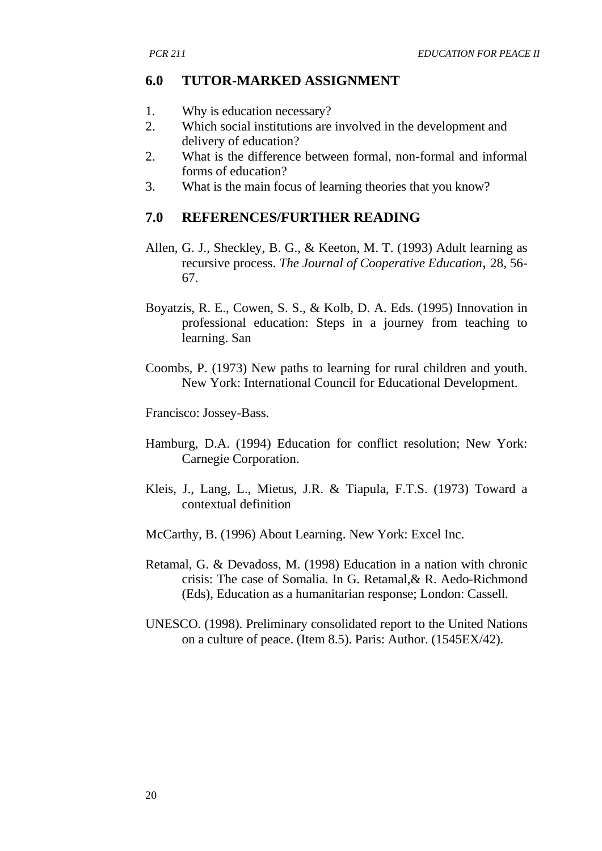#### **6.0 TUTOR-MARKED ASSIGNMENT**

- 1. Why is education necessary?
- 2. Which social institutions are involved in the development and delivery of education?
- 2. What is the difference between formal, non-formal and informal forms of education?
- 3. What is the main focus of learning theories that you know?

#### **7.0 REFERENCES/FURTHER READING**

- Allen, G. J., Sheckley, B. G., & Keeton, M. T. (1993) Adult learning as recursive process. *The Journal of Cooperative Education,* 28, 56- 67.
- Boyatzis, R. E., Cowen, S. S., & Kolb, D. A. Eds. (1995) Innovation in professional education: Steps in a journey from teaching to learning. San
- Coombs, P. (1973) New paths to learning for rural children and youth. New York: International Council for Educational Development.

Francisco: Jossey-Bass.

- Hamburg, D.A. (1994) Education for conflict resolution; New York: Carnegie Corporation.
- Kleis, J., Lang, L., Mietus, J.R. & Tiapula, F.T.S. (1973) Toward a contextual definition
- McCarthy, B. (1996) About Learning. New York: Excel Inc.
- Retamal, G. & Devadoss, M. (1998) Education in a nation with chronic crisis: The case of Somalia. In G. Retamal,& R. Aedo-Richmond (Eds), Education as a humanitarian response; London: Cassell.
- UNESCO. (1998). Preliminary consolidated report to the United Nations on a culture of peace. (Item 8.5). Paris: Author. (1545EX/42).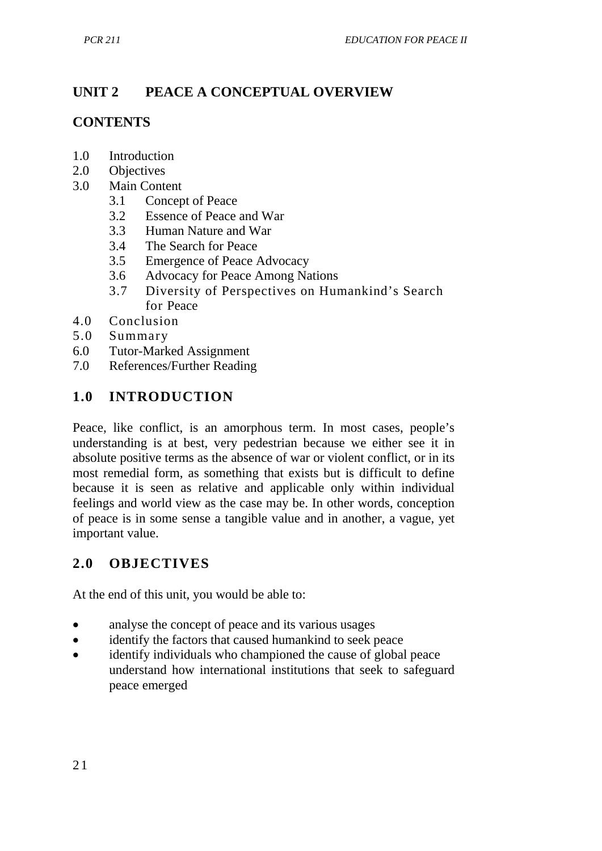# **UNIT 2 PEACE A CONCEPTUAL OVERVIEW**

### **CONTENTS**

- 1.0 Introduction
- 2.0 Objectives<br>3.0 Main Cont
- Main Content
	- 3.1 Concept of Peace
	- 3.2 Essence of Peace and War
	- 3.3 Human Nature and War
	- 3.4 The Search for Peace<br>3.5 Emergence of Peace  $\lambda$
	- Emergence of Peace Advocacy
	- 3.6 Advocacy for Peace Among Nations
	- 3.7 Diversity of Perspectives on Humankind's Search for Peace
- 4.0 Conclusion
- 5.0 Summary
- 6.0 Tutor-Marked Assignment
- 7.0 References/Further Reading

# **1.0 INTRODUCTION**

Peace, like conflict, is an amorphous term. In most cases, people's understanding is at best, very pedestrian because we either see it in absolute positive terms as the absence of war or violent conflict, or in its most remedial form, as something that exists but is difficult to define because it is seen as relative and applicable only within individual feelings and world view as the case may be. In other words, conception of peace is in some sense a tangible value and in another, a vague, yet important value.

#### **2.0 OBJECTIVES**

At the end of this unit, you would be able to:

- analyse the concept of peace and its various usages
- identify the factors that caused humankind to seek peace
- identify individuals who championed the cause of global peace understand how international institutions that seek to safeguard peace emerged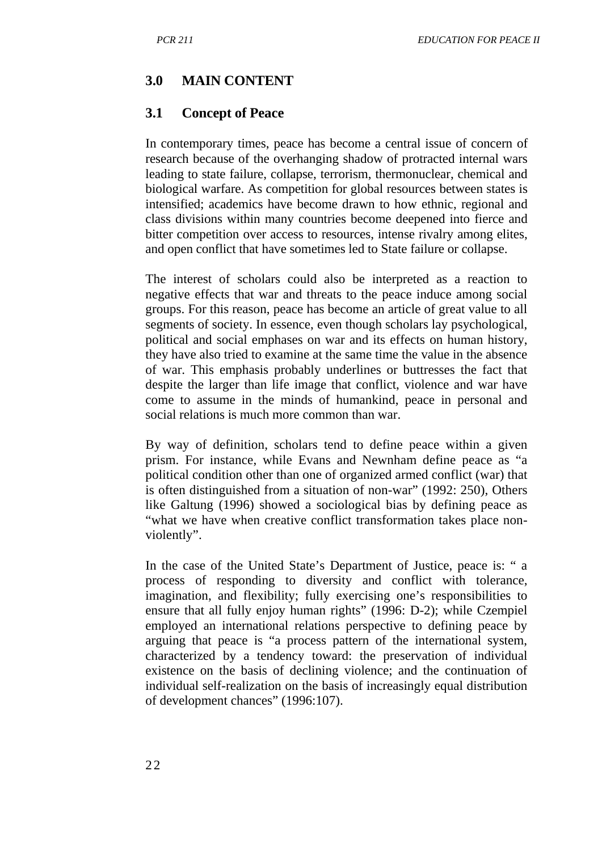#### **3.0 MAIN CONTENT**

#### **3.1 Concept of Peace**

In contemporary times, peace has become a central issue of concern of research because of the overhanging shadow of protracted internal wars leading to state failure, collapse, terrorism, thermonuclear, chemical and biological warfare. As competition for global resources between states is intensified; academics have become drawn to how ethnic, regional and class divisions within many countries become deepened into fierce and bitter competition over access to resources, intense rivalry among elites, and open conflict that have sometimes led to State failure or collapse.

The interest of scholars could also be interpreted as a reaction to negative effects that war and threats to the peace induce among social groups. For this reason, peace has become an article of great value to all segments of society. In essence, even though scholars lay psychological, political and social emphases on war and its effects on human history, they have also tried to examine at the same time the value in the absence of war. This emphasis probably underlines or buttresses the fact that despite the larger than life image that conflict, violence and war have come to assume in the minds of humankind, peace in personal and social relations is much more common than war.

By way of definition, scholars tend to define peace within a given prism. For instance, while Evans and Newnham define peace as "a political condition other than one of organized armed conflict (war) that is often distinguished from a situation of non-war" (1992: 250), Others like Galtung (1996) showed a sociological bias by defining peace as "what we have when creative conflict transformation takes place nonviolently".

In the case of the United State's Department of Justice, peace is: " a process of responding to diversity and conflict with tolerance, imagination, and flexibility; fully exercising one's responsibilities to ensure that all fully enjoy human rights" (1996: D-2); while Czempiel employed an international relations perspective to defining peace by arguing that peace is "a process pattern of the international system, characterized by a tendency toward: the preservation of individual existence on the basis of declining violence; and the continuation of individual self-realization on the basis of increasingly equal distribution of development chances" (1996:107).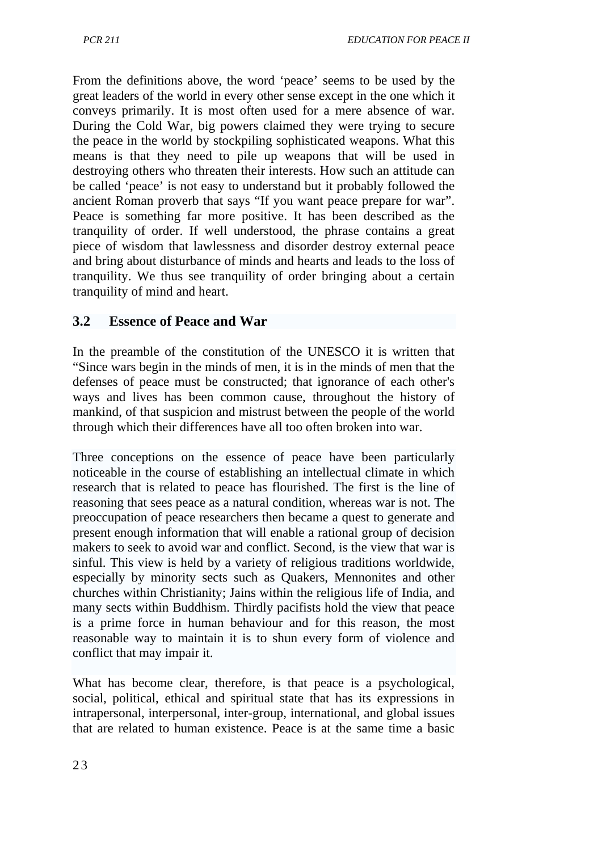From the definitions above, the word 'peace' seems to be used by the great leaders of the world in every other sense except in the one which it conveys primarily. It is most often used for a mere absence of war. During the Cold War, big powers claimed they were trying to secure the peace in the world by stockpiling sophisticated weapons. What this means is that they need to pile up weapons that will be used in destroying others who threaten their interests. How such an attitude can be called 'peace' is not easy to understand but it probably followed the ancient Roman proverb that says "If you want peace prepare for war". Peace is something far more positive. It has been described as the tranquility of order. If well understood, the phrase contains a great piece of wisdom that lawlessness and disorder destroy external peace and bring about disturbance of minds and hearts and leads to the loss of tranquility. We thus see tranquility of order bringing about a certain tranquility of mind and heart.

#### **3.2 Essence of Peace and War**

In the preamble of the constitution of the UNESCO it is written that "Since wars begin in the minds of men, it is in the minds of men that the defenses of peace must be constructed; that ignorance of each other's ways and lives has been common cause, throughout the history of mankind, of that suspicion and mistrust between the people of the world through which their differences have all too often broken into war.

Three conceptions on the essence of peace have been particularly noticeable in the course of establishing an intellectual climate in which research that is related to peace has flourished. The first is the line of reasoning that sees peace as a natural condition, whereas war is not. The preoccupation of peace researchers then became a quest to generate and present enough information that will enable a rational group of decision makers to seek to avoid war and conflict. Second, is the view that war is sinful. This view is held by a variety of religious traditions worldwide, especially by minority sects such as Quakers, Mennonites and other churches within Christianity; Jains within the religious life of India, and many sects within Buddhism. Thirdly pacifists hold the view that peace is a prime force in human behaviour and for this reason, the most reasonable way to maintain it is to shun every form of violence and conflict that may impair it.

What has become clear, therefore, is that peace is a psychological, social, political, ethical and spiritual state that has its expressions in intrapersonal, interpersonal, inter-group, international, and global issues that are related to human existence. Peace is at the same time a basic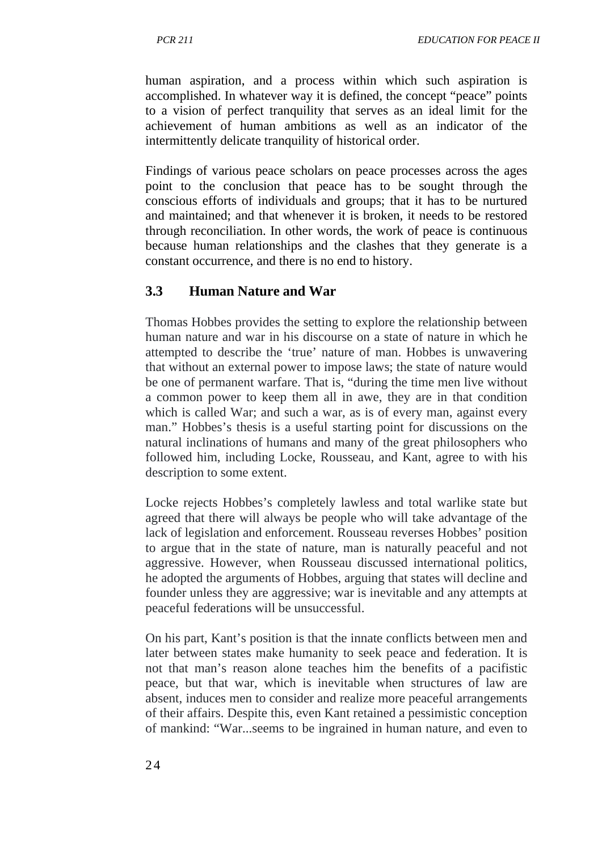human aspiration, and a process within which such aspiration is accomplished. In whatever way it is defined, the concept "peace" points to a vision of perfect tranquility that serves as an ideal limit for the achievement of human ambitions as well as an indicator of the intermittently delicate tranquility of historical order.

Findings of various peace scholars on peace processes across the ages point to the conclusion that peace has to be sought through the conscious efforts of individuals and groups; that it has to be nurtured and maintained; and that whenever it is broken, it needs to be restored through reconciliation. In other words, the work of peace is continuous because human relationships and the clashes that they generate is a constant occurrence, and there is no end to history.

#### **3.3 Human Nature and War**

Thomas Hobbes provides the setting to explore the relationship between human nature and war in his discourse on a state of nature in which he attempted to describe the 'true' nature of man. Hobbes is unwavering that without an external power to impose laws; the state of nature would be one of permanent warfare. That is, "during the time men live without a common power to keep them all in awe, they are in that condition which is called War; and such a war, as is of every man, against every man." Hobbes's thesis is a useful starting point for discussions on the natural inclinations of humans and many of the great philosophers who followed him, including Locke, Rousseau, and Kant, agree to with his description to some extent.

Locke rejects Hobbes's completely lawless and total warlike state but agreed that there will always be people who will take advantage of the lack of legislation and enforcement. Rousseau reverses Hobbes' position to argue that in the state of nature, man is naturally peaceful and not aggressive. However, when Rousseau discussed international politics, he adopted the arguments of Hobbes, arguing that states will decline and founder unless they are aggressive; war is inevitable and any attempts at peaceful federations will be unsuccessful.

On his part, Kant's position is that the innate conflicts between men and later between states make humanity to seek peace and federation. It is not that man's reason alone teaches him the benefits of a pacifistic peace, but that war, which is inevitable when structures of law are absent, induces men to consider and realize more peaceful arrangements of their affairs. Despite this, even Kant retained a pessimistic conception of mankind: "War...seems to be ingrained in human nature, and even to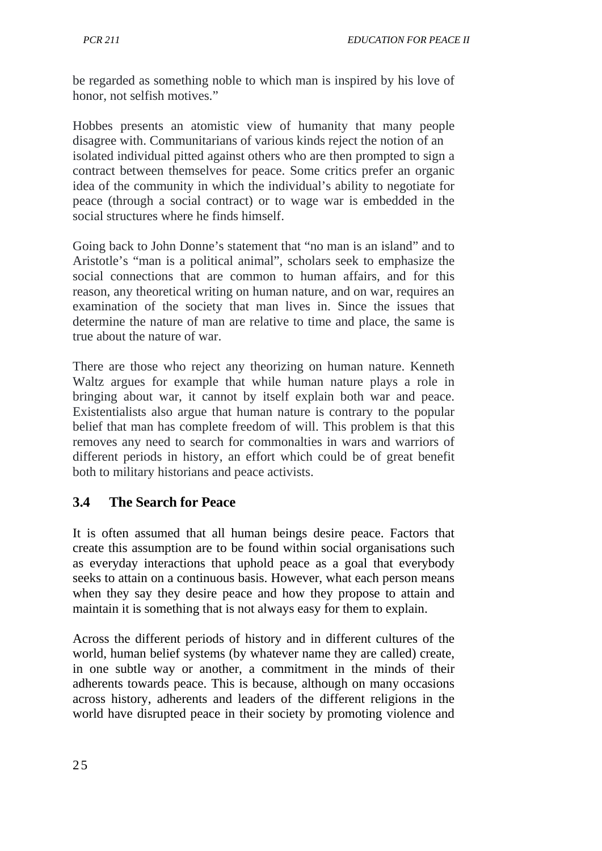be regarded as something noble to which man is inspired by his love of honor, not selfish motives."

Hobbes presents an atomistic view of humanity that many people disagree with. Communitarians of various kinds reject the notion of an isolated individual pitted against others who are then prompted to sign a contract between themselves for peace. Some critics prefer an organic idea of the community in which the individual's ability to negotiate for peace (through a social contract) or to wage war is embedded in the social structures where he finds himself.

Going back to John Donne's statement that "no man is an island" and to Aristotle's "man is a political animal", scholars seek to emphasize the social connections that are common to human affairs, and for this reason, any theoretical writing on human nature, and on war, requires an examination of the society that man lives in. Since the issues that determine the nature of man are relative to time and place, the same is true about the nature of war.

There are those who reject any theorizing on human nature. Kenneth Waltz argues for example that while human nature plays a role in bringing about war, it cannot by itself explain both war and peace. Existentialists also argue that human nature is contrary to the popular belief that man has complete freedom of will. This problem is that this removes any need to search for commonalties in wars and warriors of different periods in history, an effort which could be of great benefit both to military historians and peace activists.

# **3.4 The Search for Peace**

It is often assumed that all human beings desire peace. Factors that create this assumption are to be found within social organisations such as everyday interactions that uphold peace as a goal that everybody seeks to attain on a continuous basis. However, what each person means when they say they desire peace and how they propose to attain and maintain it is something that is not always easy for them to explain.

Across the different periods of history and in different cultures of the world, human belief systems (by whatever name they are called) create, in one subtle way or another, a commitment in the minds of their adherents towards peace. This is because, although on many occasions across history, adherents and leaders of the different religions in the world have disrupted peace in their society by promoting violence and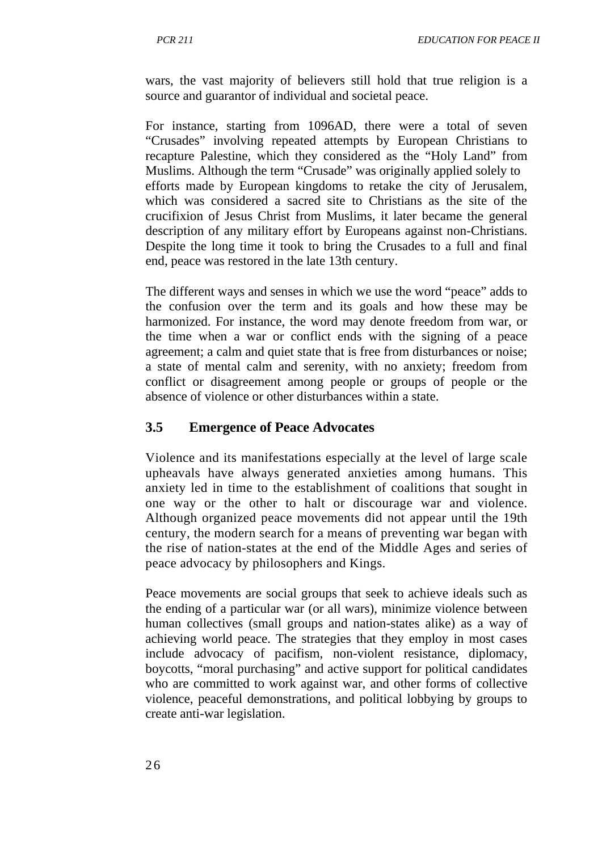wars, the vast majority of believers still hold that true religion is a source and guarantor of individual and societal peace.

For instance, starting from 1096AD, there were a total of seven "Crusades" involving repeated attempts by European Christians to recapture Palestine, which they considered as the "Holy Land" from Muslims. Although the term "Crusade" was originally applied solely to efforts made by European kingdoms to retake the city of Jerusalem, which was considered a sacred site to Christians as the site of the crucifixion of Jesus Christ from Muslims, it later became the general description of any military effort by Europeans against non-Christians. Despite the long time it took to bring the Crusades to a full and final end, peace was restored in the late 13th century.

The different ways and senses in which we use the word "peace" adds to the confusion over the term and its goals and how these may be harmonized. For instance, the word may denote freedom from war, or the time when a war or conflict ends with the signing of a peace agreement; a calm and quiet state that is free from disturbances or noise; a state of mental calm and serenity, with no anxiety; freedom from conflict or disagreement among people or groups of people or the absence of violence or other disturbances within a state.

#### **3.5 Emergence of Peace Advocates**

Violence and its manifestations especially at the level of large scale upheavals have always generated anxieties among humans. This anxiety led in time to the establishment of coalitions that sought in one way or the other to halt or discourage war and violence. Although organized peace movements did not appear until the 19th century, the modern search for a means of preventing war began with the rise of nation-states at the end of the Middle Ages and series of peace advocacy by philosophers and Kings.

Peace movements are social groups that seek to achieve ideals such as the ending of a particular war (or all wars), minimize violence between human collectives (small groups and nation-states alike) as a way of achieving world peace. The strategies that they employ in most cases include advocacy of pacifism, non-violent resistance, diplomacy, boycotts, "moral purchasing" and active support for political candidates who are committed to work against war, and other forms of collective violence, peaceful demonstrations, and political lobbying by groups to create anti-war legislation.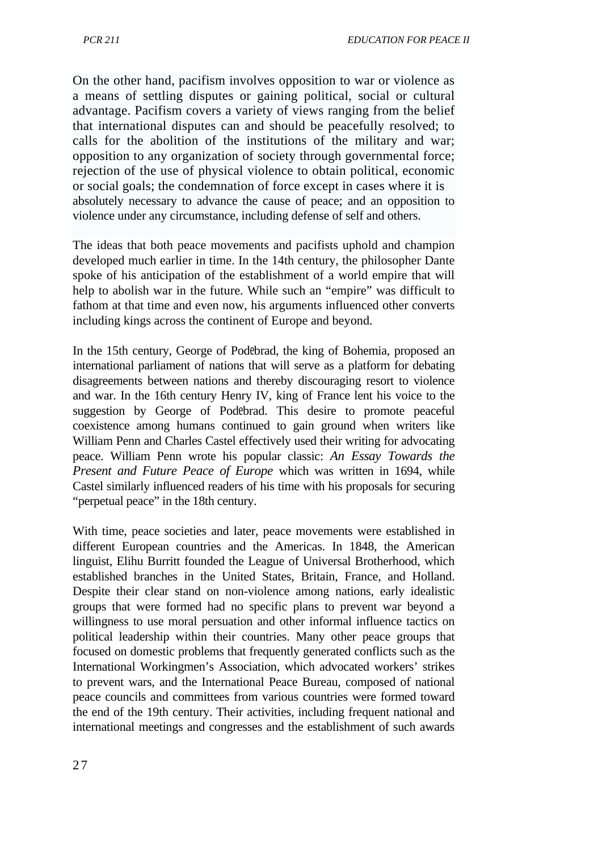On the other hand, pacifism involves opposition to war or violence as a means of settling disputes or gaining political, social or cultural advantage. Pacifism covers a variety of views ranging from the belief that international disputes can and should be peacefully resolved; to calls for the abolition of the institutions of the military and war; opposition to any organization of society through governmental force; rejection of the use of physical violence to obtain political, economic or social goals; the condemnation of force except in cases where it is absolutely necessary to advance the cause of peace; and an opposition to violence under any circumstance, including defense of self and others.

The ideas that both peace movements and pacifists uphold and champion developed much earlier in time. In the 14th century, the philosopher Dante spoke of his anticipation of the establishment of a world empire that will help to abolish war in the future. While such an "empire" was difficult to fathom at that time and even now, his arguments influenced other converts including kings across the continent of Europe and beyond.

In the 15th century, George of Podebrad, the king of Bohemia, proposed an international parliament of nations that will serve as a platform for debating disagreements between nations and thereby discouraging resort to violence and war. In the 16th century Henry IV, king of France lent his voice to the suggestion by George of Podebrad. This desire to promote peaceful coexistence among humans continued to gain ground when writers like William Penn and Charles Castel effectively used their writing for advocating peace. William Penn wrote his popular classic: *An Essay Towards the Present and Future Peace of Europe* which was written in 1694, while Castel similarly influenced readers of his time with his proposals for securing "perpetual peace" in the 18th century.

With time, peace societies and later, peace movements were established in different European countries and the Americas. In 1848, the American linguist, Elihu Burritt founded the League of Universal Brotherhood, which established branches in the United States, Britain, France, and Holland. Despite their clear stand on non-violence among nations, early idealistic groups that were formed had no specific plans to prevent war beyond a willingness to use moral persuation and other informal influence tactics on political leadership within their countries. Many other peace groups that focused on domestic problems that frequently generated conflicts such as the International Workingmen's Association, which advocated workers' strikes to prevent wars, and the International Peace Bureau, composed of national peace councils and committees from various countries were formed toward the end of the 19th century. Their activities, including frequent national and international meetings and congresses and the establishment of such awards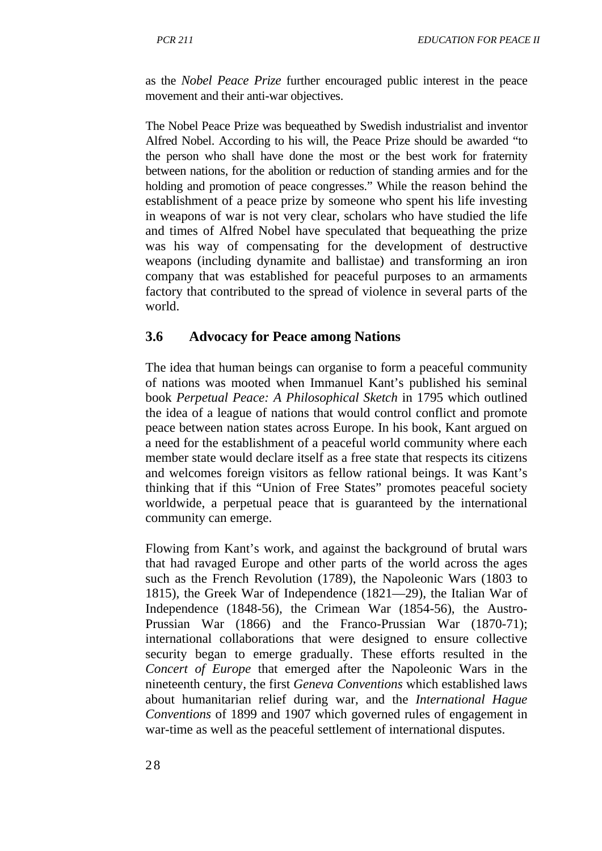as the *Nobel Peace Prize* further encouraged public interest in the peace movement and their anti-war objectives.

The Nobel Peace Prize was bequeathed by Swedish industrialist and inventor Alfred Nobel. According to his will, the Peace Prize should be awarded "to the person who shall have done the most or the best work for fraternity between nations, for the abolition or reduction of standing armies and for the holding and promotion of peace congresses." While the reason behind the establishment of a peace prize by someone who spent his life investing in weapons of war is not very clear, scholars who have studied the life and times of Alfred Nobel have speculated that bequeathing the prize was his way of compensating for the development of destructive weapons (including dynamite and ballistae) and transforming an iron company that was established for peaceful purposes to an armaments factory that contributed to the spread of violence in several parts of the world.

#### **3.6 Advocacy for Peace among Nations**

The idea that human beings can organise to form a peaceful community of nations was mooted when Immanuel Kant's published his seminal book *Perpetual Peace: A Philosophical Sketch* in 1795 which outlined the idea of a league of nations that would control conflict and promote peace between nation states across Europe. In his book, Kant argued on a need for the establishment of a peaceful world community where each member state would declare itself as a free state that respects its citizens and welcomes foreign visitors as fellow rational beings. It was Kant's thinking that if this "Union of Free States" promotes peaceful society worldwide, a perpetual peace that is guaranteed by the international community can emerge.

Flowing from Kant's work, and against the background of brutal wars that had ravaged Europe and other parts of the world across the ages such as the French Revolution (1789), the Napoleonic Wars (1803 to 1815), the Greek War of Independence (1821—29), the Italian War of Independence (1848-56), the Crimean War (1854-56), the Austro-Prussian War (1866) and the Franco-Prussian War (1870-71); international collaborations that were designed to ensure collective security began to emerge gradually. These efforts resulted in the *Concert of Europe* that emerged after the Napoleonic Wars in the nineteenth century, the first *Geneva Conventions* which established laws about humanitarian relief during war, and the *International Hague Conventions* of 1899 and 1907 which governed rules of engagement in war-time as well as the peaceful settlement of international disputes.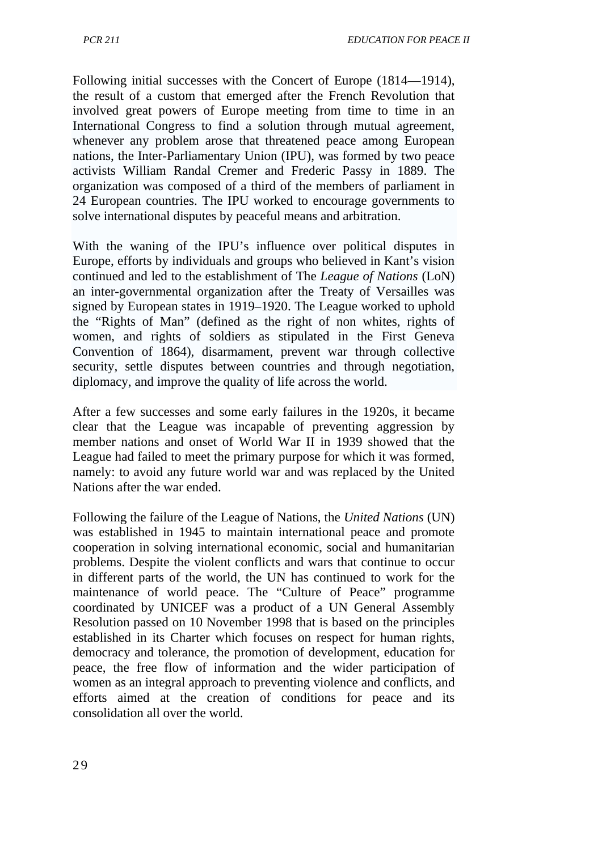Following initial successes with the Concert of Europe (1814—1914), the result of a custom that emerged after the French Revolution that involved great powers of Europe meeting from time to time in an International Congress to find a solution through mutual agreement, whenever any problem arose that threatened peace among European nations, the Inter-Parliamentary Union (IPU), was formed by two peace activists William Randal Cremer and Frederic Passy in 1889. The organization was composed of a third of the members of parliament in 24 European countries. The IPU worked to encourage governments to solve international disputes by peaceful means and arbitration.

With the waning of the IPU's influence over political disputes in Europe, efforts by individuals and groups who believed in Kant's vision continued and led to the establishment of The *League of Nations* (LoN) an inter-governmental organization after the Treaty of Versailles was signed by European states in 1919–1920. The League worked to uphold the "Rights of Man" (defined as the right of non whites, rights of women, and rights of soldiers as stipulated in the First Geneva Convention of 1864), disarmament, prevent war through collective security, settle disputes between countries and through negotiation, diplomacy, and improve the quality of life across the world.

After a few successes and some early failures in the 1920s, it became clear that the League was incapable of preventing aggression by member nations and onset of World War II in 1939 showed that the League had failed to meet the primary purpose for which it was formed, namely: to avoid any future world war and was replaced by the United Nations after the war ended.

Following the failure of the League of Nations, the *United Nations* (UN) was established in 1945 to maintain international peace and promote cooperation in solving international economic, social and humanitarian problems. Despite the violent conflicts and wars that continue to occur in different parts of the world, the UN has continued to work for the maintenance of world peace. The "Culture of Peace" programme coordinated by UNICEF was a product of a UN General Assembly Resolution passed on 10 November 1998 that is based on the principles established in its Charter which focuses on respect for human rights, democracy and tolerance, the promotion of development, education for peace, the free flow of information and the wider participation of women as an integral approach to preventing violence and conflicts, and efforts aimed at the creation of conditions for peace and its consolidation all over the world.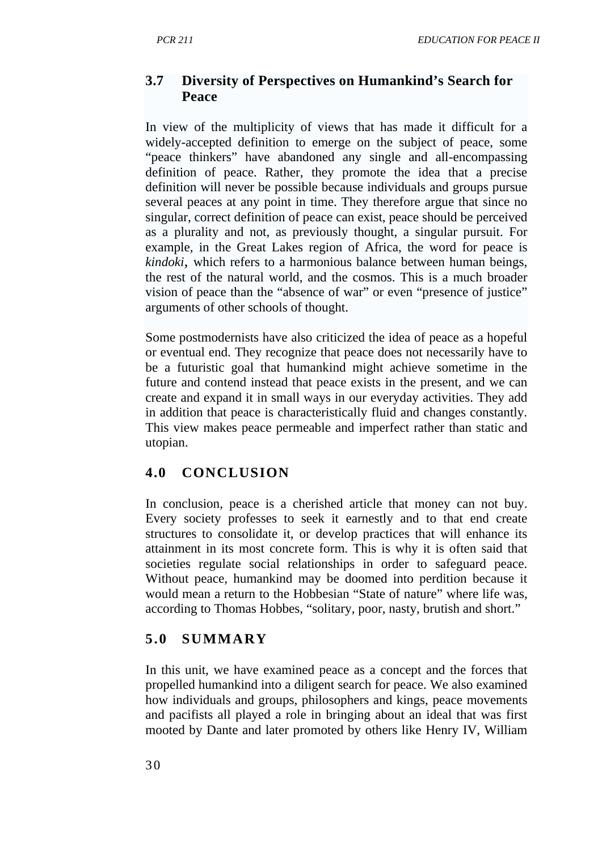#### **3.7 Diversity of Perspectives on Humankind's Search for Peace**

In view of the multiplicity of views that has made it difficult for a widely-accepted definition to emerge on the subject of peace, some "peace thinkers" have abandoned any single and all-encompassing definition of peace. Rather, they promote the idea that a precise definition will never be possible because individuals and groups pursue several peaces at any point in time. They therefore argue that since no singular, correct definition of peace can exist, peace should be perceived as a plurality and not, as previously thought, a singular pursuit. For example, in the Great Lakes region of Africa, the word for peace is *kindoki,* which refers to a harmonious balance between human beings, the rest of the natural world, and the cosmos. This is a much broader vision of peace than the "absence of war" or even "presence of justice" arguments of other schools of thought.

Some postmodernists have also criticized the idea of peace as a hopeful or eventual end. They recognize that peace does not necessarily have to be a futuristic goal that humankind might achieve sometime in the future and contend instead that peace exists in the present, and we can create and expand it in small ways in our everyday activities. They add in addition that peace is characteristically fluid and changes constantly. This view makes peace permeable and imperfect rather than static and utopian.

#### **4.0 CONCLUSION**

In conclusion, peace is a cherished article that money can not buy. Every society professes to seek it earnestly and to that end create structures to consolidate it, or develop practices that will enhance its attainment in its most concrete form. This is why it is often said that societies regulate social relationships in order to safeguard peace. Without peace, humankind may be doomed into perdition because it would mean a return to the Hobbesian "State of nature" where life was, according to Thomas Hobbes, "solitary, poor, nasty, brutish and short."

#### **5.0 SUMMARY**

In this unit, we have examined peace as a concept and the forces that propelled humankind into a diligent search for peace. We also examined how individuals and groups, philosophers and kings, peace movements and pacifists all played a role in bringing about an ideal that was first mooted by Dante and later promoted by others like Henry IV, William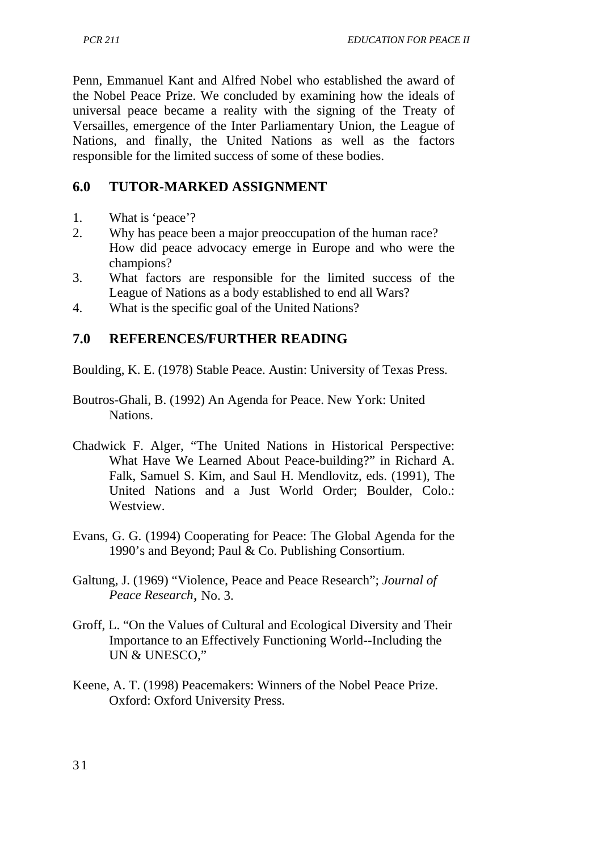Penn, Emmanuel Kant and Alfred Nobel who established the award of the Nobel Peace Prize. We concluded by examining how the ideals of universal peace became a reality with the signing of the Treaty of Versailles, emergence of the Inter Parliamentary Union, the League of Nations, and finally, the United Nations as well as the factors responsible for the limited success of some of these bodies.

# **6.0 TUTOR-MARKED ASSIGNMENT**

- 1. What is 'peace'?<br>2. Why has peace be
- 2. Why has peace been a major preoccupation of the human race? How did peace advocacy emerge in Europe and who were the champions?
- 3. What factors are responsible for the limited success of the League of Nations as a body established to end all Wars?
- 4. What is the specific goal of the United Nations?

### **7.0 REFERENCES/FURTHER READING**

Boulding, K. E. (1978) Stable Peace. Austin: University of Texas Press.

- Boutros-Ghali, B. (1992) An Agenda for Peace. New York: United Nations.
- Chadwick F. Alger, "The United Nations in Historical Perspective: What Have We Learned About Peace-building?" in Richard A. Falk, Samuel S. Kim, and Saul H. Mendlovitz, eds. (1991), The United Nations and a Just World Order; Boulder, Colo.: Westview.
- Evans, G. G. (1994) Cooperating for Peace: The Global Agenda for the 1990's and Beyond; Paul & Co. Publishing Consortium.
- Galtung, J. (1969) "Violence, Peace and Peace Research"; *Journal of Peace Research,* No. 3.
- Groff, L. "On the Values of Cultural and Ecological Diversity and Their Importance to an Effectively Functioning World--Including the UN & UNESCO,"
- Keene, A. T. (1998) Peacemakers: Winners of the Nobel Peace Prize. Oxford: Oxford University Press.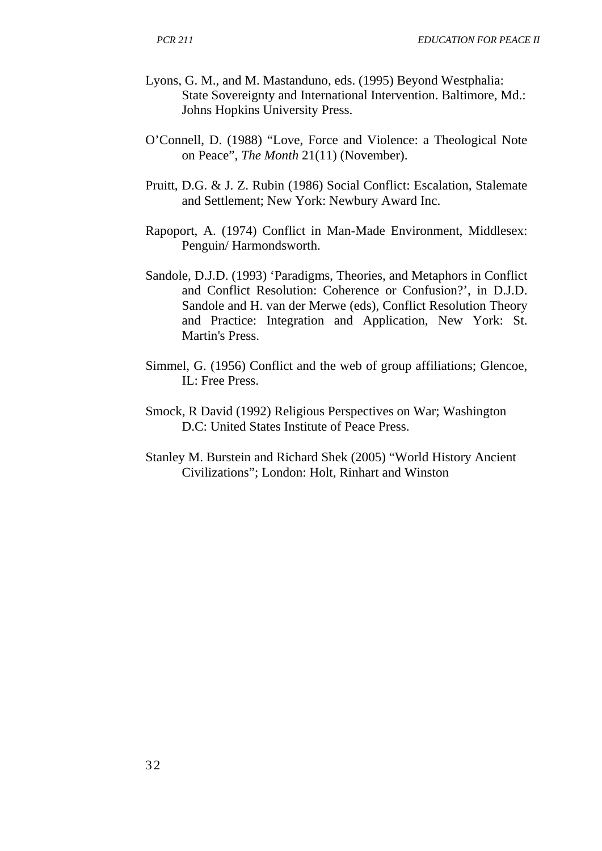- Lyons, G. M., and M. Mastanduno, eds. (1995) Beyond Westphalia: State Sovereignty and International Intervention. Baltimore, Md.: Johns Hopkins University Press.
- O'Connell, D. (1988) "Love, Force and Violence: a Theological Note on Peace", *The Month* 21(11) (November).
- Pruitt, D.G. & J. Z. Rubin (1986) Social Conflict: Escalation, Stalemate and Settlement; New York: Newbury Award Inc.
- Rapoport, A. (1974) Conflict in Man-Made Environment, Middlesex: Penguin/ Harmondsworth.
- Sandole, D.J.D. (1993) 'Paradigms, Theories, and Metaphors in Conflict and Conflict Resolution: Coherence or Confusion?', in D.J.D. Sandole and H. van der Merwe (eds), Conflict Resolution Theory and Practice: Integration and Application, New York: St. Martin's Press.
- Simmel, G. (1956) Conflict and the web of group affiliations; Glencoe, IL: Free Press.
- Smock, R David (1992) Religious Perspectives on War; Washington D.C: United States Institute of Peace Press.
- Stanley M. Burstein and Richard Shek (2005) "World History Ancient Civilizations"; London: Holt, Rinhart and Winston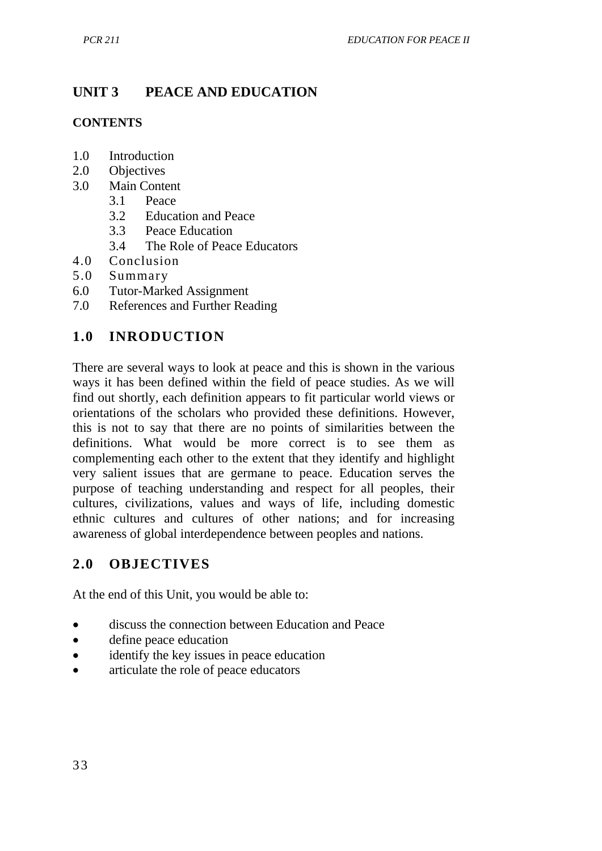# **UNIT 3 PEACE AND EDUCATION**

#### **CONTENTS**

- 1.0 Introduction
- 2.0 Objectives<br>3.0 Main Conte
- Main Content
	- 3.1 Peace
	- 3.2 Education and Peace
	- 3.3 Peace Education
	- 3.4 The Role of Peace Educators
- 4.0 Conclusion
- 5.0 Summary
- 6.0 Tutor-Marked Assignment<br>7.0 References and Further Rea
- References and Further Reading

#### **1.0 INRODUCTION**

There are several ways to look at peace and this is shown in the various ways it has been defined within the field of peace studies. As we will find out shortly, each definition appears to fit particular world views or orientations of the scholars who provided these definitions. However, this is not to say that there are no points of similarities between the definitions. What would be more correct is to see them as complementing each other to the extent that they identify and highlight very salient issues that are germane to peace. Education serves the purpose of teaching understanding and respect for all peoples, their cultures, civilizations, values and ways of life, including domestic ethnic cultures and cultures of other nations; and for increasing awareness of global interdependence between peoples and nations.

#### **2.0 OBJECTIVES**

At the end of this Unit, you would be able to:

- discuss the connection between Education and Peace
- define peace education
- identify the key issues in peace education
- articulate the role of peace educators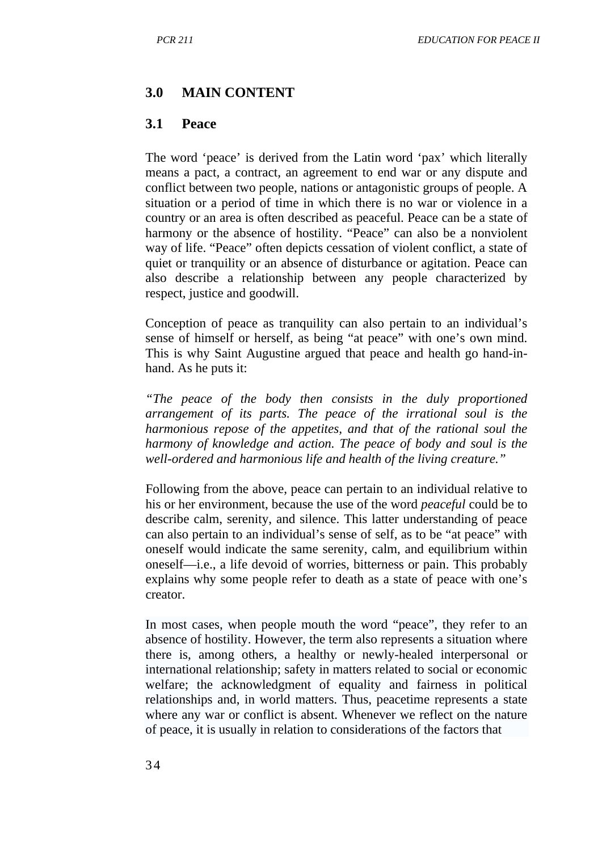#### **3.0 MAIN CONTENT**

#### **3.1 Peace**

The word 'peace' is derived from the Latin word 'pax' which literally means a pact, a contract, an agreement to end war or any dispute and conflict between two people, nations or antagonistic groups of people. A situation or a period of time in which there is no war or violence in a country or an area is often described as peaceful. Peace can be a state of harmony or the absence of hostility. "Peace" can also be a nonviolent way of life. "Peace" often depicts cessation of violent conflict, a state of quiet or tranquility or an absence of disturbance or agitation. Peace can also describe a relationship between any people characterized by respect, justice and goodwill.

Conception of peace as tranquility can also pertain to an individual's sense of himself or herself, as being "at peace" with one's own mind. This is why Saint Augustine argued that peace and health go hand-inhand. As he puts it:

*"The peace of the body then consists in the duly proportioned arrangement of its parts. The peace of the irrational soul is the harmonious repose of the appetites, and that of the rational soul the harmony of knowledge and action. The peace of body and soul is the well-ordered and harmonious life and health of the living creature."*

Following from the above, peace can pertain to an individual relative to his or her environment, because the use of the word *peaceful* could be to describe calm, serenity, and silence. This latter understanding of peace can also pertain to an individual's sense of self, as to be "at peace" with oneself would indicate the same serenity, calm, and equilibrium within oneself—i.e., a life devoid of worries, bitterness or pain. This probably explains why some people refer to death as a state of peace with one's creator.

In most cases, when people mouth the word "peace", they refer to an absence of hostility. However, the term also represents a situation where there is, among others, a healthy or newly-healed interpersonal or international relationship; safety in matters related to social or economic welfare; the acknowledgment of equality and fairness in political relationships and, in world matters. Thus, peacetime represents a state where any war or conflict is absent. Whenever we reflect on the nature of peace, it is usually in relation to considerations of the factors that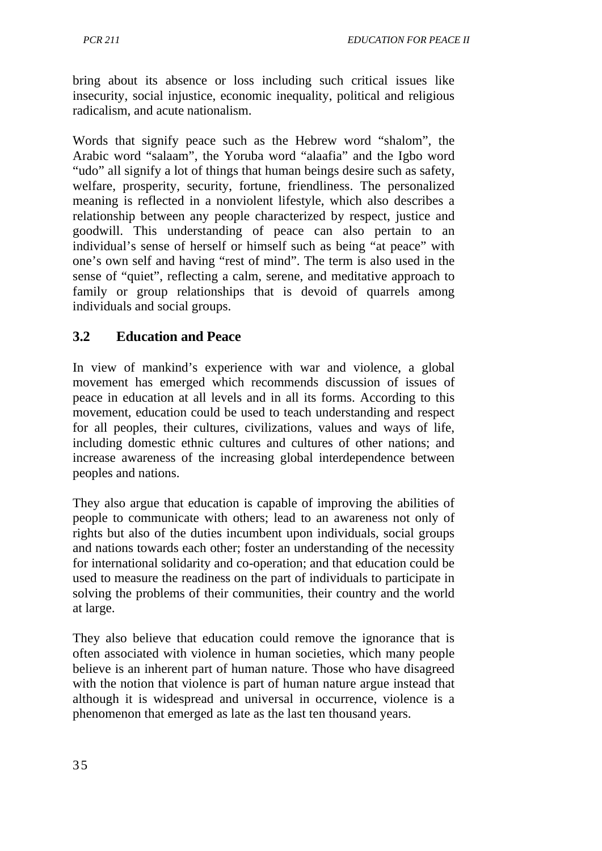*PCR 211 EDUCATION FOR PEACE II*

bring about its absence or loss including such critical issues like insecurity, social injustice, economic inequality, political and religious radicalism, and acute nationalism.

Words that signify peace such as the Hebrew word "shalom", the Arabic word "salaam", the Yoruba word "alaafia" and the Igbo word "udo" all signify a lot of things that human beings desire such as safety, welfare, prosperity, security, fortune, friendliness. The personalized meaning is reflected in a nonviolent lifestyle, which also describes a relationship between any people characterized by respect, justice and goodwill. This understanding of peace can also pertain to an individual's sense of herself or himself such as being "at peace" with one's own self and having "rest of mind". The term is also used in the sense of "quiet", reflecting a calm, serene, and meditative approach to family or group relationships that is devoid of quarrels among individuals and social groups.

## **3.2 Education and Peace**

In view of mankind's experience with war and violence, a global movement has emerged which recommends discussion of issues of peace in education at all levels and in all its forms. According to this movement, education could be used to teach understanding and respect for all peoples, their cultures, civilizations, values and ways of life, including domestic ethnic cultures and cultures of other nations; and increase awareness of the increasing global interdependence between peoples and nations.

They also argue that education is capable of improving the abilities of people to communicate with others; lead to an awareness not only of rights but also of the duties incumbent upon individuals, social groups and nations towards each other; foster an understanding of the necessity for international solidarity and co-operation; and that education could be used to measure the readiness on the part of individuals to participate in solving the problems of their communities, their country and the world at large.

They also believe that education could remove the ignorance that is often associated with violence in human societies, which many people believe is an inherent part of human nature. Those who have disagreed with the notion that violence is part of human nature argue instead that although it is widespread and universal in occurrence, violence is a phenomenon that emerged as late as the last ten thousand years.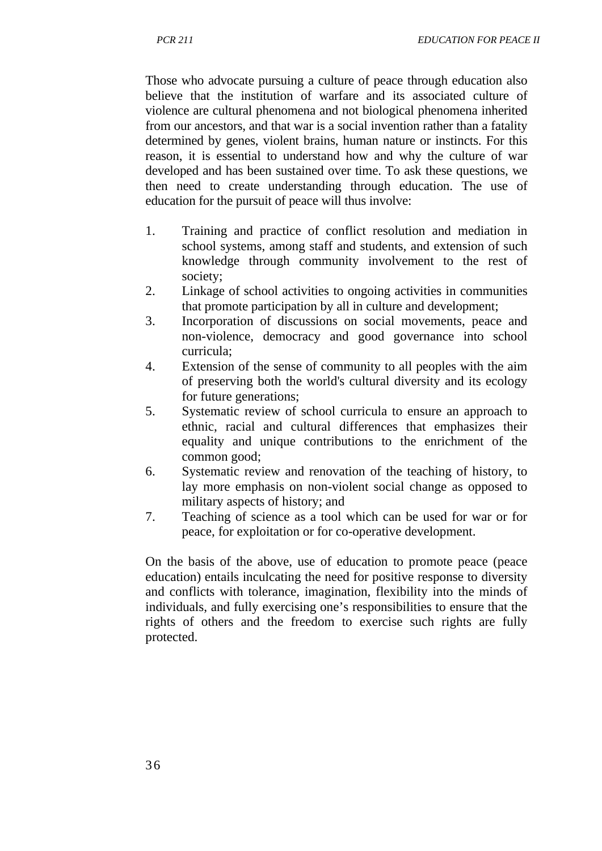Those who advocate pursuing a culture of peace through education also believe that the institution of warfare and its associated culture of violence are cultural phenomena and not biological phenomena inherited from our ancestors, and that war is a social invention rather than a fatality determined by genes, violent brains, human nature or instincts. For this reason, it is essential to understand how and why the culture of war developed and has been sustained over time. To ask these questions, we then need to create understanding through education. The use of education for the pursuit of peace will thus involve:

- 1. Training and practice of conflict resolution and mediation in school systems, among staff and students, and extension of such knowledge through community involvement to the rest of society;
- 2. Linkage of school activities to ongoing activities in communities that promote participation by all in culture and development;
- 3. Incorporation of discussions on social movements, peace and non-violence, democracy and good governance into school curricula;
- 4. Extension of the sense of community to all peoples with the aim of preserving both the world's cultural diversity and its ecology for future generations;
- 5. Systematic review of school curricula to ensure an approach to ethnic, racial and cultural differences that emphasizes their equality and unique contributions to the enrichment of the common good;
- 6. Systematic review and renovation of the teaching of history, to lay more emphasis on non-violent social change as opposed to military aspects of history; and
- 7. Teaching of science as a tool which can be used for war or for peace, for exploitation or for co-operative development.

On the basis of the above, use of education to promote peace (peace education) entails inculcating the need for positive response to diversity and conflicts with tolerance, imagination, flexibility into the minds of individuals, and fully exercising one's responsibilities to ensure that the rights of others and the freedom to exercise such rights are fully protected.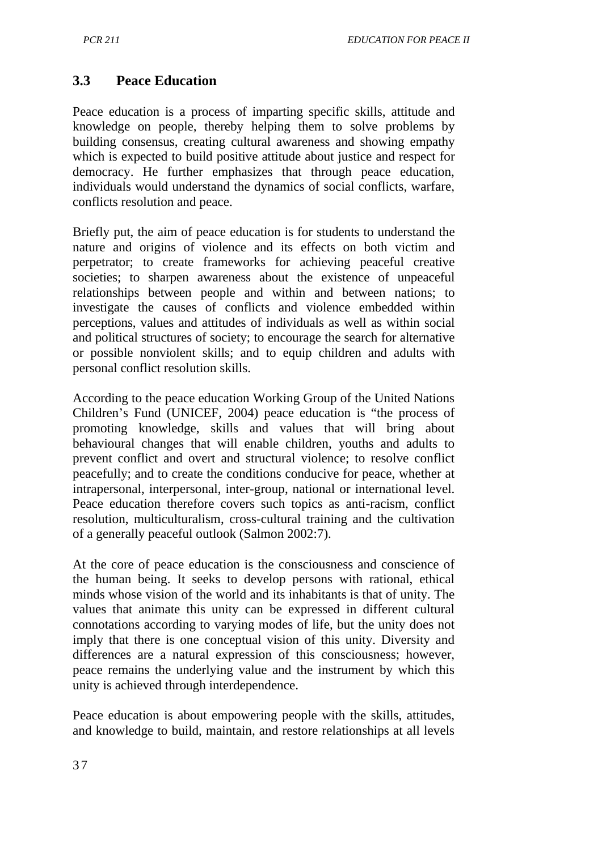## **3.3 Peace Education**

Peace education is a process of imparting specific skills, attitude and knowledge on people, thereby helping them to solve problems by building consensus, creating cultural awareness and showing empathy which is expected to build positive attitude about justice and respect for democracy. He further emphasizes that through peace education, individuals would understand the dynamics of social conflicts, warfare, conflicts resolution and peace.

Briefly put, the aim of peace education is for students to understand the nature and origins of violence and its effects on both victim and perpetrator; to create frameworks for achieving peaceful creative societies; to sharpen awareness about the existence of unpeaceful relationships between people and within and between nations; to investigate the causes of conflicts and violence embedded within perceptions, values and attitudes of individuals as well as within social and political structures of society; to encourage the search for alternative or possible nonviolent skills; and to equip children and adults with personal conflict resolution skills.

According to the peace education Working Group of the United Nations Children's Fund (UNICEF, 2004) peace education is "the process of promoting knowledge, skills and values that will bring about behavioural changes that will enable children, youths and adults to prevent conflict and overt and structural violence; to resolve conflict peacefully; and to create the conditions conducive for peace, whether at intrapersonal, interpersonal, inter-group, national or international level. Peace education therefore covers such topics as anti-racism, conflict resolution, multiculturalism, cross-cultural training and the cultivation of a generally peaceful outlook (Salmon 2002:7).

At the core of peace education is the consciousness and conscience of the human being. It seeks to develop persons with rational, ethical minds whose vision of the world and its inhabitants is that of unity. The values that animate this unity can be expressed in different cultural connotations according to varying modes of life, but the unity does not imply that there is one conceptual vision of this unity. Diversity and differences are a natural expression of this consciousness; however, peace remains the underlying value and the instrument by which this unity is achieved through interdependence.

Peace education is about empowering people with the skills, attitudes, and knowledge to build, maintain, and restore relationships at all levels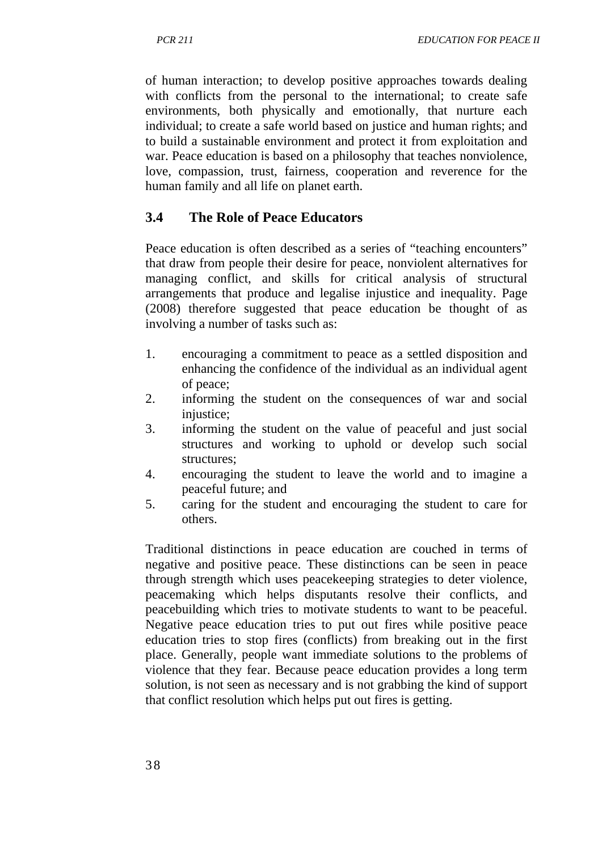of human interaction; to develop positive approaches towards dealing with conflicts from the personal to the international; to create safe environments, both physically and emotionally, that nurture each individual; to create a safe world based on justice and human rights; and to build a sustainable environment and protect it from exploitation and war. Peace education is based on a philosophy that teaches nonviolence, love, compassion, trust, fairness, cooperation and reverence for the human family and all life on planet earth.

### **3.4 The Role of Peace Educators**

Peace education is often described as a series of "teaching encounters" that draw from people their desire for peace, nonviolent alternatives for managing conflict, and skills for critical analysis of structural arrangements that produce and legalise injustice and inequality. Page (2008) therefore suggested that peace education be thought of as involving a number of tasks such as:

- 1. encouraging a commitment to peace as a settled disposition and enhancing the confidence of the individual as an individual agent of peace;
- 2. informing the student on the consequences of war and social injustice;
- 3. informing the student on the value of peaceful and just social structures and working to uphold or develop such social structures;
- 4. encouraging the student to leave the world and to imagine a peaceful future; and
- 5. caring for the student and encouraging the student to care for others.

Traditional distinctions in peace education are couched in terms of negative and positive peace. These distinctions can be seen in peace through strength which uses peacekeeping strategies to deter violence, peacemaking which helps disputants resolve their conflicts, and peacebuilding which tries to motivate students to want to be peaceful. Negative peace education tries to put out fires while positive peace education tries to stop fires (conflicts) from breaking out in the first place. Generally, people want immediate solutions to the problems of violence that they fear. Because peace education provides a long term solution, is not seen as necessary and is not grabbing the kind of support that conflict resolution which helps put out fires is getting.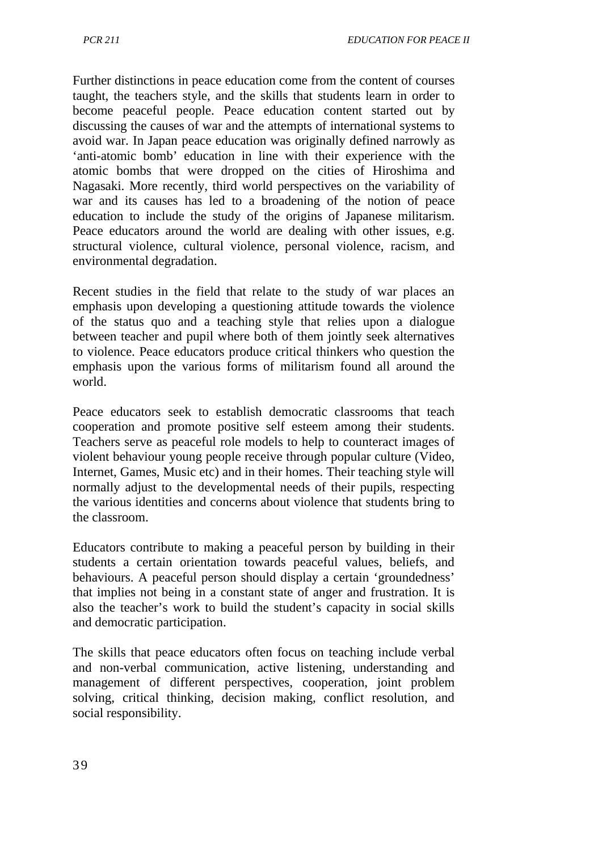Further distinctions in peace education come from the content of courses taught, the teachers style, and the skills that students learn in order to become peaceful people. Peace education content started out by discussing the causes of war and the attempts of international systems to avoid war. In Japan peace education was originally defined narrowly as 'anti-atomic bomb' education in line with their experience with the atomic bombs that were dropped on the cities of Hiroshima and Nagasaki. More recently, third world perspectives on the variability of war and its causes has led to a broadening of the notion of peace education to include the study of the origins of Japanese militarism. Peace educators around the world are dealing with other issues, e.g. structural violence, cultural violence, personal violence, racism, and environmental degradation.

Recent studies in the field that relate to the study of war places an emphasis upon developing a questioning attitude towards the violence of the status quo and a teaching style that relies upon a dialogue between teacher and pupil where both of them jointly seek alternatives to violence. Peace educators produce critical thinkers who question the emphasis upon the various forms of militarism found all around the world.

Peace educators seek to establish democratic classrooms that teach cooperation and promote positive self esteem among their students. Teachers serve as peaceful role models to help to counteract images of violent behaviour young people receive through popular culture (Video, Internet, Games, Music etc) and in their homes. Their teaching style will normally adjust to the developmental needs of their pupils, respecting the various identities and concerns about violence that students bring to the classroom.

Educators contribute to making a peaceful person by building in their students a certain orientation towards peaceful values, beliefs, and behaviours. A peaceful person should display a certain 'groundedness' that implies not being in a constant state of anger and frustration. It is also the teacher's work to build the student's capacity in social skills and democratic participation.

The skills that peace educators often focus on teaching include verbal and non-verbal communication, active listening, understanding and management of different perspectives, cooperation, joint problem solving, critical thinking, decision making, conflict resolution, and social responsibility.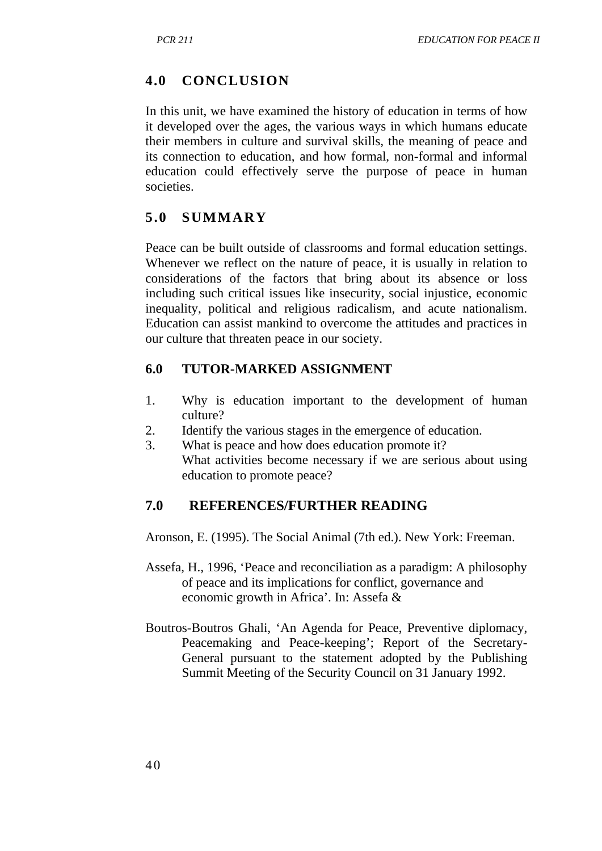## **4.0 CONCLUSION**

In this unit, we have examined the history of education in terms of how it developed over the ages, the various ways in which humans educate their members in culture and survival skills, the meaning of peace and its connection to education, and how formal, non-formal and informal education could effectively serve the purpose of peace in human societies.

## **5.0 SUMMARY**

Peace can be built outside of classrooms and formal education settings. Whenever we reflect on the nature of peace, it is usually in relation to considerations of the factors that bring about its absence or loss including such critical issues like insecurity, social injustice, economic inequality, political and religious radicalism, and acute nationalism. Education can assist mankind to overcome the attitudes and practices in our culture that threaten peace in our society.

#### **6.0 TUTOR-MARKED ASSIGNMENT**

- 1. Why is education important to the development of human culture?
- 2. Identify the various stages in the emergence of education.
- 3. What is peace and how does education promote it? What activities become necessary if we are serious about using education to promote peace?

#### **7.0 REFERENCES/FURTHER READING**

Aronson, E. (1995). The Social Animal (7th ed.). New York: Freeman.

- Assefa, H., 1996, 'Peace and reconciliation as a paradigm: A philosophy of peace and its implications for conflict, governance and economic growth in Africa'. In: Assefa &
- Boutros-Boutros Ghali, 'An Agenda for Peace, Preventive diplomacy, Peacemaking and Peace-keeping'; Report of the Secretary-General pursuant to the statement adopted by the Publishing Summit Meeting of the Security Council on 31 January 1992.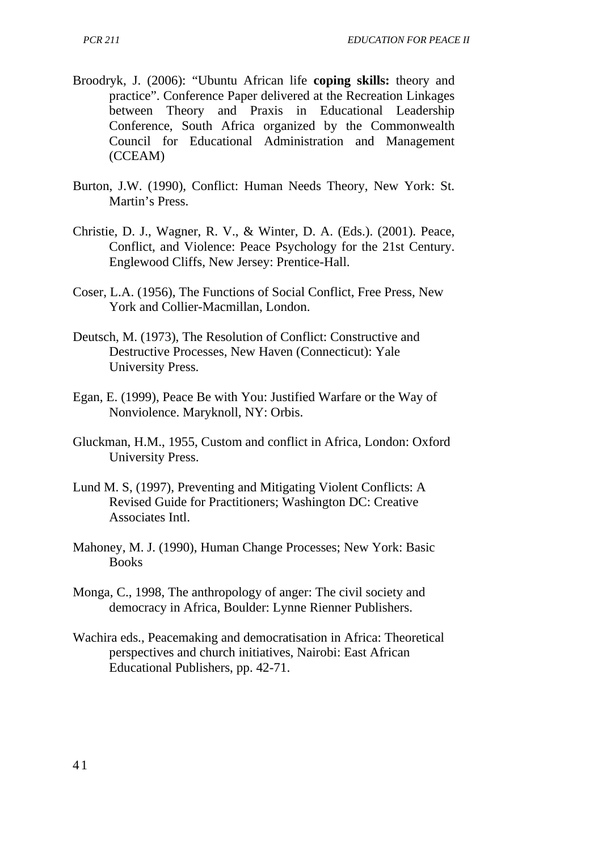- Broodryk, J. (2006): "Ubuntu African life **coping skills:** theory and practice". Conference Paper delivered at the Recreation Linkages between Theory and Praxis in Educational Leadership Conference, South Africa organized by the Commonwealth Council for Educational Administration and Management (CCEAM)
- Burton, J.W. (1990), Conflict: Human Needs Theory, New York: St. Martin's Press.
- Christie, D. J., Wagner, R. V., & Winter, D. A. (Eds.). (2001). Peace, Conflict, and Violence: Peace Psychology for the 21st Century. Englewood Cliffs, New Jersey: Prentice-Hall.
- Coser, L.A. (1956), The Functions of Social Conflict, Free Press, New York and Collier-Macmillan, London.
- Deutsch, M. (1973), The Resolution of Conflict: Constructive and Destructive Processes, New Haven (Connecticut): Yale University Press.
- Egan, E. (1999), Peace Be with You: Justified Warfare or the Way of Nonviolence. Maryknoll, NY: Orbis.
- Gluckman, H.M., 1955, Custom and conflict in Africa, London: Oxford University Press.
- Lund M. S, (1997), Preventing and Mitigating Violent Conflicts: A Revised Guide for Practitioners; Washington DC: Creative Associates Intl.
- Mahoney, M. J. (1990), Human Change Processes; New York: Basic Books
- Monga, C., 1998, The anthropology of anger: The civil society and democracy in Africa, Boulder: Lynne Rienner Publishers.
- Wachira eds., Peacemaking and democratisation in Africa: Theoretical perspectives and church initiatives, Nairobi: East African Educational Publishers, pp. 42-71.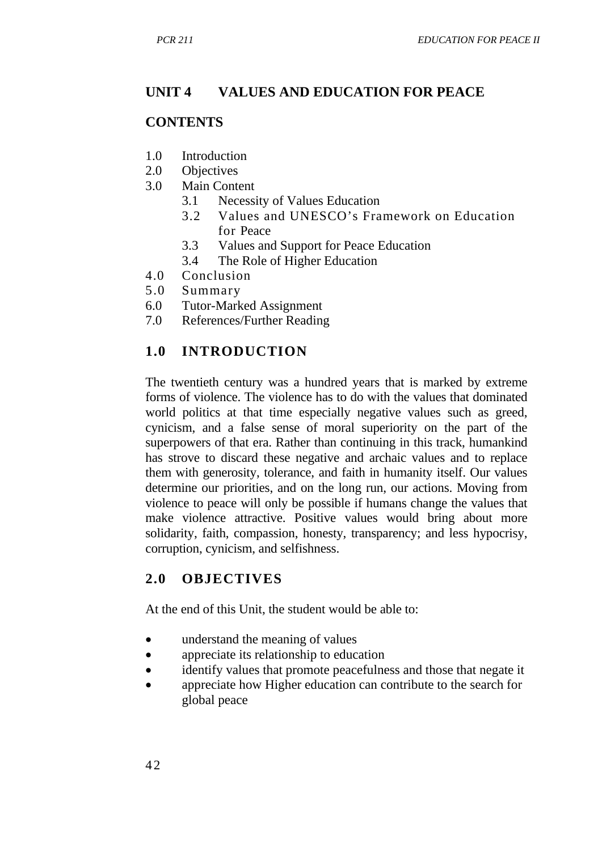# **UNIT 4 VALUES AND EDUCATION FOR PEACE**

### **CONTENTS**

- 1.0 Introduction
- 2.0 Objectives<br>3.0 Main Cont
- Main Content
	- 3.1 Necessity of Values Education
	- 3.2 Values and UNESCO's Framework on Education for Peace
	- 3.3 Values and Support for Peace Education
	- 3.4 The Role of Higher Education
- 4.0 Conclusion
- 5.0 Summary
- 6.0 Tutor-Marked Assignment
- 7.0 References/Further Reading

# **1.0 INTRODUCTION**

The twentieth century was a hundred years that is marked by extreme forms of violence. The violence has to do with the values that dominated world politics at that time especially negative values such as greed, cynicism, and a false sense of moral superiority on the part of the superpowers of that era. Rather than continuing in this track, humankind has strove to discard these negative and archaic values and to replace them with generosity, tolerance, and faith in humanity itself. Our values determine our priorities, and on the long run, our actions. Moving from violence to peace will only be possible if humans change the values that make violence attractive. Positive values would bring about more solidarity, faith, compassion, honesty, transparency; and less hypocrisy, corruption, cynicism, and selfishness.

# **2.0 OBJECTIVES**

At the end of this Unit, the student would be able to:

- understand the meaning of values
- appreciate its relationship to education
- identify values that promote peacefulness and those that negate it
- appreciate how Higher education can contribute to the search for global peace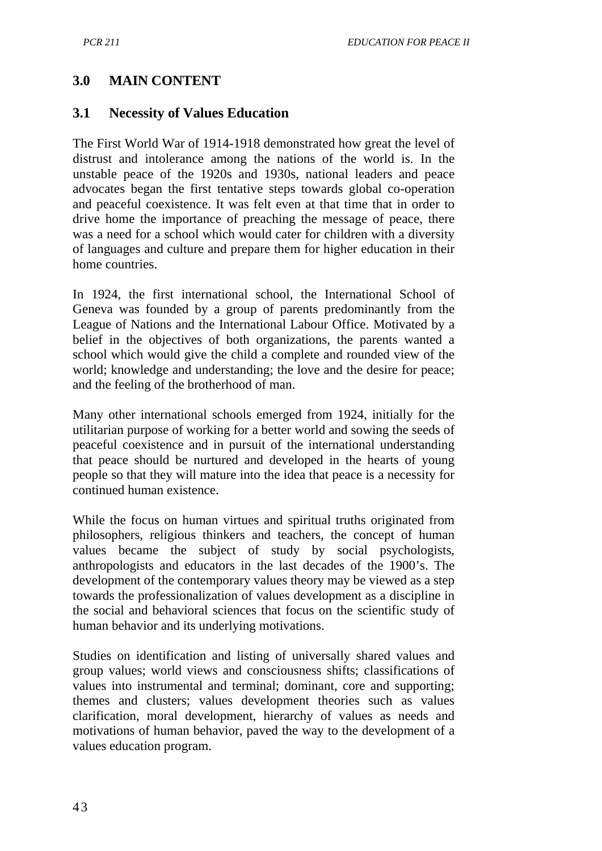## **3.0 MAIN CONTENT**

#### **3.1 Necessity of Values Education**

The First World War of 1914-1918 demonstrated how great the level of distrust and intolerance among the nations of the world is. In the unstable peace of the 1920s and 1930s, national leaders and peace advocates began the first tentative steps towards global co-operation and peaceful coexistence. It was felt even at that time that in order to drive home the importance of preaching the message of peace, there was a need for a school which would cater for children with a diversity of languages and culture and prepare them for higher education in their home countries.

In 1924, the first international school, the International School of Geneva was founded by a group of parents predominantly from the League of Nations and the International Labour Office. Motivated by a belief in the objectives of both organizations, the parents wanted a school which would give the child a complete and rounded view of the world; knowledge and understanding; the love and the desire for peace; and the feeling of the brotherhood of man.

Many other international schools emerged from 1924, initially for the utilitarian purpose of working for a better world and sowing the seeds of peaceful coexistence and in pursuit of the international understanding that peace should be nurtured and developed in the hearts of young people so that they will mature into the idea that peace is a necessity for continued human existence.

While the focus on human virtues and spiritual truths originated from philosophers, religious thinkers and teachers, the concept of human values became the subject of study by social psychologists, anthropologists and educators in the last decades of the 1900's. The development of the contemporary values theory may be viewed as a step towards the professionalization of values development as a discipline in the social and behavioral sciences that focus on the scientific study of human behavior and its underlying motivations.

Studies on identification and listing of universally shared values and group values; world views and consciousness shifts; classifications of values into instrumental and terminal; dominant, core and supporting; themes and clusters; values development theories such as values clarification, moral development, hierarchy of values as needs and motivations of human behavior, paved the way to the development of a values education program.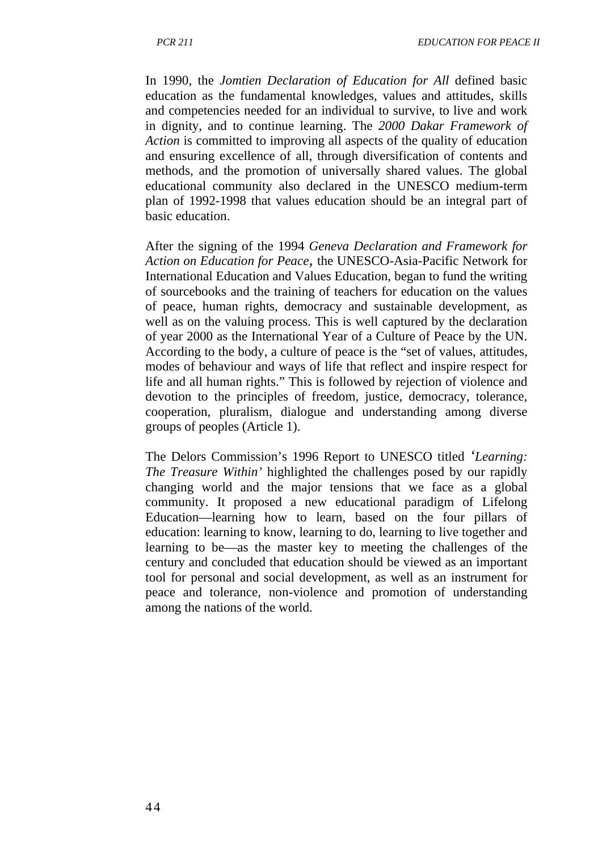In 1990, the *Jomtien Declaration of Education for All* defined basic education as the fundamental knowledges, values and attitudes, skills and competencies needed for an individual to survive, to live and work in dignity, and to continue learning. The *2000 Dakar Framework of Action* is committed to improving all aspects of the quality of education and ensuring excellence of all, through diversification of contents and methods, and the promotion of universally shared values. The global educational community also declared in the UNESCO medium-term plan of 1992-1998 that values education should be an integral part of basic education.

After the signing of the 1994 *Geneva Declaration and Framework for Action on Education for Peace,* the UNESCO-Asia-Pacific Network for International Education and Values Education, began to fund the writing of sourcebooks and the training of teachers for education on the values of peace, human rights, democracy and sustainable development, as well as on the valuing process. This is well captured by the declaration of year 2000 as the International Year of a Culture of Peace by the UN. According to the body, a culture of peace is the "set of values, attitudes, modes of behaviour and ways of life that reflect and inspire respect for life and all human rights." This is followed by rejection of violence and devotion to the principles of freedom, justice, democracy, tolerance, cooperation, pluralism, dialogue and understanding among diverse groups of peoples (Article 1).

The Delors Commission's 1996 Report to UNESCO titled *'Learning: The Treasure Within'* highlighted the challenges posed by our rapidly changing world and the major tensions that we face as a global community. It proposed a new educational paradigm of Lifelong Education—learning how to learn, based on the four pillars of education: learning to know, learning to do, learning to live together and learning to be—as the master key to meeting the challenges of the century and concluded that education should be viewed as an important tool for personal and social development, as well as an instrument for peace and tolerance, non-violence and promotion of understanding among the nations of the world.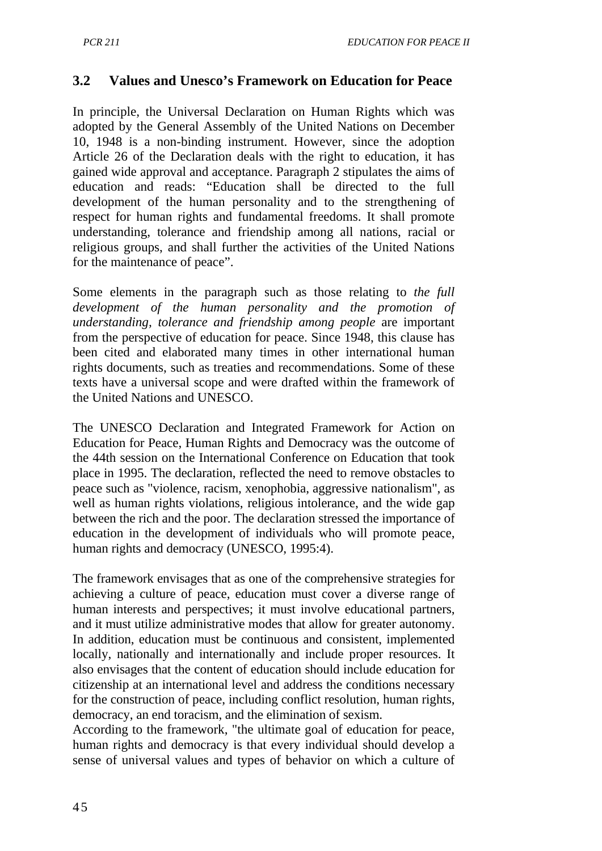## **3.2 Values and Unesco's Framework on Education for Peace**

In principle, the Universal Declaration on Human Rights which was adopted by the General Assembly of the United Nations on December 10, 1948 is a non-binding instrument. However, since the adoption Article 26 of the Declaration deals with the right to education, it has gained wide approval and acceptance. Paragraph 2 stipulates the aims of education and reads: "Education shall be directed to the full development of the human personality and to the strengthening of respect for human rights and fundamental freedoms. It shall promote understanding, tolerance and friendship among all nations, racial or religious groups, and shall further the activities of the United Nations for the maintenance of peace".

Some elements in the paragraph such as those relating to *the full development of the human personality and the promotion of understanding, tolerance and friendship among people* are important from the perspective of education for peace. Since 1948, this clause has been cited and elaborated many times in other international human rights documents, such as treaties and recommendations. Some of these texts have a universal scope and were drafted within the framework of the United Nations and UNESCO.

The UNESCO Declaration and Integrated Framework for Action on Education for Peace, Human Rights and Democracy was the outcome of the 44th session on the International Conference on Education that took place in 1995. The declaration, reflected the need to remove obstacles to peace such as "violence, racism, xenophobia, aggressive nationalism", as well as human rights violations, religious intolerance, and the wide gap between the rich and the poor. The declaration stressed the importance of education in the development of individuals who will promote peace, human rights and democracy (UNESCO, 1995:4).

The framework envisages that as one of the comprehensive strategies for achieving a culture of peace, education must cover a diverse range of human interests and perspectives; it must involve educational partners, and it must utilize administrative modes that allow for greater autonomy. In addition, education must be continuous and consistent, implemented locally, nationally and internationally and include proper resources. It also envisages that the content of education should include education for citizenship at an international level and address the conditions necessary for the construction of peace, including conflict resolution, human rights, democracy, an end toracism, and the elimination of sexism.

According to the framework, "the ultimate goal of education for peace, human rights and democracy is that every individual should develop a sense of universal values and types of behavior on which a culture of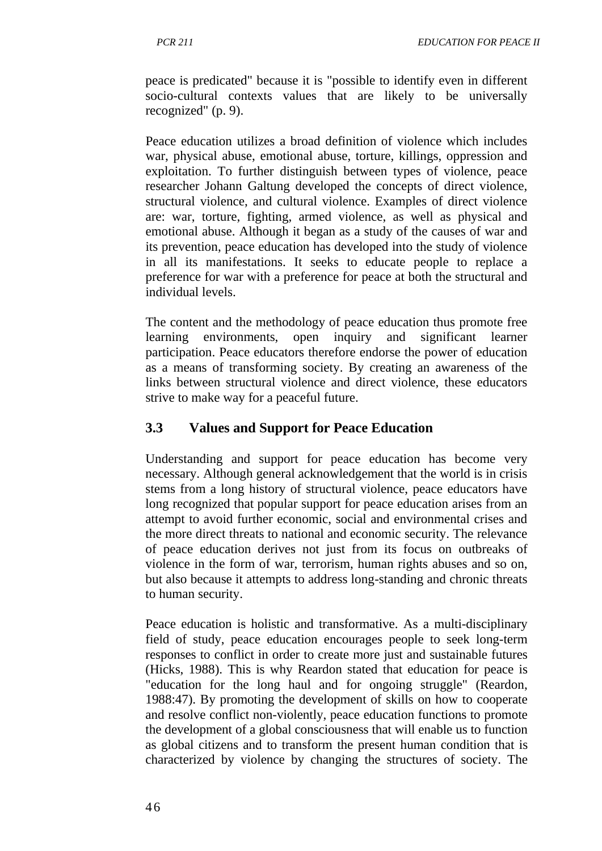peace is predicated" because it is "possible to identify even in different socio-cultural contexts values that are likely to be universally recognized" (p. 9).

Peace education utilizes a broad definition of violence which includes war, physical abuse, emotional abuse, torture, killings, oppression and exploitation. To further distinguish between types of violence, peace researcher Johann Galtung developed the concepts of direct violence, structural violence, and cultural violence. Examples of direct violence are: war, torture, fighting, armed violence, as well as physical and emotional abuse. Although it began as a study of the causes of war and its prevention, peace education has developed into the study of violence in all its manifestations. It seeks to educate people to replace a preference for war with a preference for peace at both the structural and individual levels.

The content and the methodology of peace education thus promote free learning environments, open inquiry and significant learner participation. Peace educators therefore endorse the power of education as a means of transforming society. By creating an awareness of the links between structural violence and direct violence, these educators strive to make way for a peaceful future.

### **3.3 Values and Support for Peace Education**

Understanding and support for peace education has become very necessary. Although general acknowledgement that the world is in crisis stems from a long history of structural violence, peace educators have long recognized that popular support for peace education arises from an attempt to avoid further economic, social and environmental crises and the more direct threats to national and economic security. The relevance of peace education derives not just from its focus on outbreaks of violence in the form of war, terrorism, human rights abuses and so on, but also because it attempts to address long-standing and chronic threats to human security.

Peace education is holistic and transformative. As a multi-disciplinary field of study, peace education encourages people to seek long-term responses to conflict in order to create more just and sustainable futures (Hicks, 1988). This is why Reardon stated that education for peace is "education for the long haul and for ongoing struggle" (Reardon, 1988:47). By promoting the development of skills on how to cooperate and resolve conflict non-violently, peace education functions to promote the development of a global consciousness that will enable us to function as global citizens and to transform the present human condition that is characterized by violence by changing the structures of society. The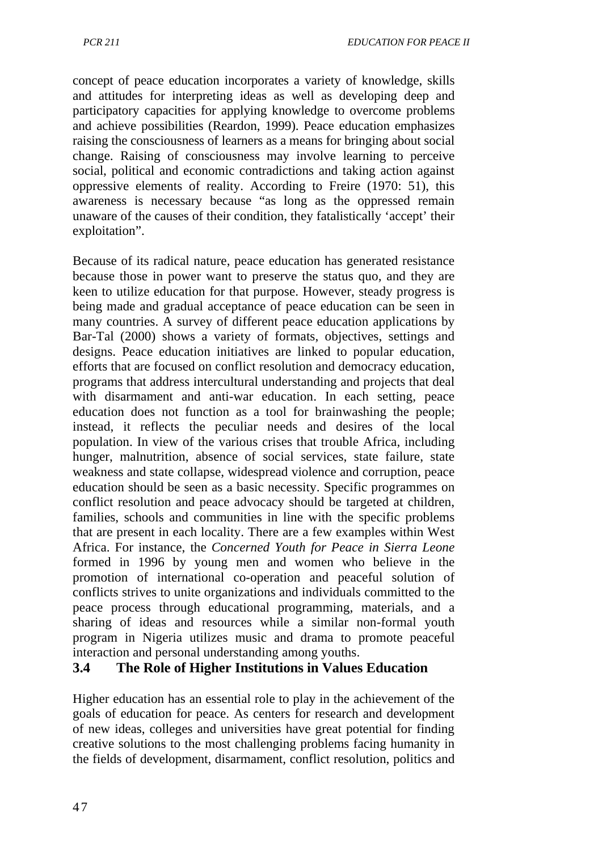*PCR 211 EDUCATION FOR PEACE II*

concept of peace education incorporates a variety of knowledge, skills and attitudes for interpreting ideas as well as developing deep and participatory capacities for applying knowledge to overcome problems and achieve possibilities (Reardon, 1999). Peace education emphasizes raising the consciousness of learners as a means for bringing about social change. Raising of consciousness may involve learning to perceive social, political and economic contradictions and taking action against oppressive elements of reality. According to Freire (1970: 51), this awareness is necessary because "as long as the oppressed remain unaware of the causes of their condition, they fatalistically 'accept' their exploitation".

Because of its radical nature, peace education has generated resistance because those in power want to preserve the status quo, and they are keen to utilize education for that purpose. However, steady progress is being made and gradual acceptance of peace education can be seen in many countries. A survey of different peace education applications by Bar-Tal (2000) shows a variety of formats, objectives, settings and designs. Peace education initiatives are linked to popular education, efforts that are focused on conflict resolution and democracy education, programs that address intercultural understanding and projects that deal with disarmament and anti-war education. In each setting, peace education does not function as a tool for brainwashing the people; instead, it reflects the peculiar needs and desires of the local population. In view of the various crises that trouble Africa, including hunger, malnutrition, absence of social services, state failure, state weakness and state collapse, widespread violence and corruption, peace education should be seen as a basic necessity. Specific programmes on conflict resolution and peace advocacy should be targeted at children, families, schools and communities in line with the specific problems that are present in each locality. There are a few examples within West Africa. For instance, the *Concerned Youth for Peace in Sierra Leone*  formed in 1996 by young men and women who believe in the promotion of international co-operation and peaceful solution of conflicts strives to unite organizations and individuals committed to the peace process through educational programming, materials, and a sharing of ideas and resources while a similar non-formal youth program in Nigeria utilizes music and drama to promote peaceful interaction and personal understanding among youths.

### **3.4 The Role of Higher Institutions in Values Education**

Higher education has an essential role to play in the achievement of the goals of education for peace. As centers for research and development of new ideas, colleges and universities have great potential for finding creative solutions to the most challenging problems facing humanity in the fields of development, disarmament, conflict resolution, politics and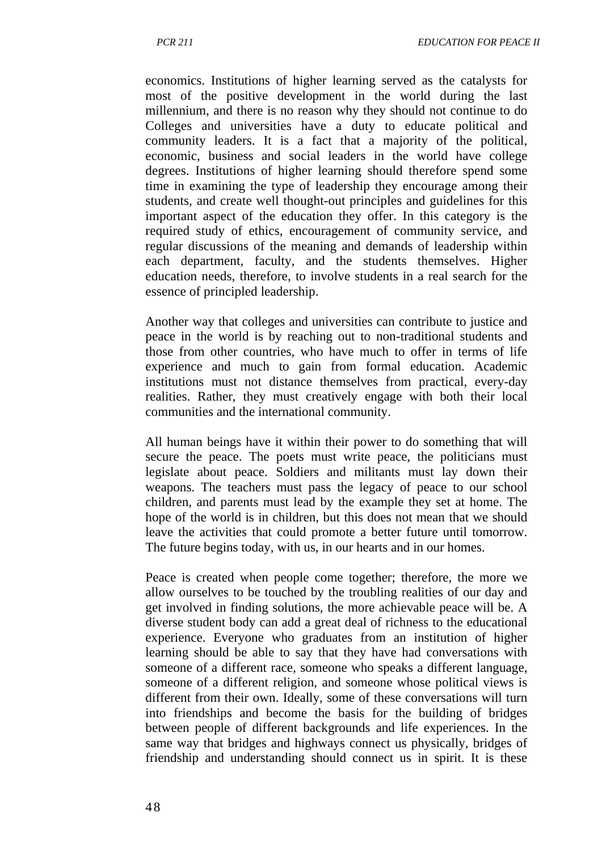economics. Institutions of higher learning served as the catalysts for most of the positive development in the world during the last millennium, and there is no reason why they should not continue to do Colleges and universities have a duty to educate political and community leaders. It is a fact that a majority of the political, economic, business and social leaders in the world have college degrees. Institutions of higher learning should therefore spend some time in examining the type of leadership they encourage among their students, and create well thought-out principles and guidelines for this important aspect of the education they offer. In this category is the required study of ethics, encouragement of community service, and regular discussions of the meaning and demands of leadership within each department, faculty, and the students themselves. Higher education needs, therefore, to involve students in a real search for the essence of principled leadership.

Another way that colleges and universities can contribute to justice and peace in the world is by reaching out to non-traditional students and those from other countries, who have much to offer in terms of life experience and much to gain from formal education. Academic institutions must not distance themselves from practical, every-day realities. Rather, they must creatively engage with both their local communities and the international community.

All human beings have it within their power to do something that will secure the peace. The poets must write peace, the politicians must legislate about peace. Soldiers and militants must lay down their weapons. The teachers must pass the legacy of peace to our school children, and parents must lead by the example they set at home. The hope of the world is in children, but this does not mean that we should leave the activities that could promote a better future until tomorrow. The future begins today, with us, in our hearts and in our homes.

Peace is created when people come together; therefore, the more we allow ourselves to be touched by the troubling realities of our day and get involved in finding solutions, the more achievable peace will be. A diverse student body can add a great deal of richness to the educational experience. Everyone who graduates from an institution of higher learning should be able to say that they have had conversations with someone of a different race, someone who speaks a different language, someone of a different religion, and someone whose political views is different from their own. Ideally, some of these conversations will turn into friendships and become the basis for the building of bridges between people of different backgrounds and life experiences. In the same way that bridges and highways connect us physically, bridges of friendship and understanding should connect us in spirit. It is these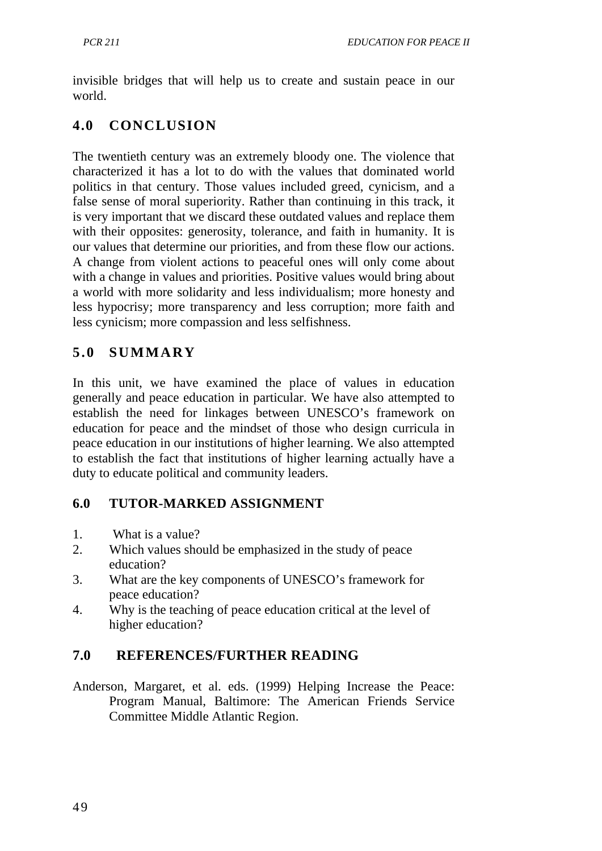invisible bridges that will help us to create and sustain peace in our world.

# **4.0 CONCLUSION**

The twentieth century was an extremely bloody one. The violence that characterized it has a lot to do with the values that dominated world politics in that century. Those values included greed, cynicism, and a false sense of moral superiority. Rather than continuing in this track, it is very important that we discard these outdated values and replace them with their opposites: generosity, tolerance, and faith in humanity. It is our values that determine our priorities, and from these flow our actions. A change from violent actions to peaceful ones will only come about with a change in values and priorities. Positive values would bring about a world with more solidarity and less individualism; more honesty and less hypocrisy; more transparency and less corruption; more faith and less cynicism; more compassion and less selfishness.

# **5.0 SUMMARY**

In this unit, we have examined the place of values in education generally and peace education in particular. We have also attempted to establish the need for linkages between UNESCO's framework on education for peace and the mindset of those who design curricula in peace education in our institutions of higher learning. We also attempted to establish the fact that institutions of higher learning actually have a duty to educate political and community leaders.

### **6.0 TUTOR-MARKED ASSIGNMENT**

- 1. What is a value?
- 2. Which values should be emphasized in the study of peace education?
- 3. What are the key components of UNESCO's framework for peace education?
- 4. Why is the teaching of peace education critical at the level of higher education?

# **7.0 REFERENCES/FURTHER READING**

Anderson, Margaret, et al. eds. (1999) Helping Increase the Peace: Program Manual, Baltimore: The American Friends Service Committee Middle Atlantic Region.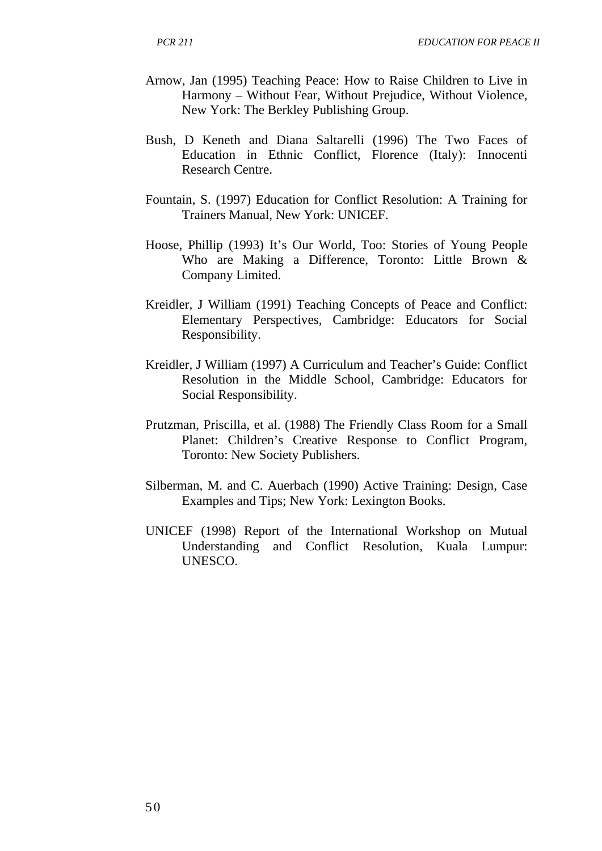- Arnow, Jan (1995) Teaching Peace: How to Raise Children to Live in Harmony – Without Fear, Without Prejudice, Without Violence, New York: The Berkley Publishing Group.
- Bush, D Keneth and Diana Saltarelli (1996) The Two Faces of Education in Ethnic Conflict, Florence (Italy): Innocenti Research Centre.
- Fountain, S. (1997) Education for Conflict Resolution: A Training for Trainers Manual, New York: UNICEF.
- Hoose, Phillip (1993) It's Our World, Too: Stories of Young People Who are Making a Difference, Toronto: Little Brown & Company Limited.
- Kreidler, J William (1991) Teaching Concepts of Peace and Conflict: Elementary Perspectives, Cambridge: Educators for Social Responsibility.
- Kreidler, J William (1997) A Curriculum and Teacher's Guide: Conflict Resolution in the Middle School, Cambridge: Educators for Social Responsibility.
- Prutzman, Priscilla, et al. (1988) The Friendly Class Room for a Small Planet: Children's Creative Response to Conflict Program, Toronto: New Society Publishers.
- Silberman, M. and C. Auerbach (1990) Active Training: Design, Case Examples and Tips; New York: Lexington Books.
- UNICEF (1998) Report of the International Workshop on Mutual Understanding and Conflict Resolution, Kuala Lumpur: UNESCO.

50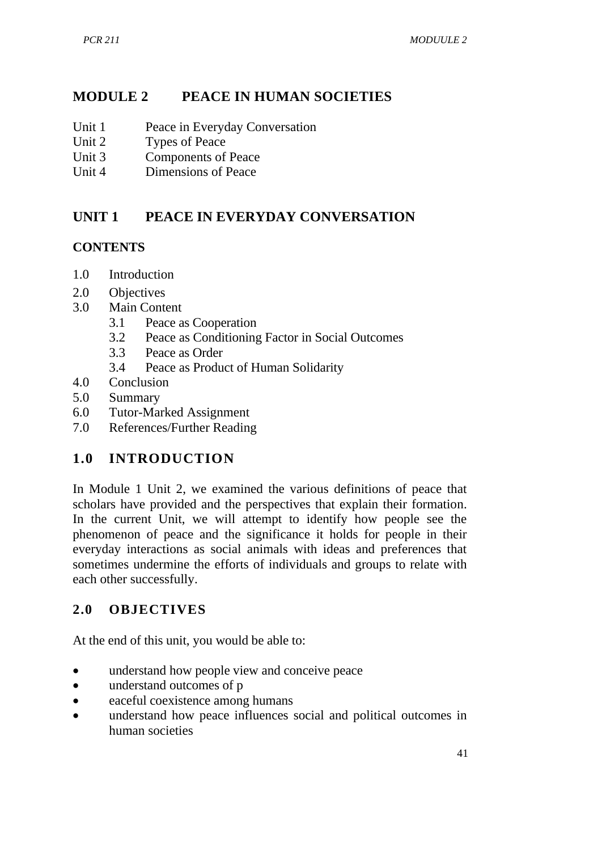## **MODULE 2 PEACE IN HUMAN SOCIETIES**

- Unit 1 Peace in Everyday Conversation
- Unit 2 Types of Peace
- Unit 3 Components of Peace
- Unit 4 Dimensions of Peace

### **UNIT 1 PEACE IN EVERYDAY CONVERSATION**

#### **CONTENTS**

- 1.0 Introduction
- 2.0 Objectives
- 3.0 Main Content
	- 3.1 Peace as Cooperation
	- 3.2 Peace as Conditioning Factor in Social Outcomes
	- 3.3 Peace as Order
	- 3.4 Peace as Product of Human Solidarity
- 4.0 Conclusion
- 5.0 Summary
- 6.0 Tutor-Marked Assignment
- 7.0 References/Further Reading

### **1.0 INTRODUCTION**

In Module 1 Unit 2, we examined the various definitions of peace that scholars have provided and the perspectives that explain their formation. In the current Unit, we will attempt to identify how people see the phenomenon of peace and the significance it holds for people in their everyday interactions as social animals with ideas and preferences that sometimes undermine the efforts of individuals and groups to relate with each other successfully.

### **2.0 OBJECTIVES**

At the end of this unit, you would be able to:

- understand how people view and conceive peace
- understand outcomes of p
- eaceful coexistence among humans
- understand how peace influences social and political outcomes in human societies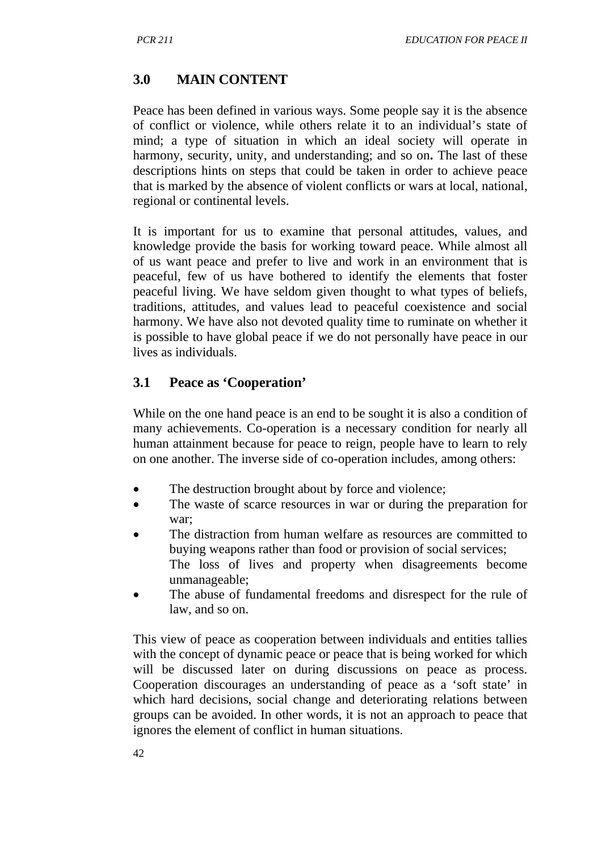## **3.0 MAIN CONTENT**

Peace has been defined in various ways. Some people say it is the absence of conflict or violence, while others relate it to an individual's state of mind; a type of situation in which an ideal society will operate in harmony, security, unity, and understanding; and so on**.** The last of these descriptions hints on steps that could be taken in order to achieve peace that is marked by the absence of violent conflicts or wars at local, national, regional or continental levels.

It is important for us to examine that personal attitudes, values, and knowledge provide the basis for working toward peace. While almost all of us want peace and prefer to live and work in an environment that is peaceful, few of us have bothered to identify the elements that foster peaceful living. We have seldom given thought to what types of beliefs, traditions, attitudes, and values lead to peaceful coexistence and social harmony. We have also not devoted quality time to ruminate on whether it is possible to have global peace if we do not personally have peace in our lives as individuals.

## **3.1 Peace as 'Cooperation'**

While on the one hand peace is an end to be sought it is also a condition of many achievements. Co-operation is a necessary condition for nearly all human attainment because for peace to reign, people have to learn to rely on one another. The inverse side of co-operation includes, among others:

- The destruction brought about by force and violence;
- The waste of scarce resources in war or during the preparation for war;
- The distraction from human welfare as resources are committed to buying weapons rather than food or provision of social services; The loss of lives and property when disagreements become unmanageable;
- The abuse of fundamental freedoms and disrespect for the rule of law, and so on.

This view of peace as cooperation between individuals and entities tallies with the concept of dynamic peace or peace that is being worked for which will be discussed later on during discussions on peace as process. Cooperation discourages an understanding of peace as a 'soft state' in which hard decisions, social change and deteriorating relations between groups can be avoided. In other words, it is not an approach to peace that ignores the element of conflict in human situations.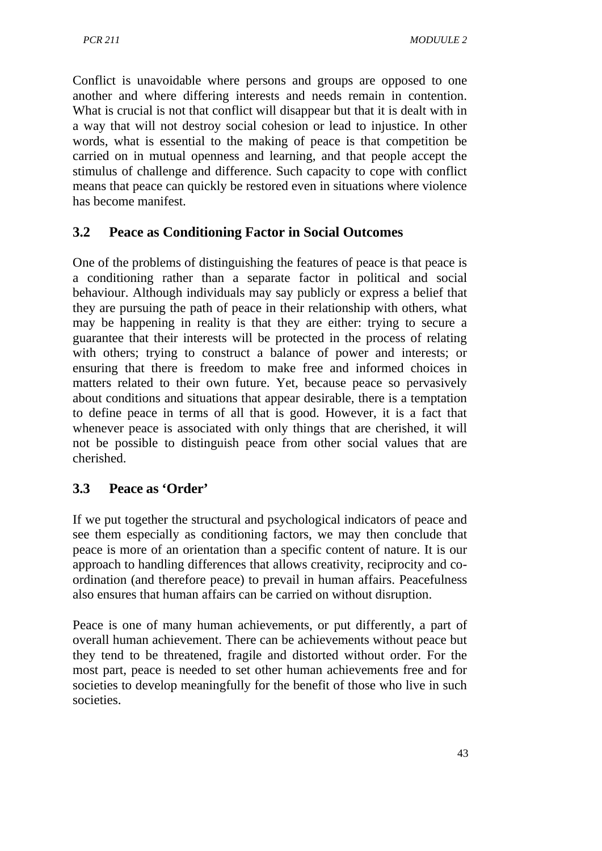Conflict is unavoidable where persons and groups are opposed to one another and where differing interests and needs remain in contention. What is crucial is not that conflict will disappear but that it is dealt with in a way that will not destroy social cohesion or lead to injustice. In other words, what is essential to the making of peace is that competition be carried on in mutual openness and learning, and that people accept the stimulus of challenge and difference. Such capacity to cope with conflict means that peace can quickly be restored even in situations where violence has become manifest.

## **3.2 Peace as Conditioning Factor in Social Outcomes**

One of the problems of distinguishing the features of peace is that peace is a conditioning rather than a separate factor in political and social behaviour. Although individuals may say publicly or express a belief that they are pursuing the path of peace in their relationship with others, what may be happening in reality is that they are either: trying to secure a guarantee that their interests will be protected in the process of relating with others; trying to construct a balance of power and interests; or ensuring that there is freedom to make free and informed choices in matters related to their own future. Yet, because peace so pervasively about conditions and situations that appear desirable, there is a temptation to define peace in terms of all that is good. However, it is a fact that whenever peace is associated with only things that are cherished, it will not be possible to distinguish peace from other social values that are cherished.

### **3.3 Peace as 'Order'**

If we put together the structural and psychological indicators of peace and see them especially as conditioning factors, we may then conclude that peace is more of an orientation than a specific content of nature. It is our approach to handling differences that allows creativity, reciprocity and coordination (and therefore peace) to prevail in human affairs. Peacefulness also ensures that human affairs can be carried on without disruption.

Peace is one of many human achievements, or put differently, a part of overall human achievement. There can be achievements without peace but they tend to be threatened, fragile and distorted without order. For the most part, peace is needed to set other human achievements free and for societies to develop meaningfully for the benefit of those who live in such societies.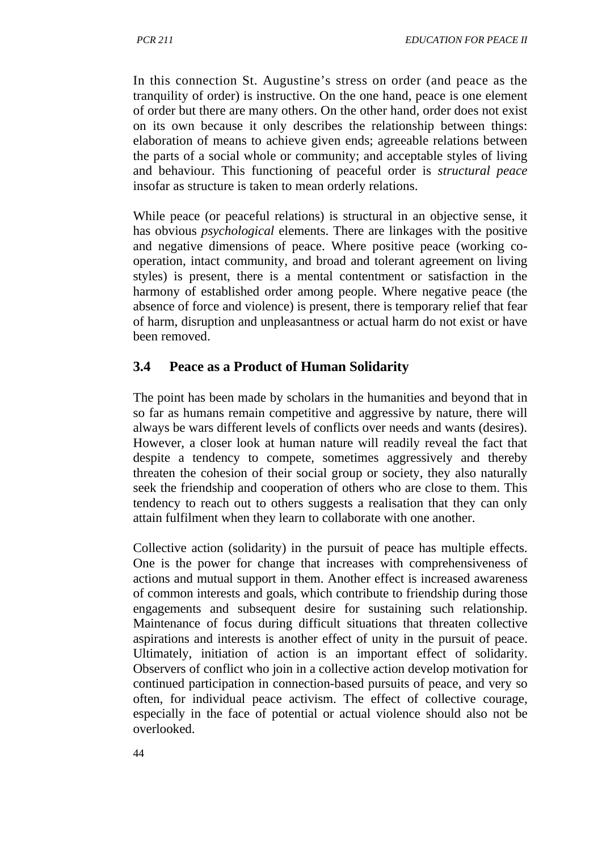In this connection St. Augustine's stress on order (and peace as the tranquility of order) is instructive. On the one hand, peace is one element of order but there are many others. On the other hand, order does not exist on its own because it only describes the relationship between things: elaboration of means to achieve given ends; agreeable relations between the parts of a social whole or community; and acceptable styles of living and behaviour. This functioning of peaceful order is *structural peace*  insofar as structure is taken to mean orderly relations.

While peace (or peaceful relations) is structural in an objective sense, it has obvious *psychological* elements. There are linkages with the positive and negative dimensions of peace. Where positive peace (working cooperation, intact community, and broad and tolerant agreement on living styles) is present, there is a mental contentment or satisfaction in the harmony of established order among people. Where negative peace (the absence of force and violence) is present, there is temporary relief that fear of harm, disruption and unpleasantness or actual harm do not exist or have been removed.

### **3.4 Peace as a Product of Human Solidarity**

The point has been made by scholars in the humanities and beyond that in so far as humans remain competitive and aggressive by nature, there will always be wars different levels of conflicts over needs and wants (desires). However, a closer look at human nature will readily reveal the fact that despite a tendency to compete, sometimes aggressively and thereby threaten the cohesion of their social group or society, they also naturally seek the friendship and cooperation of others who are close to them. This tendency to reach out to others suggests a realisation that they can only attain fulfilment when they learn to collaborate with one another.

Collective action (solidarity) in the pursuit of peace has multiple effects. One is the power for change that increases with comprehensiveness of actions and mutual support in them. Another effect is increased awareness of common interests and goals, which contribute to friendship during those engagements and subsequent desire for sustaining such relationship. Maintenance of focus during difficult situations that threaten collective aspirations and interests is another effect of unity in the pursuit of peace. Ultimately, initiation of action is an important effect of solidarity. Observers of conflict who join in a collective action develop motivation for continued participation in connection-based pursuits of peace, and very so often, for individual peace activism. The effect of collective courage, especially in the face of potential or actual violence should also not be overlooked.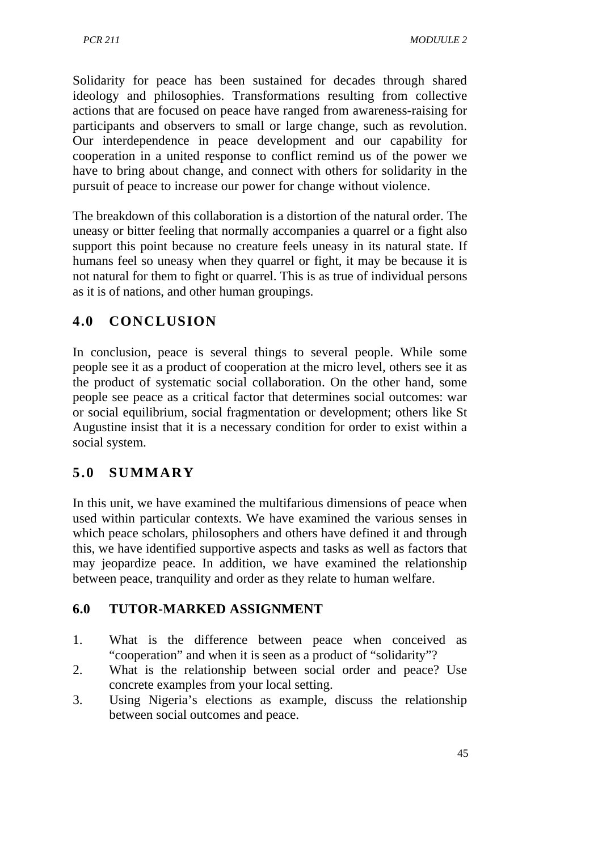Solidarity for peace has been sustained for decades through shared ideology and philosophies. Transformations resulting from collective actions that are focused on peace have ranged from awareness-raising for participants and observers to small or large change, such as revolution. Our interdependence in peace development and our capability for cooperation in a united response to conflict remind us of the power we have to bring about change, and connect with others for solidarity in the pursuit of peace to increase our power for change without violence.

The breakdown of this collaboration is a distortion of the natural order. The uneasy or bitter feeling that normally accompanies a quarrel or a fight also support this point because no creature feels uneasy in its natural state. If humans feel so uneasy when they quarrel or fight, it may be because it is not natural for them to fight or quarrel. This is as true of individual persons as it is of nations, and other human groupings.

# **4.0 CONCLUSION**

In conclusion, peace is several things to several people. While some people see it as a product of cooperation at the micro level, others see it as the product of systematic social collaboration. On the other hand, some people see peace as a critical factor that determines social outcomes: war or social equilibrium, social fragmentation or development; others like St Augustine insist that it is a necessary condition for order to exist within a social system.

# **5.0 SUMMARY**

In this unit, we have examined the multifarious dimensions of peace when used within particular contexts. We have examined the various senses in which peace scholars, philosophers and others have defined it and through this, we have identified supportive aspects and tasks as well as factors that may jeopardize peace. In addition, we have examined the relationship between peace, tranquility and order as they relate to human welfare.

### **6.0 TUTOR-MARKED ASSIGNMENT**

- 1. What is the difference between peace when conceived as "cooperation" and when it is seen as a product of "solidarity"?
- 2. What is the relationship between social order and peace? Use concrete examples from your local setting.
- 3. Using Nigeria's elections as example, discuss the relationship between social outcomes and peace.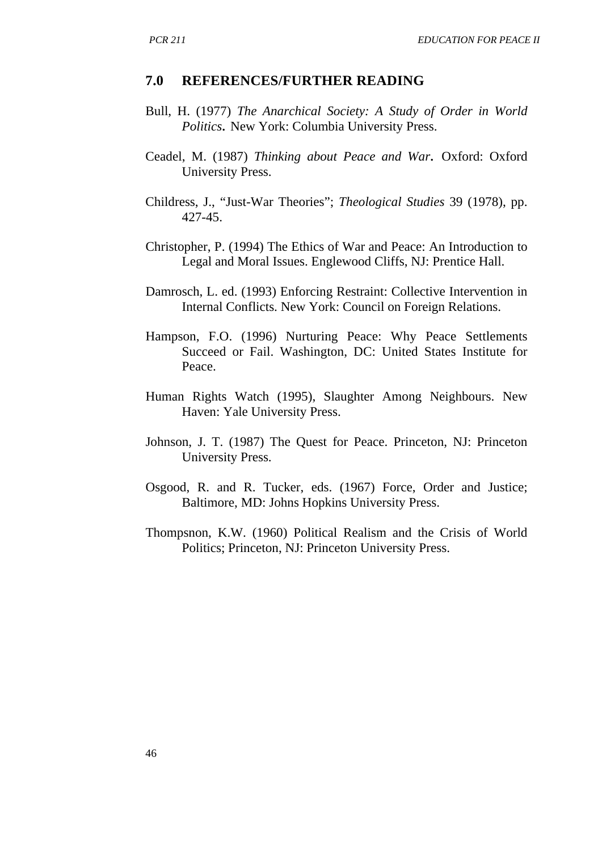#### **7.0 REFERENCES/FURTHER READING**

- Bull, H. (1977) *The Anarchical Society: A Study of Order in World Politics.* New York: Columbia University Press.
- Ceadel, M. (1987) *Thinking about Peace and War.* Oxford: Oxford University Press.
- Childress, J., "Just-War Theories"; *Theological Studies* 39 (1978), pp. 427-45.
- Christopher, P. (1994) The Ethics of War and Peace: An Introduction to Legal and Moral Issues. Englewood Cliffs, NJ: Prentice Hall.
- Damrosch, L. ed. (1993) Enforcing Restraint: Collective Intervention in Internal Conflicts. New York: Council on Foreign Relations.
- Hampson, F.O. (1996) Nurturing Peace: Why Peace Settlements Succeed or Fail. Washington, DC: United States Institute for Peace.
- Human Rights Watch (1995), Slaughter Among Neighbours. New Haven: Yale University Press.
- Johnson, J. T. (1987) The Quest for Peace. Princeton, NJ: Princeton University Press.
- Osgood, R. and R. Tucker, eds. (1967) Force, Order and Justice; Baltimore, MD: Johns Hopkins University Press.
- Thompsnon, K.W. (1960) Political Realism and the Crisis of World Politics; Princeton, NJ: Princeton University Press.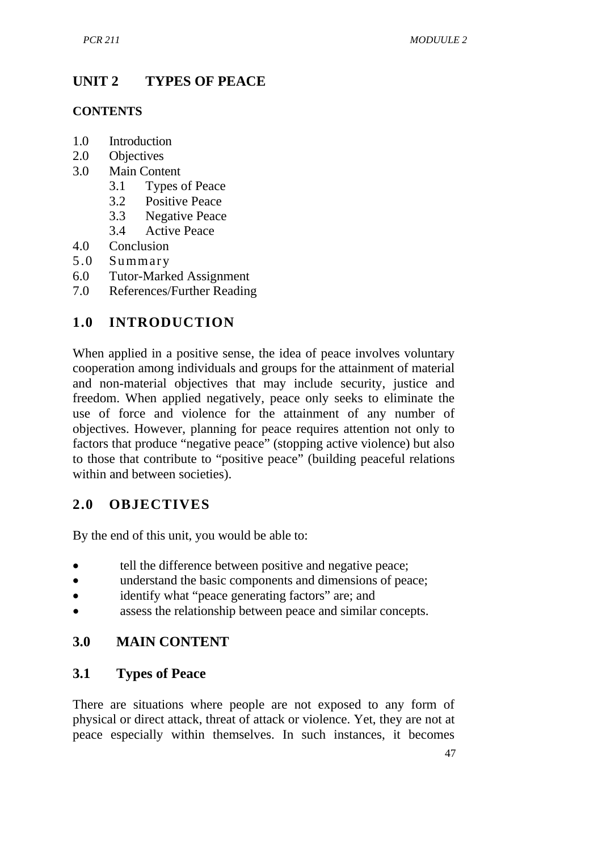# **UNIT 2 TYPES OF PEACE**

#### **CONTENTS**

- 1.0 Introduction
- 2.0 Objectives
- 3.0 Main Content
	- 3.1 Types of Peace
	- 3.2 Positive Peace
	- 3.3 Negative Peace
	- 3.4 Active Peace
- 4.0 Conclusion<br>5.0 Summary
- **Summary**
- 6.0 Tutor-Marked Assignment
- 7.0 References/Further Reading

# **1.0 INTRODUCTION**

When applied in a positive sense, the idea of peace involves voluntary cooperation among individuals and groups for the attainment of material and non-material objectives that may include security, justice and freedom. When applied negatively, peace only seeks to eliminate the use of force and violence for the attainment of any number of objectives. However, planning for peace requires attention not only to factors that produce "negative peace" (stopping active violence) but also to those that contribute to "positive peace" (building peaceful relations within and between societies).

# **2.0 OBJECTIVES**

By the end of this unit, you would be able to:

- tell the difference between positive and negative peace;
- understand the basic components and dimensions of peace;
- identify what "peace generating factors" are; and
- assess the relationship between peace and similar concepts.

# **3.0 MAIN CONTENT**

### **3.1 Types of Peace**

There are situations where people are not exposed to any form of physical or direct attack, threat of attack or violence. Yet, they are not at peace especially within themselves. In such instances, it becomes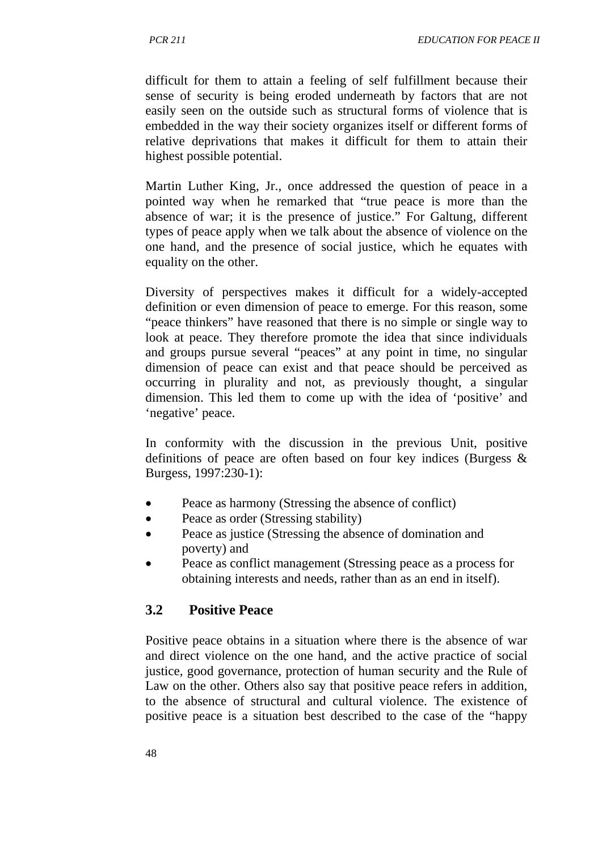difficult for them to attain a feeling of self fulfillment because their sense of security is being eroded underneath by factors that are not easily seen on the outside such as structural forms of violence that is embedded in the way their society organizes itself or different forms of relative deprivations that makes it difficult for them to attain their highest possible potential.

Martin Luther King, Jr., once addressed the question of peace in a pointed way when he remarked that "true peace is more than the absence of war; it is the presence of justice." For Galtung, different types of peace apply when we talk about the absence of violence on the one hand, and the presence of social justice, which he equates with equality on the other.

Diversity of perspectives makes it difficult for a widely-accepted definition or even dimension of peace to emerge. For this reason, some "peace thinkers" have reasoned that there is no simple or single way to look at peace. They therefore promote the idea that since individuals and groups pursue several "peaces" at any point in time, no singular dimension of peace can exist and that peace should be perceived as occurring in plurality and not, as previously thought, a singular dimension. This led them to come up with the idea of 'positive' and 'negative' peace.

In conformity with the discussion in the previous Unit, positive definitions of peace are often based on four key indices (Burgess & Burgess, 1997:230-1):

- Peace as harmony (Stressing the absence of conflict)
- Peace as order (Stressing stability)
- Peace as justice (Stressing the absence of domination and poverty) and
- Peace as conflict management (Stressing peace as a process for obtaining interests and needs, rather than as an end in itself).

#### **3.2 Positive Peace**

Positive peace obtains in a situation where there is the absence of war and direct violence on the one hand, and the active practice of social justice, good governance, protection of human security and the Rule of Law on the other. Others also say that positive peace refers in addition, to the absence of structural and cultural violence. The existence of positive peace is a situation best described to the case of the "happy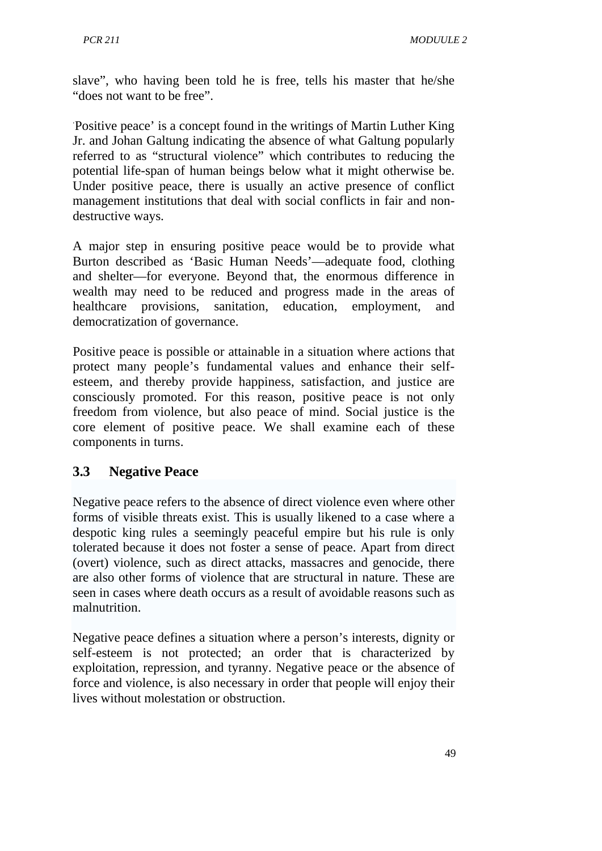slave", who having been told he is free, tells his master that he/she "does not want to be free".

' Positive peace' is a concept found in the writings of Martin Luther King Jr. and Johan Galtung indicating the absence of what Galtung popularly referred to as "structural violence" which contributes to reducing the potential life-span of human beings below what it might otherwise be. Under positive peace, there is usually an active presence of conflict management institutions that deal with social conflicts in fair and nondestructive ways.

A major step in ensuring positive peace would be to provide what Burton described as 'Basic Human Needs'—adequate food, clothing and shelter—for everyone. Beyond that, the enormous difference in wealth may need to be reduced and progress made in the areas of healthcare provisions, sanitation, education, employment, and democratization of governance.

Positive peace is possible or attainable in a situation where actions that protect many people's fundamental values and enhance their selfesteem, and thereby provide happiness, satisfaction, and justice are consciously promoted. For this reason, positive peace is not only freedom from violence, but also peace of mind. Social justice is the core element of positive peace. We shall examine each of these components in turns.

#### **3.3 Negative Peace**

Negative peace refers to the absence of direct violence even where other forms of visible threats exist. This is usually likened to a case where a despotic king rules a seemingly peaceful empire but his rule is only tolerated because it does not foster a sense of peace. Apart from direct (overt) violence, such as direct attacks, massacres and genocide, there are also other forms of violence that are structural in nature. These are seen in cases where death occurs as a result of avoidable reasons such as malnutrition.

Negative peace defines a situation where a person's interests, dignity or self-esteem is not protected; an order that is characterized by exploitation, repression, and tyranny. Negative peace or the absence of force and violence, is also necessary in order that people will enjoy their lives without molestation or obstruction.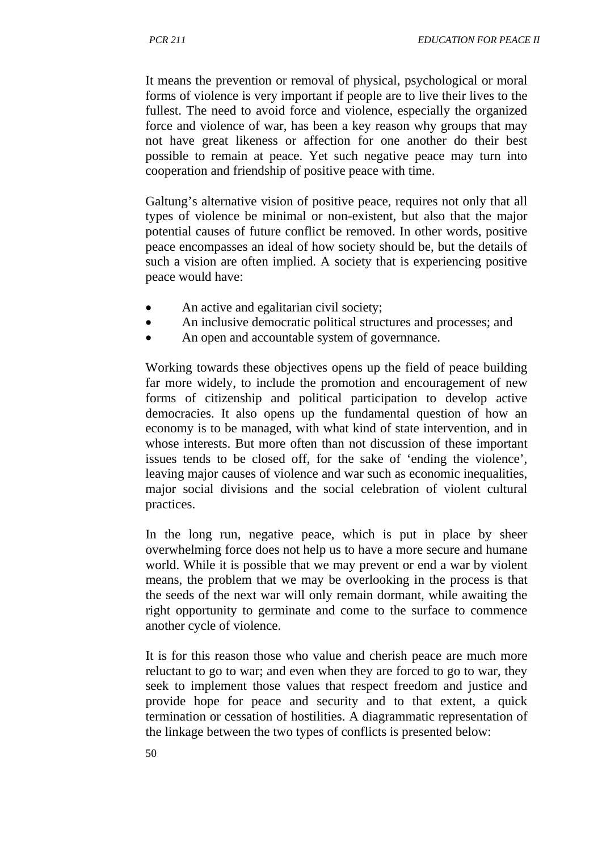It means the prevention or removal of physical, psychological or moral forms of violence is very important if people are to live their lives to the fullest. The need to avoid force and violence, especially the organized force and violence of war, has been a key reason why groups that may not have great likeness or affection for one another do their best possible to remain at peace. Yet such negative peace may turn into cooperation and friendship of positive peace with time.

Galtung's alternative vision of positive peace, requires not only that all types of violence be minimal or non-existent, but also that the major potential causes of future conflict be removed. In other words, positive peace encompasses an ideal of how society should be, but the details of such a vision are often implied. A society that is experiencing positive peace would have:

- An active and egalitarian civil society;
- An inclusive democratic political structures and processes; and
- An open and accountable system of governmance.

Working towards these objectives opens up the field of peace building far more widely, to include the promotion and encouragement of new forms of citizenship and political participation to develop active democracies. It also opens up the fundamental question of how an economy is to be managed, with what kind of state intervention, and in whose interests. But more often than not discussion of these important issues tends to be closed off, for the sake of 'ending the violence', leaving major causes of violence and war such as economic inequalities, major social divisions and the social celebration of violent cultural practices.

In the long run, negative peace, which is put in place by sheer overwhelming force does not help us to have a more secure and humane world. While it is possible that we may prevent or end a war by violent means, the problem that we may be overlooking in the process is that the seeds of the next war will only remain dormant, while awaiting the right opportunity to germinate and come to the surface to commence another cycle of violence.

It is for this reason those who value and cherish peace are much more reluctant to go to war; and even when they are forced to go to war, they seek to implement those values that respect freedom and justice and provide hope for peace and security and to that extent, a quick termination or cessation of hostilities. A diagrammatic representation of the linkage between the two types of conflicts is presented below: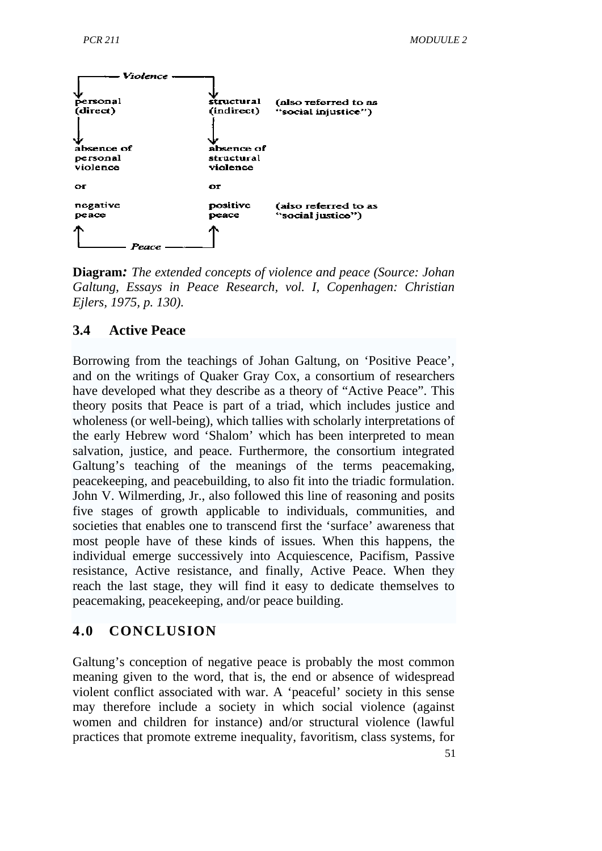

**Diagram***: The extended concepts of violence and peace (Source: Johan Galtung, Essays in Peace Research, vol. I, Copenhagen: Christian Ejlers, 1975, p. 130).*

#### **3.4 Active Peace**

Borrowing from the teachings of Johan Galtung, on 'Positive Peace', and on the writings of Quaker Gray Cox, a consortium of researchers have developed what they describe as a theory of "Active Peace". This theory posits that Peace is part of a triad, which includes justice and wholeness (or well-being), which tallies with scholarly interpretations of the early Hebrew word 'Shalom' which has been interpreted to mean salvation, justice, and peace. Furthermore, the consortium integrated Galtung's teaching of the meanings of the terms peacemaking, peacekeeping, and peacebuilding, to also fit into the triadic formulation. John V. Wilmerding, Jr., also followed this line of reasoning and posits five stages of growth applicable to individuals, communities, and societies that enables one to transcend first the 'surface' awareness that most people have of these kinds of issues. When this happens, the individual emerge successively into Acquiescence, Pacifism, Passive resistance, Active resistance, and finally, Active Peace. When they reach the last stage, they will find it easy to dedicate themselves to peacemaking, peacekeeping, and/or peace building.

#### **4.0 CONCLUSION**

Galtung's conception of negative peace is probably the most common meaning given to the word, that is, the end or absence of widespread violent conflict associated with war. A 'peaceful' society in this sense may therefore include a society in which social violence (against women and children for instance) and/or structural violence (lawful practices that promote extreme inequality, favoritism, class systems, for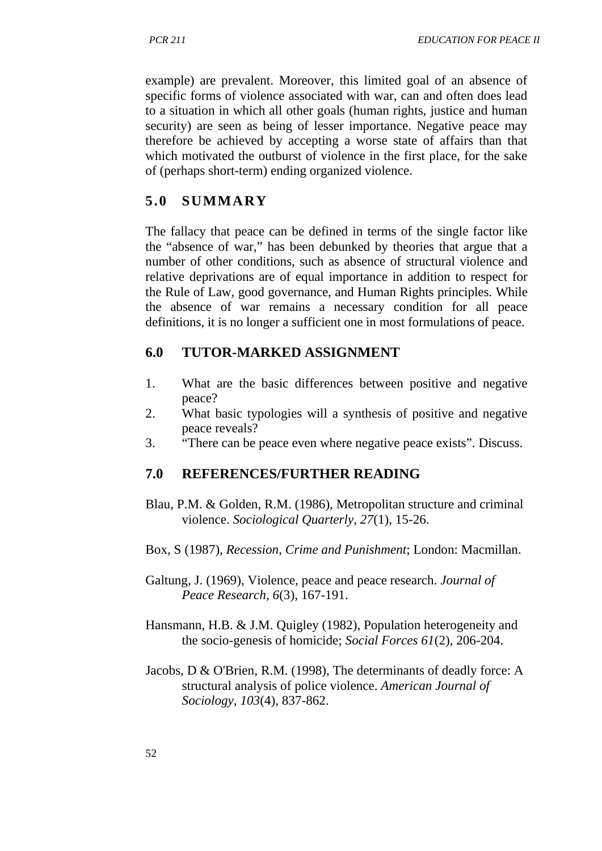example) are prevalent. Moreover, this limited goal of an absence of specific forms of violence associated with war, can and often does lead to a situation in which all other goals (human rights, justice and human security) are seen as being of lesser importance. Negative peace may therefore be achieved by accepting a worse state of affairs than that which motivated the outburst of violence in the first place, for the sake of (perhaps short-term) ending organized violence.

### **5.0 SUMMARY**

The fallacy that peace can be defined in terms of the single factor like the "absence of war," has been debunked by theories that argue that a number of other conditions, such as absence of structural violence and relative deprivations are of equal importance in addition to respect for the Rule of Law, good governance, and Human Rights principles. While the absence of war remains a necessary condition for all peace definitions, it is no longer a sufficient one in most formulations of peace.

### **6.0 TUTOR-MARKED ASSIGNMENT**

- 1. What are the basic differences between positive and negative peace?
- 2. What basic typologies will a synthesis of positive and negative peace reveals?
- 3. "There can be peace even where negative peace exists". Discuss.

### **7.0 REFERENCES/FURTHER READING**

- Blau, P.M. & Golden, R.M. (1986), Metropolitan structure and criminal violence. *Sociological Quarterly, 27*(1), 15-26.
- Box, S (1987), *Recession, Crime and Punishment*; London: Macmillan.
- Galtung, J. (1969), Violence, peace and peace research. *Journal of Peace Research, 6*(3), 167-191.
- Hansmann, H.B. & J.M. Quigley (1982), Population heterogeneity and the socio-genesis of homicide; *Social Forces 61*(2), 206-204.
- Jacobs, D & O'Brien, R.M. (1998), The determinants of deadly force: A structural analysis of police violence. *American Journal of Sociology, 103*(4), 837-862.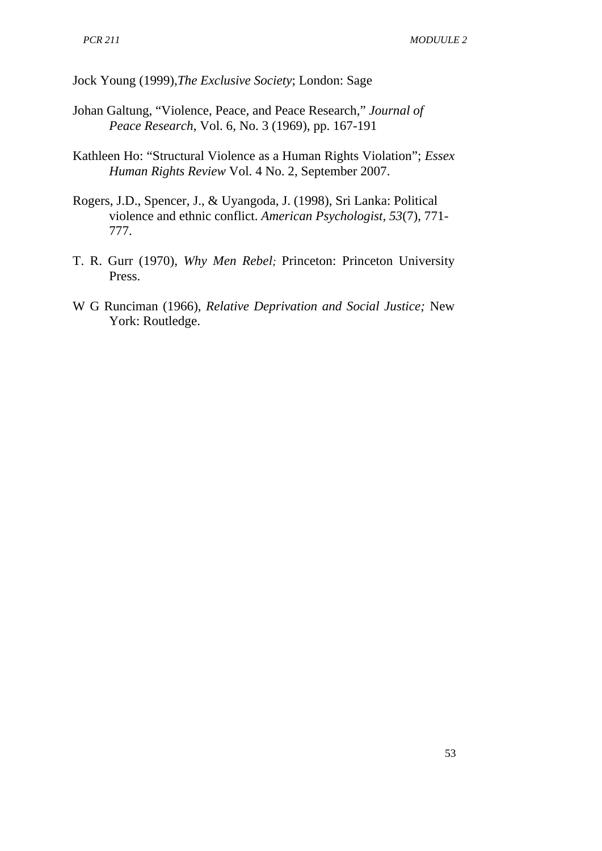Jock Young (1999),*The Exclusive Society*; London: Sage

- Johan Galtung, "Violence, Peace, and Peace Research," *Journal of Peace Research*, Vol. 6, No. 3 (1969), pp. 167-191
- Kathleen Ho: "Structural Violence as a Human Rights Violation"; *Essex Human Rights Review* Vol. 4 No. 2, September 2007.
- Rogers, J.D., Spencer, J., & Uyangoda, J. (1998), Sri Lanka: Political violence and ethnic conflict. *American Psychologist, 53*(7), 771- 777.
- T. R. Gurr (1970), *Why Men Rebel;* Princeton: Princeton University Press.
- W G Runciman (1966), *Relative Deprivation and Social Justice;* New York: Routledge.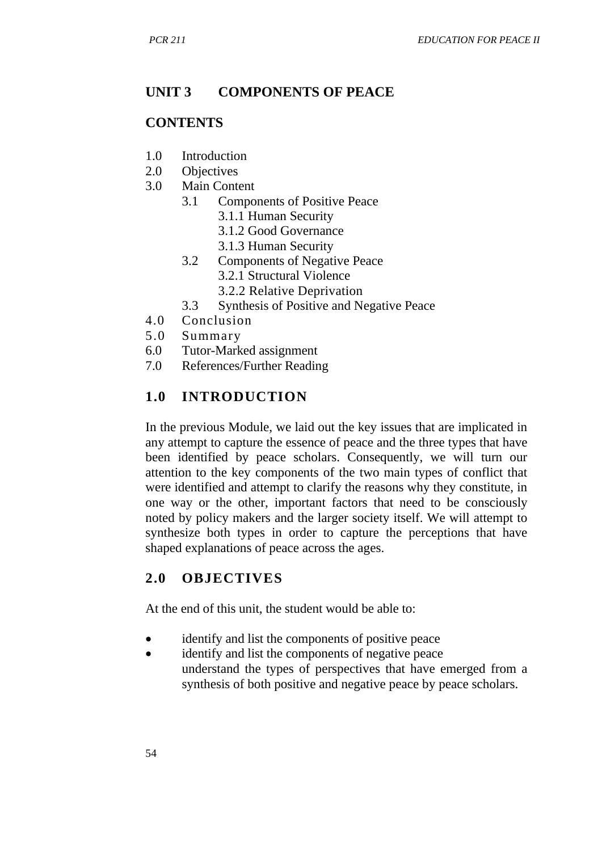## **UNIT 3 COMPONENTS OF PEACE**

### **CONTENTS**

- 1.0 Introduction
- 2.0 Objectives
- 3.0 Main Content
	- 3.1 Components of Positive Peace
		- 3.1.1 Human Security
		- 3.1.2 Good Governance
		- 3.1.3 Human Security
	- 3.2 Components of Negative Peace 3.2.1 Structural Violence
		- 3.2.2 Relative Deprivation
	- 3.3 Synthesis of Positive and Negative Peace
- 4.0 Conclusion
- 5.0 Summary
- 6.0 Tutor-Marked assignment
- 7.0 References/Further Reading

## **1.0 INTRODUCTION**

In the previous Module, we laid out the key issues that are implicated in any attempt to capture the essence of peace and the three types that have been identified by peace scholars. Consequently, we will turn our attention to the key components of the two main types of conflict that were identified and attempt to clarify the reasons why they constitute, in one way or the other, important factors that need to be consciously noted by policy makers and the larger society itself. We will attempt to synthesize both types in order to capture the perceptions that have shaped explanations of peace across the ages.

### **2.0 OBJECTIVES**

At the end of this unit, the student would be able to:

- identify and list the components of positive peace
- identify and list the components of negative peace understand the types of perspectives that have emerged from a synthesis of both positive and negative peace by peace scholars.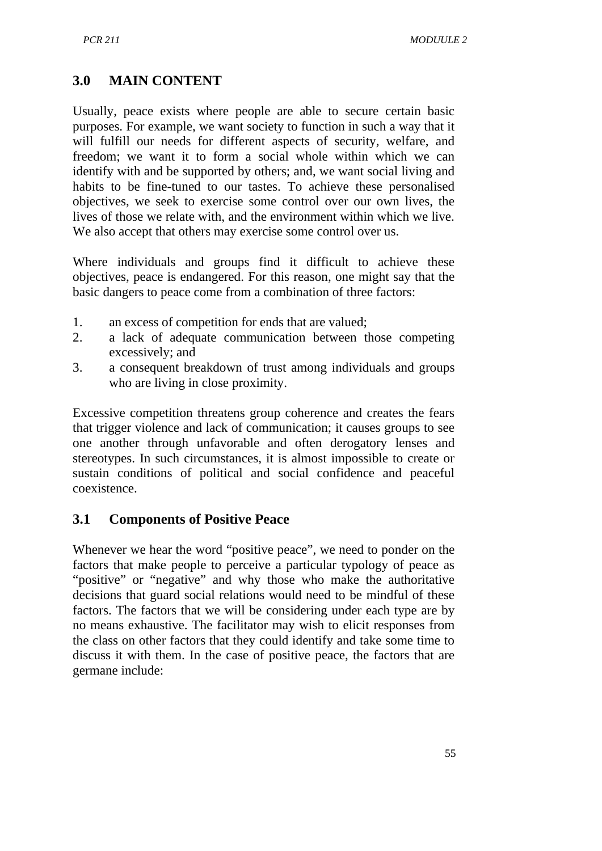## **3.0 MAIN CONTENT**

Usually, peace exists where people are able to secure certain basic purposes. For example, we want society to function in such a way that it will fulfill our needs for different aspects of security, welfare, and freedom; we want it to form a social whole within which we can identify with and be supported by others; and, we want social living and habits to be fine-tuned to our tastes. To achieve these personalised objectives, we seek to exercise some control over our own lives, the lives of those we relate with, and the environment within which we live. We also accept that others may exercise some control over us.

Where individuals and groups find it difficult to achieve these objectives, peace is endangered. For this reason, one might say that the basic dangers to peace come from a combination of three factors:

- 1. an excess of competition for ends that are valued;
- 2. a lack of adequate communication between those competing excessively; and
- 3. a consequent breakdown of trust among individuals and groups who are living in close proximity.

Excessive competition threatens group coherence and creates the fears that trigger violence and lack of communication; it causes groups to see one another through unfavorable and often derogatory lenses and stereotypes. In such circumstances, it is almost impossible to create or sustain conditions of political and social confidence and peaceful coexistence.

### **3.1 Components of Positive Peace**

Whenever we hear the word "positive peace", we need to ponder on the factors that make people to perceive a particular typology of peace as "positive" or "negative" and why those who make the authoritative decisions that guard social relations would need to be mindful of these factors. The factors that we will be considering under each type are by no means exhaustive. The facilitator may wish to elicit responses from the class on other factors that they could identify and take some time to discuss it with them. In the case of positive peace, the factors that are germane include: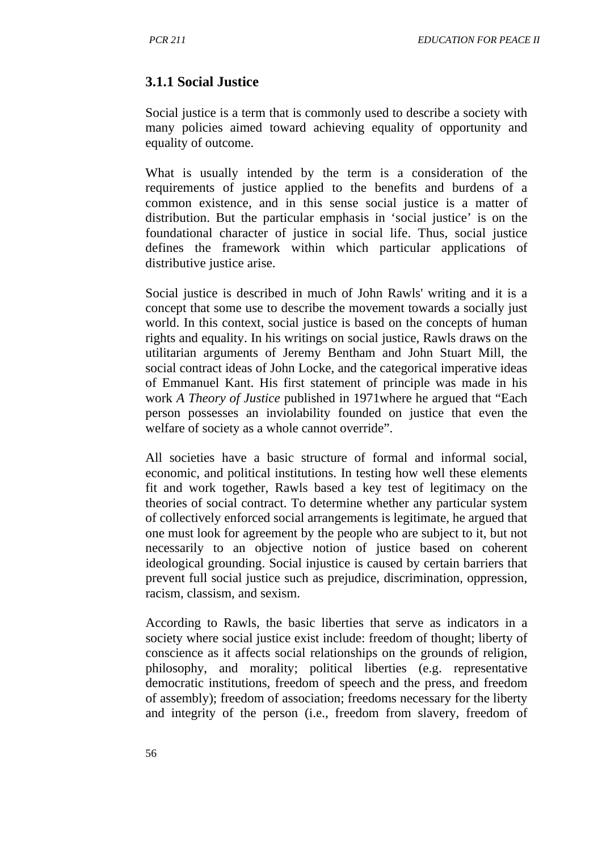### **3.1.1 Social Justice**

Social justice is a term that is commonly used to describe a society with many policies aimed toward achieving equality of opportunity and equality of outcome.

What is usually intended by the term is a consideration of the requirements of justice applied to the benefits and burdens of a common existence, and in this sense social justice is a matter of distribution. But the particular emphasis in 'social justice' is on the foundational character of justice in social life. Thus, social justice defines the framework within which particular applications of distributive justice arise.

Social justice is described in much of John Rawls' writing and it is a concept that some use to describe the movement towards a socially just world. In this context, social justice is based on the concepts of human rights and equality. In his writings on social justice, Rawls draws on the utilitarian arguments of Jeremy Bentham and John Stuart Mill, the social contract ideas of John Locke, and the categorical imperative ideas of Emmanuel Kant. His first statement of principle was made in his work *A Theory of Justice* published in 1971where he argued that "Each person possesses an inviolability founded on justice that even the welfare of society as a whole cannot override".

All societies have a basic structure of formal and informal social, economic, and political institutions. In testing how well these elements fit and work together, Rawls based a key test of legitimacy on the theories of social contract. To determine whether any particular system of collectively enforced social arrangements is legitimate, he argued that one must look for agreement by the people who are subject to it, but not necessarily to an objective notion of justice based on coherent ideological grounding. Social injustice is caused by certain barriers that prevent full social justice such as prejudice, discrimination, oppression, racism, classism, and sexism.

According to Rawls, the basic liberties that serve as indicators in a society where social justice exist include: freedom of thought; liberty of conscience as it affects social relationships on the grounds of religion, philosophy, and morality; political liberties (e.g. representative democratic institutions, freedom of speech and the press, and freedom of assembly); freedom of association; freedoms necessary for the liberty and integrity of the person (i.e., freedom from slavery, freedom of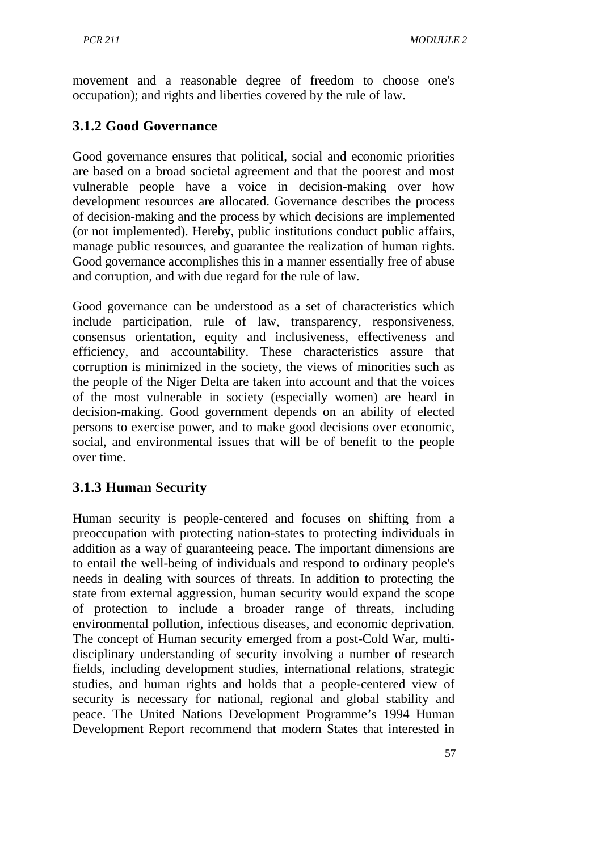movement and a reasonable degree of freedom to choose one's occupation); and rights and liberties covered by the rule of law.

# **3.1.2 Good Governance**

Good governance ensures that political, social and economic priorities are based on a broad societal agreement and that the poorest and most vulnerable people have a voice in decision-making over how development resources are allocated. Governance describes the process of decision-making and the process by which decisions are implemented (or not implemented). Hereby, public institutions conduct public affairs, manage public resources, and guarantee the realization of human rights. Good governance accomplishes this in a manner essentially free of abuse and corruption, and with due regard for the rule of law.

Good governance can be understood as a set of characteristics which include participation, rule of law, transparency, responsiveness, consensus orientation, equity and inclusiveness, effectiveness and efficiency, and accountability. These characteristics assure that corruption is minimized in the society, the views of minorities such as the people of the Niger Delta are taken into account and that the voices of the most vulnerable in society (especially women) are heard in decision-making. Good government depends on an ability of elected persons to exercise power, and to make good decisions over economic, social, and environmental issues that will be of benefit to the people over time.

# **3.1.3 Human Security**

Human security is people-centered and focuses on shifting from a preoccupation with protecting nation-states to protecting individuals in addition as a way of guaranteeing peace. The important dimensions are to entail the well-being of individuals and respond to ordinary people's needs in dealing with sources of threats. In addition to protecting the state from external aggression, human security would expand the scope of protection to include a broader range of threats, including environmental pollution, infectious diseases, and economic deprivation. The concept of Human security emerged from a post-Cold War, multidisciplinary understanding of security involving a number of research fields, including development studies, international relations, strategic studies, and human rights and holds that a people-centered view of security is necessary for national, regional and global stability and peace. The United Nations Development Programme's 1994 Human Development Report recommend that modern States that interested in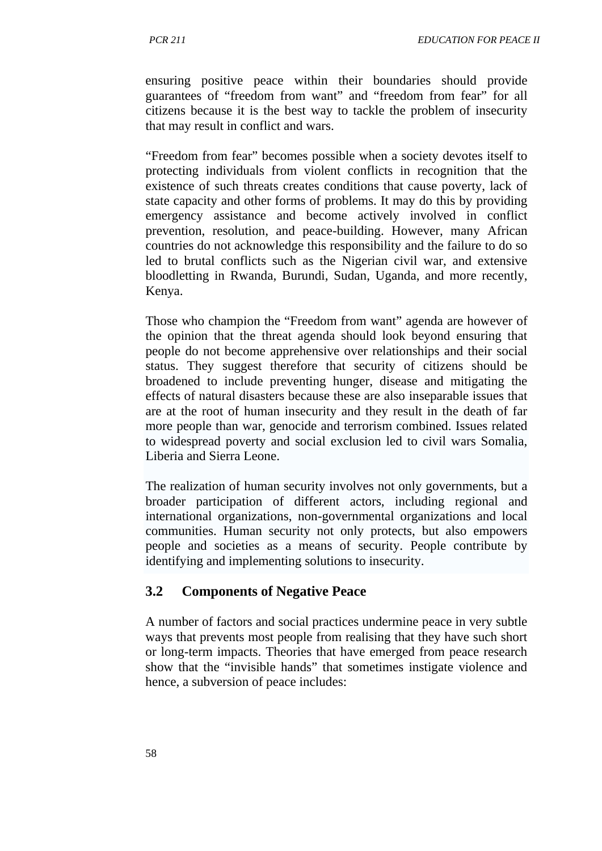ensuring positive peace within their boundaries should provide guarantees of "freedom from want" and "freedom from fear" for all citizens because it is the best way to tackle the problem of insecurity that may result in conflict and wars.

"Freedom from fear" becomes possible when a society devotes itself to protecting individuals from violent conflicts in recognition that the existence of such threats creates conditions that cause poverty, lack of state capacity and other forms of problems. It may do this by providing emergency assistance and become actively involved in conflict prevention, resolution, and peace-building. However, many African countries do not acknowledge this responsibility and the failure to do so led to brutal conflicts such as the Nigerian civil war, and extensive bloodletting in Rwanda, Burundi, Sudan, Uganda, and more recently, Kenya.

Those who champion the "Freedom from want" agenda are however of the opinion that the threat agenda should look beyond ensuring that people do not become apprehensive over relationships and their social status. They suggest therefore that security of citizens should be broadened to include preventing hunger, disease and mitigating the effects of natural disasters because these are also inseparable issues that are at the root of human insecurity and they result in the death of far more people than war, genocide and terrorism combined. Issues related to widespread poverty and social exclusion led to civil wars Somalia, Liberia and Sierra Leone.

The realization of human security involves not only governments, but a broader participation of different actors, including regional and international organizations, non-governmental organizations and local communities. Human security not only protects, but also empowers people and societies as a means of security. People contribute by identifying and implementing solutions to insecurity.

#### **3.2 Components of Negative Peace**

A number of factors and social practices undermine peace in very subtle ways that prevents most people from realising that they have such short or long-term impacts. Theories that have emerged from peace research show that the "invisible hands" that sometimes instigate violence and hence, a subversion of peace includes: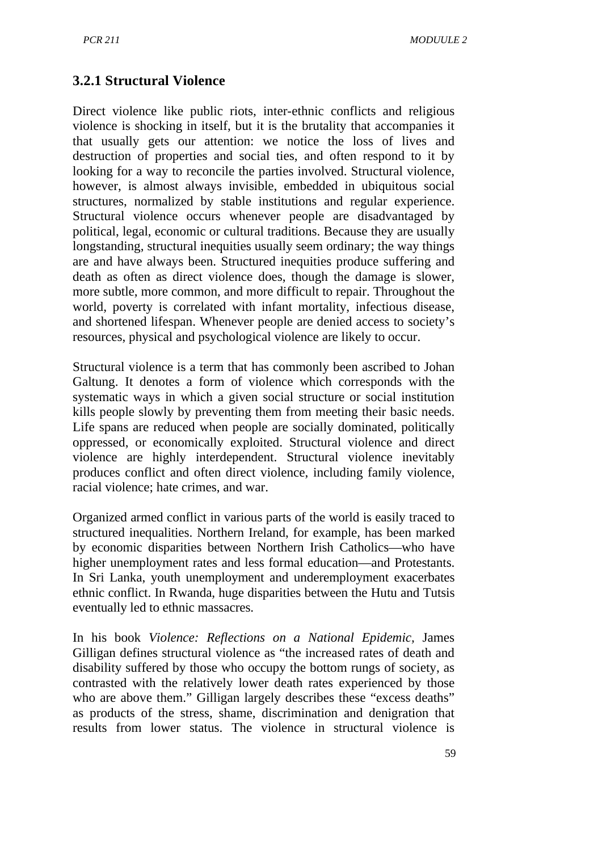## **3.2.1 Structural Violence**

Direct violence like public riots, inter-ethnic conflicts and religious violence is shocking in itself, but it is the brutality that accompanies it that usually gets our attention: we notice the loss of lives and destruction of properties and social ties, and often respond to it by looking for a way to reconcile the parties involved. Structural violence, however, is almost always invisible, embedded in ubiquitous social structures, normalized by stable institutions and regular experience. Structural violence occurs whenever people are disadvantaged by political, legal, economic or cultural traditions. Because they are usually longstanding, structural inequities usually seem ordinary; the way things are and have always been. Structured inequities produce suffering and death as often as direct violence does, though the damage is slower, more subtle, more common, and more difficult to repair. Throughout the world, poverty is correlated with infant mortality, infectious disease, and shortened lifespan. Whenever people are denied access to society's resources, physical and psychological violence are likely to occur.

Structural violence is a term that has commonly been ascribed to Johan Galtung. It denotes a form of violence which corresponds with the systematic ways in which a given social structure or social institution kills people slowly by preventing them from meeting their basic needs. Life spans are reduced when people are socially dominated, politically oppressed, or economically exploited. Structural violence and direct violence are highly interdependent. Structural violence inevitably produces conflict and often direct violence, including family violence, racial violence; hate crimes, and war.

Organized armed conflict in various parts of the world is easily traced to structured inequalities. Northern Ireland, for example, has been marked by economic disparities between Northern Irish Catholics—who have higher unemployment rates and less formal education—and Protestants. In Sri Lanka, youth unemployment and underemployment exacerbates ethnic conflict. In Rwanda, huge disparities between the Hutu and Tutsis eventually led to ethnic massacres.

In his book *Violence: Reflections on a National Epidemic,* James Gilligan defines structural violence as "the increased rates of death and disability suffered by those who occupy the bottom rungs of society, as contrasted with the relatively lower death rates experienced by those who are above them." Gilligan largely describes these "excess deaths" as products of the stress, shame, discrimination and denigration that results from lower status. The violence in structural violence is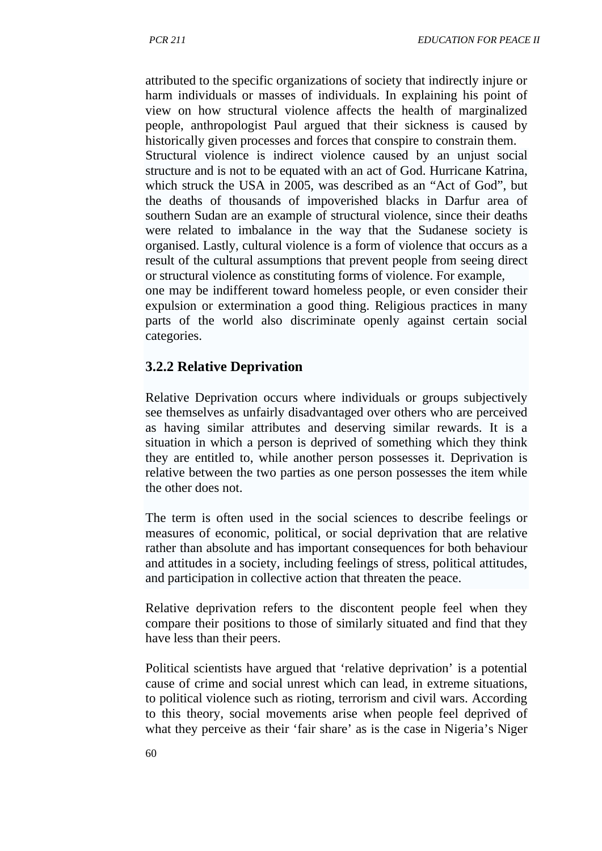attributed to the specific organizations of society that indirectly injure or harm individuals or masses of individuals. In explaining his point of view on how structural violence affects the health of marginalized people, anthropologist Paul argued that their sickness is caused by historically given processes and forces that conspire to constrain them. Structural violence is indirect violence caused by an unjust social structure and is not to be equated with an act of God. Hurricane Katrina, which struck the USA in 2005, was described as an "Act of God", but the deaths of thousands of impoverished blacks in Darfur area of southern Sudan are an example of structural violence, since their deaths were related to imbalance in the way that the Sudanese society is organised. Lastly, cultural violence is a form of violence that occurs as a result of the cultural assumptions that prevent people from seeing direct or structural violence as constituting forms of violence. For example, one may be indifferent toward homeless people, or even consider their expulsion or extermination a good thing. Religious practices in many parts of the world also discriminate openly against certain social categories.

#### **3.2.2 Relative Deprivation**

Relative Deprivation occurs where individuals or groups subjectively see themselves as unfairly disadvantaged over others who are perceived as having similar attributes and deserving similar rewards. It is a situation in which a person is deprived of something which they think they are entitled to, while another person possesses it. Deprivation is relative between the two parties as one person possesses the item while the other does not.

The term is often used in the social sciences to describe feelings or measures of economic, political, or social deprivation that are relative rather than absolute and has important consequences for both behaviour and attitudes in a society, including feelings of stress, political attitudes, and participation in collective action that threaten the peace.

Relative deprivation refers to the discontent people feel when they compare their positions to those of similarly situated and find that they have less than their peers.

Political scientists have argued that 'relative deprivation' is a potential cause of crime and social unrest which can lead, in extreme situations, to political violence such as rioting, terrorism and civil wars. According to this theory, social movements arise when people feel deprived of what they perceive as their 'fair share' as is the case in Nigeria's Niger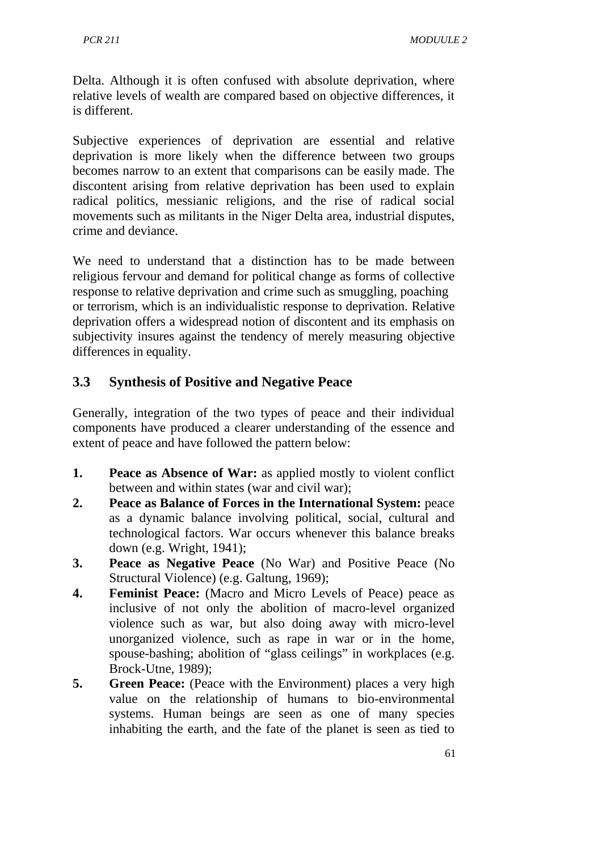Delta. Although it is often confused with absolute deprivation, where relative levels of wealth are compared based on objective differences, it is different.

Subjective experiences of deprivation are essential and relative deprivation is more likely when the difference between two groups becomes narrow to an extent that comparisons can be easily made. The discontent arising from relative deprivation has been used to explain radical politics, messianic religions, and the rise of radical social movements such as militants in the Niger Delta area, industrial disputes, crime and deviance.

We need to understand that a distinction has to be made between religious fervour and demand for political change as forms of collective response to relative deprivation and crime such as smuggling, poaching or terrorism, which is an individualistic response to deprivation. Relative deprivation offers a widespread notion of discontent and its emphasis on subjectivity insures against the tendency of merely measuring objective differences in equality.

### **3.3 Synthesis of Positive and Negative Peace**

Generally, integration of the two types of peace and their individual components have produced a clearer understanding of the essence and extent of peace and have followed the pattern below:

- **1. Peace as Absence of War:** as applied mostly to violent conflict between and within states (war and civil war);
- **2. Peace as Balance of Forces in the International System:** peace as a dynamic balance involving political, social, cultural and technological factors. War occurs whenever this balance breaks down (e.g. Wright, 1941);
- **3. Peace as Negative Peace** (No War) and Positive Peace (No Structural Violence) (e.g. Galtung, 1969);
- **4. Feminist Peace:** (Macro and Micro Levels of Peace) peace as inclusive of not only the abolition of macro-level organized violence such as war, but also doing away with micro-level unorganized violence, such as rape in war or in the home, spouse-bashing; abolition of "glass ceilings" in workplaces (e.g. Brock-Utne, 1989);
- **5. Green Peace:** (Peace with the Environment) places a very high value on the relationship of humans to bio-environmental systems. Human beings are seen as one of many species inhabiting the earth, and the fate of the planet is seen as tied to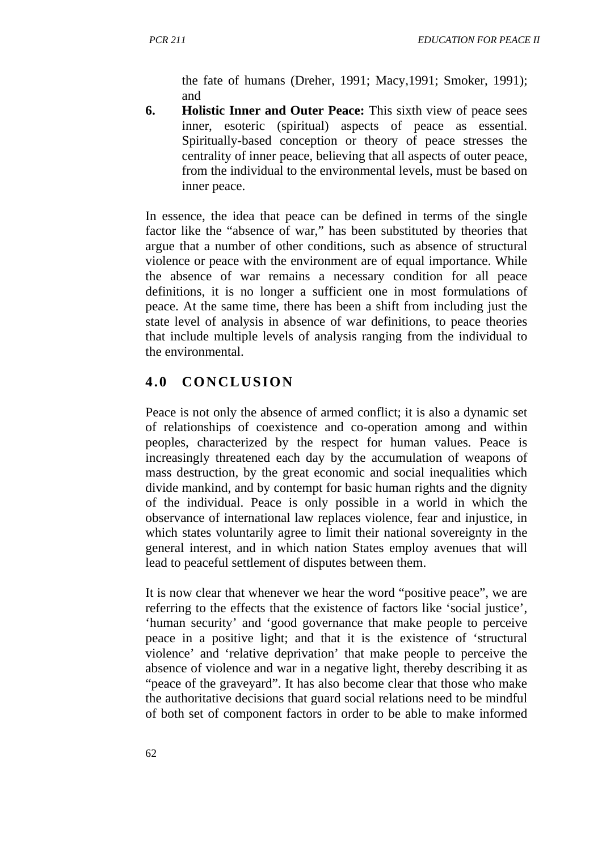the fate of humans (Dreher, 1991; Macy,1991; Smoker, 1991); and

**6. Holistic Inner and Outer Peace:** This sixth view of peace sees inner, esoteric (spiritual) aspects of peace as essential. Spiritually-based conception or theory of peace stresses the centrality of inner peace, believing that all aspects of outer peace, from the individual to the environmental levels, must be based on inner peace.

In essence, the idea that peace can be defined in terms of the single factor like the "absence of war," has been substituted by theories that argue that a number of other conditions, such as absence of structural violence or peace with the environment are of equal importance. While the absence of war remains a necessary condition for all peace definitions, it is no longer a sufficient one in most formulations of peace. At the same time, there has been a shift from including just the state level of analysis in absence of war definitions, to peace theories that include multiple levels of analysis ranging from the individual to the environmental.

## **4.0 CONCLUSION**

Peace is not only the absence of armed conflict; it is also a dynamic set of relationships of coexistence and co-operation among and within peoples, characterized by the respect for human values. Peace is increasingly threatened each day by the accumulation of weapons of mass destruction, by the great economic and social inequalities which divide mankind, and by contempt for basic human rights and the dignity of the individual. Peace is only possible in a world in which the observance of international law replaces violence, fear and injustice, in which states voluntarily agree to limit their national sovereignty in the general interest, and in which nation States employ avenues that will lead to peaceful settlement of disputes between them.

It is now clear that whenever we hear the word "positive peace", we are referring to the effects that the existence of factors like 'social justice', 'human security' and 'good governance that make people to perceive peace in a positive light; and that it is the existence of 'structural violence' and 'relative deprivation' that make people to perceive the absence of violence and war in a negative light, thereby describing it as "peace of the graveyard". It has also become clear that those who make the authoritative decisions that guard social relations need to be mindful of both set of component factors in order to be able to make informed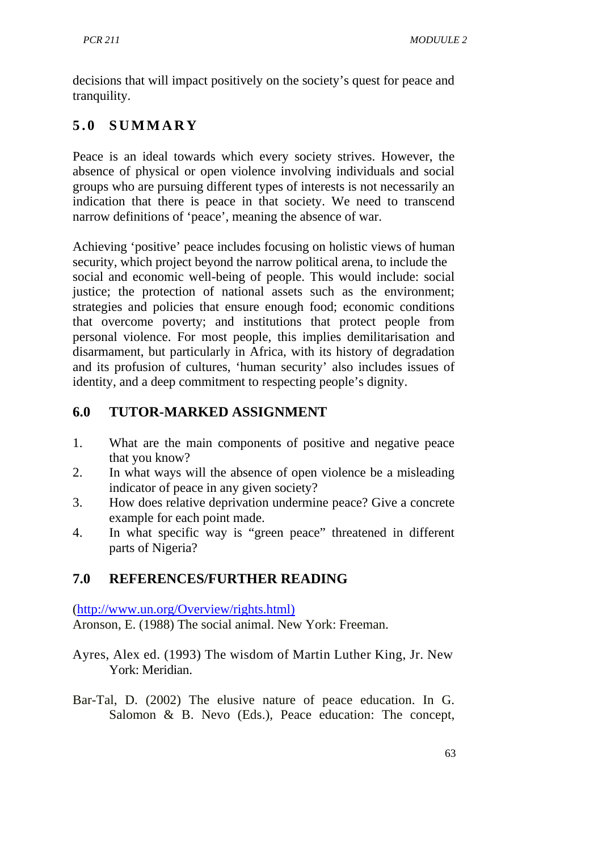decisions that will impact positively on the society's quest for peace and tranquility.

# **5.0 SUMMARY**

Peace is an ideal towards which every society strives. However, the absence of physical or open violence involving individuals and social groups who are pursuing different types of interests is not necessarily an indication that there is peace in that society. We need to transcend narrow definitions of 'peace', meaning the absence of war.

Achieving 'positive' peace includes focusing on holistic views of human security, which project beyond the narrow political arena, to include the social and economic well-being of people. This would include: social justice; the protection of national assets such as the environment; strategies and policies that ensure enough food; economic conditions that overcome poverty; and institutions that protect people from personal violence. For most people, this implies demilitarisation and disarmament, but particularly in Africa, with its history of degradation and its profusion of cultures, 'human security' also includes issues of identity, and a deep commitment to respecting people's dignity.

## **6.0 TUTOR-MARKED ASSIGNMENT**

- 1. What are the main components of positive and negative peace that you know?
- 2. In what ways will the absence of open violence be a misleading indicator of peace in any given society?
- 3. How does relative deprivation undermine peace? Give a concrete example for each point made.
- 4. In what specific way is "green peace" threatened in different parts of Nigeria?

## **7.0 REFERENCES/FURTHER READING**

[\(http://www.un.org/Overview/rights.html\)](http://www.un.org/Overview/rights.html)) Aronson, E. (1988) The social animal. New York: Freeman.

- Ayres, Alex ed. (1993) The wisdom of Martin Luther King, Jr. New York: Meridian.
- Bar-Tal, D. (2002) The elusive nature of peace education. In G. Salomon & B. Nevo (Eds.), Peace education: The concept,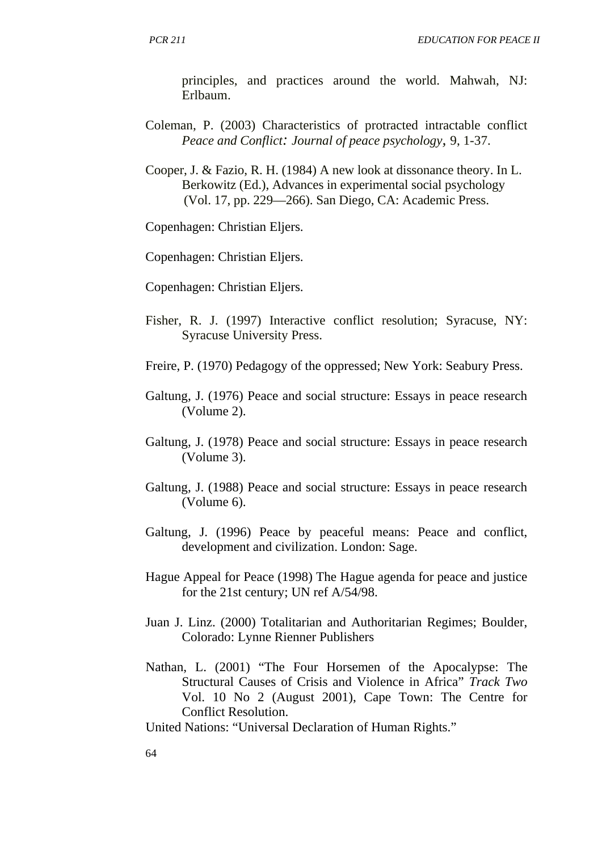principles, and practices around the world. Mahwah, NJ: Erlbaum.

Coleman, P. (2003) Characteristics of protracted intractable conflict *Peace and Conflict: Journal of peace psychology,* 9, 1-37.

Cooper, J. & Fazio, R. H. (1984) A new look at dissonance theory. In L. Berkowitz (Ed.), Advances in experimental social psychology (Vol. 17, pp. 229—266). San Diego, CA: Academic Press.

Copenhagen: Christian Eljers.

Copenhagen: Christian Eljers.

Copenhagen: Christian Eljers.

- Fisher, R. J. (1997) Interactive conflict resolution; Syracuse, NY: Syracuse University Press.
- Freire, P. (1970) Pedagogy of the oppressed; New York: Seabury Press.
- Galtung, J. (1976) Peace and social structure: Essays in peace research (Volume 2).
- Galtung, J. (1978) Peace and social structure: Essays in peace research (Volume 3).
- Galtung, J. (1988) Peace and social structure: Essays in peace research (Volume 6).
- Galtung, J. (1996) Peace by peaceful means: Peace and conflict, development and civilization. London: Sage.
- Hague Appeal for Peace (1998) The Hague agenda for peace and justice for the 21st century; UN ref A/54/98.
- Juan J. Linz. (2000) Totalitarian and Authoritarian Regimes; Boulder, Colorado: Lynne Rienner Publishers
- Nathan, L. (2001) "The Four Horsemen of the Apocalypse: The Structural Causes of Crisis and Violence in Africa" *Track Two*  Vol. 10 No 2 (August 2001), Cape Town: The Centre for Conflict Resolution.

United Nations: "Universal Declaration of Human Rights."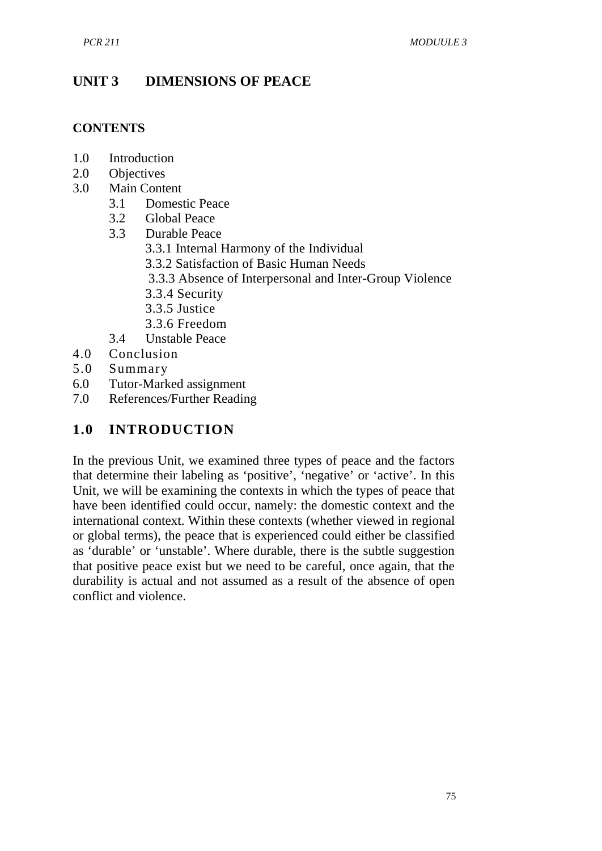## **UNIT 3 DIMENSIONS OF PEACE**

### **CONTENTS**

- 1.0 Introduction
- 2.0 Objectives
- 3.0 Main Content
	- 3.1 Domestic Peace
	- 3.2 Global Peace
	- 3.3 Durable Peace
		- 3.3.1 Internal Harmony of the Individual
		- 3.3.2 Satisfaction of Basic Human Needs
		- 3.3.3 Absence of Interpersonal and Inter-Group Violence
		- 3.3.4 Security
		- 3.3.5 Justice
		- 3.3.6 Freedom
	- 3.4 Unstable Peace
- 4.0 Conclusion
- 5.0 Summary
- 6.0 Tutor-Marked assignment
- 7.0 References/Further Reading

## **1.0 INTRODUCTION**

In the previous Unit, we examined three types of peace and the factors that determine their labeling as 'positive', 'negative' or 'active'. In this Unit, we will be examining the contexts in which the types of peace that have been identified could occur, namely: the domestic context and the international context. Within these contexts (whether viewed in regional or global terms), the peace that is experienced could either be classified as 'durable' or 'unstable'. Where durable, there is the subtle suggestion that positive peace exist but we need to be careful, once again, that the durability is actual and not assumed as a result of the absence of open conflict and violence.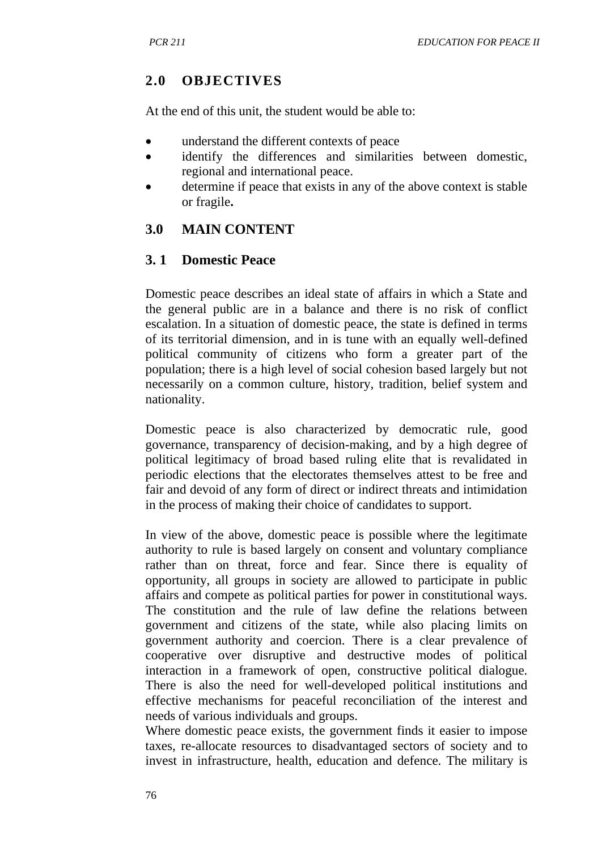# **2.0 OBJECTIVES**

At the end of this unit, the student would be able to:

- understand the different contexts of peace
- identify the differences and similarities between domestic, regional and international peace.
- determine if peace that exists in any of the above context is stable or fragile**.**

## **3.0 MAIN CONTENT**

## **3. 1 Domestic Peace**

Domestic peace describes an ideal state of affairs in which a State and the general public are in a balance and there is no risk of conflict escalation. In a situation of domestic peace, the state is defined in terms of its territorial dimension, and in is tune with an equally well-defined political community of citizens who form a greater part of the population; there is a high level of social cohesion based largely but not necessarily on a common culture, history, tradition, belief system and nationality.

Domestic peace is also characterized by democratic rule, good governance, transparency of decision-making, and by a high degree of political legitimacy of broad based ruling elite that is revalidated in periodic elections that the electorates themselves attest to be free and fair and devoid of any form of direct or indirect threats and intimidation in the process of making their choice of candidates to support.

In view of the above, domestic peace is possible where the legitimate authority to rule is based largely on consent and voluntary compliance rather than on threat, force and fear. Since there is equality of opportunity, all groups in society are allowed to participate in public affairs and compete as political parties for power in constitutional ways. The constitution and the rule of law define the relations between government and citizens of the state, while also placing limits on government authority and coercion. There is a clear prevalence of cooperative over disruptive and destructive modes of political interaction in a framework of open, constructive political dialogue. There is also the need for well-developed political institutions and effective mechanisms for peaceful reconciliation of the interest and needs of various individuals and groups.

Where domestic peace exists, the government finds it easier to impose taxes, re-allocate resources to disadvantaged sectors of society and to invest in infrastructure, health, education and defence. The military is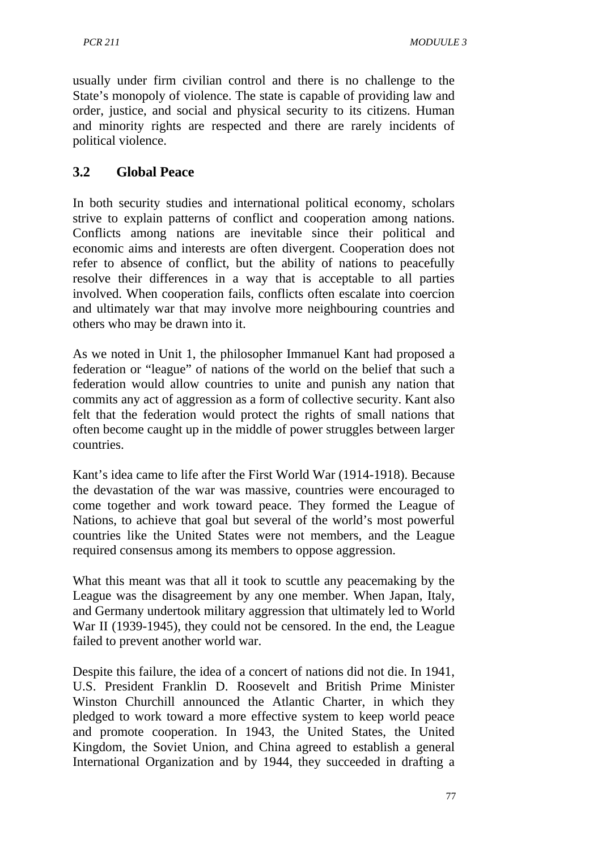usually under firm civilian control and there is no challenge to the State's monopoly of violence. The state is capable of providing law and order, justice, and social and physical security to its citizens. Human and minority rights are respected and there are rarely incidents of political violence.

## **3.2 Global Peace**

In both security studies and international political economy, scholars strive to explain patterns of conflict and cooperation among nations. Conflicts among nations are inevitable since their political and economic aims and interests are often divergent. Cooperation does not refer to absence of conflict, but the ability of nations to peacefully resolve their differences in a way that is acceptable to all parties involved. When cooperation fails, conflicts often escalate into coercion and ultimately war that may involve more neighbouring countries and others who may be drawn into it.

As we noted in Unit 1, the philosopher Immanuel Kant had proposed a federation or "league" of nations of the world on the belief that such a federation would allow countries to unite and punish any nation that commits any act of aggression as a form of collective security. Kant also felt that the federation would protect the rights of small nations that often become caught up in the middle of power struggles between larger countries.

Kant's idea came to life after the First World War (1914-1918). Because the devastation of the war was massive, countries were encouraged to come together and work toward peace. They formed the League of Nations, to achieve that goal but several of the world's most powerful countries like the United States were not members, and the League required consensus among its members to oppose aggression.

What this meant was that all it took to scuttle any peacemaking by the League was the disagreement by any one member. When Japan, Italy, and Germany undertook military aggression that ultimately led to World War II (1939-1945), they could not be censored. In the end, the League failed to prevent another world war.

Despite this failure, the idea of a concert of nations did not die. In 1941, U.S. President Franklin D. Roosevelt and British Prime Minister Winston Churchill announced the Atlantic Charter, in which they pledged to work toward a more effective system to keep world peace and promote cooperation. In 1943, the United States, the United Kingdom, the Soviet Union, and China agreed to establish a general International Organization and by 1944, they succeeded in drafting a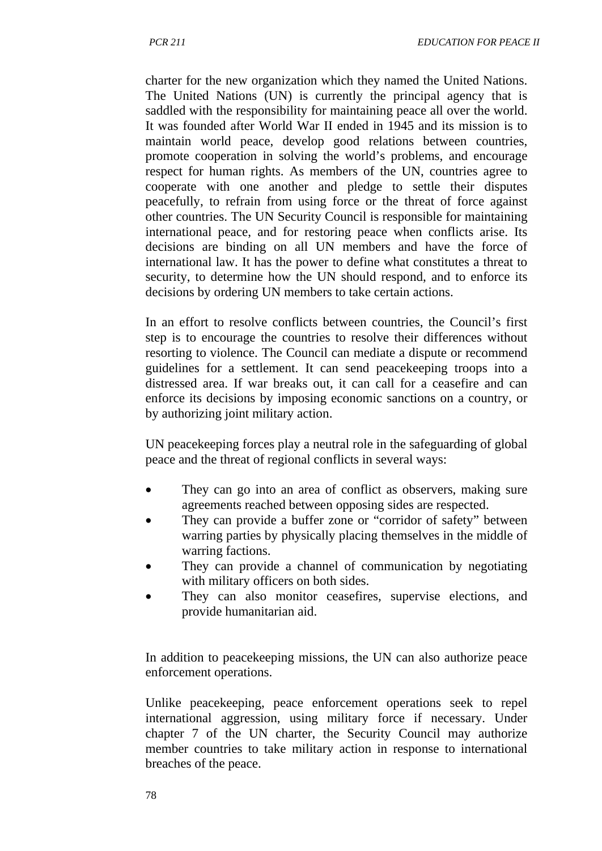charter for the new organization which they named the United Nations. The United Nations (UN) is currently the principal agency that is saddled with the responsibility for maintaining peace all over the world. It was founded after World War II ended in 1945 and its mission is to maintain world peace, develop good relations between countries, promote cooperation in solving the world's problems, and encourage respect for human rights. As members of the UN, countries agree to cooperate with one another and pledge to settle their disputes peacefully, to refrain from using force or the threat of force against other countries. The UN Security Council is responsible for maintaining international peace, and for restoring peace when conflicts arise. Its decisions are binding on all UN members and have the force of international law. It has the power to define what constitutes a threat to security, to determine how the UN should respond, and to enforce its decisions by ordering UN members to take certain actions.

In an effort to resolve conflicts between countries, the Council's first step is to encourage the countries to resolve their differences without resorting to violence. The Council can mediate a dispute or recommend guidelines for a settlement. It can send peacekeeping troops into a distressed area. If war breaks out, it can call for a ceasefire and can enforce its decisions by imposing economic sanctions on a country, or by authorizing joint military action.

UN peacekeeping forces play a neutral role in the safeguarding of global peace and the threat of regional conflicts in several ways:

- They can go into an area of conflict as observers, making sure agreements reached between opposing sides are respected.
- They can provide a buffer zone or "corridor of safety" between warring parties by physically placing themselves in the middle of warring factions.
- They can provide a channel of communication by negotiating with military officers on both sides.
- They can also monitor ceasefires, supervise elections, and provide humanitarian aid.

In addition to peacekeeping missions, the UN can also authorize peace enforcement operations.

Unlike peacekeeping, peace enforcement operations seek to repel international aggression, using military force if necessary. Under chapter 7 of the UN charter, the Security Council may authorize member countries to take military action in response to international breaches of the peace.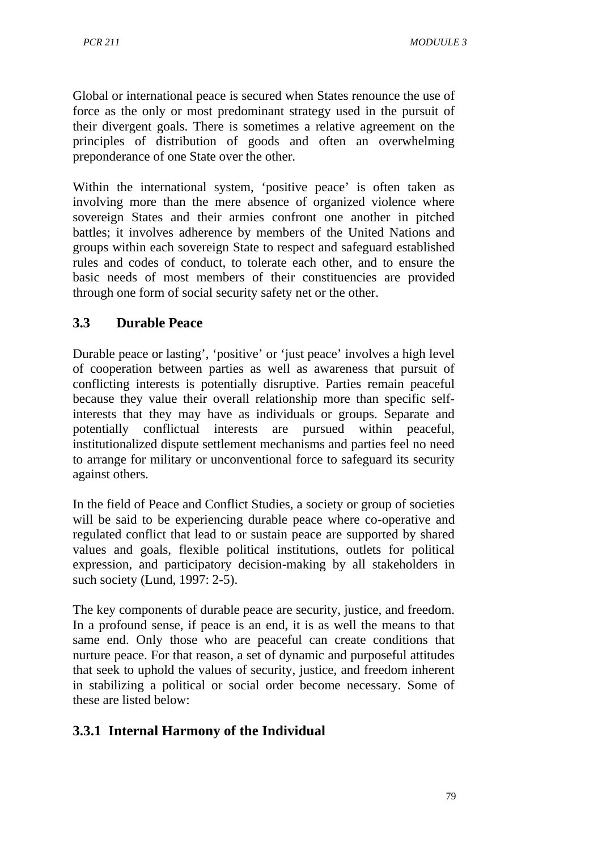Global or international peace is secured when States renounce the use of force as the only or most predominant strategy used in the pursuit of their divergent goals. There is sometimes a relative agreement on the principles of distribution of goods and often an overwhelming preponderance of one State over the other.

Within the international system, 'positive peace' is often taken as involving more than the mere absence of organized violence where sovereign States and their armies confront one another in pitched battles; it involves adherence by members of the United Nations and groups within each sovereign State to respect and safeguard established rules and codes of conduct, to tolerate each other, and to ensure the basic needs of most members of their constituencies are provided through one form of social security safety net or the other.

## **3.3 Durable Peace**

Durable peace or lasting', 'positive' or 'just peace' involves a high level of cooperation between parties as well as awareness that pursuit of conflicting interests is potentially disruptive. Parties remain peaceful because they value their overall relationship more than specific selfinterests that they may have as individuals or groups. Separate and potentially conflictual interests are pursued within peaceful, institutionalized dispute settlement mechanisms and parties feel no need to arrange for military or unconventional force to safeguard its security against others.

In the field of Peace and Conflict Studies, a society or group of societies will be said to be experiencing durable peace where co-operative and regulated conflict that lead to or sustain peace are supported by shared values and goals, flexible political institutions, outlets for political expression, and participatory decision-making by all stakeholders in such society (Lund, 1997: 2-5).

The key components of durable peace are security, justice, and freedom. In a profound sense, if peace is an end, it is as well the means to that same end. Only those who are peaceful can create conditions that nurture peace. For that reason, a set of dynamic and purposeful attitudes that seek to uphold the values of security, justice, and freedom inherent in stabilizing a political or social order become necessary. Some of these are listed below:

# **3.3.1 Internal Harmony of the Individual**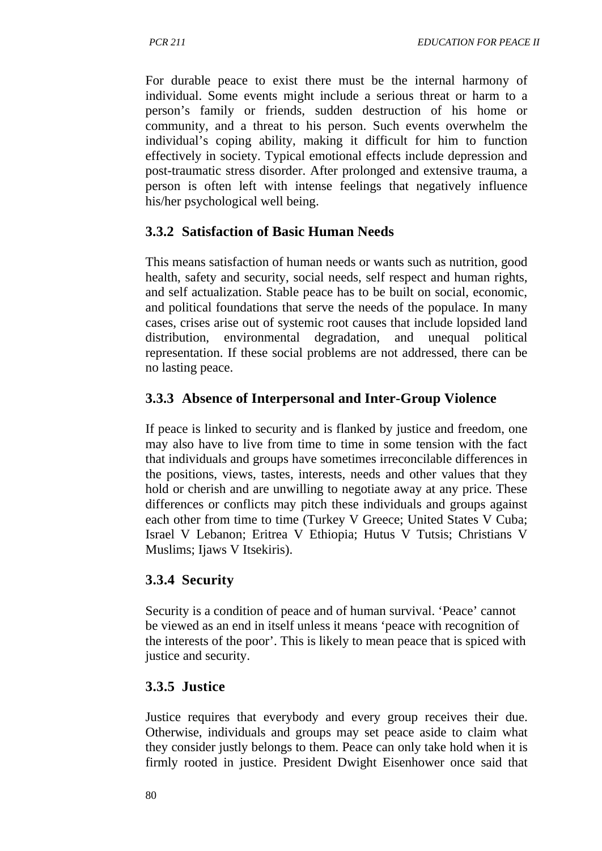For durable peace to exist there must be the internal harmony of individual. Some events might include a serious threat or harm to a person's family or friends, sudden destruction of his home or community, and a threat to his person. Such events overwhelm the individual's coping ability, making it difficult for him to function effectively in society. Typical emotional effects include depression and post-traumatic stress disorder. After prolonged and extensive trauma, a person is often left with intense feelings that negatively influence his/her psychological well being.

## **3.3.2 Satisfaction of Basic Human Needs**

This means satisfaction of human needs or wants such as nutrition, good health, safety and security, social needs, self respect and human rights, and self actualization. Stable peace has to be built on social, economic, and political foundations that serve the needs of the populace. In many cases, crises arise out of systemic root causes that include lopsided land distribution, environmental degradation, and unequal political representation. If these social problems are not addressed, there can be no lasting peace.

## **3.3.3 Absence of Interpersonal and Inter-Group Violence**

If peace is linked to security and is flanked by justice and freedom, one may also have to live from time to time in some tension with the fact that individuals and groups have sometimes irreconcilable differences in the positions, views, tastes, interests, needs and other values that they hold or cherish and are unwilling to negotiate away at any price. These differences or conflicts may pitch these individuals and groups against each other from time to time (Turkey V Greece; United States V Cuba; Israel V Lebanon; Eritrea V Ethiopia; Hutus V Tutsis; Christians V Muslims; Ijaws V Itsekiris).

## **3.3.4 Security**

Security is a condition of peace and of human survival. 'Peace' cannot be viewed as an end in itself unless it means 'peace with recognition of the interests of the poor'. This is likely to mean peace that is spiced with justice and security.

## **3.3.5 Justice**

Justice requires that everybody and every group receives their due. Otherwise, individuals and groups may set peace aside to claim what they consider justly belongs to them. Peace can only take hold when it is firmly rooted in justice. President Dwight Eisenhower once said that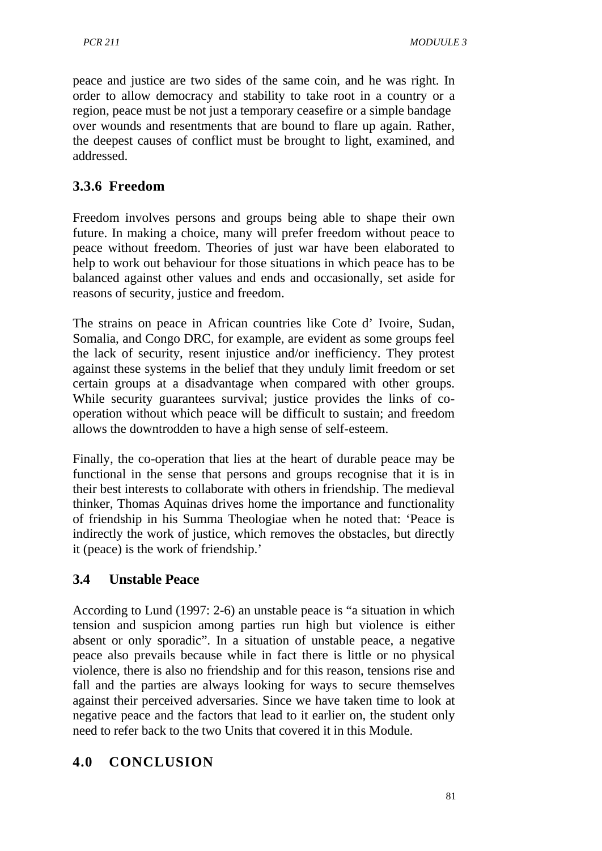peace and justice are two sides of the same coin, and he was right. In order to allow democracy and stability to take root in a country or a region, peace must be not just a temporary ceasefire or a simple bandage over wounds and resentments that are bound to flare up again. Rather, the deepest causes of conflict must be brought to light, examined, and addressed.

## **3.3.6 Freedom**

Freedom involves persons and groups being able to shape their own future. In making a choice, many will prefer freedom without peace to peace without freedom. Theories of just war have been elaborated to help to work out behaviour for those situations in which peace has to be balanced against other values and ends and occasionally, set aside for reasons of security, justice and freedom.

The strains on peace in African countries like Cote d' Ivoire, Sudan, Somalia, and Congo DRC, for example, are evident as some groups feel the lack of security, resent injustice and/or inefficiency. They protest against these systems in the belief that they unduly limit freedom or set certain groups at a disadvantage when compared with other groups. While security guarantees survival; justice provides the links of cooperation without which peace will be difficult to sustain; and freedom allows the downtrodden to have a high sense of self-esteem.

Finally, the co-operation that lies at the heart of durable peace may be functional in the sense that persons and groups recognise that it is in their best interests to collaborate with others in friendship. The medieval thinker, Thomas Aquinas drives home the importance and functionality of friendship in his Summa Theologiae when he noted that: 'Peace is indirectly the work of justice, which removes the obstacles, but directly it (peace) is the work of friendship.'

## **3.4 Unstable Peace**

According to Lund (1997: 2-6) an unstable peace is "a situation in which tension and suspicion among parties run high but violence is either absent or only sporadic". In a situation of unstable peace, a negative peace also prevails because while in fact there is little or no physical violence, there is also no friendship and for this reason, tensions rise and fall and the parties are always looking for ways to secure themselves against their perceived adversaries. Since we have taken time to look at negative peace and the factors that lead to it earlier on, the student only need to refer back to the two Units that covered it in this Module.

## **4.0 CONCLUSION**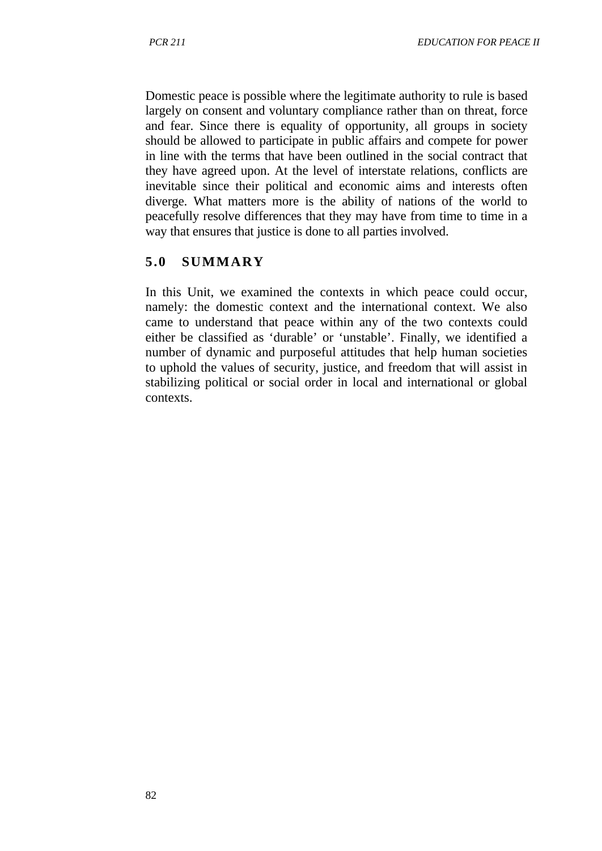Domestic peace is possible where the legitimate authority to rule is based largely on consent and voluntary compliance rather than on threat, force and fear. Since there is equality of opportunity, all groups in society should be allowed to participate in public affairs and compete for power in line with the terms that have been outlined in the social contract that they have agreed upon. At the level of interstate relations, conflicts are inevitable since their political and economic aims and interests often diverge. What matters more is the ability of nations of the world to peacefully resolve differences that they may have from time to time in a way that ensures that justice is done to all parties involved.

## **5.0 SUMMARY**

In this Unit, we examined the contexts in which peace could occur, namely: the domestic context and the international context. We also came to understand that peace within any of the two contexts could either be classified as 'durable' or 'unstable'. Finally, we identified a number of dynamic and purposeful attitudes that help human societies to uphold the values of security, justice, and freedom that will assist in stabilizing political or social order in local and international or global contexts.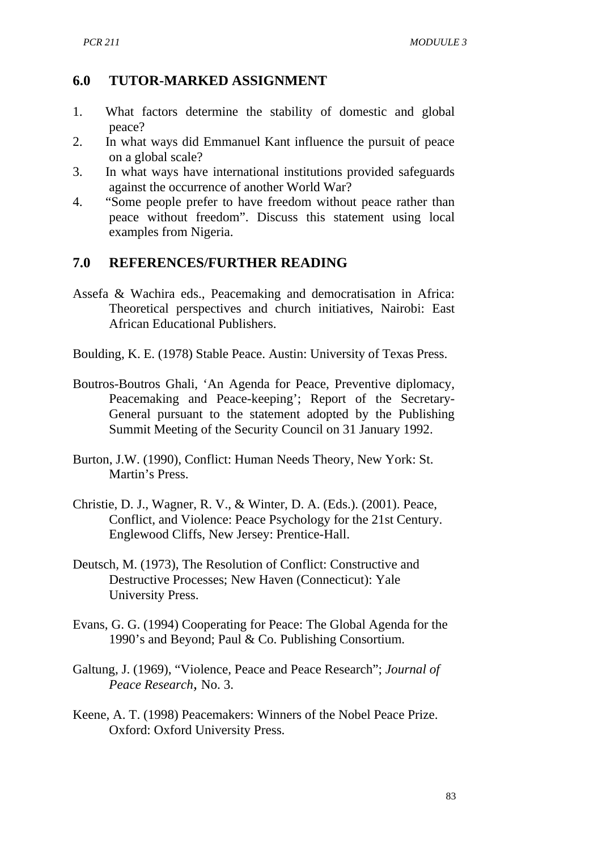### **6.0 TUTOR-MARKED ASSIGNMENT**

- 1. What factors determine the stability of domestic and global peace?
- 2. In what ways did Emmanuel Kant influence the pursuit of peace on a global scale?
- 3. In what ways have international institutions provided safeguards against the occurrence of another World War?
- 4. "Some people prefer to have freedom without peace rather than peace without freedom". Discuss this statement using local examples from Nigeria.

### **7.0 REFERENCES/FURTHER READING**

- Assefa & Wachira eds., Peacemaking and democratisation in Africa: Theoretical perspectives and church initiatives, Nairobi: East African Educational Publishers.
- Boulding, K. E. (1978) Stable Peace. Austin: University of Texas Press.
- Boutros-Boutros Ghali, 'An Agenda for Peace, Preventive diplomacy, Peacemaking and Peace-keeping'; Report of the Secretary-General pursuant to the statement adopted by the Publishing Summit Meeting of the Security Council on 31 January 1992.
- Burton, J.W. (1990), Conflict: Human Needs Theory, New York: St. Martin's Press.
- Christie, D. J., Wagner, R. V., & Winter, D. A. (Eds.). (2001). Peace, Conflict, and Violence: Peace Psychology for the 21st Century. Englewood Cliffs, New Jersey: Prentice-Hall.
- Deutsch, M. (1973), The Resolution of Conflict: Constructive and Destructive Processes; New Haven (Connecticut): Yale University Press.
- Evans, G. G. (1994) Cooperating for Peace: The Global Agenda for the 1990's and Beyond; Paul & Co. Publishing Consortium.
- Galtung, J. (1969), "Violence, Peace and Peace Research"; *Journal of Peace Research,* No. 3.
- Keene, A. T. (1998) Peacemakers: Winners of the Nobel Peace Prize. Oxford: Oxford University Press.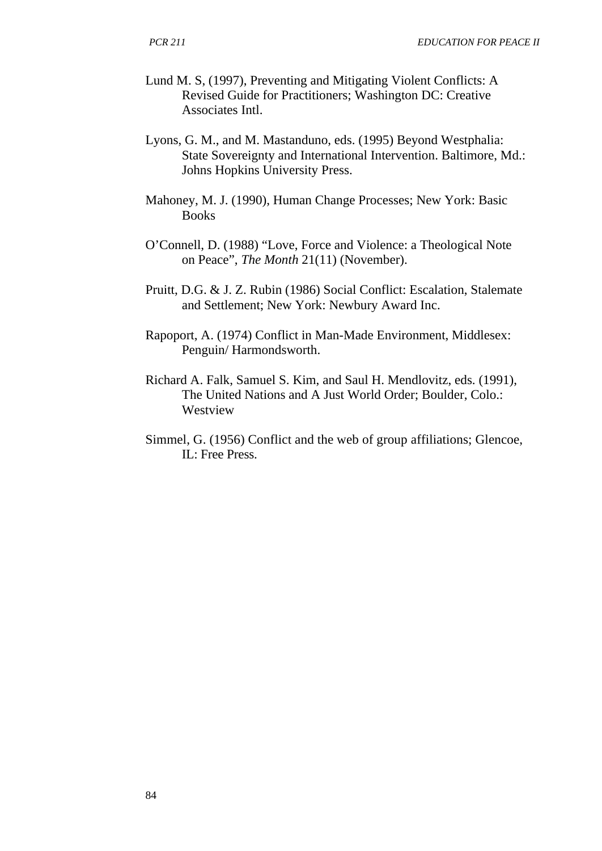- Lund M. S, (1997), Preventing and Mitigating Violent Conflicts: A Revised Guide for Practitioners; Washington DC: Creative Associates Intl.
- Lyons, G. M., and M. Mastanduno, eds. (1995) Beyond Westphalia: State Sovereignty and International Intervention. Baltimore, Md.: Johns Hopkins University Press.
- Mahoney, M. J. (1990), Human Change Processes; New York: Basic Books
- O'Connell, D. (1988) "Love, Force and Violence: a Theological Note on Peace", *The Month* 21(11) (November).
- Pruitt, D.G. & J. Z. Rubin (1986) Social Conflict: Escalation, Stalemate and Settlement; New York: Newbury Award Inc.
- Rapoport, A. (1974) Conflict in Man-Made Environment, Middlesex: Penguin/ Harmondsworth.
- Richard A. Falk, Samuel S. Kim, and Saul H. Mendlovitz, eds. (1991), The United Nations and A Just World Order; Boulder, Colo.: Westview
- Simmel, G. (1956) Conflict and the web of group affiliations; Glencoe, IL: Free Press.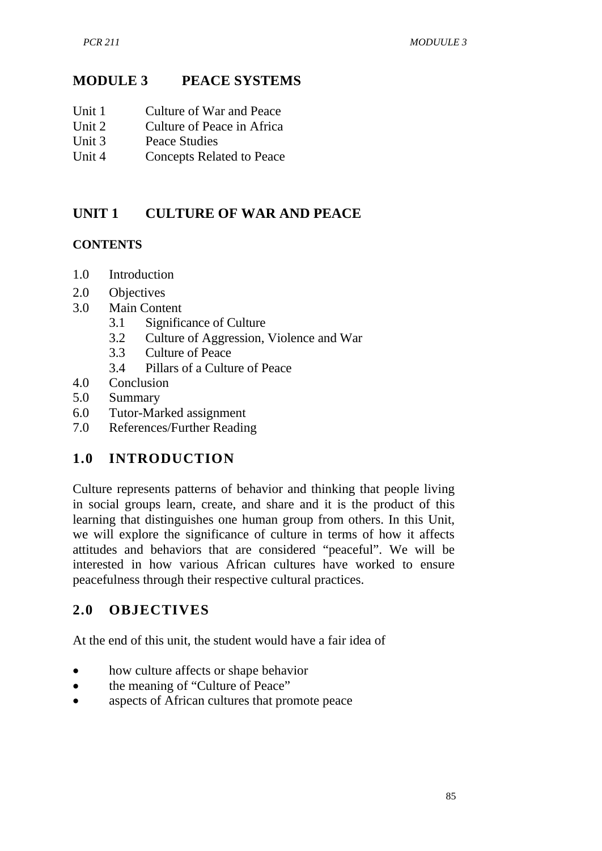### **MODULE 3 PEACE SYSTEMS**

- Unit 1 Culture of War and Peace
- Unit 2 Culture of Peace in Africa
- Unit 3 Peace Studies
- Unit 4 Concepts Related to Peace

## **UNIT 1 CULTURE OF WAR AND PEACE**

### **CONTENTS**

- 1.0 Introduction
- 2.0 Objectives
- 3.0 Main Content
	- 3.1 Significance of Culture
	- 3.2 Culture of Aggression, Violence and War
	- 3.3 Culture of Peace
	- 3.4 Pillars of a Culture of Peace
- 4.0 Conclusion
- 5.0 Summary
- 6.0 Tutor-Marked assignment
- 7.0 References/Further Reading

## **1.0 INTRODUCTION**

Culture represents patterns of behavior and thinking that people living in social groups learn, create, and share and it is the product of this learning that distinguishes one human group from others. In this Unit, we will explore the significance of culture in terms of how it affects attitudes and behaviors that are considered "peaceful". We will be interested in how various African cultures have worked to ensure peacefulness through their respective cultural practices.

## **2.0 OBJECTIVES**

At the end of this unit, the student would have a fair idea of

- how culture affects or shape behavior
- the meaning of "Culture of Peace"
- aspects of African cultures that promote peace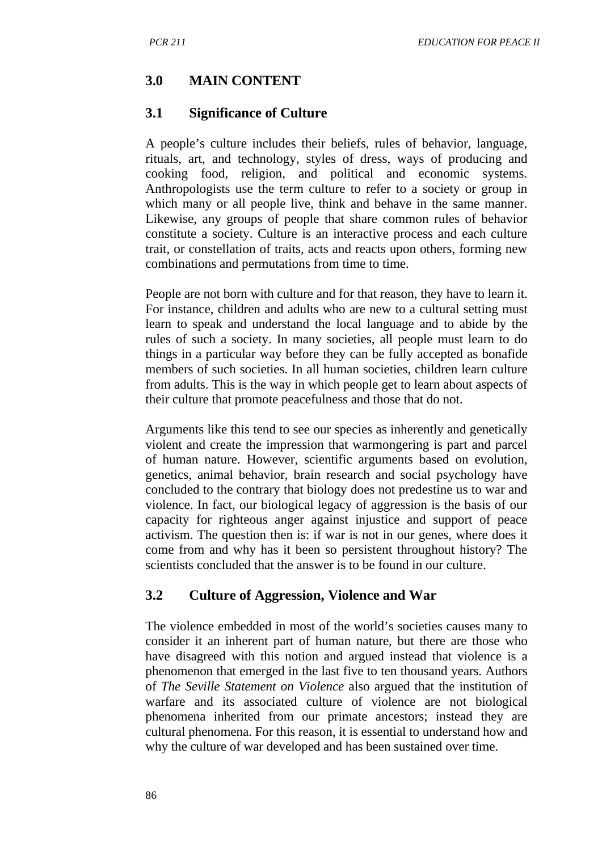## **3.0 MAIN CONTENT**

### **3.1 Significance of Culture**

A people's culture includes their beliefs, rules of behavior, language, rituals, art, and technology, styles of dress, ways of producing and cooking food, religion, and political and economic systems. Anthropologists use the term culture to refer to a society or group in which many or all people live, think and behave in the same manner. Likewise, any groups of people that share common rules of behavior constitute a society. Culture is an interactive process and each culture trait, or constellation of traits, acts and reacts upon others, forming new combinations and permutations from time to time.

People are not born with culture and for that reason, they have to learn it. For instance, children and adults who are new to a cultural setting must learn to speak and understand the local language and to abide by the rules of such a society. In many societies, all people must learn to do things in a particular way before they can be fully accepted as bonafide members of such societies. In all human societies, children learn culture from adults. This is the way in which people get to learn about aspects of their culture that promote peacefulness and those that do not.

Arguments like this tend to see our species as inherently and genetically violent and create the impression that warmongering is part and parcel of human nature. However, scientific arguments based on evolution, genetics, animal behavior, brain research and social psychology have concluded to the contrary that biology does not predestine us to war and violence. In fact, our biological legacy of aggression is the basis of our capacity for righteous anger against injustice and support of peace activism. The question then is: if war is not in our genes, where does it come from and why has it been so persistent throughout history? The scientists concluded that the answer is to be found in our culture.

## **3.2 Culture of Aggression, Violence and War**

The violence embedded in most of the world's societies causes many to consider it an inherent part of human nature, but there are those who have disagreed with this notion and argued instead that violence is a phenomenon that emerged in the last five to ten thousand years. Authors of *The Seville Statement on Violence* also argued that the institution of warfare and its associated culture of violence are not biological phenomena inherited from our primate ancestors; instead they are cultural phenomena. For this reason, it is essential to understand how and why the culture of war developed and has been sustained over time.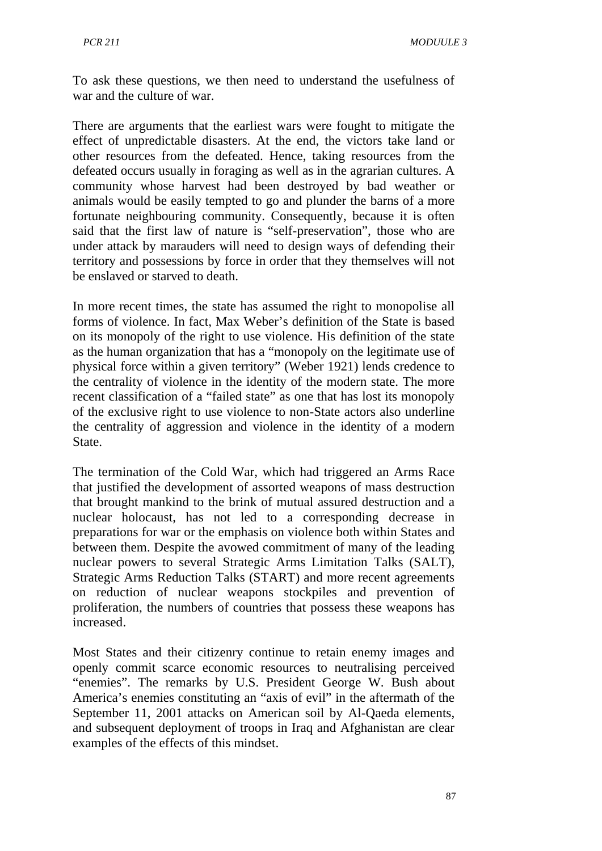To ask these questions, we then need to understand the usefulness of war and the culture of war.

There are arguments that the earliest wars were fought to mitigate the effect of unpredictable disasters. At the end, the victors take land or other resources from the defeated. Hence, taking resources from the defeated occurs usually in foraging as well as in the agrarian cultures. A community whose harvest had been destroyed by bad weather or animals would be easily tempted to go and plunder the barns of a more fortunate neighbouring community. Consequently, because it is often said that the first law of nature is "self-preservation", those who are under attack by marauders will need to design ways of defending their territory and possessions by force in order that they themselves will not be enslaved or starved to death.

In more recent times, the state has assumed the right to monopolise all forms of violence. In fact, Max Weber's definition of the State is based on its monopoly of the right to use violence. His definition of the state as the human organization that has a "monopoly on the legitimate use of physical force within a given territory" (Weber 1921) lends credence to the centrality of violence in the identity of the modern state. The more recent classification of a "failed state" as one that has lost its monopoly of the exclusive right to use violence to non-State actors also underline the centrality of aggression and violence in the identity of a modern State.

The termination of the Cold War, which had triggered an Arms Race that justified the development of assorted weapons of mass destruction that brought mankind to the brink of mutual assured destruction and a nuclear holocaust, has not led to a corresponding decrease in preparations for war or the emphasis on violence both within States and between them. Despite the avowed commitment of many of the leading nuclear powers to several Strategic Arms Limitation Talks (SALT), Strategic Arms Reduction Talks (START) and more recent agreements on reduction of nuclear weapons stockpiles and prevention of proliferation, the numbers of countries that possess these weapons has increased.

Most States and their citizenry continue to retain enemy images and openly commit scarce economic resources to neutralising perceived "enemies". The remarks by U.S. President George W. Bush about America's enemies constituting an "axis of evil" in the aftermath of the September 11, 2001 attacks on American soil by Al-Qaeda elements, and subsequent deployment of troops in Iraq and Afghanistan are clear examples of the effects of this mindset.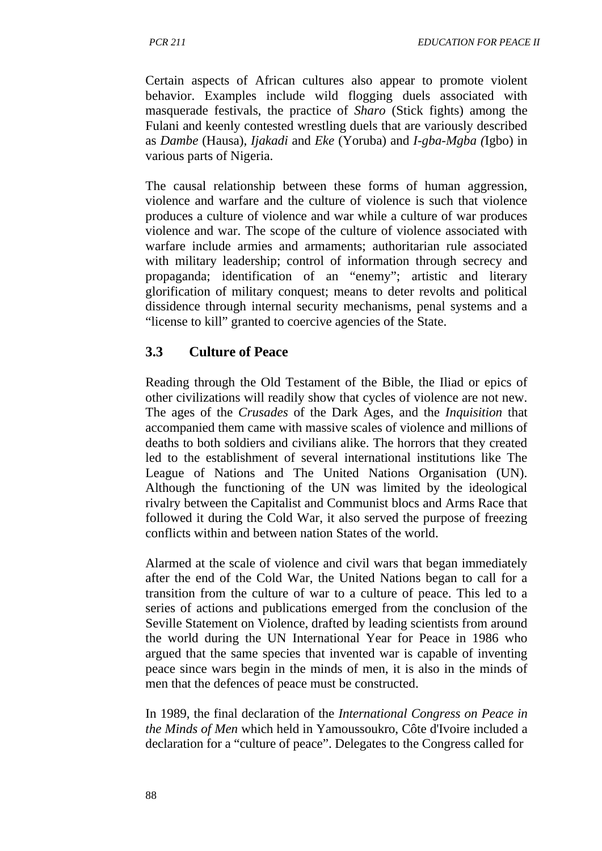Certain aspects of African cultures also appear to promote violent behavior. Examples include wild flogging duels associated with masquerade festivals, the practice of *Sharo* (Stick fights) among the Fulani and keenly contested wrestling duels that are variously described as *Dambe* (Hausa)*, Ijakadi* and *Eke* (Yoruba) and *I-gba-Mgba (*Igbo) in various parts of Nigeria.

The causal relationship between these forms of human aggression, violence and warfare and the culture of violence is such that violence produces a culture of violence and war while a culture of war produces violence and war. The scope of the culture of violence associated with warfare include armies and armaments; authoritarian rule associated with military leadership; control of information through secrecy and propaganda; identification of an "enemy"; artistic and literary glorification of military conquest; means to deter revolts and political dissidence through internal security mechanisms, penal systems and a "license to kill" granted to coercive agencies of the State.

### **3.3 Culture of Peace**

Reading through the Old Testament of the Bible, the Iliad or epics of other civilizations will readily show that cycles of violence are not new. The ages of the *Crusades* of the Dark Ages, and the *Inquisition* that accompanied them came with massive scales of violence and millions of deaths to both soldiers and civilians alike. The horrors that they created led to the establishment of several international institutions like The League of Nations and The United Nations Organisation (UN). Although the functioning of the UN was limited by the ideological rivalry between the Capitalist and Communist blocs and Arms Race that followed it during the Cold War, it also served the purpose of freezing conflicts within and between nation States of the world.

Alarmed at the scale of violence and civil wars that began immediately after the end of the Cold War, the United Nations began to call for a transition from the culture of war to a culture of peace. This led to a series of actions and publications emerged from the conclusion of the Seville Statement on Violence, drafted by leading scientists from around the world during the UN International Year for Peace in 1986 who argued that the same species that invented war is capable of inventing peace since wars begin in the minds of men, it is also in the minds of men that the defences of peace must be constructed.

In 1989, the final declaration of the *International Congress on Peace in the Minds of Men* which held in Yamoussoukro, Côte d'Ivoire included a declaration for a "culture of peace". Delegates to the Congress called for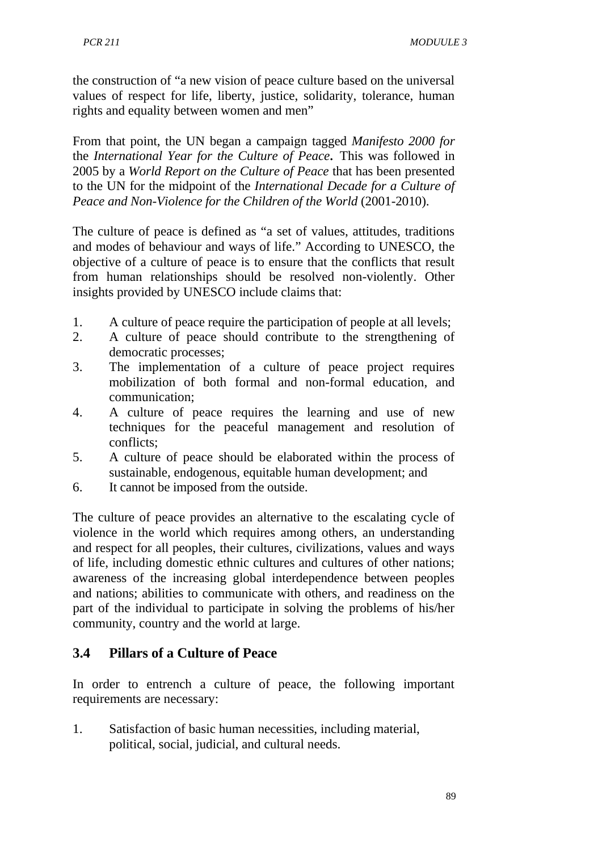the construction of "a new vision of peace culture based on the universal values of respect for life, liberty, justice, solidarity, tolerance, human rights and equality between women and men"

From that point, the UN began a campaign tagged *Manifesto 2000 for*  the *International Year for the Culture of Peace.* This was followed in 2005 by a *World Report on the Culture of Peace* that has been presented to the UN for the midpoint of the *International Decade for a Culture of Peace and Non-Violence for the Children of the World* (2001-2010).

The culture of peace is defined as "a set of values, attitudes, traditions and modes of behaviour and ways of life." According to UNESCO, the objective of a culture of peace is to ensure that the conflicts that result from human relationships should be resolved non-violently. Other insights provided by UNESCO include claims that:

- 1. A culture of peace require the participation of people at all levels;
- 2. A culture of peace should contribute to the strengthening of democratic processes;
- 3. The implementation of a culture of peace project requires mobilization of both formal and non-formal education, and communication;
- 4. A culture of peace requires the learning and use of new techniques for the peaceful management and resolution of conflicts;
- 5. A culture of peace should be elaborated within the process of sustainable, endogenous, equitable human development; and
- 6. It cannot be imposed from the outside.

The culture of peace provides an alternative to the escalating cycle of violence in the world which requires among others, an understanding and respect for all peoples, their cultures, civilizations, values and ways of life, including domestic ethnic cultures and cultures of other nations; awareness of the increasing global interdependence between peoples and nations; abilities to communicate with others, and readiness on the part of the individual to participate in solving the problems of his/her community, country and the world at large.

# **3.4 Pillars of a Culture of Peace**

In order to entrench a culture of peace, the following important requirements are necessary:

1. Satisfaction of basic human necessities, including material, political, social, judicial, and cultural needs.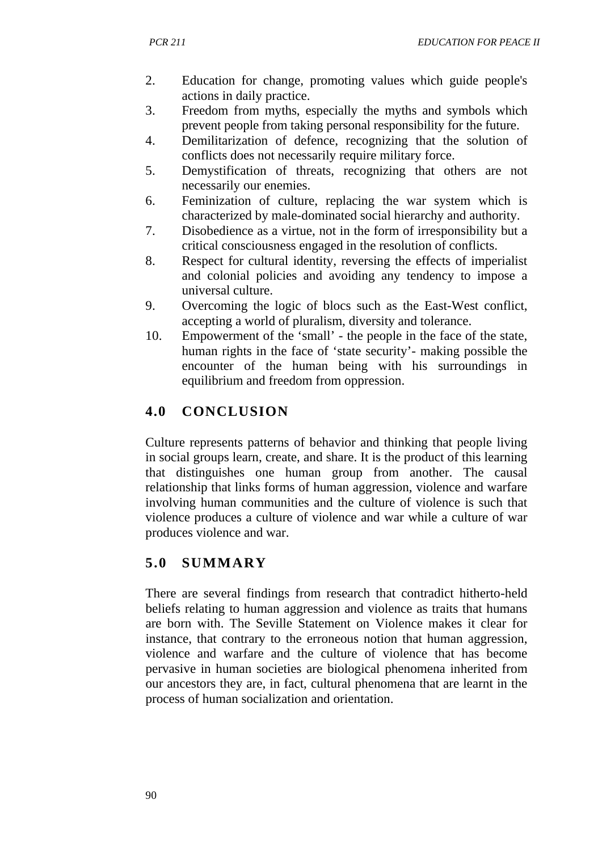- 2. Education for change, promoting values which guide people's actions in daily practice.
- 3. Freedom from myths, especially the myths and symbols which prevent people from taking personal responsibility for the future.
- 4. Demilitarization of defence, recognizing that the solution of conflicts does not necessarily require military force.
- 5. Demystification of threats, recognizing that others are not necessarily our enemies.
- 6. Feminization of culture, replacing the war system which is characterized by male-dominated social hierarchy and authority.
- 7. Disobedience as a virtue, not in the form of irresponsibility but a critical consciousness engaged in the resolution of conflicts.
- 8. Respect for cultural identity, reversing the effects of imperialist and colonial policies and avoiding any tendency to impose a universal culture.
- 9. Overcoming the logic of blocs such as the East-West conflict, accepting a world of pluralism, diversity and tolerance.
- 10. Empowerment of the 'small' the people in the face of the state, human rights in the face of 'state security'- making possible the encounter of the human being with his surroundings in equilibrium and freedom from oppression.

# **4.0 CONCLUSION**

Culture represents patterns of behavior and thinking that people living in social groups learn, create, and share. It is the product of this learning that distinguishes one human group from another. The causal relationship that links forms of human aggression, violence and warfare involving human communities and the culture of violence is such that violence produces a culture of violence and war while a culture of war produces violence and war.

# **5.0 SUMMARY**

There are several findings from research that contradict hitherto-held beliefs relating to human aggression and violence as traits that humans are born with. The Seville Statement on Violence makes it clear for instance, that contrary to the erroneous notion that human aggression, violence and warfare and the culture of violence that has become pervasive in human societies are biological phenomena inherited from our ancestors they are, in fact, cultural phenomena that are learnt in the process of human socialization and orientation.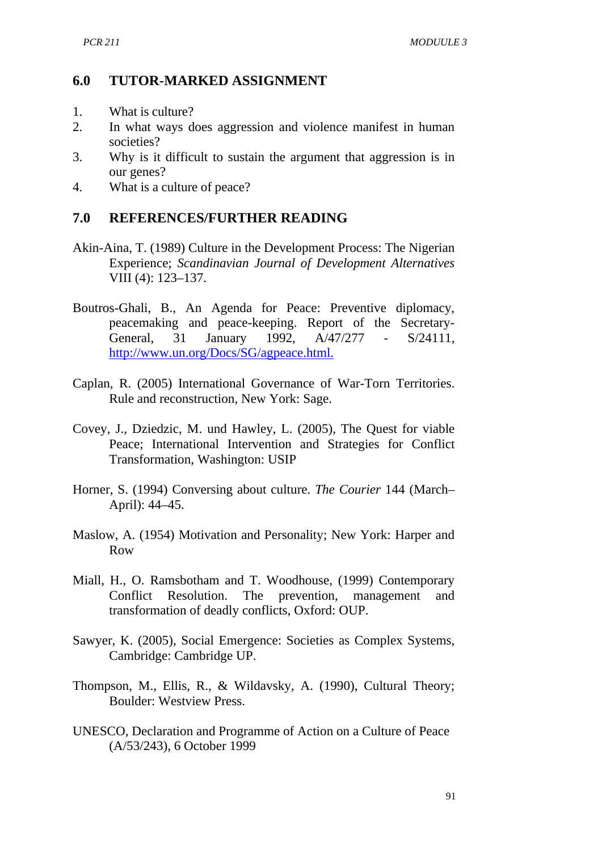### **6.0 TUTOR-MARKED ASSIGNMENT**

- 1. What is culture?
- 2. In what ways does aggression and violence manifest in human societies?
- 3. Why is it difficult to sustain the argument that aggression is in our genes?
- 4. What is a culture of peace?

### **7.0 REFERENCES/FURTHER READING**

- Akin-Aina, T. (1989) Culture in the Development Process: The Nigerian Experience; *Scandinavian Journal of Development Alternatives*  VIII (4): 123–137.
- Boutros-Ghali, B., An Agenda for Peace: Preventive diplomacy, peacemaking and peace-keeping. Report of the Secretary-<br>General, 31 January 1992, A/47/277 - S/24111, General, 31 January 1992, A/47/277 - S/24111, <http://www.un.org/Docs/SG/agpeace.html.>
- Caplan, R. (2005) International Governance of War-Torn Territories. Rule and reconstruction, New York: Sage.
- Covey, J., Dziedzic, M. und Hawley, L. (2005), The Quest for viable Peace; International Intervention and Strategies for Conflict Transformation, Washington: USIP
- Horner, S. (1994) Conversing about culture. *The Courier* 144 (March– April): 44–45.
- Maslow, A. (1954) Motivation and Personality; New York: Harper and Row
- Miall, H., O. Ramsbotham and T. Woodhouse, (1999) Contemporary Conflict Resolution. The prevention, management and transformation of deadly conflicts, Oxford: OUP.
- Sawyer, K. (2005), Social Emergence: Societies as Complex Systems, Cambridge: Cambridge UP.
- Thompson, M., Ellis, R., & Wildavsky, A. (1990), Cultural Theory; Boulder: Westview Press.
- UNESCO, Declaration and Programme of Action on a Culture of Peace (A/53/243), 6 October 1999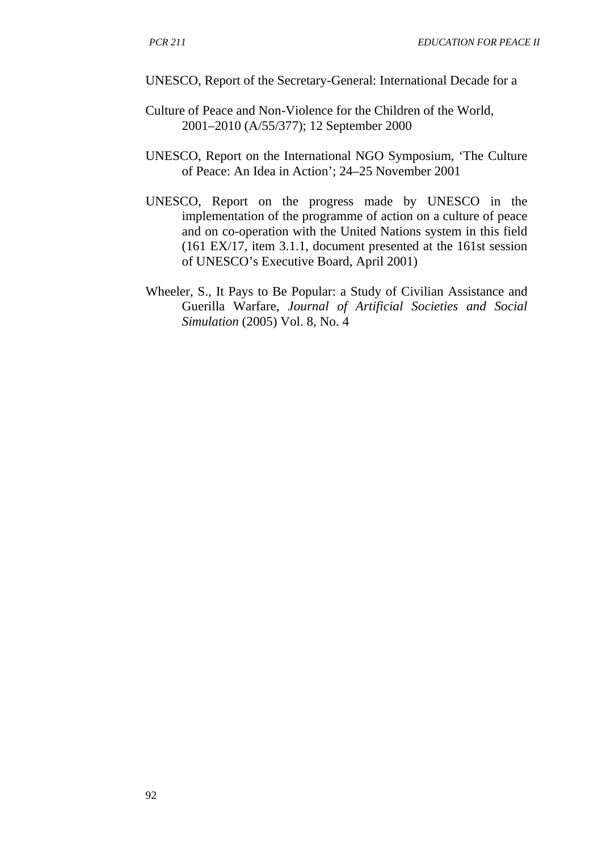UNESCO, Report of the Secretary-General: International Decade for a

- Culture of Peace and Non-Violence for the Children of the World, 2001–2010 (A/55/377); 12 September 2000
- UNESCO, Report on the International NGO Symposium, 'The Culture of Peace: An Idea in Action'; 24–25 November 2001
- UNESCO, Report on the progress made by UNESCO in the implementation of the programme of action on a culture of peace and on co-operation with the United Nations system in this field (161 EX/17, item 3.1.1, document presented at the 161st session of UNESCO's Executive Board, April 2001)
- Wheeler, S., It Pays to Be Popular: a Study of Civilian Assistance and Guerilla Warfare, *Journal of Artificial Societies and Social Simulation* (2005) Vol. 8, No. 4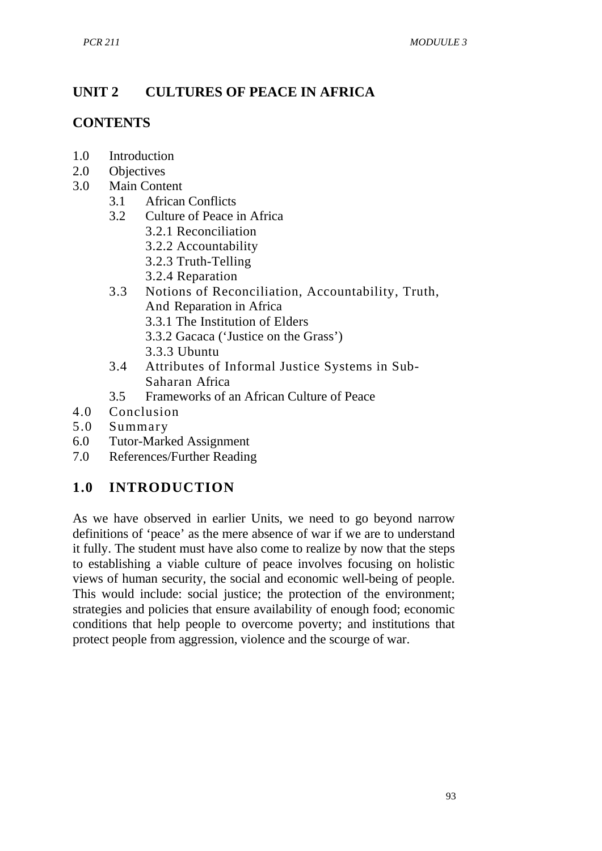# **UNIT 2 CULTURES OF PEACE IN AFRICA**

### **CONTENTS**

- 1.0 Introduction
- 2.0 Objectives
- 3.0 Main Content
	- 3.1 African Conflicts<br>3.2 Culture of Peace
	- 3.2 Culture of Peace in Africa
		- 3.2.1 Reconciliation
		- 3.2.2 Accountability
		- 3.2.3 Truth-Telling
		- 3.2.4 Reparation
	- 3.3 Notions of Reconciliation, Accountability, Truth, And Reparation in Africa
		- 3.3.1 The Institution of Elders
		- 3.3.2 Gacaca ('Justice on the Grass')
		- 3.3.3 Ubuntu
	- 3.4 Attributes of Informal Justice Systems in Sub-Saharan Africa
	- 3.5 Frameworks of an African Culture of Peace
- 4.0 Conclusion
- 5.0 Summary
- 6.0 Tutor-Marked Assignment
- 7.0 References/Further Reading

## **1.0 INTRODUCTION**

As we have observed in earlier Units, we need to go beyond narrow definitions of 'peace' as the mere absence of war if we are to understand it fully. The student must have also come to realize by now that the steps to establishing a viable culture of peace involves focusing on holistic views of human security, the social and economic well-being of people. This would include: social justice; the protection of the environment; strategies and policies that ensure availability of enough food; economic conditions that help people to overcome poverty; and institutions that protect people from aggression, violence and the scourge of war.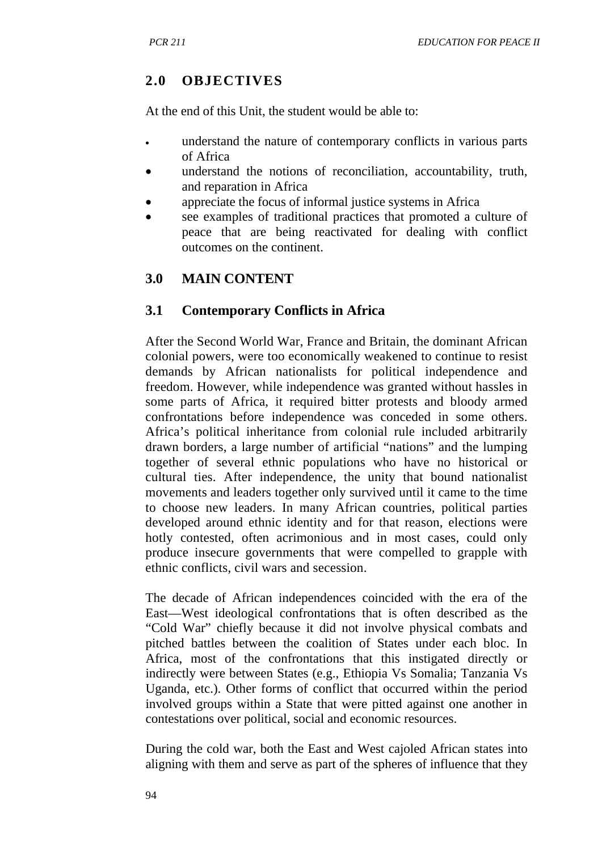# **2.0 OBJECTIVES**

At the end of this Unit, the student would be able to:

- understand the nature of contemporary conflicts in various parts of Africa
- understand the notions of reconciliation, accountability, truth, and reparation in Africa
- appreciate the focus of informal justice systems in Africa
- see examples of traditional practices that promoted a culture of peace that are being reactivated for dealing with conflict outcomes on the continent.

# **3.0 MAIN CONTENT**

## **3.1 Contemporary Conflicts in Africa**

After the Second World War, France and Britain, the dominant African colonial powers, were too economically weakened to continue to resist demands by African nationalists for political independence and freedom. However, while independence was granted without hassles in some parts of Africa, it required bitter protests and bloody armed confrontations before independence was conceded in some others. Africa's political inheritance from colonial rule included arbitrarily drawn borders, a large number of artificial "nations" and the lumping together of several ethnic populations who have no historical or cultural ties. After independence, the unity that bound nationalist movements and leaders together only survived until it came to the time to choose new leaders. In many African countries, political parties developed around ethnic identity and for that reason, elections were hotly contested, often acrimonious and in most cases, could only produce insecure governments that were compelled to grapple with ethnic conflicts, civil wars and secession.

The decade of African independences coincided with the era of the East—West ideological confrontations that is often described as the "Cold War" chiefly because it did not involve physical combats and pitched battles between the coalition of States under each bloc. In Africa, most of the confrontations that this instigated directly or indirectly were between States (e.g., Ethiopia Vs Somalia; Tanzania Vs Uganda, etc.). Other forms of conflict that occurred within the period involved groups within a State that were pitted against one another in contestations over political, social and economic resources.

During the cold war, both the East and West cajoled African states into aligning with them and serve as part of the spheres of influence that they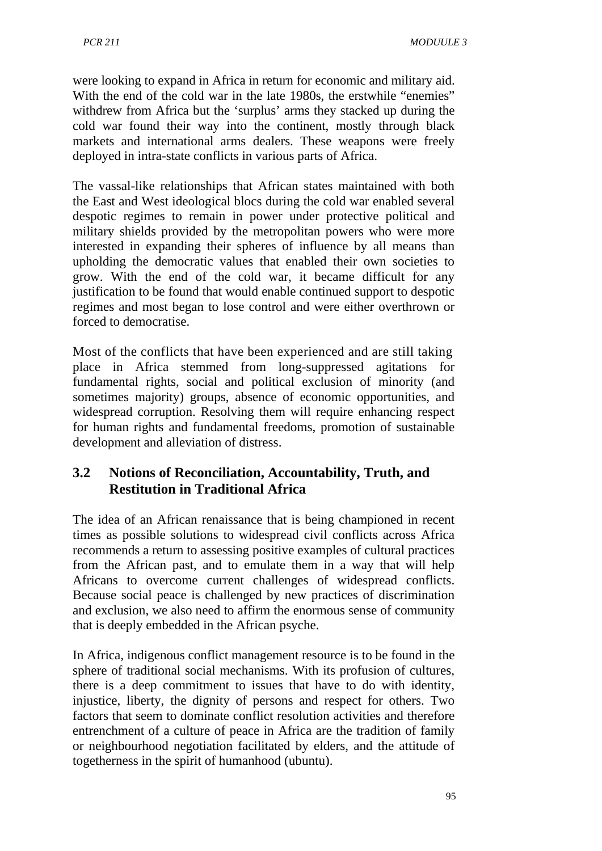were looking to expand in Africa in return for economic and military aid. With the end of the cold war in the late 1980s, the erstwhile "enemies" withdrew from Africa but the 'surplus' arms they stacked up during the cold war found their way into the continent, mostly through black markets and international arms dealers. These weapons were freely deployed in intra-state conflicts in various parts of Africa.

The vassal-like relationships that African states maintained with both the East and West ideological blocs during the cold war enabled several despotic regimes to remain in power under protective political and military shields provided by the metropolitan powers who were more interested in expanding their spheres of influence by all means than upholding the democratic values that enabled their own societies to grow. With the end of the cold war, it became difficult for any justification to be found that would enable continued support to despotic regimes and most began to lose control and were either overthrown or forced to democratise.

Most of the conflicts that have been experienced and are still taking place in Africa stemmed from long-suppressed agitations for fundamental rights, social and political exclusion of minority (and sometimes majority) groups, absence of economic opportunities, and widespread corruption. Resolving them will require enhancing respect for human rights and fundamental freedoms, promotion of sustainable development and alleviation of distress.

# **3.2 Notions of Reconciliation, Accountability, Truth, and Restitution in Traditional Africa**

The idea of an African renaissance that is being championed in recent times as possible solutions to widespread civil conflicts across Africa recommends a return to assessing positive examples of cultural practices from the African past, and to emulate them in a way that will help Africans to overcome current challenges of widespread conflicts. Because social peace is challenged by new practices of discrimination and exclusion, we also need to affirm the enormous sense of community that is deeply embedded in the African psyche.

In Africa, indigenous conflict management resource is to be found in the sphere of traditional social mechanisms. With its profusion of cultures, there is a deep commitment to issues that have to do with identity, injustice, liberty, the dignity of persons and respect for others. Two factors that seem to dominate conflict resolution activities and therefore entrenchment of a culture of peace in Africa are the tradition of family or neighbourhood negotiation facilitated by elders, and the attitude of togetherness in the spirit of humanhood (ubuntu).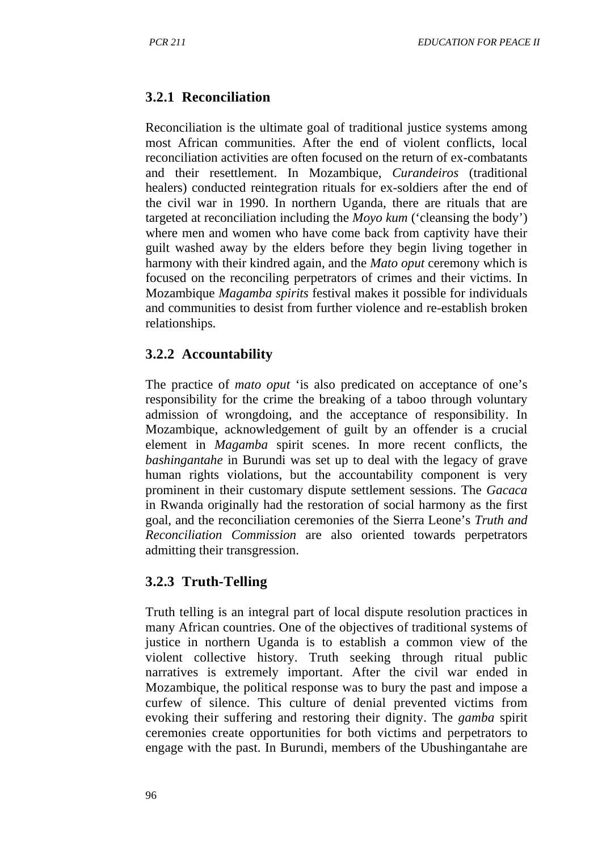# **3.2.1 Reconciliation**

Reconciliation is the ultimate goal of traditional justice systems among most African communities. After the end of violent conflicts, local reconciliation activities are often focused on the return of ex-combatants and their resettlement. In Mozambique, *Curandeiros* (traditional healers) conducted reintegration rituals for ex-soldiers after the end of the civil war in 1990. In northern Uganda, there are rituals that are targeted at reconciliation including the *Moyo kum* ('cleansing the body') where men and women who have come back from captivity have their guilt washed away by the elders before they begin living together in harmony with their kindred again, and the *Mato oput* ceremony which is focused on the reconciling perpetrators of crimes and their victims. In Mozambique *Magamba spirits* festival makes it possible for individuals and communities to desist from further violence and re-establish broken relationships.

## **3.2.2 Accountability**

The practice of *mato oput* 'is also predicated on acceptance of one's responsibility for the crime the breaking of a taboo through voluntary admission of wrongdoing, and the acceptance of responsibility. In Mozambique, acknowledgement of guilt by an offender is a crucial element in *Magamba* spirit scenes. In more recent conflicts, the *bashingantahe* in Burundi was set up to deal with the legacy of grave human rights violations, but the accountability component is very prominent in their customary dispute settlement sessions. The *Gacaca*  in Rwanda originally had the restoration of social harmony as the first goal, and the reconciliation ceremonies of the Sierra Leone's *Truth and Reconciliation Commission* are also oriented towards perpetrators admitting their transgression.

## **3.2.3 Truth-Telling**

Truth telling is an integral part of local dispute resolution practices in many African countries. One of the objectives of traditional systems of justice in northern Uganda is to establish a common view of the violent collective history. Truth seeking through ritual public narratives is extremely important. After the civil war ended in Mozambique, the political response was to bury the past and impose a curfew of silence. This culture of denial prevented victims from evoking their suffering and restoring their dignity. The *gamba* spirit ceremonies create opportunities for both victims and perpetrators to engage with the past. In Burundi, members of the Ubushingantahe are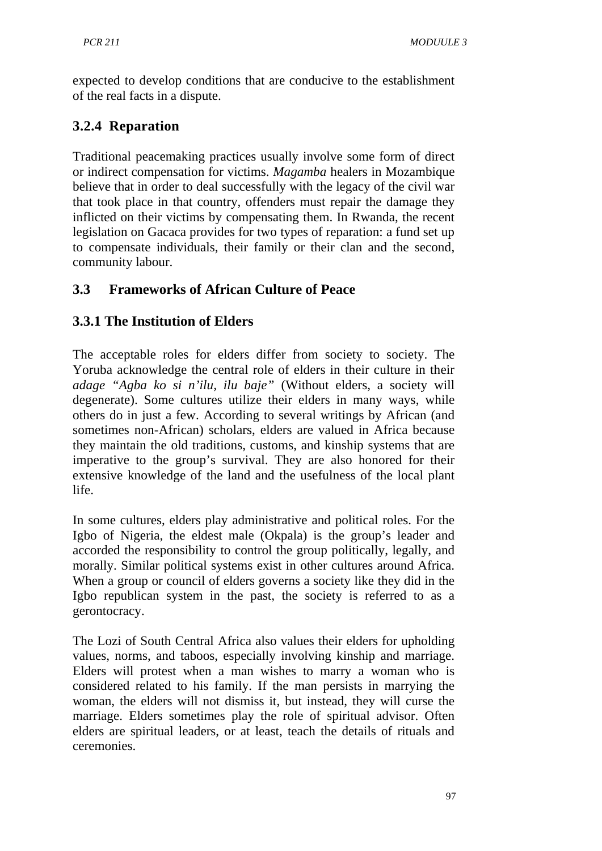expected to develop conditions that are conducive to the establishment of the real facts in a dispute.

# **3.2.4 Reparation**

Traditional peacemaking practices usually involve some form of direct or indirect compensation for victims. *Magamba* healers in Mozambique believe that in order to deal successfully with the legacy of the civil war that took place in that country, offenders must repair the damage they inflicted on their victims by compensating them. In Rwanda, the recent legislation on Gacaca provides for two types of reparation: a fund set up to compensate individuals, their family or their clan and the second, community labour.

# **3.3 Frameworks of African Culture of Peace**

# **3.3.1 The Institution of Elders**

The acceptable roles for elders differ from society to society. The Yoruba acknowledge the central role of elders in their culture in their *adage "Agba ko si n'ilu, ilu baje"* (Without elders, a society will degenerate). Some cultures utilize their elders in many ways, while others do in just a few. According to several writings by African (and sometimes non-African) scholars, elders are valued in Africa because they maintain the old traditions, customs, and kinship systems that are imperative to the group's survival. They are also honored for their extensive knowledge of the land and the usefulness of the local plant life.

In some cultures, elders play administrative and political roles. For the Igbo of Nigeria, the eldest male (Okpala) is the group's leader and accorded the responsibility to control the group politically, legally, and morally. Similar political systems exist in other cultures around Africa. When a group or council of elders governs a society like they did in the Igbo republican system in the past, the society is referred to as a gerontocracy.

The Lozi of South Central Africa also values their elders for upholding values, norms, and taboos, especially involving kinship and marriage. Elders will protest when a man wishes to marry a woman who is considered related to his family. If the man persists in marrying the woman, the elders will not dismiss it, but instead, they will curse the marriage. Elders sometimes play the role of spiritual advisor. Often elders are spiritual leaders, or at least, teach the details of rituals and ceremonies.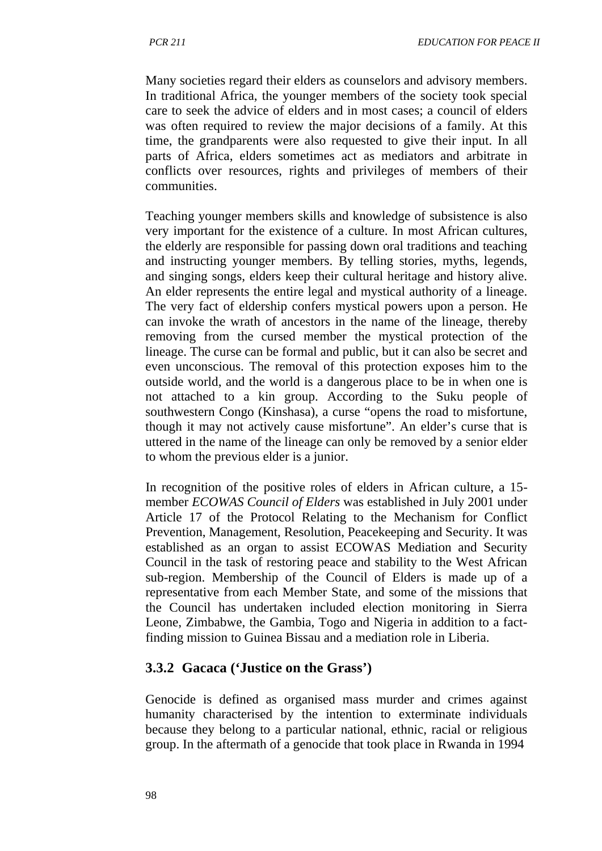Many societies regard their elders as counselors and advisory members. In traditional Africa, the younger members of the society took special care to seek the advice of elders and in most cases; a council of elders was often required to review the major decisions of a family. At this time, the grandparents were also requested to give their input. In all parts of Africa, elders sometimes act as mediators and arbitrate in conflicts over resources, rights and privileges of members of their communities.

Teaching younger members skills and knowledge of subsistence is also very important for the existence of a culture. In most African cultures, the elderly are responsible for passing down oral traditions and teaching and instructing younger members. By telling stories, myths, legends, and singing songs, elders keep their cultural heritage and history alive. An elder represents the entire legal and mystical authority of a lineage. The very fact of eldership confers mystical powers upon a person. He can invoke the wrath of ancestors in the name of the lineage, thereby removing from the cursed member the mystical protection of the lineage. The curse can be formal and public, but it can also be secret and even unconscious. The removal of this protection exposes him to the outside world, and the world is a dangerous place to be in when one is not attached to a kin group. According to the Suku people of southwestern Congo (Kinshasa), a curse "opens the road to misfortune, though it may not actively cause misfortune". An elder's curse that is uttered in the name of the lineage can only be removed by a senior elder to whom the previous elder is a junior.

In recognition of the positive roles of elders in African culture, a 15 member *ECOWAS Council of Elders* was established in July 2001 under Article 17 of the Protocol Relating to the Mechanism for Conflict Prevention, Management, Resolution, Peacekeeping and Security. It was established as an organ to assist ECOWAS Mediation and Security Council in the task of restoring peace and stability to the West African sub-region. Membership of the Council of Elders is made up of a representative from each Member State, and some of the missions that the Council has undertaken included election monitoring in Sierra Leone, Zimbabwe, the Gambia, Togo and Nigeria in addition to a factfinding mission to Guinea Bissau and a mediation role in Liberia.

## **3.3.2 Gacaca ('Justice on the Grass')**

Genocide is defined as organised mass murder and crimes against humanity characterised by the intention to exterminate individuals because they belong to a particular national, ethnic, racial or religious group. In the aftermath of a genocide that took place in Rwanda in 1994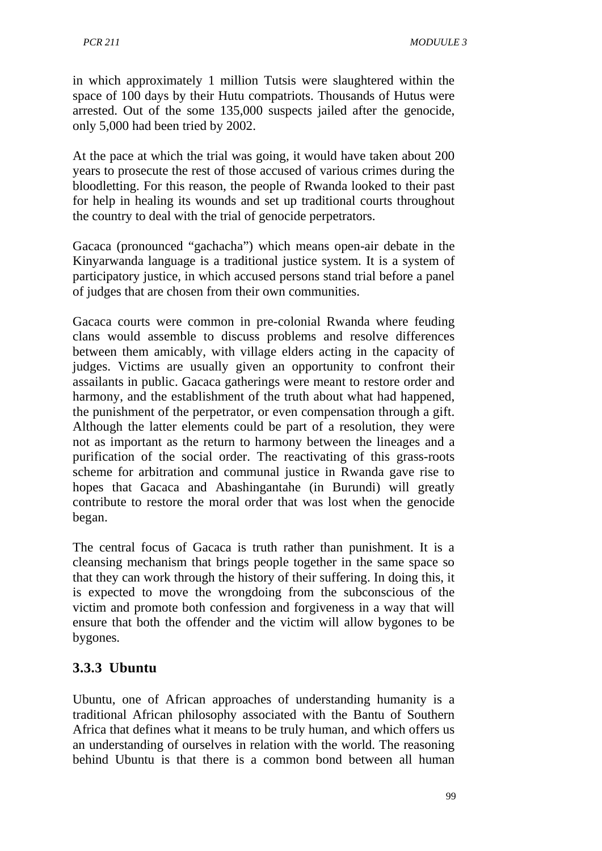in which approximately 1 million Tutsis were slaughtered within the space of 100 days by their Hutu compatriots. Thousands of Hutus were arrested. Out of the some 135,000 suspects jailed after the genocide, only 5,000 had been tried by 2002.

At the pace at which the trial was going, it would have taken about 200 years to prosecute the rest of those accused of various crimes during the bloodletting. For this reason, the people of Rwanda looked to their past for help in healing its wounds and set up traditional courts throughout the country to deal with the trial of genocide perpetrators.

Gacaca (pronounced "gachacha") which means open-air debate in the Kinyarwanda language is a traditional justice system. It is a system of participatory justice, in which accused persons stand trial before a panel of judges that are chosen from their own communities.

Gacaca courts were common in pre-colonial Rwanda where feuding clans would assemble to discuss problems and resolve differences between them amicably, with village elders acting in the capacity of judges. Victims are usually given an opportunity to confront their assailants in public. Gacaca gatherings were meant to restore order and harmony, and the establishment of the truth about what had happened, the punishment of the perpetrator, or even compensation through a gift. Although the latter elements could be part of a resolution, they were not as important as the return to harmony between the lineages and a purification of the social order. The reactivating of this grass-roots scheme for arbitration and communal justice in Rwanda gave rise to hopes that Gacaca and Abashingantahe (in Burundi) will greatly contribute to restore the moral order that was lost when the genocide began.

The central focus of Gacaca is truth rather than punishment. It is a cleansing mechanism that brings people together in the same space so that they can work through the history of their suffering. In doing this, it is expected to move the wrongdoing from the subconscious of the victim and promote both confession and forgiveness in a way that will ensure that both the offender and the victim will allow bygones to be bygones.

# **3.3.3 Ubuntu**

Ubuntu, one of African approaches of understanding humanity is a traditional African philosophy associated with the Bantu of Southern Africa that defines what it means to be truly human, and which offers us an understanding of ourselves in relation with the world. The reasoning behind Ubuntu is that there is a common bond between all human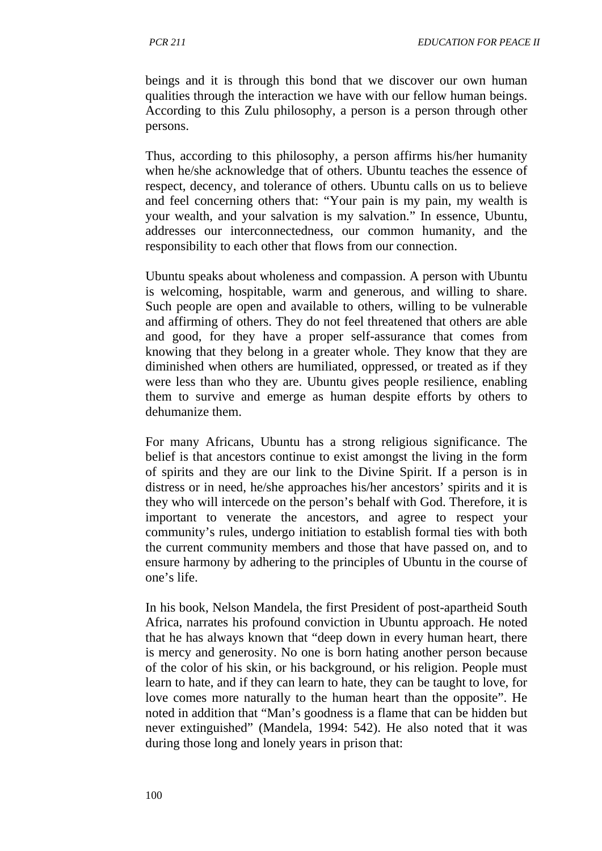beings and it is through this bond that we discover our own human qualities through the interaction we have with our fellow human beings. According to this Zulu philosophy, a person is a person through other persons.

Thus, according to this philosophy, a person affirms his/her humanity when he/she acknowledge that of others. Ubuntu teaches the essence of respect, decency, and tolerance of others. Ubuntu calls on us to believe and feel concerning others that: "Your pain is my pain, my wealth is your wealth, and your salvation is my salvation." In essence, Ubuntu, addresses our interconnectedness, our common humanity, and the responsibility to each other that flows from our connection.

Ubuntu speaks about wholeness and compassion. A person with Ubuntu is welcoming, hospitable, warm and generous, and willing to share. Such people are open and available to others, willing to be vulnerable and affirming of others. They do not feel threatened that others are able and good, for they have a proper self-assurance that comes from knowing that they belong in a greater whole. They know that they are diminished when others are humiliated, oppressed, or treated as if they were less than who they are. Ubuntu gives people resilience, enabling them to survive and emerge as human despite efforts by others to dehumanize them.

For many Africans, Ubuntu has a strong religious significance. The belief is that ancestors continue to exist amongst the living in the form of spirits and they are our link to the Divine Spirit. If a person is in distress or in need, he/she approaches his/her ancestors' spirits and it is they who will intercede on the person's behalf with God. Therefore, it is important to venerate the ancestors, and agree to respect your community's rules, undergo initiation to establish formal ties with both the current community members and those that have passed on, and to ensure harmony by adhering to the principles of Ubuntu in the course of one's life.

In his book, Nelson Mandela, the first President of post-apartheid South Africa, narrates his profound conviction in Ubuntu approach. He noted that he has always known that "deep down in every human heart, there is mercy and generosity. No one is born hating another person because of the color of his skin, or his background, or his religion. People must learn to hate, and if they can learn to hate, they can be taught to love, for love comes more naturally to the human heart than the opposite". He noted in addition that "Man's goodness is a flame that can be hidden but never extinguished" (Mandela, 1994: 542). He also noted that it was during those long and lonely years in prison that: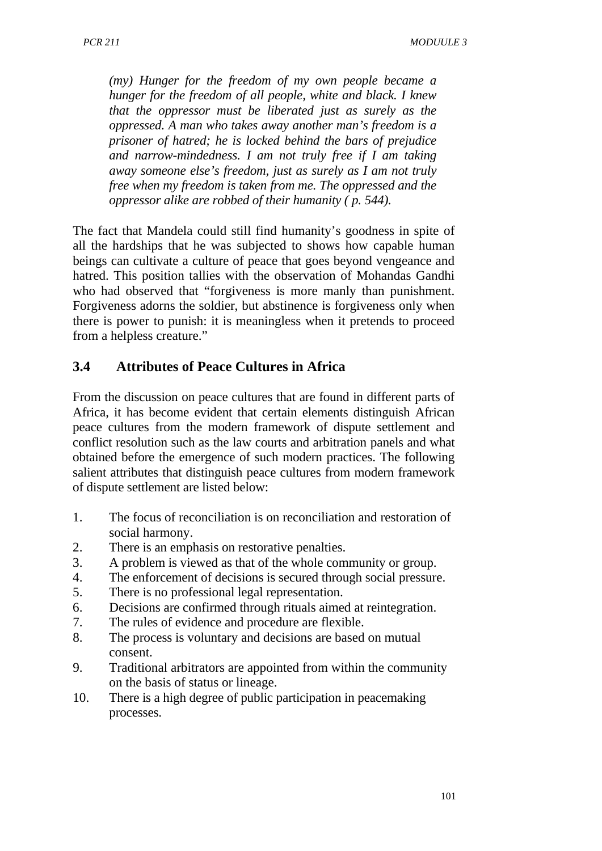*(my) Hunger for the freedom of my own people became a hunger for the freedom of all people, white and black. I knew that the oppressor must be liberated just as surely as the oppressed. A man who takes away another man's freedom is a prisoner of hatred; he is locked behind the bars of prejudice and narrow-mindedness. I am not truly free if I am taking away someone else's freedom, just as surely as I am not truly free when my freedom is taken from me. The oppressed and the oppressor alike are robbed of their humanity ( p. 544).*

The fact that Mandela could still find humanity's goodness in spite of all the hardships that he was subjected to shows how capable human beings can cultivate a culture of peace that goes beyond vengeance and hatred. This position tallies with the observation of Mohandas Gandhi who had observed that "forgiveness is more manly than punishment. Forgiveness adorns the soldier, but abstinence is forgiveness only when there is power to punish: it is meaningless when it pretends to proceed from a helpless creature."

## **3.4 Attributes of Peace Cultures in Africa**

From the discussion on peace cultures that are found in different parts of Africa, it has become evident that certain elements distinguish African peace cultures from the modern framework of dispute settlement and conflict resolution such as the law courts and arbitration panels and what obtained before the emergence of such modern practices. The following salient attributes that distinguish peace cultures from modern framework of dispute settlement are listed below:

- 1. The focus of reconciliation is on reconciliation and restoration of social harmony.
- 2. There is an emphasis on restorative penalties.
- 3. A problem is viewed as that of the whole community or group.
- 4. The enforcement of decisions is secured through social pressure.
- 5. There is no professional legal representation.
- 6. Decisions are confirmed through rituals aimed at reintegration.
- 7. The rules of evidence and procedure are flexible.
- 8. The process is voluntary and decisions are based on mutual consent.
- 9. Traditional arbitrators are appointed from within the community on the basis of status or lineage.
- 10. There is a high degree of public participation in peacemaking processes.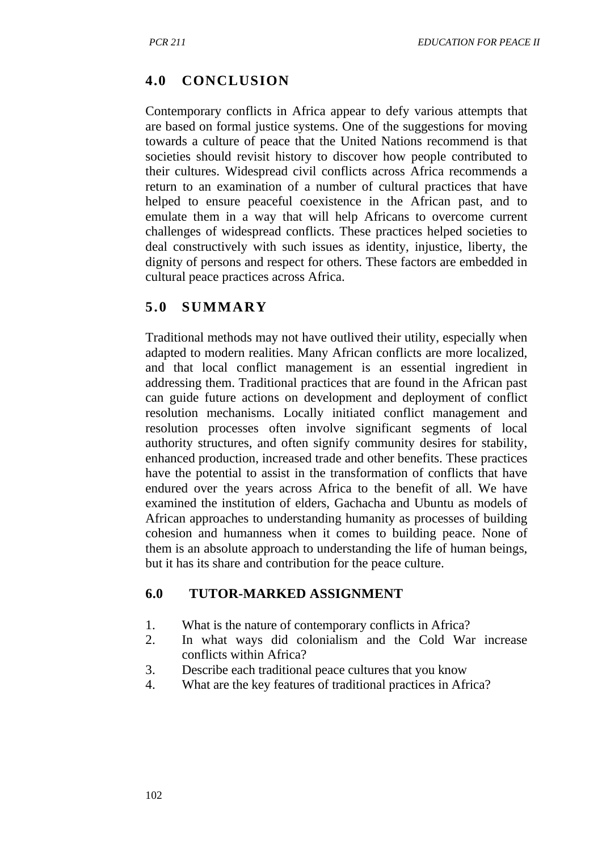## **4.0 CONCLUSION**

Contemporary conflicts in Africa appear to defy various attempts that are based on formal justice systems. One of the suggestions for moving towards a culture of peace that the United Nations recommend is that societies should revisit history to discover how people contributed to their cultures. Widespread civil conflicts across Africa recommends a return to an examination of a number of cultural practices that have helped to ensure peaceful coexistence in the African past, and to emulate them in a way that will help Africans to overcome current challenges of widespread conflicts. These practices helped societies to deal constructively with such issues as identity, injustice, liberty, the dignity of persons and respect for others. These factors are embedded in cultural peace practices across Africa.

### **5.0 SUMMARY**

Traditional methods may not have outlived their utility, especially when adapted to modern realities. Many African conflicts are more localized, and that local conflict management is an essential ingredient in addressing them. Traditional practices that are found in the African past can guide future actions on development and deployment of conflict resolution mechanisms. Locally initiated conflict management and resolution processes often involve significant segments of local authority structures, and often signify community desires for stability, enhanced production, increased trade and other benefits. These practices have the potential to assist in the transformation of conflicts that have endured over the years across Africa to the benefit of all. We have examined the institution of elders, Gachacha and Ubuntu as models of African approaches to understanding humanity as processes of building cohesion and humanness when it comes to building peace. None of them is an absolute approach to understanding the life of human beings, but it has its share and contribution for the peace culture.

### **6.0 TUTOR-MARKED ASSIGNMENT**

- 1. What is the nature of contemporary conflicts in Africa?
- 2. In what ways did colonialism and the Cold War increase conflicts within Africa?
- 3. Describe each traditional peace cultures that you know
- 4. What are the key features of traditional practices in Africa?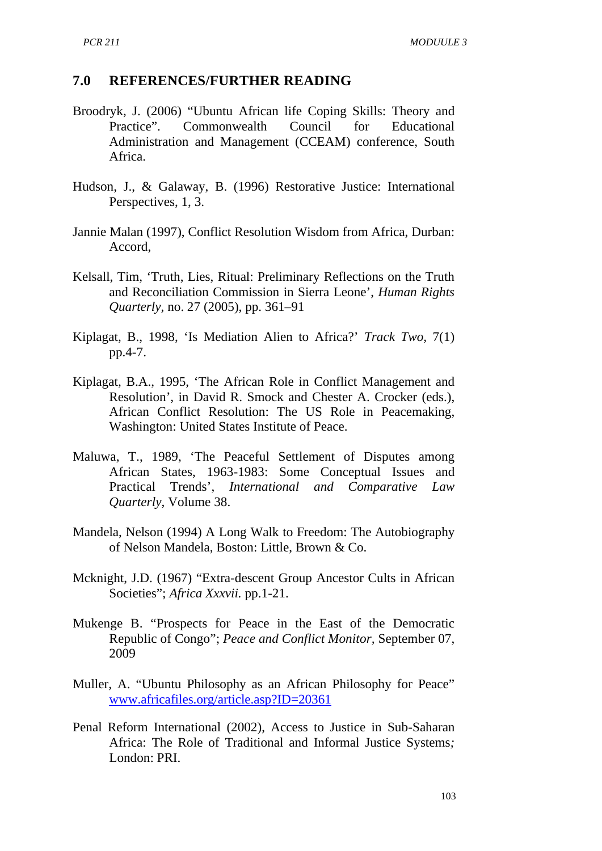#### **7.0 REFERENCES/FURTHER READING**

- Broodryk, J. (2006) "Ubuntu African life Coping Skills: Theory and Practice". Commonwealth Council for Educational Administration and Management (CCEAM) conference, South Africa.
- Hudson, J., & Galaway, B. (1996) Restorative Justice: International Perspectives, 1, 3.
- Jannie Malan (1997), Conflict Resolution Wisdom from Africa, Durban: Accord,
- Kelsall, Tim, 'Truth, Lies, Ritual: Preliminary Reflections on the Truth and Reconciliation Commission in Sierra Leone', *Human Rights Quarterly, no. 27 (2005), pp. 361–91*
- Kiplagat, B., 1998, 'Is Mediation Alien to Africa?' *Track Two,* 7(1) pp.4-7.
- Kiplagat, B.A., 1995, 'The African Role in Conflict Management and Resolution', in David R. Smock and Chester A. Crocker (eds.), African Conflict Resolution: The US Role in Peacemaking, Washington: United States Institute of Peace.
- Maluwa, T., 1989, 'The Peaceful Settlement of Disputes among African States, 1963-1983: Some Conceptual Issues and Practical Trends', *International and Comparative Law Quarterly,* Volume 38.
- Mandela, Nelson (1994) A Long Walk to Freedom: The Autobiography of Nelson Mandela, Boston: Little, Brown & Co.
- Mcknight, J.D. (1967) "Extra-descent Group Ancestor Cults in African Societies"; *Africa Xxxvii.* pp.1-21.
- Mukenge B. "Prospects for Peace in the East of the Democratic Republic of Congo"; *Peace and Conflict Monitor,* September 07, 2009
- Muller, A. "Ubuntu Philosophy as an African Philosophy for Peace" [www.africafiles.org/article.asp?ID=20361](http://www.africafiles.org/article.asp?ID=20361)
- Penal Reform International (2002), Access to Justice in Sub-Saharan Africa: The Role of Traditional and Informal Justice Systems*;*  London: PRI.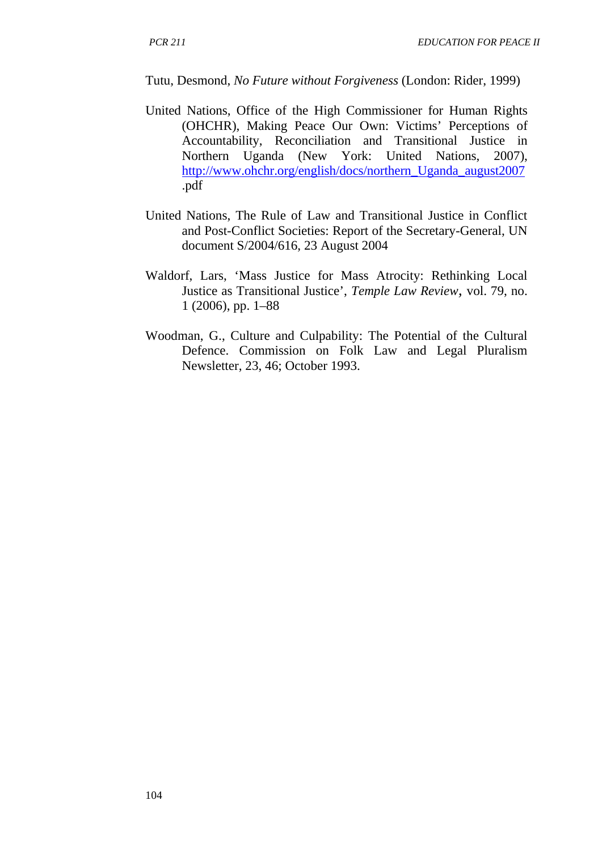Tutu, Desmond, *No Future without Forgiveness* (London: Rider, 1999)

- United Nations, Office of the High Commissioner for Human Rights (OHCHR), Making Peace Our Own: Victims' Perceptions of Accountability, Reconciliation and Transitional Justice in Northern Uganda (New York: United Nations, 2007), [http://www.ohchr.org/english/docs/northern\\_Uganda\\_august2007](http://www.ohchr.org/english/docs/northern_Uganda_august2007) .pdf
- United Nations, The Rule of Law and Transitional Justice in Conflict and Post-Conflict Societies: Report of the Secretary-General, UN document S/2004/616, 23 August 2004
- Waldorf, Lars, 'Mass Justice for Mass Atrocity: Rethinking Local Justice as Transitional Justice', *Temple Law Review,* vol. 79, no. 1 (2006), pp. 1–88
- Woodman, G., Culture and Culpability: The Potential of the Cultural Defence. Commission on Folk Law and Legal Pluralism Newsletter, 23, 46; October 1993.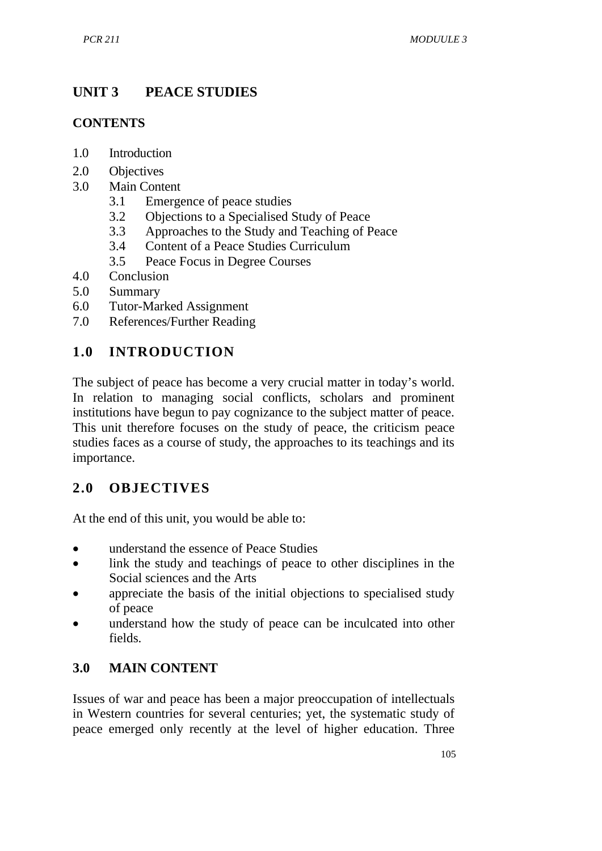# **UNIT 3 PEACE STUDIES**

### **CONTENTS**

- 1.0 Introduction
- 2.0 Objectives
- 3.0 Main Content
	- 3.1 Emergence of peace studies
	- 3.2 Objections to a Specialised Study of Peace
	- 3.3 Approaches to the Study and Teaching of Peace
	- 3.4 Content of a Peace Studies Curriculum
	- 3.5 Peace Focus in Degree Courses
- 4.0 Conclusion
- 5.0 Summary
- 6.0 Tutor-Marked Assignment
- 7.0 References/Further Reading

# **1.0 INTRODUCTION**

The subject of peace has become a very crucial matter in today's world. In relation to managing social conflicts, scholars and prominent institutions have begun to pay cognizance to the subject matter of peace. This unit therefore focuses on the study of peace, the criticism peace studies faces as a course of study, the approaches to its teachings and its importance.

# **2.0 OBJECTIVES**

At the end of this unit, you would be able to:

- understand the essence of Peace Studies
- link the study and teachings of peace to other disciplines in the Social sciences and the Arts
- appreciate the basis of the initial objections to specialised study of peace
- understand how the study of peace can be inculcated into other fields.

## **3.0 MAIN CONTENT**

Issues of war and peace has been a major preoccupation of intellectuals in Western countries for several centuries; yet, the systematic study of peace emerged only recently at the level of higher education. Three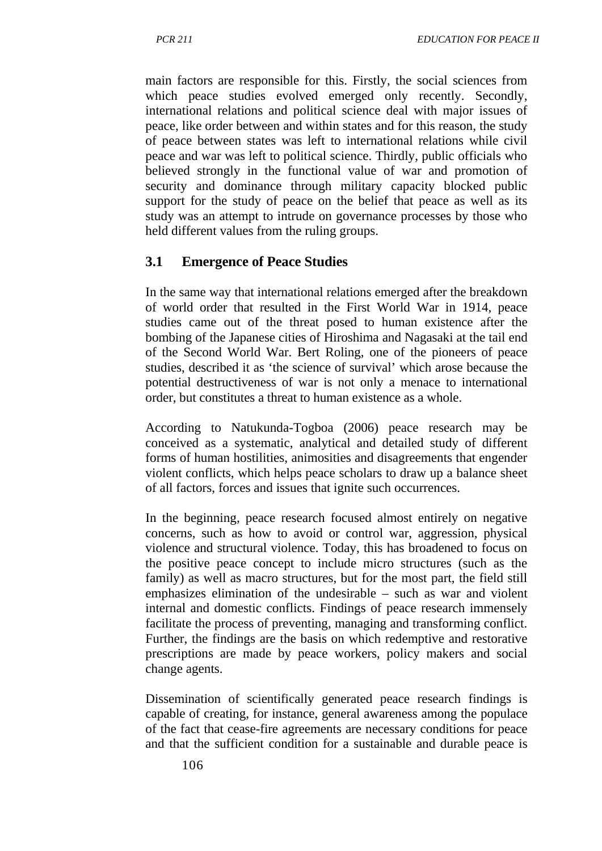main factors are responsible for this. Firstly, the social sciences from which peace studies evolved emerged only recently. Secondly, international relations and political science deal with major issues of peace, like order between and within states and for this reason, the study of peace between states was left to international relations while civil peace and war was left to political science. Thirdly, public officials who believed strongly in the functional value of war and promotion of security and dominance through military capacity blocked public support for the study of peace on the belief that peace as well as its study was an attempt to intrude on governance processes by those who held different values from the ruling groups.

## **3.1 Emergence of Peace Studies**

In the same way that international relations emerged after the breakdown of world order that resulted in the First World War in 1914, peace studies came out of the threat posed to human existence after the bombing of the Japanese cities of Hiroshima and Nagasaki at the tail end of the Second World War. Bert Roling, one of the pioneers of peace studies, described it as 'the science of survival' which arose because the potential destructiveness of war is not only a menace to international order, but constitutes a threat to human existence as a whole.

According to Natukunda-Togboa (2006) peace research may be conceived as a systematic, analytical and detailed study of different forms of human hostilities, animosities and disagreements that engender violent conflicts, which helps peace scholars to draw up a balance sheet of all factors, forces and issues that ignite such occurrences.

In the beginning, peace research focused almost entirely on negative concerns, such as how to avoid or control war, aggression, physical violence and structural violence. Today, this has broadened to focus on the positive peace concept to include micro structures (such as the family) as well as macro structures, but for the most part, the field still emphasizes elimination of the undesirable – such as war and violent internal and domestic conflicts. Findings of peace research immensely facilitate the process of preventing, managing and transforming conflict. Further, the findings are the basis on which redemptive and restorative prescriptions are made by peace workers, policy makers and social change agents.

Dissemination of scientifically generated peace research findings is capable of creating, for instance, general awareness among the populace of the fact that cease-fire agreements are necessary conditions for peace and that the sufficient condition for a sustainable and durable peace is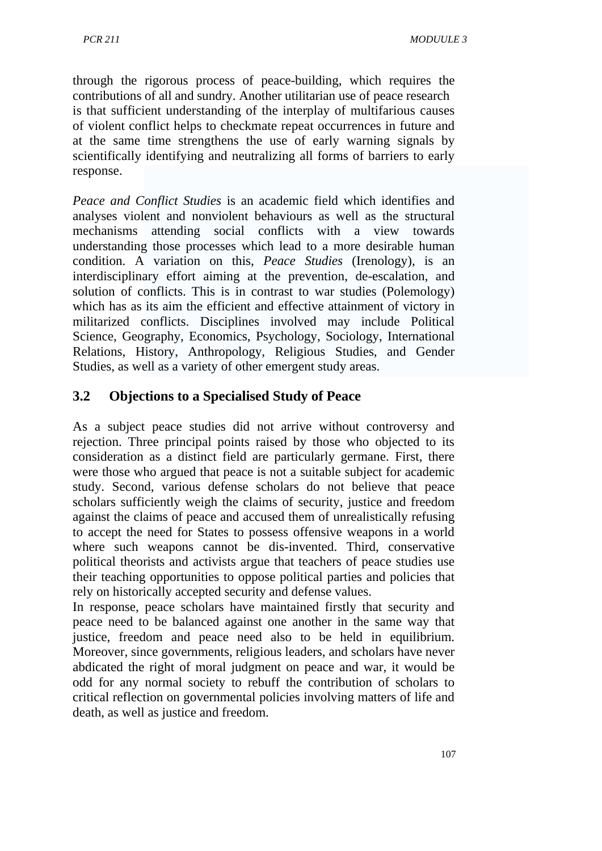through the rigorous process of peace-building, which requires the contributions of all and sundry. Another utilitarian use of peace research is that sufficient understanding of the interplay of multifarious causes of violent conflict helps to checkmate repeat occurrences in future and at the same time strengthens the use of early warning signals by scientifically identifying and neutralizing all forms of barriers to early response.

*Peace and Conflict Studies* is an academic field which identifies and analyses violent and nonviolent behaviours as well as the structural mechanisms attending social conflicts with a view towards understanding those processes which lead to a more desirable human condition. A variation on this, *Peace Studies* (Irenology), is an interdisciplinary effort aiming at the prevention, de-escalation, and solution of conflicts. This is in contrast to war studies (Polemology) which has as its aim the efficient and effective attainment of victory in militarized conflicts. Disciplines involved may include Political Science, Geography, Economics, Psychology, Sociology, International Relations, History, Anthropology, Religious Studies, and Gender Studies, as well as a variety of other emergent study areas.

## **3.2 Objections to a Specialised Study of Peace**

As a subject peace studies did not arrive without controversy and rejection. Three principal points raised by those who objected to its consideration as a distinct field are particularly germane. First, there were those who argued that peace is not a suitable subject for academic study. Second, various defense scholars do not believe that peace scholars sufficiently weigh the claims of security, justice and freedom against the claims of peace and accused them of unrealistically refusing to accept the need for States to possess offensive weapons in a world where such weapons cannot be dis-invented. Third, conservative political theorists and activists argue that teachers of peace studies use their teaching opportunities to oppose political parties and policies that rely on historically accepted security and defense values.

In response, peace scholars have maintained firstly that security and peace need to be balanced against one another in the same way that justice, freedom and peace need also to be held in equilibrium. Moreover, since governments, religious leaders, and scholars have never abdicated the right of moral judgment on peace and war, it would be odd for any normal society to rebuff the contribution of scholars to critical reflection on governmental policies involving matters of life and death, as well as justice and freedom.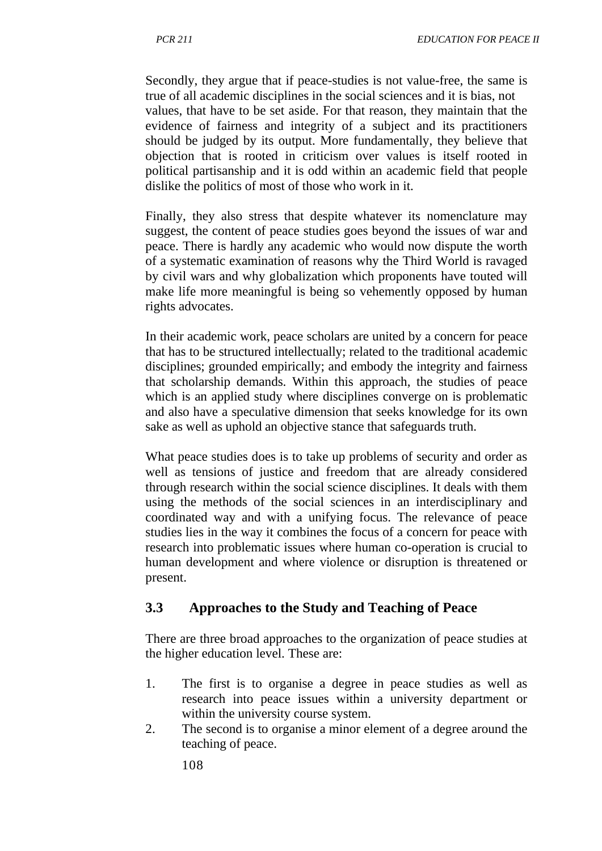Secondly, they argue that if peace-studies is not value-free, the same is true of all academic disciplines in the social sciences and it is bias, not values, that have to be set aside. For that reason, they maintain that the evidence of fairness and integrity of a subject and its practitioners should be judged by its output. More fundamentally, they believe that objection that is rooted in criticism over values is itself rooted in political partisanship and it is odd within an academic field that people dislike the politics of most of those who work in it.

Finally, they also stress that despite whatever its nomenclature may suggest, the content of peace studies goes beyond the issues of war and peace. There is hardly any academic who would now dispute the worth of a systematic examination of reasons why the Third World is ravaged by civil wars and why globalization which proponents have touted will make life more meaningful is being so vehemently opposed by human rights advocates.

In their academic work, peace scholars are united by a concern for peace that has to be structured intellectually; related to the traditional academic disciplines; grounded empirically; and embody the integrity and fairness that scholarship demands. Within this approach, the studies of peace which is an applied study where disciplines converge on is problematic and also have a speculative dimension that seeks knowledge for its own sake as well as uphold an objective stance that safeguards truth.

What peace studies does is to take up problems of security and order as well as tensions of justice and freedom that are already considered through research within the social science disciplines. It deals with them using the methods of the social sciences in an interdisciplinary and coordinated way and with a unifying focus. The relevance of peace studies lies in the way it combines the focus of a concern for peace with research into problematic issues where human co-operation is crucial to human development and where violence or disruption is threatened or present.

## **3.3 Approaches to the Study and Teaching of Peace**

There are three broad approaches to the organization of peace studies at the higher education level. These are:

- 1. The first is to organise a degree in peace studies as well as research into peace issues within a university department or within the university course system.
- 2. The second is to organise a minor element of a degree around the teaching of peace.

108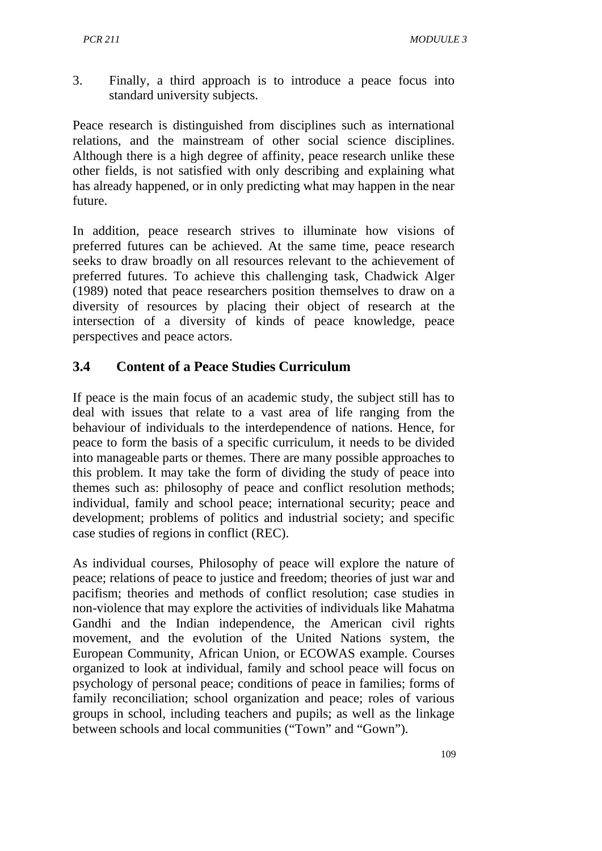3. Finally, a third approach is to introduce a peace focus into standard university subjects.

Peace research is distinguished from disciplines such as international relations, and the mainstream of other social science disciplines. Although there is a high degree of affinity, peace research unlike these other fields, is not satisfied with only describing and explaining what has already happened, or in only predicting what may happen in the near future.

In addition, peace research strives to illuminate how visions of preferred futures can be achieved. At the same time, peace research seeks to draw broadly on all resources relevant to the achievement of preferred futures. To achieve this challenging task, Chadwick Alger (1989) noted that peace researchers position themselves to draw on a diversity of resources by placing their object of research at the intersection of a diversity of kinds of peace knowledge, peace perspectives and peace actors.

#### **3.4 Content of a Peace Studies Curriculum**

If peace is the main focus of an academic study, the subject still has to deal with issues that relate to a vast area of life ranging from the behaviour of individuals to the interdependence of nations. Hence, for peace to form the basis of a specific curriculum, it needs to be divided into manageable parts or themes. There are many possible approaches to this problem. It may take the form of dividing the study of peace into themes such as: philosophy of peace and conflict resolution methods; individual, family and school peace; international security; peace and development; problems of politics and industrial society; and specific case studies of regions in conflict (REC).

As individual courses, Philosophy of peace will explore the nature of peace; relations of peace to justice and freedom; theories of just war and pacifism; theories and methods of conflict resolution; case studies in non-violence that may explore the activities of individuals like Mahatma Gandhi and the Indian independence, the American civil rights movement, and the evolution of the United Nations system, the European Community, African Union, or ECOWAS example. Courses organized to look at individual, family and school peace will focus on psychology of personal peace; conditions of peace in families; forms of family reconciliation; school organization and peace; roles of various groups in school, including teachers and pupils; as well as the linkage between schools and local communities ("Town" and "Gown").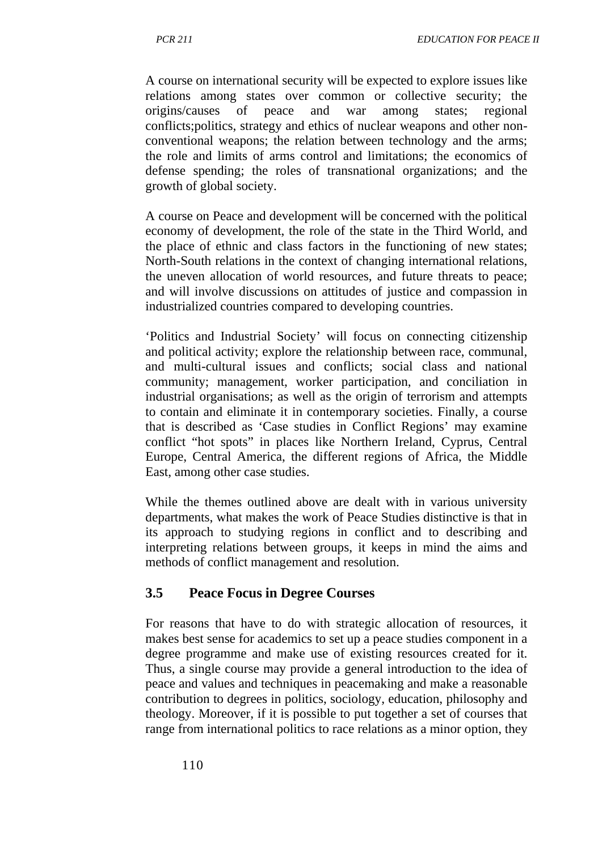A course on international security will be expected to explore issues like relations among states over common or collective security; the origins/causes of peace and war among states; regional conflicts;politics, strategy and ethics of nuclear weapons and other nonconventional weapons; the relation between technology and the arms; the role and limits of arms control and limitations; the economics of defense spending; the roles of transnational organizations; and the growth of global society.

A course on Peace and development will be concerned with the political economy of development, the role of the state in the Third World, and the place of ethnic and class factors in the functioning of new states; North-South relations in the context of changing international relations, the uneven allocation of world resources, and future threats to peace; and will involve discussions on attitudes of justice and compassion in industrialized countries compared to developing countries.

'Politics and Industrial Society' will focus on connecting citizenship and political activity; explore the relationship between race, communal, and multi-cultural issues and conflicts; social class and national community; management, worker participation, and conciliation in industrial organisations; as well as the origin of terrorism and attempts to contain and eliminate it in contemporary societies. Finally, a course that is described as 'Case studies in Conflict Regions' may examine conflict "hot spots" in places like Northern Ireland, Cyprus, Central Europe, Central America, the different regions of Africa, the Middle East, among other case studies.

While the themes outlined above are dealt with in various university departments, what makes the work of Peace Studies distinctive is that in its approach to studying regions in conflict and to describing and interpreting relations between groups, it keeps in mind the aims and methods of conflict management and resolution.

## **3.5 Peace Focus in Degree Courses**

For reasons that have to do with strategic allocation of resources, it makes best sense for academics to set up a peace studies component in a degree programme and make use of existing resources created for it. Thus, a single course may provide a general introduction to the idea of peace and values and techniques in peacemaking and make a reasonable contribution to degrees in politics, sociology, education, philosophy and theology. Moreover, if it is possible to put together a set of courses that range from international politics to race relations as a minor option, they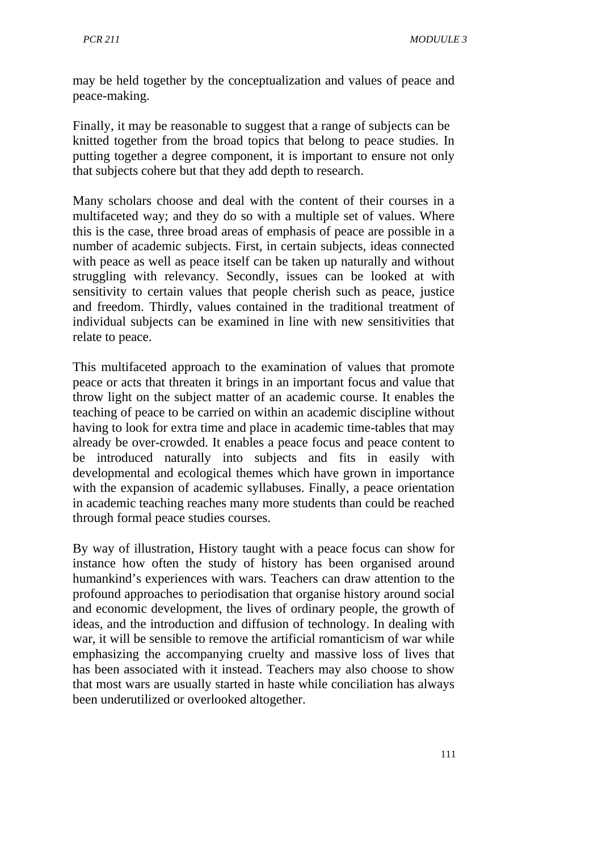may be held together by the conceptualization and values of peace and peace-making.

Finally, it may be reasonable to suggest that a range of subjects can be knitted together from the broad topics that belong to peace studies. In putting together a degree component, it is important to ensure not only that subjects cohere but that they add depth to research.

Many scholars choose and deal with the content of their courses in a multifaceted way; and they do so with a multiple set of values. Where this is the case, three broad areas of emphasis of peace are possible in a number of academic subjects. First, in certain subjects, ideas connected with peace as well as peace itself can be taken up naturally and without struggling with relevancy. Secondly, issues can be looked at with sensitivity to certain values that people cherish such as peace, justice and freedom. Thirdly, values contained in the traditional treatment of individual subjects can be examined in line with new sensitivities that relate to peace.

This multifaceted approach to the examination of values that promote peace or acts that threaten it brings in an important focus and value that throw light on the subject matter of an academic course. It enables the teaching of peace to be carried on within an academic discipline without having to look for extra time and place in academic time-tables that may already be over-crowded. It enables a peace focus and peace content to be introduced naturally into subjects and fits in easily with developmental and ecological themes which have grown in importance with the expansion of academic syllabuses. Finally, a peace orientation in academic teaching reaches many more students than could be reached through formal peace studies courses.

By way of illustration, History taught with a peace focus can show for instance how often the study of history has been organised around humankind's experiences with wars. Teachers can draw attention to the profound approaches to periodisation that organise history around social and economic development, the lives of ordinary people, the growth of ideas, and the introduction and diffusion of technology. In dealing with war, it will be sensible to remove the artificial romanticism of war while emphasizing the accompanying cruelty and massive loss of lives that has been associated with it instead. Teachers may also choose to show that most wars are usually started in haste while conciliation has always been underutilized or overlooked altogether.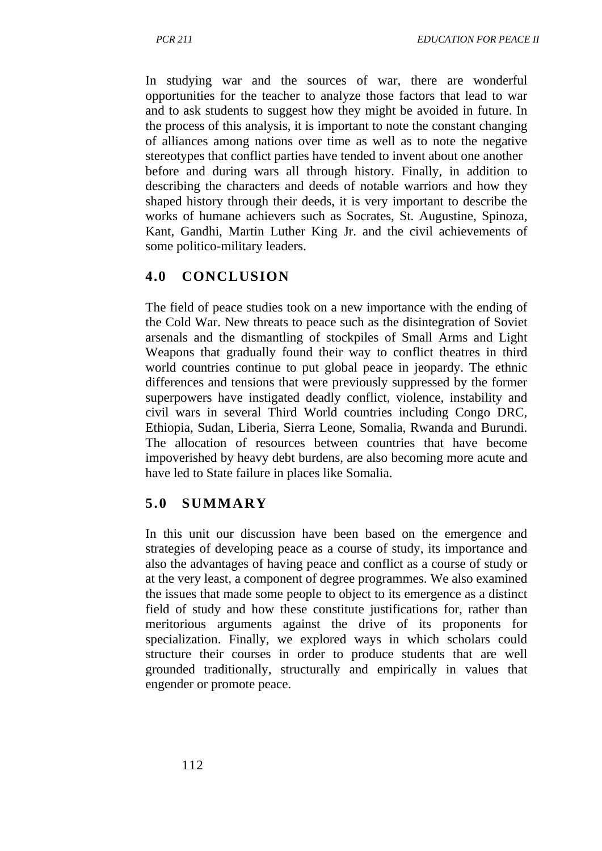In studying war and the sources of war, there are wonderful opportunities for the teacher to analyze those factors that lead to war and to ask students to suggest how they might be avoided in future. In the process of this analysis, it is important to note the constant changing of alliances among nations over time as well as to note the negative stereotypes that conflict parties have tended to invent about one another before and during wars all through history. Finally, in addition to describing the characters and deeds of notable warriors and how they shaped history through their deeds, it is very important to describe the works of humane achievers such as Socrates, St. Augustine, Spinoza, Kant, Gandhi, Martin Luther King Jr. and the civil achievements of some politico-military leaders.

## **4.0 CONCLUSION**

The field of peace studies took on a new importance with the ending of the Cold War. New threats to peace such as the disintegration of Soviet arsenals and the dismantling of stockpiles of Small Arms and Light Weapons that gradually found their way to conflict theatres in third world countries continue to put global peace in jeopardy. The ethnic differences and tensions that were previously suppressed by the former superpowers have instigated deadly conflict, violence, instability and civil wars in several Third World countries including Congo DRC, Ethiopia, Sudan, Liberia, Sierra Leone, Somalia, Rwanda and Burundi. The allocation of resources between countries that have become impoverished by heavy debt burdens, are also becoming more acute and have led to State failure in places like Somalia.

## **5.0 SUMMARY**

In this unit our discussion have been based on the emergence and strategies of developing peace as a course of study, its importance and also the advantages of having peace and conflict as a course of study or at the very least, a component of degree programmes. We also examined the issues that made some people to object to its emergence as a distinct field of study and how these constitute justifications for, rather than meritorious arguments against the drive of its proponents for specialization. Finally, we explored ways in which scholars could structure their courses in order to produce students that are well grounded traditionally, structurally and empirically in values that engender or promote peace.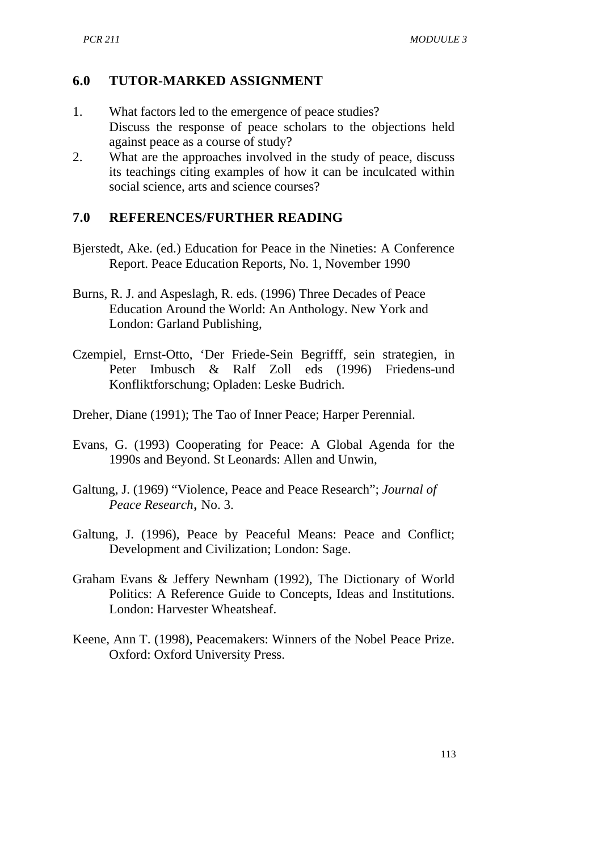#### **6.0 TUTOR-MARKED ASSIGNMENT**

- 1. What factors led to the emergence of peace studies? Discuss the response of peace scholars to the objections held against peace as a course of study?
- 2. What are the approaches involved in the study of peace, discuss its teachings citing examples of how it can be inculcated within social science, arts and science courses?

#### **7.0 REFERENCES/FURTHER READING**

- Bjerstedt, Ake. (ed.) Education for Peace in the Nineties: A Conference Report. Peace Education Reports, No. 1, November 1990
- Burns, R. J. and Aspeslagh, R. eds. (1996) Three Decades of Peace Education Around the World: An Anthology. New York and London: Garland Publishing,
- Czempiel, Ernst-Otto, 'Der Friede-Sein Begrifff, sein strategien, in Peter Imbusch & Ralf Zoll eds (1996) Friedens-und Konfliktforschung; Opladen: Leske Budrich.
- Dreher, Diane (1991); The Tao of Inner Peace; Harper Perennial.
- Evans, G. (1993) Cooperating for Peace: A Global Agenda for the 1990s and Beyond. St Leonards: Allen and Unwin,
- Galtung, J. (1969) "Violence, Peace and Peace Research"; *Journal of Peace Research,* No. 3.
- Galtung, J. (1996), Peace by Peaceful Means: Peace and Conflict; Development and Civilization; London: Sage.
- Graham Evans & Jeffery Newnham (1992), The Dictionary of World Politics: A Reference Guide to Concepts, Ideas and Institutions. London: Harvester Wheatsheaf.
- Keene, Ann T. (1998), Peacemakers: Winners of the Nobel Peace Prize. Oxford: Oxford University Press.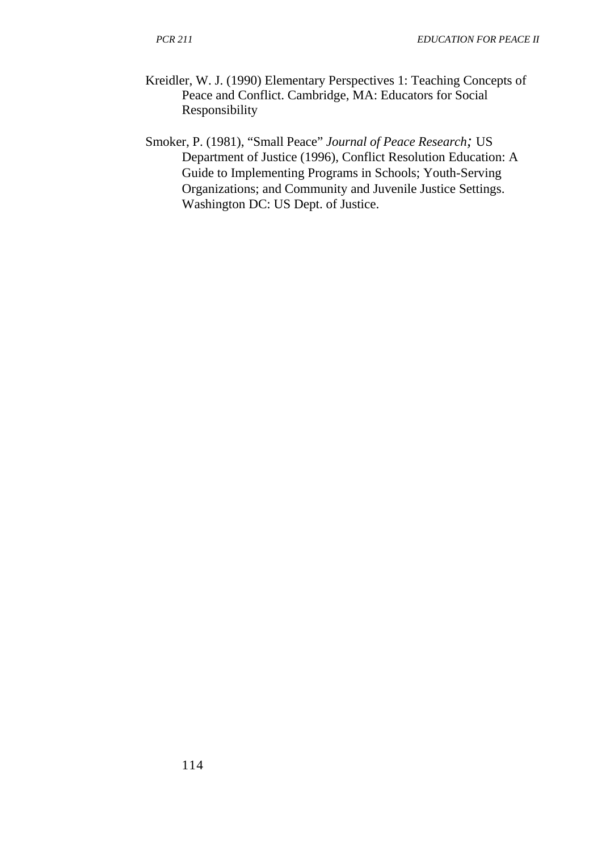- Kreidler, W. J. (1990) Elementary Perspectives 1: Teaching Concepts of Peace and Conflict. Cambridge, MA: Educators for Social Responsibility
- Smoker, P. (1981), "Small Peace" *Journal of Peace Research;* US Department of Justice (1996), Conflict Resolution Education: A Guide to Implementing Programs in Schools; Youth-Serving Organizations; and Community and Juvenile Justice Settings. Washington DC: US Dept. of Justice.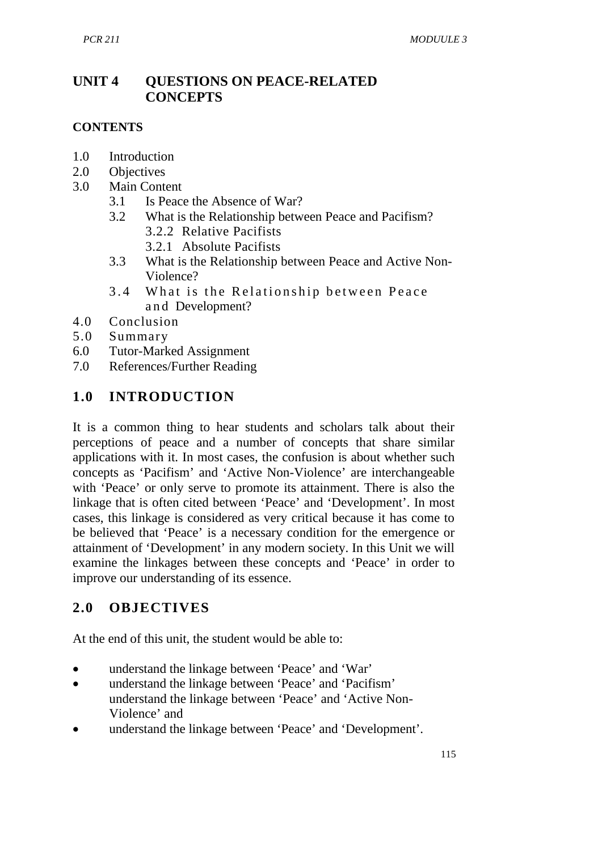## **UNIT 4 QUESTIONS ON PEACE-RELATED CONCEPTS**

#### **CONTENTS**

- 1.0 Introduction
- 2.0 Objectives<br>3.0 Main Cont
- Main Content
	- 3.1 Is Peace the Absence of War?
	- 3.2 What is the Relationship between Peace and Pacifism? 3.2.2 Relative Pacifists
		- 3.2.1 Absolute Pacifists
	- 3.3 What is the Relationship between Peace and Active Non-Violence?
	- 3.4 What is the Relationship between Peace and Development?
- 4.0 Conclusion
- 5.0 Summary
- 6.0 Tutor-Marked Assignment<br>7.0 References/Further Reading
- References/Further Reading

## **1.0 INTRODUCTION**

It is a common thing to hear students and scholars talk about their perceptions of peace and a number of concepts that share similar applications with it. In most cases, the confusion is about whether such concepts as 'Pacifism' and 'Active Non-Violence' are interchangeable with 'Peace' or only serve to promote its attainment. There is also the linkage that is often cited between 'Peace' and 'Development'. In most cases, this linkage is considered as very critical because it has come to be believed that 'Peace' is a necessary condition for the emergence or attainment of 'Development' in any modern society. In this Unit we will examine the linkages between these concepts and 'Peace' in order to improve our understanding of its essence.

## **2.0 OBJECTIVES**

At the end of this unit, the student would be able to:

- understand the linkage between 'Peace' and 'War'
- understand the linkage between 'Peace' and 'Pacifism' understand the linkage between 'Peace' and 'Active Non-Violence' and
- understand the linkage between 'Peace' and 'Development'.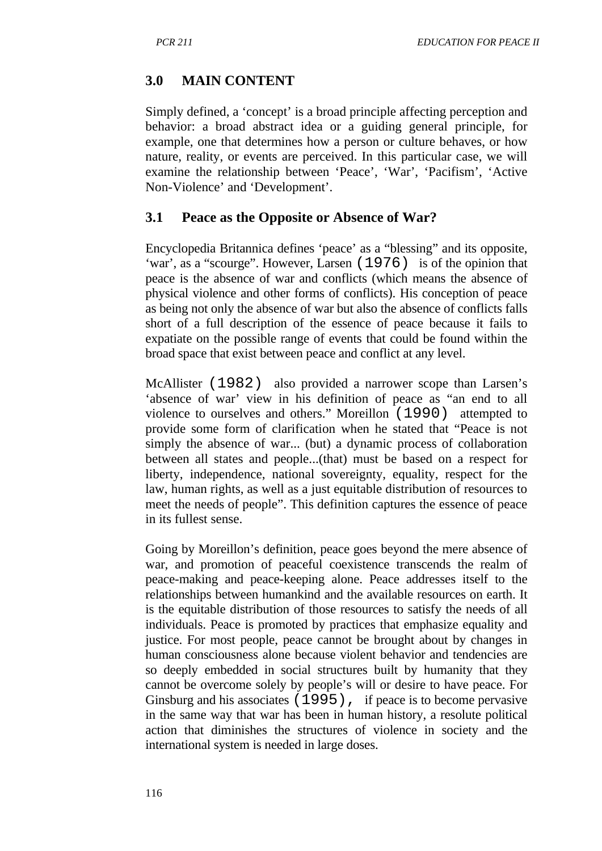# **3.0 MAIN CONTENT**

Simply defined, a 'concept' is a broad principle affecting perception and behavior: a broad abstract idea or a guiding general principle, for example, one that determines how a person or culture behaves, or how nature, reality, or events are perceived. In this particular case, we will examine the relationship between 'Peace', 'War', 'Pacifism', 'Active Non-Violence' and 'Development'.

## **3.1 Peace as the Opposite or Absence of War?**

Encyclopedia Britannica defines 'peace' as a "blessing" and its opposite, 'war', as a "scourge". However, Larsen (1976) is of the opinion that peace is the absence of war and conflicts (which means the absence of physical violence and other forms of conflicts). His conception of peace as being not only the absence of war but also the absence of conflicts falls short of a full description of the essence of peace because it fails to expatiate on the possible range of events that could be found within the broad space that exist between peace and conflict at any level.

McAllister (1982) also provided a narrower scope than Larsen's 'absence of war' view in his definition of peace as "an end to all violence to ourselves and others." Moreillon (1990) attempted to provide some form of clarification when he stated that "Peace is not simply the absence of war... (but) a dynamic process of collaboration between all states and people...(that) must be based on a respect for liberty, independence, national sovereignty, equality, respect for the law, human rights, as well as a just equitable distribution of resources to meet the needs of people". This definition captures the essence of peace in its fullest sense.

Going by Moreillon's definition, peace goes beyond the mere absence of war, and promotion of peaceful coexistence transcends the realm of peace-making and peace-keeping alone. Peace addresses itself to the relationships between humankind and the available resources on earth. It is the equitable distribution of those resources to satisfy the needs of all individuals. Peace is promoted by practices that emphasize equality and justice. For most people, peace cannot be brought about by changes in human consciousness alone because violent behavior and tendencies are so deeply embedded in social structures built by humanity that they cannot be overcome solely by people's will or desire to have peace. For Ginsburg and his associates (1995), if peace is to become pervasive in the same way that war has been in human history, a resolute political action that diminishes the structures of violence in society and the international system is needed in large doses.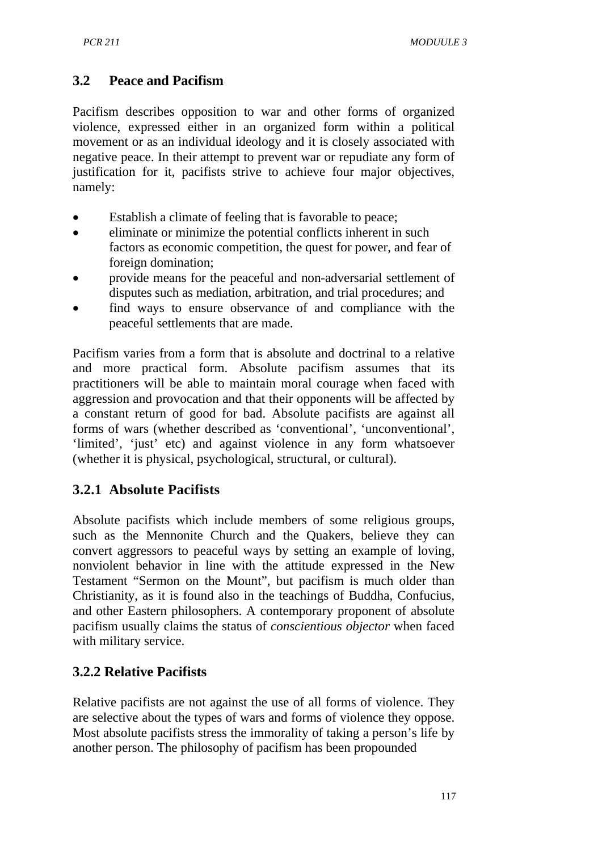## **3.2 Peace and Pacifism**

Pacifism describes opposition to war and other forms of organized violence, expressed either in an organized form within a political movement or as an individual ideology and it is closely associated with negative peace. In their attempt to prevent war or repudiate any form of justification for it, pacifists strive to achieve four major objectives, namely:

- Establish a climate of feeling that is favorable to peace;
- eliminate or minimize the potential conflicts inherent in such factors as economic competition, the quest for power, and fear of foreign domination;
- provide means for the peaceful and non-adversarial settlement of disputes such as mediation, arbitration, and trial procedures; and
- find ways to ensure observance of and compliance with the peaceful settlements that are made.

Pacifism varies from a form that is absolute and doctrinal to a relative and more practical form. Absolute pacifism assumes that its practitioners will be able to maintain moral courage when faced with aggression and provocation and that their opponents will be affected by a constant return of good for bad. Absolute pacifists are against all forms of wars (whether described as 'conventional', 'unconventional', 'limited', 'just' etc) and against violence in any form whatsoever (whether it is physical, psychological, structural, or cultural).

# **3.2.1 Absolute Pacifists**

Absolute pacifists which include members of some religious groups, such as the Mennonite Church and the Quakers, believe they can convert aggressors to peaceful ways by setting an example of loving, nonviolent behavior in line with the attitude expressed in the New Testament "Sermon on the Mount", but pacifism is much older than Christianity, as it is found also in the teachings of Buddha, Confucius, and other Eastern philosophers. A contemporary proponent of absolute pacifism usually claims the status of *conscientious objector* when faced with military service.

# **3.2.2 Relative Pacifists**

Relative pacifists are not against the use of all forms of violence. They are selective about the types of wars and forms of violence they oppose. Most absolute pacifists stress the immorality of taking a person's life by another person. The philosophy of pacifism has been propounded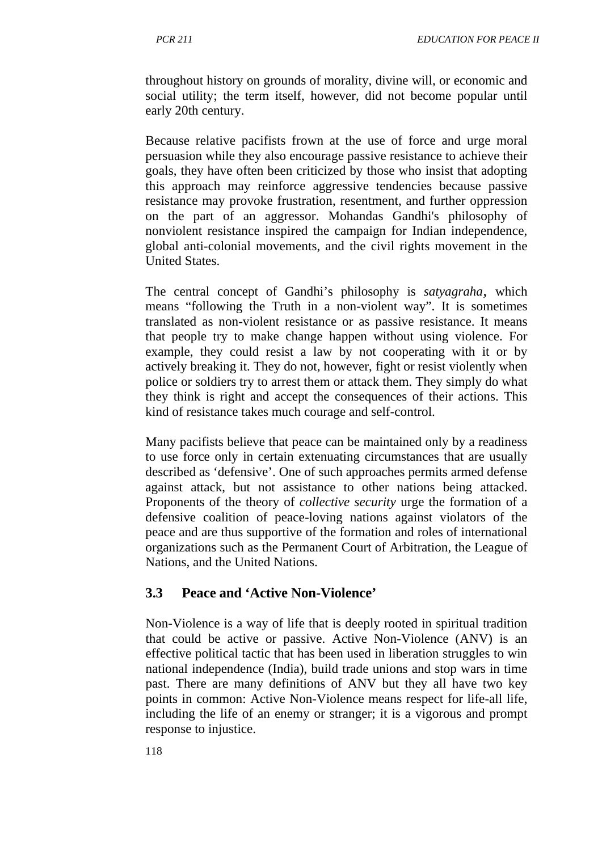throughout history on grounds of morality, divine will, or economic and social utility; the term itself, however, did not become popular until early 20th century.

Because relative pacifists frown at the use of force and urge moral persuasion while they also encourage passive resistance to achieve their goals, they have often been criticized by those who insist that adopting this approach may reinforce aggressive tendencies because passive resistance may provoke frustration, resentment, and further oppression on the part of an aggressor. Mohandas Gandhi's philosophy of nonviolent resistance inspired the campaign for Indian independence, global anti-colonial movements, and the civil rights movement in the United States.

The central concept of Gandhi's philosophy is *satyagraha,* which means "following the Truth in a non-violent way". It is sometimes translated as non-violent resistance or as passive resistance. It means that people try to make change happen without using violence. For example, they could resist a law by not cooperating with it or by actively breaking it. They do not, however, fight or resist violently when police or soldiers try to arrest them or attack them. They simply do what they think is right and accept the consequences of their actions. This kind of resistance takes much courage and self-control.

Many pacifists believe that peace can be maintained only by a readiness to use force only in certain extenuating circumstances that are usually described as 'defensive'. One of such approaches permits armed defense against attack, but not assistance to other nations being attacked. Proponents of the theory of *collective security* urge the formation of a defensive coalition of peace-loving nations against violators of the peace and are thus supportive of the formation and roles of international organizations such as the Permanent Court of Arbitration, the League of Nations, and the United Nations.

## **3.3 Peace and 'Active Non-Violence'**

Non-Violence is a way of life that is deeply rooted in spiritual tradition that could be active or passive. Active Non-Violence (ANV) is an effective political tactic that has been used in liberation struggles to win national independence (India), build trade unions and stop wars in time past. There are many definitions of ANV but they all have two key points in common: Active Non-Violence means respect for life-all life, including the life of an enemy or stranger; it is a vigorous and prompt response to injustice.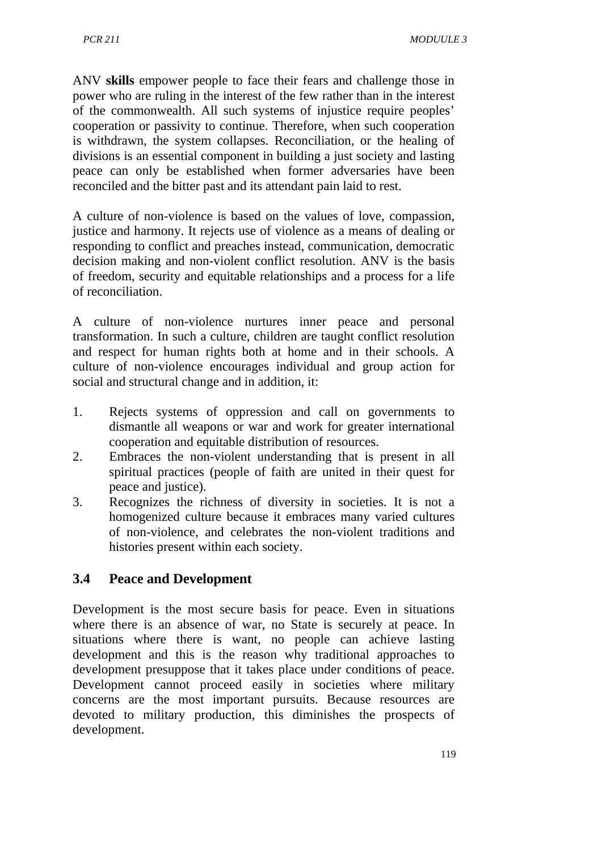ANV **skills** empower people to face their fears and challenge those in power who are ruling in the interest of the few rather than in the interest of the commonwealth. All such systems of injustice require peoples' cooperation or passivity to continue. Therefore, when such cooperation is withdrawn, the system collapses. Reconciliation, or the healing of divisions is an essential component in building a just society and lasting peace can only be established when former adversaries have been reconciled and the bitter past and its attendant pain laid to rest.

A culture of non-violence is based on the values of love, compassion, justice and harmony. It rejects use of violence as a means of dealing or responding to conflict and preaches instead, communication, democratic decision making and non-violent conflict resolution. ANV is the basis of freedom, security and equitable relationships and a process for a life of reconciliation.

A culture of non-violence nurtures inner peace and personal transformation. In such a culture, children are taught conflict resolution and respect for human rights both at home and in their schools. A culture of non-violence encourages individual and group action for social and structural change and in addition, it:

- 1. Rejects systems of oppression and call on governments to dismantle all weapons or war and work for greater international cooperation and equitable distribution of resources.
- 2. Embraces the non-violent understanding that is present in all spiritual practices (people of faith are united in their quest for peace and justice).
- 3. Recognizes the richness of diversity in societies. It is not a homogenized culture because it embraces many varied cultures of non-violence, and celebrates the non-violent traditions and histories present within each society.

## **3.4 Peace and Development**

Development is the most secure basis for peace. Even in situations where there is an absence of war, no State is securely at peace. In situations where there is want, no people can achieve lasting development and this is the reason why traditional approaches to development presuppose that it takes place under conditions of peace. Development cannot proceed easily in societies where military concerns are the most important pursuits. Because resources are devoted to military production, this diminishes the prospects of development.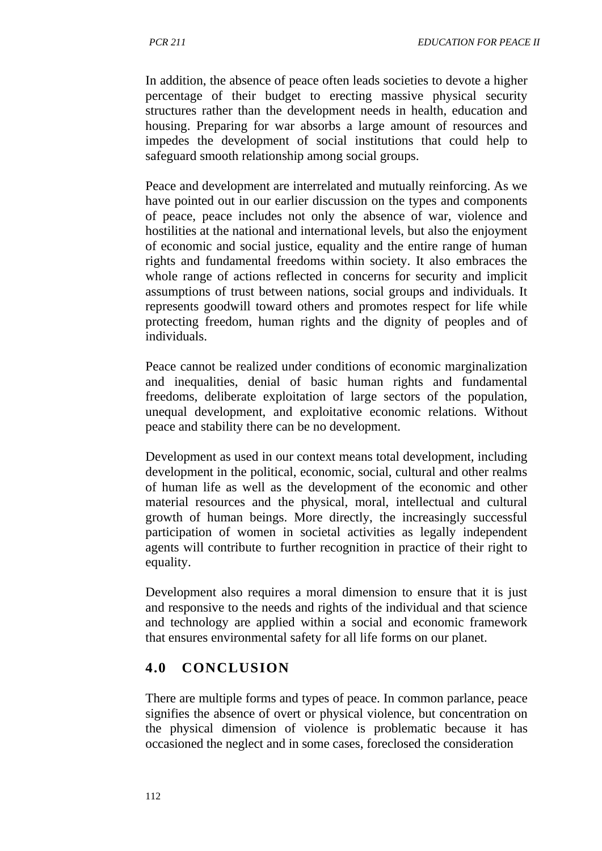In addition, the absence of peace often leads societies to devote a higher percentage of their budget to erecting massive physical security structures rather than the development needs in health, education and housing. Preparing for war absorbs a large amount of resources and impedes the development of social institutions that could help to safeguard smooth relationship among social groups.

Peace and development are interrelated and mutually reinforcing. As we have pointed out in our earlier discussion on the types and components of peace, peace includes not only the absence of war, violence and hostilities at the national and international levels, but also the enjoyment of economic and social justice, equality and the entire range of human rights and fundamental freedoms within society. It also embraces the whole range of actions reflected in concerns for security and implicit assumptions of trust between nations, social groups and individuals. It represents goodwill toward others and promotes respect for life while protecting freedom, human rights and the dignity of peoples and of individuals.

Peace cannot be realized under conditions of economic marginalization and inequalities, denial of basic human rights and fundamental freedoms, deliberate exploitation of large sectors of the population, unequal development, and exploitative economic relations. Without peace and stability there can be no development.

Development as used in our context means total development, including development in the political, economic, social, cultural and other realms of human life as well as the development of the economic and other material resources and the physical, moral, intellectual and cultural growth of human beings. More directly, the increasingly successful participation of women in societal activities as legally independent agents will contribute to further recognition in practice of their right to equality.

Development also requires a moral dimension to ensure that it is just and responsive to the needs and rights of the individual and that science and technology are applied within a social and economic framework that ensures environmental safety for all life forms on our planet.

# **4.0 CONCLUSION**

There are multiple forms and types of peace. In common parlance, peace signifies the absence of overt or physical violence, but concentration on the physical dimension of violence is problematic because it has occasioned the neglect and in some cases, foreclosed the consideration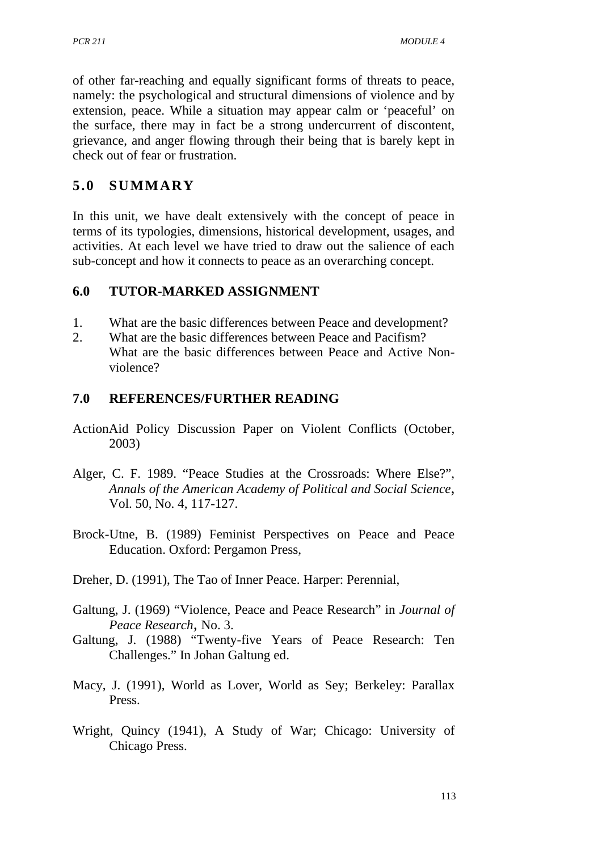of other far-reaching and equally significant forms of threats to peace, namely: the psychological and structural dimensions of violence and by extension, peace. While a situation may appear calm or 'peaceful' on the surface, there may in fact be a strong undercurrent of discontent, grievance, and anger flowing through their being that is barely kept in check out of fear or frustration.

## **5.0 SUMMARY**

In this unit, we have dealt extensively with the concept of peace in terms of its typologies, dimensions, historical development, usages, and activities. At each level we have tried to draw out the salience of each sub-concept and how it connects to peace as an overarching concept.

#### **6.0 TUTOR-MARKED ASSIGNMENT**

- 1. What are the basic differences between Peace and development?
- 2. What are the basic differences between Peace and Pacifism? What are the basic differences between Peace and Active Nonviolence?

#### **7.0 REFERENCES/FURTHER READING**

- ActionAid Policy Discussion Paper on Violent Conflicts (October, 2003)
- Alger, C. F. 1989. "Peace Studies at the Crossroads: Where Else?", *Annals of the American Academy of Political and Social Science,* Vol. 50, No. 4, 117-127.
- Brock-Utne, B. (1989) Feminist Perspectives on Peace and Peace Education. Oxford: Pergamon Press,
- Dreher, D. (1991), The Tao of Inner Peace. Harper: Perennial,
- Galtung, J. (1969) "Violence, Peace and Peace Research" in *Journal of Peace Research,* No. 3.
- Galtung, J. (1988) "Twenty-five Years of Peace Research: Ten Challenges." In Johan Galtung ed.
- Macy, J. (1991), World as Lover, World as Sey; Berkeley: Parallax Press.
- Wright, Quincy (1941), A Study of War; Chicago: University of Chicago Press.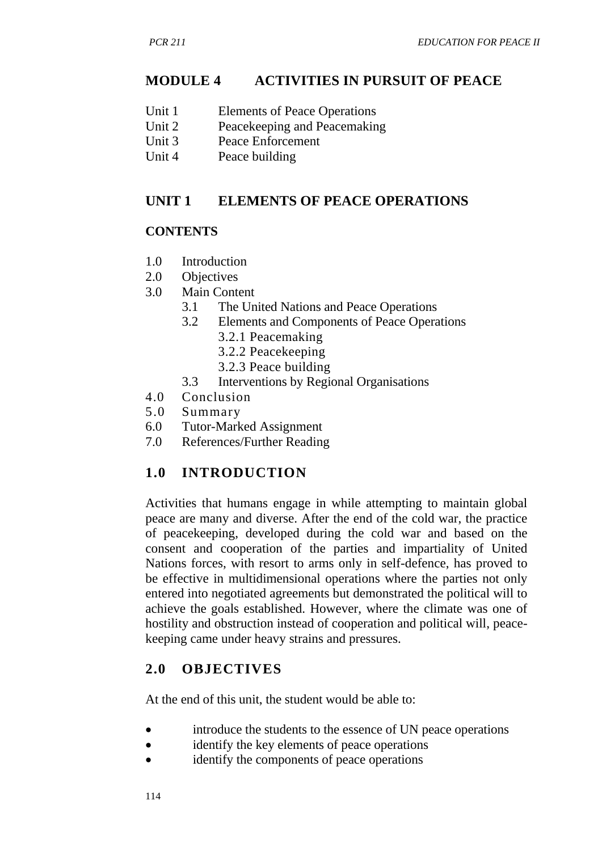## **MODULE 4 ACTIVITIES IN PURSUIT OF PEACE**

- Unit 1 Elements of Peace Operations
- Unit 2 Peacekeeping and Peacemaking<br>Unit 3 Peace Enforcement
- Unit 3 Peace Enforcement<br>Unit 4 Peace building
- Peace building

#### **UNIT 1 ELEMENTS OF PEACE OPERATIONS**

#### **CONTENTS**

- 1.0 Introduction
- 2.0 Objectives
- 3.0 Main Content
	- 3.1 The United Nations and Peace Operations
	- 3.2 Elements and Components of Peace Operations
		- 3.2.1 Peacemaking
		- 3.2.2 Peacekeeping
		- 3.2.3 Peace building
	- 3.3 Interventions by Regional Organisations
- 4.0 Conclusion
- 5.0 Summary
- 6.0 Tutor-Marked Assignment
- 7.0 References/Further Reading

## **1.0 INTRODUCTION**

Activities that humans engage in while attempting to maintain global peace are many and diverse. After the end of the cold war, the practice of peacekeeping, developed during the cold war and based on the consent and cooperation of the parties and impartiality of United Nations forces, with resort to arms only in self-defence, has proved to be effective in multidimensional operations where the parties not only entered into negotiated agreements but demonstrated the political will to achieve the goals established. However, where the climate was one of hostility and obstruction instead of cooperation and political will, peacekeeping came under heavy strains and pressures.

## **2.0 OBJECTIVES**

At the end of this unit, the student would be able to:

- introduce the students to the essence of UN peace operations
- identify the key elements of peace operations
- identify the components of peace operations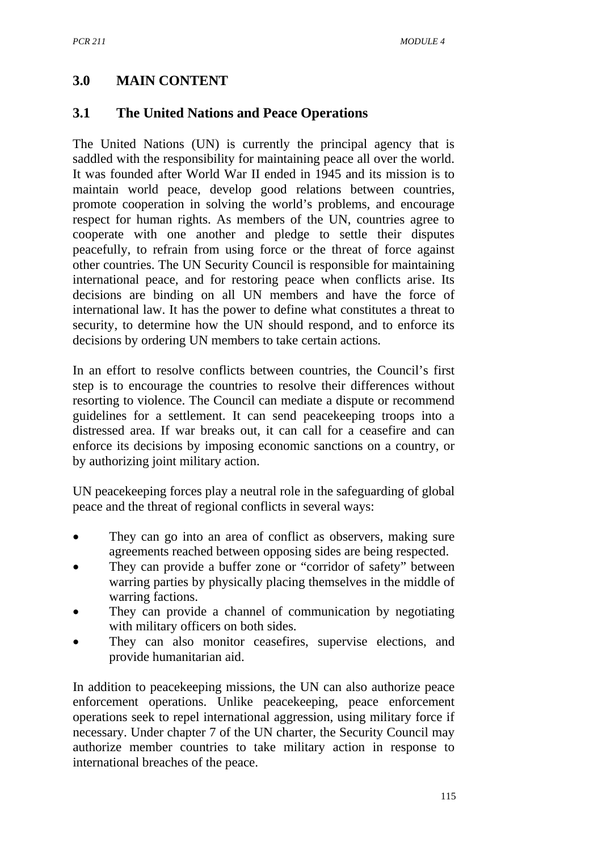## **3.0 MAIN CONTENT**

## **3.1 The United Nations and Peace Operations**

The United Nations (UN) is currently the principal agency that is saddled with the responsibility for maintaining peace all over the world. It was founded after World War II ended in 1945 and its mission is to maintain world peace, develop good relations between countries, promote cooperation in solving the world's problems, and encourage respect for human rights. As members of the UN, countries agree to cooperate with one another and pledge to settle their disputes peacefully, to refrain from using force or the threat of force against other countries. The UN Security Council is responsible for maintaining international peace, and for restoring peace when conflicts arise. Its decisions are binding on all UN members and have the force of international law. It has the power to define what constitutes a threat to security, to determine how the UN should respond, and to enforce its decisions by ordering UN members to take certain actions.

In an effort to resolve conflicts between countries, the Council's first step is to encourage the countries to resolve their differences without resorting to violence. The Council can mediate a dispute or recommend guidelines for a settlement. It can send peacekeeping troops into a distressed area. If war breaks out, it can call for a ceasefire and can enforce its decisions by imposing economic sanctions on a country, or by authorizing joint military action.

UN peacekeeping forces play a neutral role in the safeguarding of global peace and the threat of regional conflicts in several ways:

- They can go into an area of conflict as observers, making sure agreements reached between opposing sides are being respected.
- They can provide a buffer zone or "corridor of safety" between warring parties by physically placing themselves in the middle of warring factions.
- They can provide a channel of communication by negotiating with military officers on both sides.
- They can also monitor ceasefires, supervise elections, and provide humanitarian aid.

In addition to peacekeeping missions, the UN can also authorize peace enforcement operations. Unlike peacekeeping, peace enforcement operations seek to repel international aggression, using military force if necessary. Under chapter 7 of the UN charter, the Security Council may authorize member countries to take military action in response to international breaches of the peace.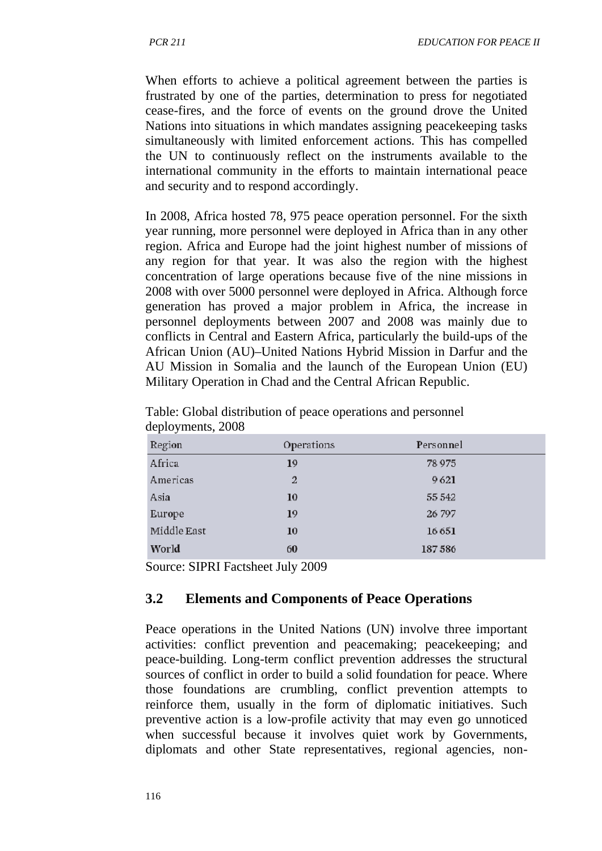When efforts to achieve a political agreement between the parties is frustrated by one of the parties, determination to press for negotiated cease-fires, and the force of events on the ground drove the United Nations into situations in which mandates assigning peacekeeping tasks simultaneously with limited enforcement actions. This has compelled the UN to continuously reflect on the instruments available to the international community in the efforts to maintain international peace and security and to respond accordingly.

In 2008, Africa hosted 78, 975 peace operation personnel. For the sixth year running, more personnel were deployed in Africa than in any other region. Africa and Europe had the joint highest number of missions of any region for that year. It was also the region with the highest concentration of large operations because five of the nine missions in 2008 with over 5000 personnel were deployed in Africa. Although force generation has proved a major problem in Africa, the increase in personnel deployments between 2007 and 2008 was mainly due to conflicts in Central and Eastern Africa, particularly the build-ups of the African Union (AU)–United Nations Hybrid Mission in Darfur and the AU Mission in Somalia and the launch of the European Union (EU) Military Operation in Chad and the Central African Republic.

| Region      | Operations     | Personnel |
|-------------|----------------|-----------|
| Africa      | 19             | 78 9 75   |
| Americas    | $\overline{2}$ | 9621      |
| Asia        | 10             | 55 542    |
| Europe      | 19             | 26 797    |
| Middle East | 10             | 16651     |
| World       | 60             | 187586    |
|             |                |           |

Table: Global distribution of peace operations and personnel deployments, 2008

Source: SIPRI Factsheet July 2009

#### **3.2 Elements and Components of Peace Operations**

Peace operations in the United Nations (UN) involve three important activities: conflict prevention and peacemaking; peacekeeping; and peace-building. Long-term conflict prevention addresses the structural sources of conflict in order to build a solid foundation for peace. Where those foundations are crumbling, conflict prevention attempts to reinforce them, usually in the form of diplomatic initiatives. Such preventive action is a low-profile activity that may even go unnoticed when successful because it involves quiet work by Governments, diplomats and other State representatives, regional agencies, non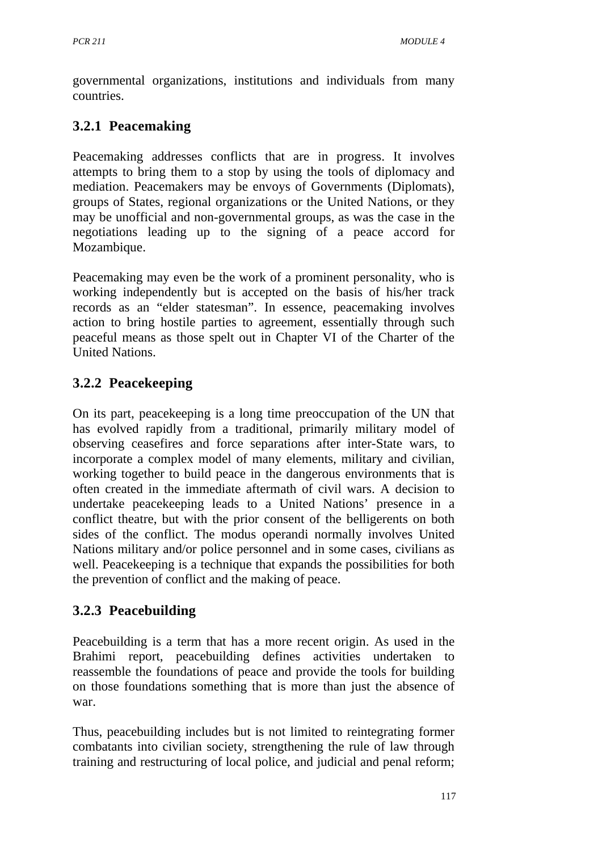governmental organizations, institutions and individuals from many countries.

# **3.2.1 Peacemaking**

Peacemaking addresses conflicts that are in progress. It involves attempts to bring them to a stop by using the tools of diplomacy and mediation. Peacemakers may be envoys of Governments (Diplomats), groups of States, regional organizations or the United Nations, or they may be unofficial and non-governmental groups, as was the case in the negotiations leading up to the signing of a peace accord for Mozambique.

Peacemaking may even be the work of a prominent personality, who is working independently but is accepted on the basis of his/her track records as an "elder statesman". In essence, peacemaking involves action to bring hostile parties to agreement, essentially through such peaceful means as those spelt out in Chapter VI of the Charter of the United Nations.

# **3.2.2 Peacekeeping**

On its part, peacekeeping is a long time preoccupation of the UN that has evolved rapidly from a traditional, primarily military model of observing ceasefires and force separations after inter-State wars, to incorporate a complex model of many elements, military and civilian, working together to build peace in the dangerous environments that is often created in the immediate aftermath of civil wars. A decision to undertake peacekeeping leads to a United Nations' presence in a conflict theatre, but with the prior consent of the belligerents on both sides of the conflict. The modus operandi normally involves United Nations military and/or police personnel and in some cases, civilians as well. Peacekeeping is a technique that expands the possibilities for both the prevention of conflict and the making of peace.

# **3.2.3 Peacebuilding**

Peacebuilding is a term that has a more recent origin. As used in the Brahimi report, peacebuilding defines activities undertaken to reassemble the foundations of peace and provide the tools for building on those foundations something that is more than just the absence of war.

Thus, peacebuilding includes but is not limited to reintegrating former combatants into civilian society, strengthening the rule of law through training and restructuring of local police, and judicial and penal reform;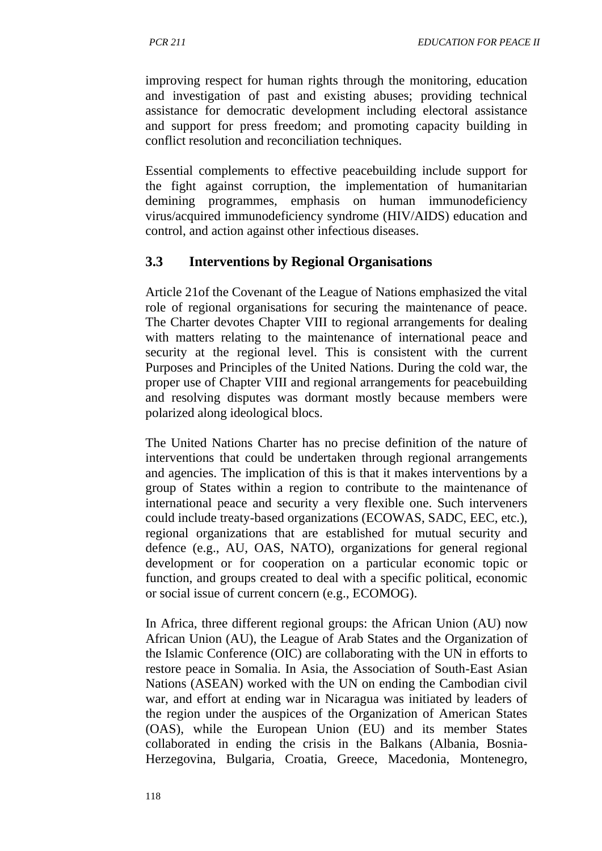improving respect for human rights through the monitoring, education and investigation of past and existing abuses; providing technical assistance for democratic development including electoral assistance and support for press freedom; and promoting capacity building in conflict resolution and reconciliation techniques.

Essential complements to effective peacebuilding include support for the fight against corruption, the implementation of humanitarian demining programmes, emphasis on human immunodeficiency virus/acquired immunodeficiency syndrome (HIV/AIDS) education and control, and action against other infectious diseases.

#### **3.3 Interventions by Regional Organisations**

Article 21of the Covenant of the League of Nations emphasized the vital role of regional organisations for securing the maintenance of peace. The Charter devotes Chapter VIII to regional arrangements for dealing with matters relating to the maintenance of international peace and security at the regional level. This is consistent with the current Purposes and Principles of the United Nations. During the cold war, the proper use of Chapter VIII and regional arrangements for peacebuilding and resolving disputes was dormant mostly because members were polarized along ideological blocs.

The United Nations Charter has no precise definition of the nature of interventions that could be undertaken through regional arrangements and agencies. The implication of this is that it makes interventions by a group of States within a region to contribute to the maintenance of international peace and security a very flexible one. Such interveners could include treaty-based organizations (ECOWAS, SADC, EEC, etc.), regional organizations that are established for mutual security and defence (e.g., AU, OAS, NATO), organizations for general regional development or for cooperation on a particular economic topic or function, and groups created to deal with a specific political, economic or social issue of current concern (e.g., ECOMOG).

In Africa, three different regional groups: the African Union (AU) now African Union (AU), the League of Arab States and the Organization of the Islamic Conference (OIC) are collaborating with the UN in efforts to restore peace in Somalia. In Asia, the Association of South-East Asian Nations (ASEAN) worked with the UN on ending the Cambodian civil war, and effort at ending war in Nicaragua was initiated by leaders of the region under the auspices of the Organization of American States (OAS), while the European Union (EU) and its member States collaborated in ending the crisis in the Balkans (Albania, Bosnia-Herzegovina, Bulgaria, Croatia, Greece, Macedonia, Montenegro,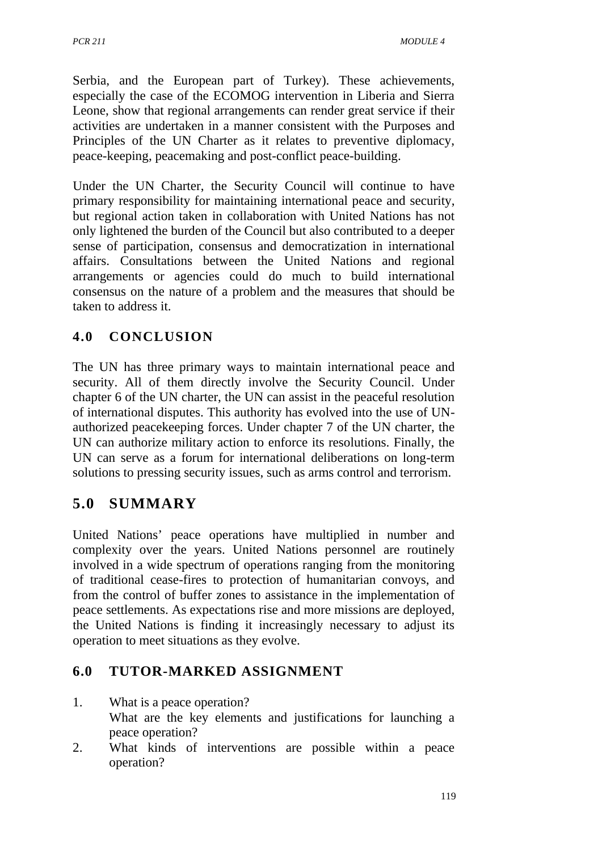Serbia, and the European part of Turkey). These achievements, especially the case of the ECOMOG intervention in Liberia and Sierra Leone, show that regional arrangements can render great service if their activities are undertaken in a manner consistent with the Purposes and Principles of the UN Charter as it relates to preventive diplomacy, peace-keeping, peacemaking and post-conflict peace-building.

Under the UN Charter, the Security Council will continue to have primary responsibility for maintaining international peace and security, but regional action taken in collaboration with United Nations has not only lightened the burden of the Council but also contributed to a deeper sense of participation, consensus and democratization in international affairs. Consultations between the United Nations and regional arrangements or agencies could do much to build international consensus on the nature of a problem and the measures that should be taken to address it.

# **4.0 CONCLUSION**

The UN has three primary ways to maintain international peace and security. All of them directly involve the Security Council. Under chapter 6 of the UN charter, the UN can assist in the peaceful resolution of international disputes. This authority has evolved into the use of UNauthorized peacekeeping forces. Under chapter 7 of the UN charter, the UN can authorize military action to enforce its resolutions. Finally, the UN can serve as a forum for international deliberations on long-term solutions to pressing security issues, such as arms control and terrorism.

# **5.0 SUMMARY**

United Nations' peace operations have multiplied in number and complexity over the years. United Nations personnel are routinely involved in a wide spectrum of operations ranging from the monitoring of traditional cease-fires to protection of humanitarian convoys, and from the control of buffer zones to assistance in the implementation of peace settlements. As expectations rise and more missions are deployed, the United Nations is finding it increasingly necessary to adjust its operation to meet situations as they evolve.

# **6.0 TUTOR-MARKED ASSIGNMENT**

1. What is a peace operation?

What are the key elements and justifications for launching a peace operation?

2. What kinds of interventions are possible within a peace operation?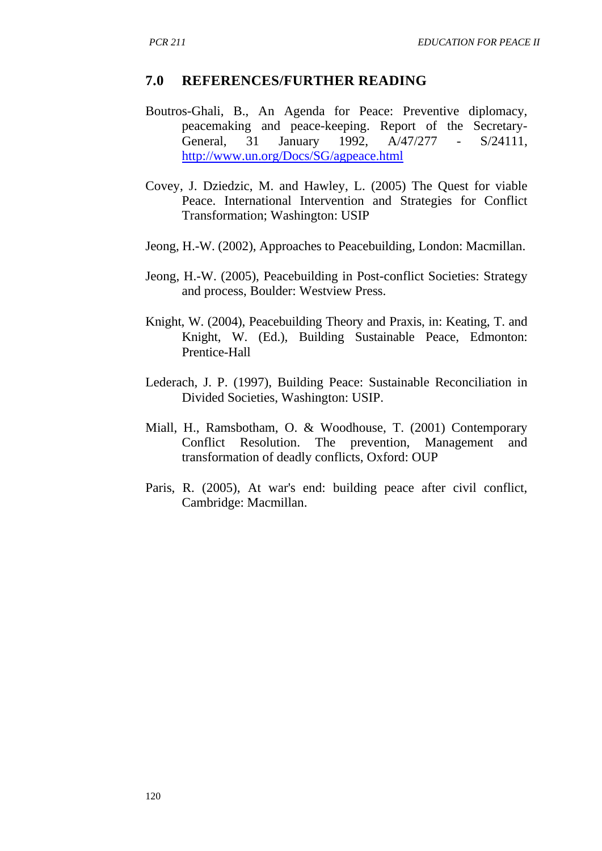#### **7.0 REFERENCES/FURTHER READING**

- Boutros-Ghali, B., An Agenda for Peace: Preventive diplomacy, peacemaking and peace-keeping. Report of the Secretary-<br>General, 31 January 1992,  $A/47/277$  - S/24111.  $A/47/277 - S/24111$ <http://www.un.org/Docs/SG/agpeace.html>
- Covey, J. Dziedzic, M. and Hawley, L. (2005) The Quest for viable Peace. International Intervention and Strategies for Conflict Transformation; Washington: USIP
- Jeong, H.-W. (2002), Approaches to Peacebuilding, London: Macmillan.
- Jeong, H.-W. (2005), Peacebuilding in Post-conflict Societies: Strategy and process, Boulder: Westview Press.
- Knight, W. (2004), Peacebuilding Theory and Praxis, in: Keating, T. and Knight, W. (Ed.), Building Sustainable Peace, Edmonton: Prentice-Hall
- Lederach, J. P. (1997), Building Peace: Sustainable Reconciliation in Divided Societies, Washington: USIP.
- Miall, H., Ramsbotham, O. & Woodhouse, T. (2001) Contemporary Conflict Resolution. The prevention, Management and transformation of deadly conflicts, Oxford: OUP
- Paris, R. (2005), At war's end: building peace after civil conflict, Cambridge: Macmillan.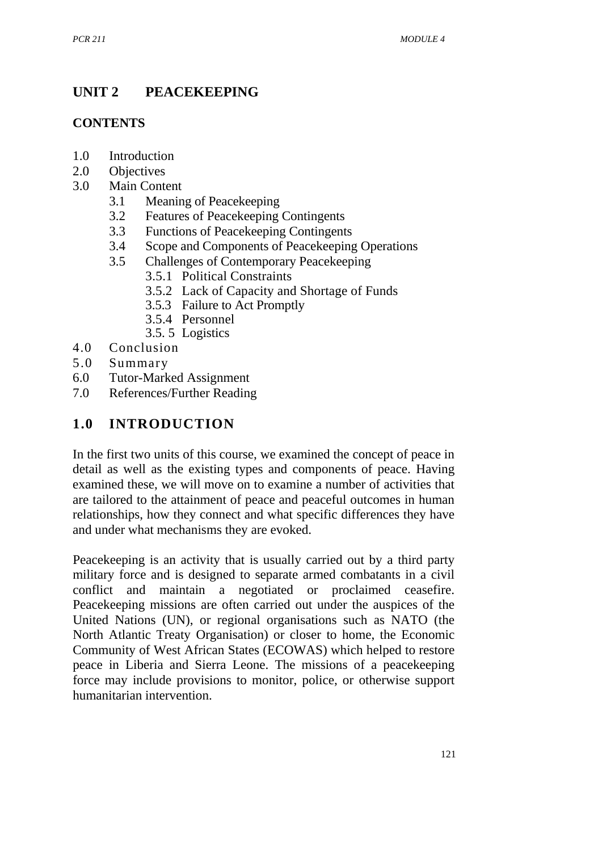# **UNIT 2 PEACEKEEPING**

## **CONTENTS**

- 1.0 Introduction
- 2.0 Objectives
- 3.0 Main Content
	- 3.1 Meaning of Peacekeeping
	- 3.2 Features of Peacekeeping Contingents
	- 3.3 Functions of Peacekeeping Contingents
	- 3.4 Scope and Components of Peacekeeping Operations<br>3.5 Challenges of Contemporary Peacekeeping
		- 3.5 Challenges of Contemporary Peacekeeping
			- 3.5.1 Political Constraints
			- 3.5.2 Lack of Capacity and Shortage of Funds
			- 3.5.3 Failure to Act Promptly
			- 3.5.4 Personnel
			- 3.5. 5 Logistics
- 4.0 Conclusion
- 5.0 Summary
- 6.0 Tutor-Marked Assignment
- 7.0 References/Further Reading

# **1.0 INTRODUCTION**

In the first two units of this course, we examined the concept of peace in detail as well as the existing types and components of peace. Having examined these, we will move on to examine a number of activities that are tailored to the attainment of peace and peaceful outcomes in human relationships, how they connect and what specific differences they have and under what mechanisms they are evoked.

Peacekeeping is an activity that is usually carried out by a third party military force and is designed to separate armed combatants in a civil conflict and maintain a negotiated or proclaimed ceasefire. Peacekeeping missions are often carried out under the auspices of the United Nations (UN), or regional organisations such as NATO (the North Atlantic Treaty Organisation) or closer to home, the Economic Community of West African States (ECOWAS) which helped to restore peace in Liberia and Sierra Leone. The missions of a peacekeeping force may include provisions to monitor, police, or otherwise support humanitarian intervention.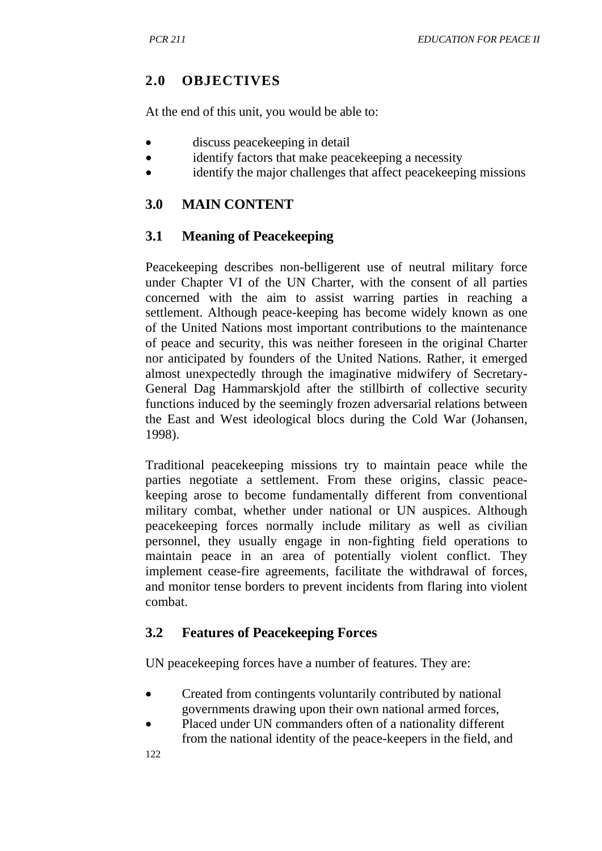## **2.0 OBJECTIVES**

At the end of this unit, you would be able to:

- discuss peace keeping in detail
- identify factors that make peacekeeping a necessity
- identify the major challenges that affect peacekeeping missions

# **3.0 MAIN CONTENT**

## **3.1 Meaning of Peacekeeping**

Peacekeeping describes non-belligerent use of neutral military force under Chapter VI of the UN Charter, with the consent of all parties concerned with the aim to assist warring parties in reaching a settlement. Although peace-keeping has become widely known as one of the United Nations most important contributions to the maintenance of peace and security, this was neither foreseen in the original Charter nor anticipated by founders of the United Nations. Rather, it emerged almost unexpectedly through the imaginative midwifery of Secretary-General Dag Hammarskjold after the stillbirth of collective security functions induced by the seemingly frozen adversarial relations between the East and West ideological blocs during the Cold War (Johansen, 1998).

Traditional peacekeeping missions try to maintain peace while the parties negotiate a settlement. From these origins, classic peacekeeping arose to become fundamentally different from conventional military combat, whether under national or UN auspices. Although peacekeeping forces normally include military as well as civilian personnel, they usually engage in non-fighting field operations to maintain peace in an area of potentially violent conflict. They implement cease-fire agreements, facilitate the withdrawal of forces, and monitor tense borders to prevent incidents from flaring into violent combat.

# **3.2 Features of Peacekeeping Forces**

UN peacekeeping forces have a number of features. They are:

- Created from contingents voluntarily contributed by national governments drawing upon their own national armed forces,
- Placed under UN commanders often of a nationality different from the national identity of the peace-keepers in the field, and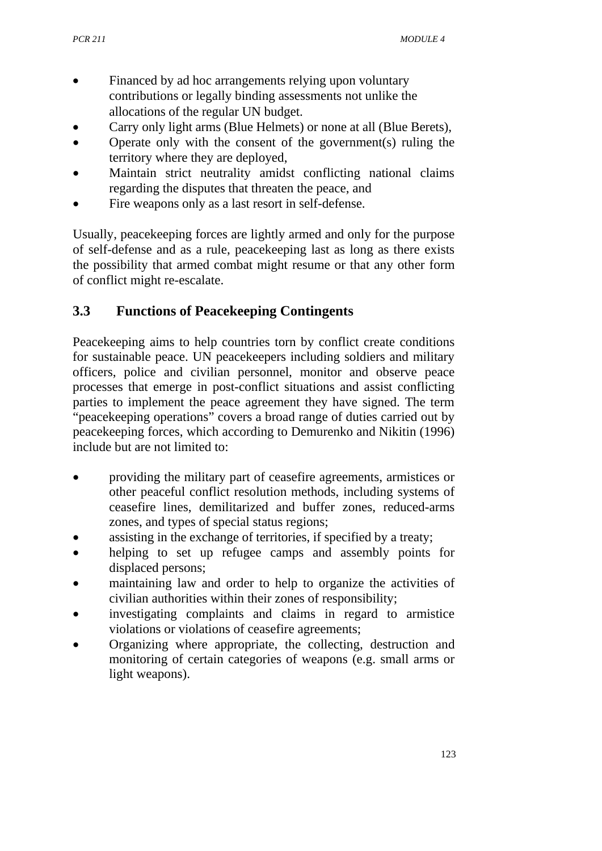- Financed by ad hoc arrangements relying upon voluntary contributions or legally binding assessments not unlike the allocations of the regular UN budget.
- Carry only light arms (Blue Helmets) or none at all (Blue Berets),
- Operate only with the consent of the government(s) ruling the territory where they are deployed,
- Maintain strict neutrality amidst conflicting national claims regarding the disputes that threaten the peace, and
- Fire weapons only as a last resort in self-defense.

Usually, peacekeeping forces are lightly armed and only for the purpose of self-defense and as a rule, peacekeeping last as long as there exists the possibility that armed combat might resume or that any other form of conflict might re-escalate.

# **3.3 Functions of Peacekeeping Contingents**

Peacekeeping aims to help countries torn by conflict create conditions for sustainable peace. UN peacekeepers including soldiers and military officers, police and civilian personnel, monitor and observe peace processes that emerge in post-conflict situations and assist conflicting parties to implement the peace agreement they have signed. The term "peacekeeping operations" covers a broad range of duties carried out by peacekeeping forces, which according to Demurenko and Nikitin (1996) include but are not limited to:

- providing the military part of ceasefire agreements, armistices or other peaceful conflict resolution methods, including systems of ceasefire lines, demilitarized and buffer zones, reduced-arms zones, and types of special status regions;
- assisting in the exchange of territories, if specified by a treaty;
- helping to set up refugee camps and assembly points for displaced persons;
- maintaining law and order to help to organize the activities of civilian authorities within their zones of responsibility;
- investigating complaints and claims in regard to armistice violations or violations of ceasefire agreements;
- Organizing where appropriate, the collecting, destruction and monitoring of certain categories of weapons (e.g. small arms or light weapons).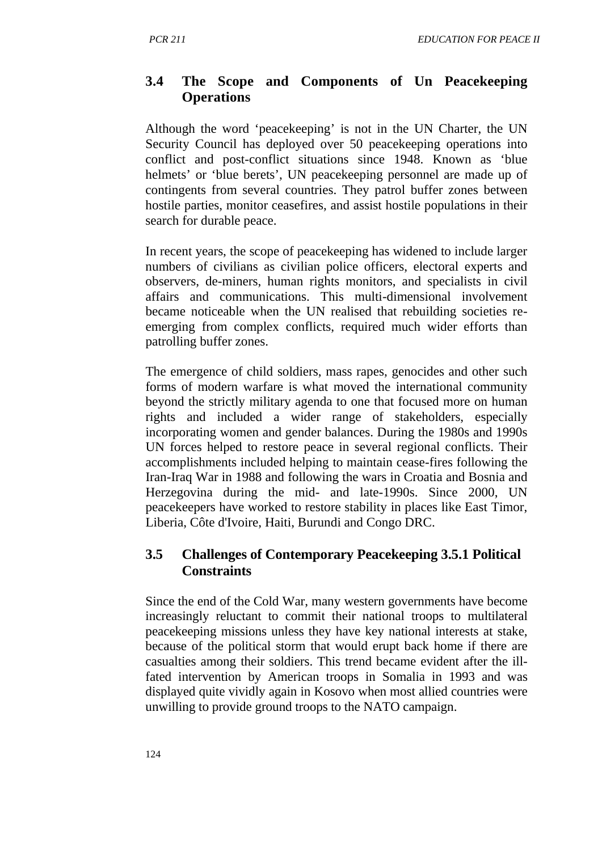## **3.4 The Scope and Components of Un Peacekeeping Operations**

Although the word 'peacekeeping' is not in the UN Charter, the UN Security Council has deployed over 50 peacekeeping operations into conflict and post-conflict situations since 1948. Known as 'blue helmets' or 'blue berets', UN peacekeeping personnel are made up of contingents from several countries. They patrol buffer zones between hostile parties, monitor ceasefires, and assist hostile populations in their search for durable peace.

In recent years, the scope of peacekeeping has widened to include larger numbers of civilians as civilian police officers, electoral experts and observers, de-miners, human rights monitors, and specialists in civil affairs and communications. This multi-dimensional involvement became noticeable when the UN realised that rebuilding societies reemerging from complex conflicts, required much wider efforts than patrolling buffer zones.

The emergence of child soldiers, mass rapes, genocides and other such forms of modern warfare is what moved the international community beyond the strictly military agenda to one that focused more on human rights and included a wider range of stakeholders, especially incorporating women and gender balances. During the 1980s and 1990s UN forces helped to restore peace in several regional conflicts. Their accomplishments included helping to maintain cease-fires following the Iran-Iraq War in 1988 and following the wars in Croatia and Bosnia and Herzegovina during the mid- and late-1990s. Since 2000, UN peacekeepers have worked to restore stability in places like East Timor, Liberia, Côte d'Ivoire, Haiti, Burundi and Congo DRC.

## **3.5 Challenges of Contemporary Peacekeeping 3.5.1 Political Constraints**

Since the end of the Cold War, many western governments have become increasingly reluctant to commit their national troops to multilateral peacekeeping missions unless they have key national interests at stake, because of the political storm that would erupt back home if there are casualties among their soldiers. This trend became evident after the illfated intervention by American troops in Somalia in 1993 and was displayed quite vividly again in Kosovo when most allied countries were unwilling to provide ground troops to the NATO campaign.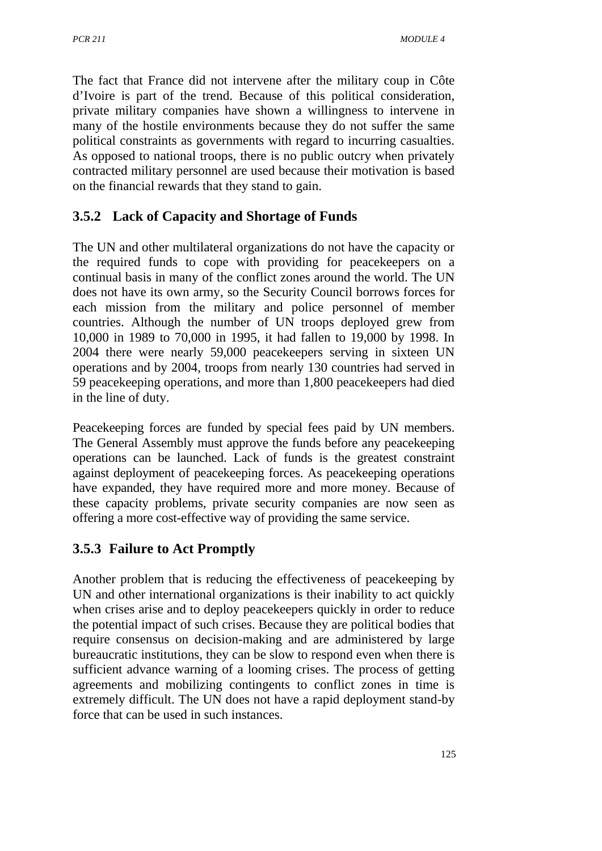The fact that France did not intervene after the military coup in Côte d'Ivoire is part of the trend. Because of this political consideration, private military companies have shown a willingness to intervene in many of the hostile environments because they do not suffer the same political constraints as governments with regard to incurring casualties. As opposed to national troops, there is no public outcry when privately contracted military personnel are used because their motivation is based on the financial rewards that they stand to gain.

## **3.5.2 Lack of Capacity and Shortage of Funds**

The UN and other multilateral organizations do not have the capacity or the required funds to cope with providing for peacekeepers on a continual basis in many of the conflict zones around the world. The UN does not have its own army, so the Security Council borrows forces for each mission from the military and police personnel of member countries. Although the number of UN troops deployed grew from 10,000 in 1989 to 70,000 in 1995, it had fallen to 19,000 by 1998. In 2004 there were nearly 59,000 peacekeepers serving in sixteen UN operations and by 2004, troops from nearly 130 countries had served in 59 peacekeeping operations, and more than 1,800 peacekeepers had died in the line of duty.

Peacekeeping forces are funded by special fees paid by UN members. The General Assembly must approve the funds before any peacekeeping operations can be launched. Lack of funds is the greatest constraint against deployment of peacekeeping forces. As peacekeeping operations have expanded, they have required more and more money. Because of these capacity problems, private security companies are now seen as offering a more cost-effective way of providing the same service.

## **3.5.3 Failure to Act Promptly**

Another problem that is reducing the effectiveness of peacekeeping by UN and other international organizations is their inability to act quickly when crises arise and to deploy peacekeepers quickly in order to reduce the potential impact of such crises. Because they are political bodies that require consensus on decision-making and are administered by large bureaucratic institutions, they can be slow to respond even when there is sufficient advance warning of a looming crises. The process of getting agreements and mobilizing contingents to conflict zones in time is extremely difficult. The UN does not have a rapid deployment stand-by force that can be used in such instances.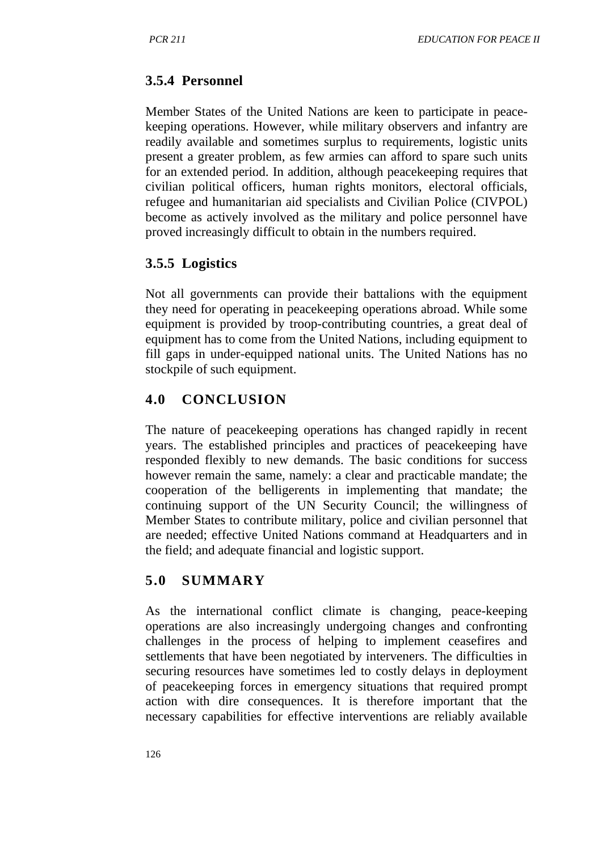## **3.5.4 Personnel**

Member States of the United Nations are keen to participate in peacekeeping operations. However, while military observers and infantry are readily available and sometimes surplus to requirements, logistic units present a greater problem, as few armies can afford to spare such units for an extended period. In addition, although peacekeeping requires that civilian political officers, human rights monitors, electoral officials, refugee and humanitarian aid specialists and Civilian Police (CIVPOL) become as actively involved as the military and police personnel have proved increasingly difficult to obtain in the numbers required.

## **3.5.5 Logistics**

Not all governments can provide their battalions with the equipment they need for operating in peacekeeping operations abroad. While some equipment is provided by troop-contributing countries, a great deal of equipment has to come from the United Nations, including equipment to fill gaps in under-equipped national units. The United Nations has no stockpile of such equipment.

# **4.0 CONCLUSION**

The nature of peacekeeping operations has changed rapidly in recent years. The established principles and practices of peacekeeping have responded flexibly to new demands. The basic conditions for success however remain the same, namely: a clear and practicable mandate; the cooperation of the belligerents in implementing that mandate; the continuing support of the UN Security Council; the willingness of Member States to contribute military, police and civilian personnel that are needed; effective United Nations command at Headquarters and in the field; and adequate financial and logistic support.

## **5.0 SUMMARY**

As the international conflict climate is changing, peace-keeping operations are also increasingly undergoing changes and confronting challenges in the process of helping to implement ceasefires and settlements that have been negotiated by interveners. The difficulties in securing resources have sometimes led to costly delays in deployment of peacekeeping forces in emergency situations that required prompt action with dire consequences. It is therefore important that the necessary capabilities for effective interventions are reliably available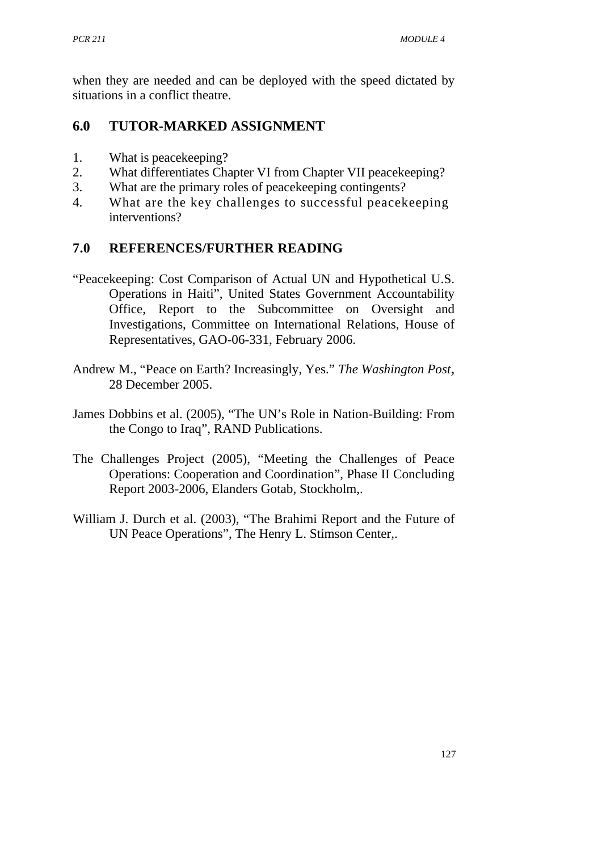when they are needed and can be deployed with the speed dictated by situations in a conflict theatre.

#### **6.0 TUTOR-MARKED ASSIGNMENT**

- 1. What is peacekeeping?
- 2. What differentiates Chapter VI from Chapter VII peacekeeping?
- 3. What are the primary roles of peacekeeping contingents?
- 4. What are the key challenges to successful peacekeeping interventions?

## **7.0 REFERENCES/FURTHER READING**

- "Peacekeeping: Cost Comparison of Actual UN and Hypothetical U.S. Operations in Haiti", United States Government Accountability Office, Report to the Subcommittee on Oversight and Investigations, Committee on International Relations, House of Representatives, GAO-06-331, February 2006.
- Andrew M., "Peace on Earth? Increasingly, Yes." *The Washington Post,* 28 December 2005.
- James Dobbins et al. (2005), "The UN's Role in Nation-Building: From the Congo to Iraq", RAND Publications.
- The Challenges Project (2005), "Meeting the Challenges of Peace Operations: Cooperation and Coordination", Phase II Concluding Report 2003-2006, Elanders Gotab, Stockholm,.
- William J. Durch et al. (2003), "The Brahimi Report and the Future of UN Peace Operations", The Henry L. Stimson Center,.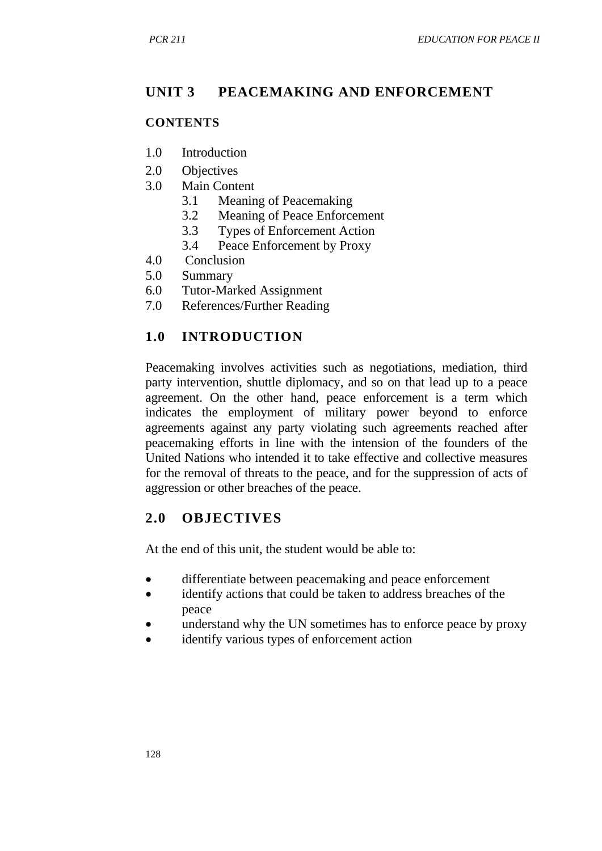# **UNIT 3 PEACEMAKING AND ENFORCEMENT**

#### **CONTENTS**

- 1.0 Introduction
- 2.0 Objectives
- 3.0 Main Content
	- 3.1 Meaning of Peacemaking
	- 3.2 Meaning of Peace Enforcement
	- 3.3 Types of Enforcement Action
	- 3.4 Peace Enforcement by Proxy
- 4.0 Conclusion<br>5.0 Summary
- **Summary**
- 6.0 Tutor-Marked Assignment
- 7.0 References/Further Reading

## **1.0 INTRODUCTION**

Peacemaking involves activities such as negotiations, mediation, third party intervention, shuttle diplomacy, and so on that lead up to a peace agreement. On the other hand, peace enforcement is a term which indicates the employment of military power beyond to enforce agreements against any party violating such agreements reached after peacemaking efforts in line with the intension of the founders of the United Nations who intended it to take effective and collective measures for the removal of threats to the peace, and for the suppression of acts of aggression or other breaches of the peace.

# **2.0 OBJECTIVES**

At the end of this unit, the student would be able to:

- differentiate between peacemaking and peace enforcement
- identify actions that could be taken to address breaches of the peace
- understand why the UN sometimes has to enforce peace by proxy
- identify various types of enforcement action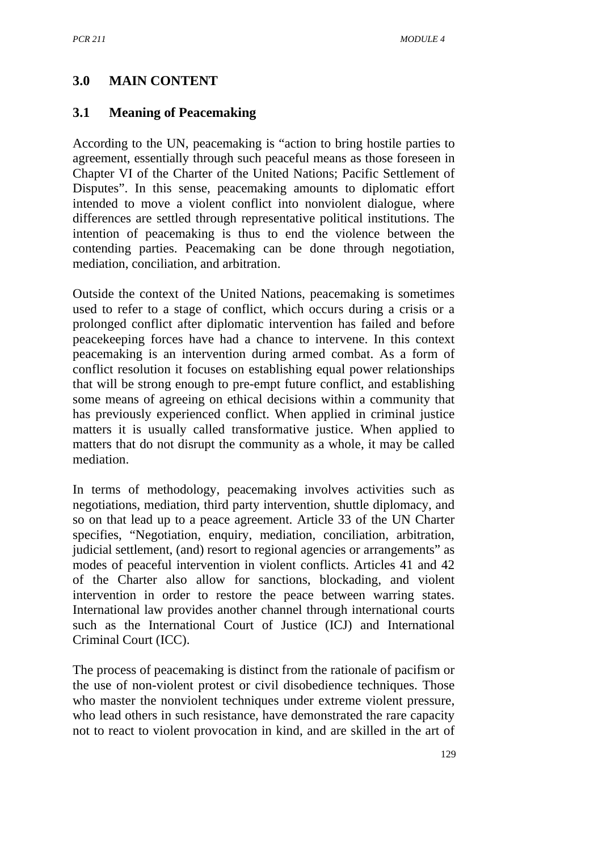#### **3.0 MAIN CONTENT**

#### **3.1 Meaning of Peacemaking**

According to the UN, peacemaking is "action to bring hostile parties to agreement, essentially through such peaceful means as those foreseen in Chapter VI of the Charter of the United Nations; Pacific Settlement of Disputes". In this sense, peacemaking amounts to diplomatic effort intended to move a violent conflict into nonviolent dialogue, where differences are settled through representative political institutions. The intention of peacemaking is thus to end the violence between the contending parties. Peacemaking can be done through negotiation, mediation, conciliation, and arbitration.

Outside the context of the United Nations, peacemaking is sometimes used to refer to a stage of conflict, which occurs during a crisis or a prolonged conflict after diplomatic intervention has failed and before peacekeeping forces have had a chance to intervene. In this context peacemaking is an intervention during armed combat. As a form of conflict resolution it focuses on establishing equal power relationships that will be strong enough to pre-empt future conflict, and establishing some means of agreeing on ethical decisions within a community that has previously experienced conflict. When applied in criminal justice matters it is usually called transformative justice. When applied to matters that do not disrupt the community as a whole, it may be called mediation.

In terms of methodology, peacemaking involves activities such as negotiations, mediation, third party intervention, shuttle diplomacy, and so on that lead up to a peace agreement. Article 33 of the UN Charter specifies, "Negotiation, enquiry, mediation, conciliation, arbitration, judicial settlement, (and) resort to regional agencies or arrangements" as modes of peaceful intervention in violent conflicts. Articles 41 and 42 of the Charter also allow for sanctions, blockading, and violent intervention in order to restore the peace between warring states. International law provides another channel through international courts such as the International Court of Justice (ICJ) and International Criminal Court (ICC).

The process of peacemaking is distinct from the rationale of pacifism or the use of non-violent protest or civil disobedience techniques. Those who master the nonviolent techniques under extreme violent pressure, who lead others in such resistance, have demonstrated the rare capacity not to react to violent provocation in kind, and are skilled in the art of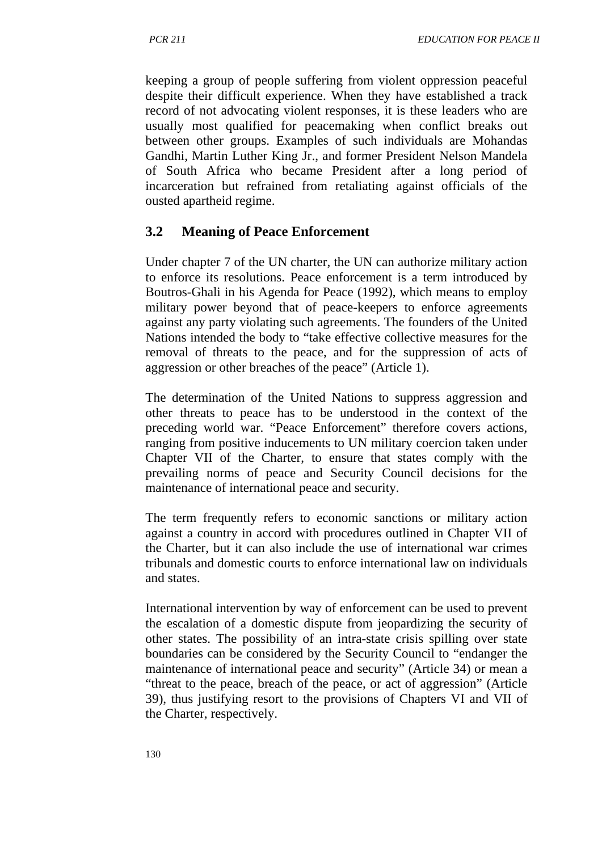keeping a group of people suffering from violent oppression peaceful despite their difficult experience. When they have established a track record of not advocating violent responses, it is these leaders who are usually most qualified for peacemaking when conflict breaks out between other groups. Examples of such individuals are Mohandas Gandhi, Martin Luther King Jr., and former President Nelson Mandela of South Africa who became President after a long period of incarceration but refrained from retaliating against officials of the ousted apartheid regime.

## **3.2 Meaning of Peace Enforcement**

Under chapter 7 of the UN charter, the UN can authorize military action to enforce its resolutions. Peace enforcement is a term introduced by Boutros-Ghali in his Agenda for Peace (1992), which means to employ military power beyond that of peace-keepers to enforce agreements against any party violating such agreements. The founders of the United Nations intended the body to "take effective collective measures for the removal of threats to the peace, and for the suppression of acts of aggression or other breaches of the peace" (Article 1).

The determination of the United Nations to suppress aggression and other threats to peace has to be understood in the context of the preceding world war. "Peace Enforcement" therefore covers actions, ranging from positive inducements to UN military coercion taken under Chapter VII of the Charter, to ensure that states comply with the prevailing norms of peace and Security Council decisions for the maintenance of international peace and security.

The term frequently refers to economic sanctions or military action against a country in accord with procedures outlined in Chapter VII of the Charter, but it can also include the use of international war crimes tribunals and domestic courts to enforce international law on individuals and states.

International intervention by way of enforcement can be used to prevent the escalation of a domestic dispute from jeopardizing the security of other states. The possibility of an intra-state crisis spilling over state boundaries can be considered by the Security Council to "endanger the maintenance of international peace and security" (Article 34) or mean a "threat to the peace, breach of the peace, or act of aggression" (Article 39), thus justifying resort to the provisions of Chapters VI and VII of the Charter, respectively.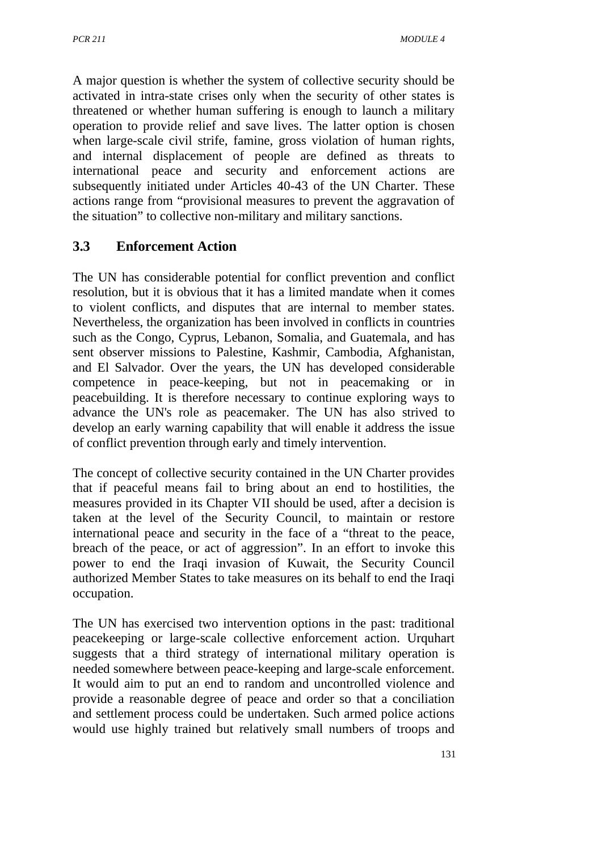A major question is whether the system of collective security should be activated in intra-state crises only when the security of other states is threatened or whether human suffering is enough to launch a military operation to provide relief and save lives. The latter option is chosen when large-scale civil strife, famine, gross violation of human rights, and internal displacement of people are defined as threats to international peace and security and enforcement actions are subsequently initiated under Articles 40-43 of the UN Charter. These actions range from "provisional measures to prevent the aggravation of the situation" to collective non-military and military sanctions.

# **3.3 Enforcement Action**

The UN has considerable potential for conflict prevention and conflict resolution, but it is obvious that it has a limited mandate when it comes to violent conflicts, and disputes that are internal to member states. Nevertheless, the organization has been involved in conflicts in countries such as the Congo, Cyprus, Lebanon, Somalia, and Guatemala, and has sent observer missions to Palestine, Kashmir, Cambodia, Afghanistan, and El Salvador. Over the years, the UN has developed considerable competence in peace-keeping, but not in peacemaking or in peacebuilding. It is therefore necessary to continue exploring ways to advance the UN's role as peacemaker. The UN has also strived to develop an early warning capability that will enable it address the issue of conflict prevention through early and timely intervention.

The concept of collective security contained in the UN Charter provides that if peaceful means fail to bring about an end to hostilities, the measures provided in its Chapter VII should be used, after a decision is taken at the level of the Security Council, to maintain or restore international peace and security in the face of a "threat to the peace, breach of the peace, or act of aggression". In an effort to invoke this power to end the Iraqi invasion of Kuwait, the Security Council authorized Member States to take measures on its behalf to end the Iraqi occupation.

The UN has exercised two intervention options in the past: traditional peacekeeping or large-scale collective enforcement action. Urquhart suggests that a third strategy of international military operation is needed somewhere between peace-keeping and large-scale enforcement. It would aim to put an end to random and uncontrolled violence and provide a reasonable degree of peace and order so that a conciliation and settlement process could be undertaken. Such armed police actions would use highly trained but relatively small numbers of troops and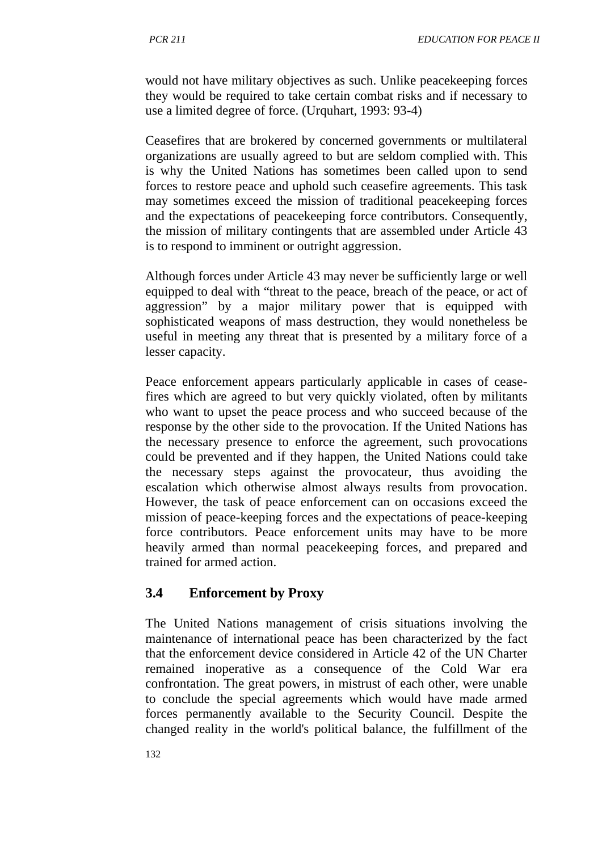would not have military objectives as such. Unlike peacekeeping forces they would be required to take certain combat risks and if necessary to use a limited degree of force. (Urquhart, 1993: 93-4)

Ceasefires that are brokered by concerned governments or multilateral organizations are usually agreed to but are seldom complied with. This is why the United Nations has sometimes been called upon to send forces to restore peace and uphold such ceasefire agreements. This task may sometimes exceed the mission of traditional peacekeeping forces and the expectations of peacekeeping force contributors. Consequently, the mission of military contingents that are assembled under Article 43 is to respond to imminent or outright aggression.

Although forces under Article 43 may never be sufficiently large or well equipped to deal with "threat to the peace, breach of the peace, or act of aggression" by a major military power that is equipped with sophisticated weapons of mass destruction, they would nonetheless be useful in meeting any threat that is presented by a military force of a lesser capacity.

Peace enforcement appears particularly applicable in cases of ceasefires which are agreed to but very quickly violated, often by militants who want to upset the peace process and who succeed because of the response by the other side to the provocation. If the United Nations has the necessary presence to enforce the agreement, such provocations could be prevented and if they happen, the United Nations could take the necessary steps against the provocateur, thus avoiding the escalation which otherwise almost always results from provocation. However, the task of peace enforcement can on occasions exceed the mission of peace-keeping forces and the expectations of peace-keeping force contributors. Peace enforcement units may have to be more heavily armed than normal peacekeeping forces, and prepared and trained for armed action.

#### **3.4 Enforcement by Proxy**

The United Nations management of crisis situations involving the maintenance of international peace has been characterized by the fact that the enforcement device considered in Article 42 of the UN Charter remained inoperative as a consequence of the Cold War era confrontation. The great powers, in mistrust of each other, were unable to conclude the special agreements which would have made armed forces permanently available to the Security Council. Despite the changed reality in the world's political balance, the fulfillment of the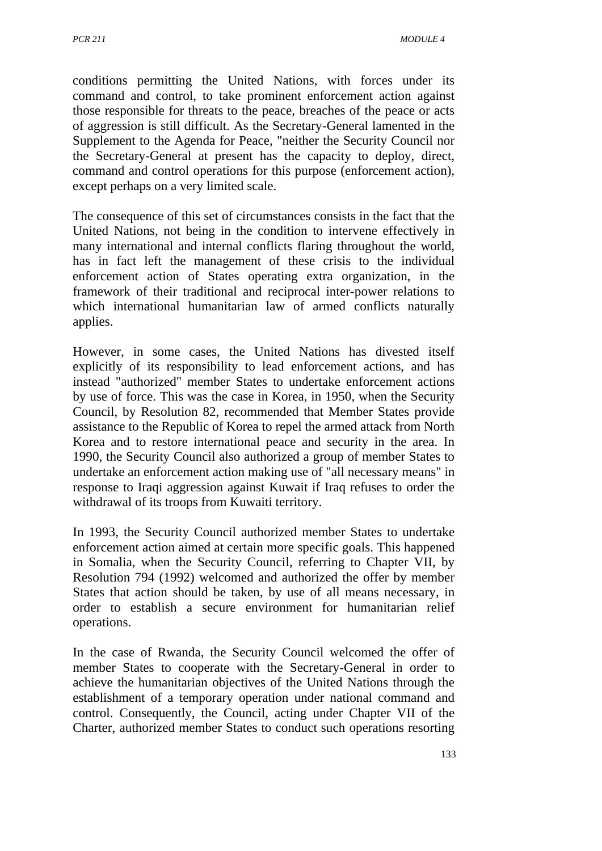conditions permitting the United Nations, with forces under its command and control, to take prominent enforcement action against those responsible for threats to the peace, breaches of the peace or acts of aggression is still difficult. As the Secretary-General lamented in the Supplement to the Agenda for Peace, "neither the Security Council nor the Secretary-General at present has the capacity to deploy, direct, command and control operations for this purpose (enforcement action), except perhaps on a very limited scale.

The consequence of this set of circumstances consists in the fact that the United Nations, not being in the condition to intervene effectively in many international and internal conflicts flaring throughout the world, has in fact left the management of these crisis to the individual enforcement action of States operating extra organization, in the framework of their traditional and reciprocal inter-power relations to which international humanitarian law of armed conflicts naturally applies.

However, in some cases, the United Nations has divested itself explicitly of its responsibility to lead enforcement actions, and has instead "authorized" member States to undertake enforcement actions by use of force. This was the case in Korea, in 1950, when the Security Council, by Resolution 82, recommended that Member States provide assistance to the Republic of Korea to repel the armed attack from North Korea and to restore international peace and security in the area. In 1990, the Security Council also authorized a group of member States to undertake an enforcement action making use of "all necessary means" in response to Iraqi aggression against Kuwait if Iraq refuses to order the withdrawal of its troops from Kuwaiti territory.

In 1993, the Security Council authorized member States to undertake enforcement action aimed at certain more specific goals. This happened in Somalia, when the Security Council, referring to Chapter VII, by Resolution 794 (1992) welcomed and authorized the offer by member States that action should be taken, by use of all means necessary, in order to establish a secure environment for humanitarian relief operations.

In the case of Rwanda, the Security Council welcomed the offer of member States to cooperate with the Secretary-General in order to achieve the humanitarian objectives of the United Nations through the establishment of a temporary operation under national command and control. Consequently, the Council, acting under Chapter VII of the Charter, authorized member States to conduct such operations resorting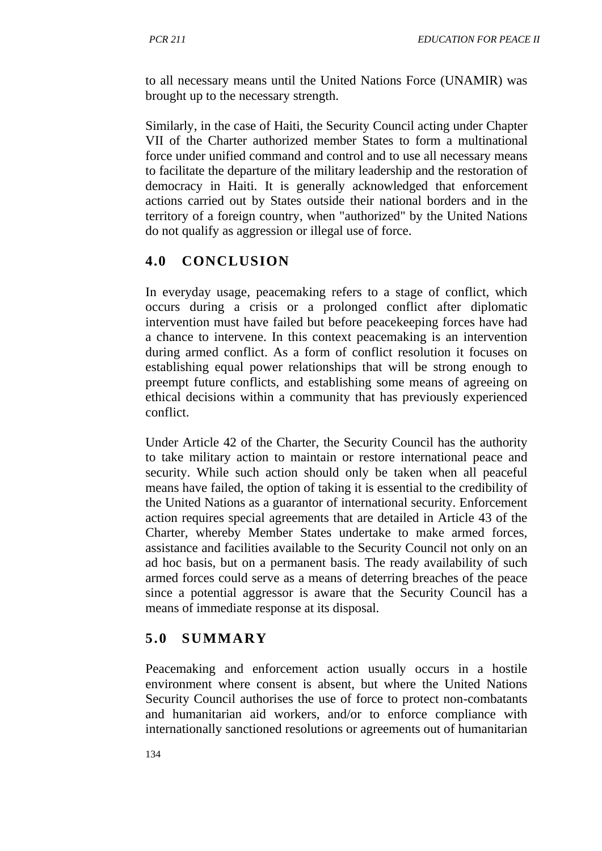to all necessary means until the United Nations Force (UNAMIR) was brought up to the necessary strength.

Similarly, in the case of Haiti, the Security Council acting under Chapter VII of the Charter authorized member States to form a multinational force under unified command and control and to use all necessary means to facilitate the departure of the military leadership and the restoration of democracy in Haiti. It is generally acknowledged that enforcement actions carried out by States outside their national borders and in the territory of a foreign country, when "authorized" by the United Nations do not qualify as aggression or illegal use of force.

# **4.0 CONCLUSION**

In everyday usage, peacemaking refers to a stage of conflict, which occurs during a crisis or a prolonged conflict after diplomatic intervention must have failed but before peacekeeping forces have had a chance to intervene. In this context peacemaking is an intervention during armed conflict. As a form of conflict resolution it focuses on establishing equal power relationships that will be strong enough to preempt future conflicts, and establishing some means of agreeing on ethical decisions within a community that has previously experienced conflict.

Under Article 42 of the Charter, the Security Council has the authority to take military action to maintain or restore international peace and security. While such action should only be taken when all peaceful means have failed, the option of taking it is essential to the credibility of the United Nations as a guarantor of international security. Enforcement action requires special agreements that are detailed in Article 43 of the Charter, whereby Member States undertake to make armed forces, assistance and facilities available to the Security Council not only on an ad hoc basis, but on a permanent basis. The ready availability of such armed forces could serve as a means of deterring breaches of the peace since a potential aggressor is aware that the Security Council has a means of immediate response at its disposal.

# **5.0 SUMMARY**

Peacemaking and enforcement action usually occurs in a hostile environment where consent is absent, but where the United Nations Security Council authorises the use of force to protect non-combatants and humanitarian aid workers, and/or to enforce compliance with internationally sanctioned resolutions or agreements out of humanitarian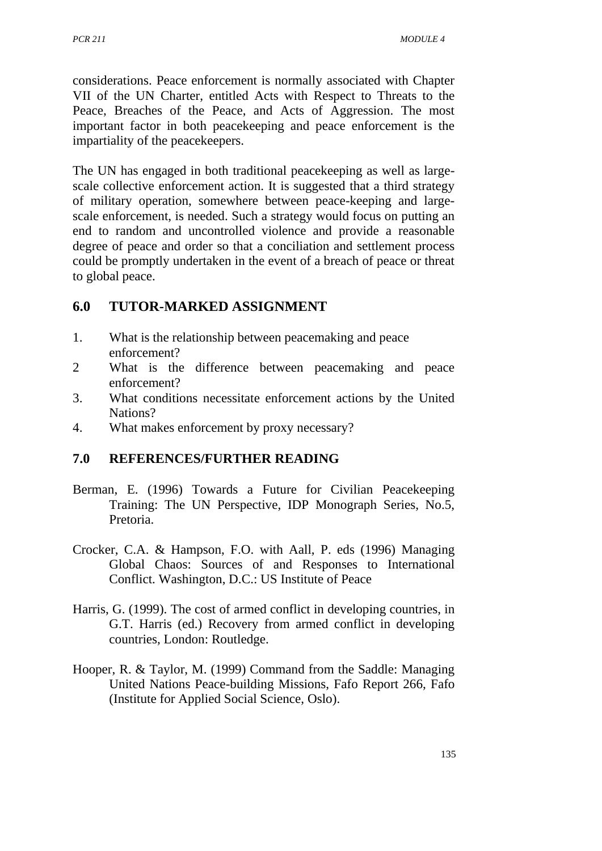considerations. Peace enforcement is normally associated with Chapter VII of the UN Charter, entitled Acts with Respect to Threats to the Peace, Breaches of the Peace, and Acts of Aggression. The most important factor in both peacekeeping and peace enforcement is the impartiality of the peacekeepers.

The UN has engaged in both traditional peacekeeping as well as largescale collective enforcement action. It is suggested that a third strategy of military operation, somewhere between peace-keeping and largescale enforcement, is needed. Such a strategy would focus on putting an end to random and uncontrolled violence and provide a reasonable degree of peace and order so that a conciliation and settlement process could be promptly undertaken in the event of a breach of peace or threat to global peace.

## **6.0 TUTOR-MARKED ASSIGNMENT**

- 1. What is the relationship between peacemaking and peace enforcement?
- 2 What is the difference between peacemaking and peace enforcement?
- 3. What conditions necessitate enforcement actions by the United Nations?
- 4. What makes enforcement by proxy necessary?

#### **7.0 REFERENCES/FURTHER READING**

- Berman, E. (1996) Towards a Future for Civilian Peacekeeping Training: The UN Perspective, IDP Monograph Series, No.5, Pretoria.
- Crocker, C.A. & Hampson, F.O. with Aall, P. eds (1996) Managing Global Chaos: Sources of and Responses to International Conflict. Washington, D.C.: US Institute of Peace
- Harris, G. (1999). The cost of armed conflict in developing countries, in G.T. Harris (ed.) Recovery from armed conflict in developing countries, London: Routledge.
- Hooper, R. & Taylor, M. (1999) Command from the Saddle: Managing United Nations Peace-building Missions, Fafo Report 266, Fafo (Institute for Applied Social Science, Oslo).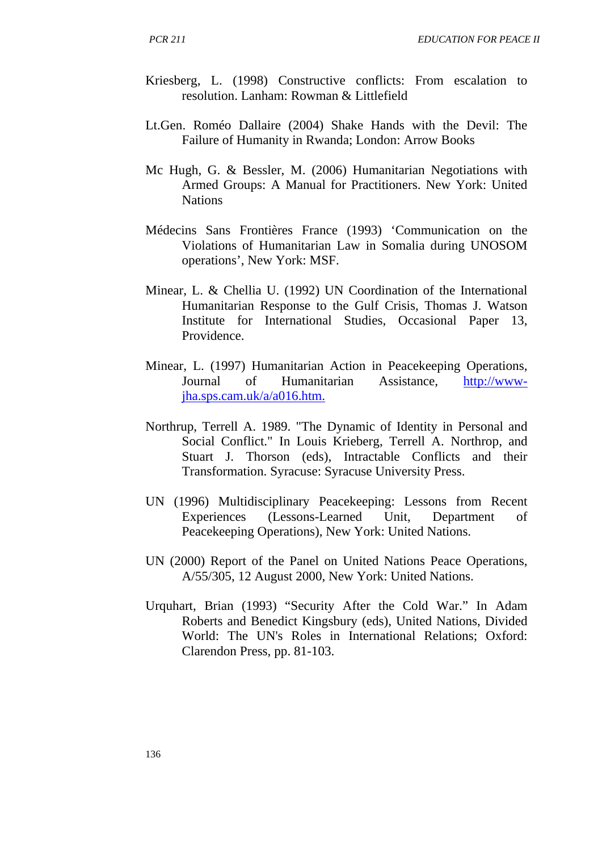- Kriesberg, L. (1998) Constructive conflicts: From escalation to resolution. Lanham: Rowman & Littlefield
- Lt.Gen. Roméo Dallaire (2004) Shake Hands with the Devil: The Failure of Humanity in Rwanda; London: Arrow Books
- Mc Hugh, G. & Bessler, M. (2006) Humanitarian Negotiations with Armed Groups: A Manual for Practitioners. New York: United Nations
- Médecins Sans Frontières France (1993) 'Communication on the Violations of Humanitarian Law in Somalia during UNOSOM operations', New York: MSF.
- Minear, L. & Chellia U. (1992) UN Coordination of the International Humanitarian Response to the Gulf Crisis, Thomas J. Watson Institute for International Studies, Occasional Paper 13, Providence.
- Minear, L. (1997) Humanitarian Action in Peacekeeping Operations, Journal of Humanitarian Assistance, [http://www](http://www-jha.sps.cam.uk/a/a016.htm.)[jha.sps.cam.uk/a/a016.htm.](http://www-jha.sps.cam.uk/a/a016.htm.)
- Northrup, Terrell A. 1989. "The Dynamic of Identity in Personal and Social Conflict." In Louis Krieberg, Terrell A. Northrop, and Stuart J. Thorson (eds), Intractable Conflicts and their Transformation. Syracuse: Syracuse University Press.
- UN (1996) Multidisciplinary Peacekeeping: Lessons from Recent Experiences (Lessons-Learned Unit, Department of Peacekeeping Operations), New York: United Nations.
- UN (2000) Report of the Panel on United Nations Peace Operations, A/55/305, 12 August 2000, New York: United Nations.
- Urquhart, Brian (1993) "Security After the Cold War." In Adam Roberts and Benedict Kingsbury (eds), United Nations, Divided World: The UN's Roles in International Relations; Oxford: Clarendon Press, pp. 81-103.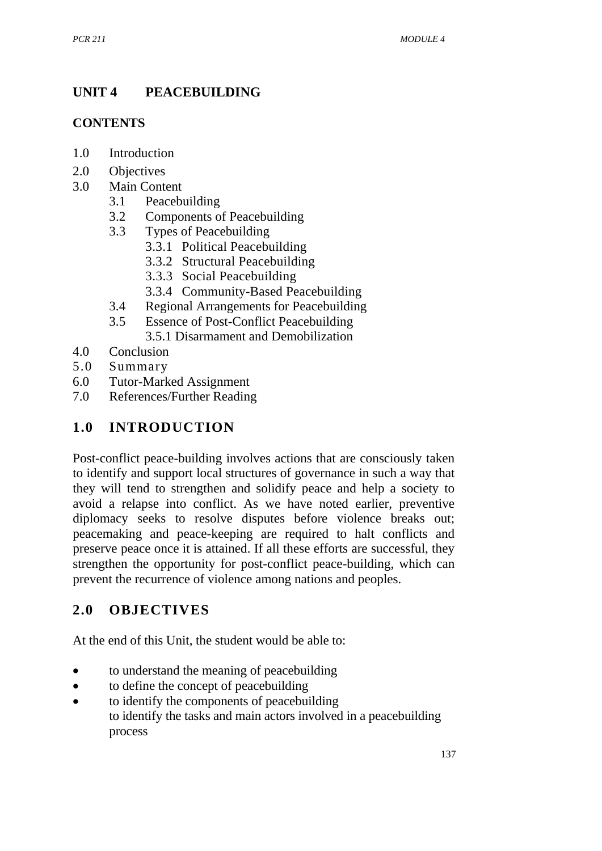# **UNIT 4 PEACEBUILDING**

#### **CONTENTS**

- 1.0 Introduction
- 2.0 Objectives
- 3.0 Main Content
	- 3.1 Peacebuilding
	- 3.2 Components of Peacebuilding
	- 3.3 Types of Peacebuilding
		- 3.3.1 Political Peacebuilding
		- 3.3.2 Structural Peacebuilding
		- 3.3.3 Social Peacebuilding
		- 3.3.4 Community-Based Peacebuilding
	- 3.4 Regional Arrangements for Peacebuilding
	- 3.5 Essence of Post-Conflict Peacebuilding
		- 3.5.1 Disarmament and Demobilization
- 4.0 Conclusion
- 5.0 Summary
- 6.0 Tutor-Marked Assignment
- 7.0 References/Further Reading

# **1.0 INTRODUCTION**

Post-conflict peace-building involves actions that are consciously taken to identify and support local structures of governance in such a way that they will tend to strengthen and solidify peace and help a society to avoid a relapse into conflict. As we have noted earlier, preventive diplomacy seeks to resolve disputes before violence breaks out; peacemaking and peace-keeping are required to halt conflicts and preserve peace once it is attained. If all these efforts are successful, they strengthen the opportunity for post-conflict peace-building, which can prevent the recurrence of violence among nations and peoples.

# **2.0 OBJECTIVES**

At the end of this Unit, the student would be able to:

- to understand the meaning of peacebuilding
- to define the concept of peacebuilding
- to identify the components of peacebuilding to identify the tasks and main actors involved in a peacebuilding process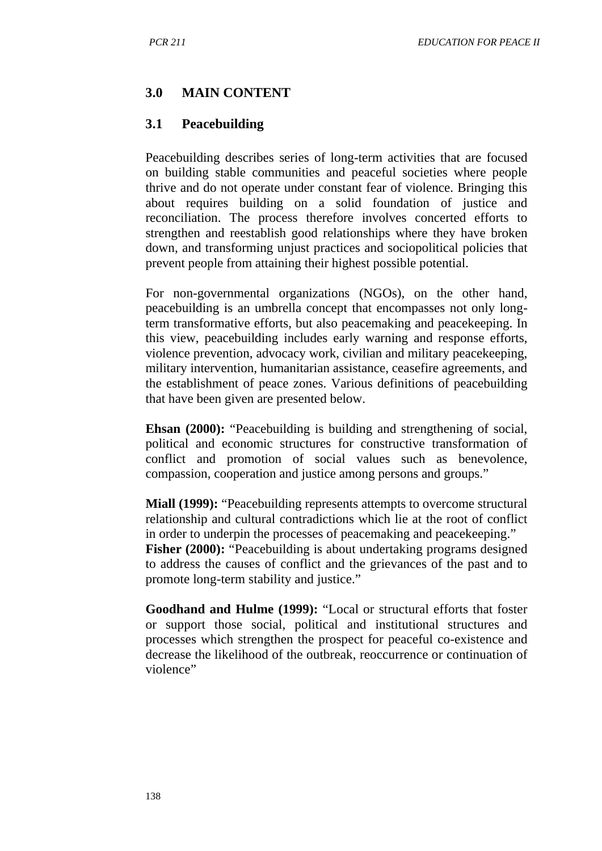#### **3.0 MAIN CONTENT**

#### **3.1 Peacebuilding**

Peacebuilding describes series of long-term activities that are focused on building stable communities and peaceful societies where people thrive and do not operate under constant fear of violence. Bringing this about requires building on a solid foundation of justice and reconciliation. The process therefore involves concerted efforts to strengthen and reestablish good relationships where they have broken down, and transforming unjust practices and sociopolitical policies that prevent people from attaining their highest possible potential.

For non-governmental organizations (NGOs), on the other hand, peacebuilding is an umbrella concept that encompasses not only longterm transformative efforts, but also peacemaking and peacekeeping. In this view, peacebuilding includes early warning and response efforts, violence prevention, advocacy work, civilian and military peacekeeping, military intervention, humanitarian assistance, ceasefire agreements, and the establishment of peace zones. Various definitions of peacebuilding that have been given are presented below.

**Ehsan (2000):** "Peacebuilding is building and strengthening of social, political and economic structures for constructive transformation of conflict and promotion of social values such as benevolence, compassion, cooperation and justice among persons and groups."

**Miall (1999):** "Peacebuilding represents attempts to overcome structural relationship and cultural contradictions which lie at the root of conflict in order to underpin the processes of peacemaking and peacekeeping." **Fisher (2000): "Peacebuilding is about undertaking programs designed** to address the causes of conflict and the grievances of the past and to promote long-term stability and justice."

**Goodhand and Hulme (1999):** "Local or structural efforts that foster or support those social, political and institutional structures and processes which strengthen the prospect for peaceful co-existence and decrease the likelihood of the outbreak, reoccurrence or continuation of violence"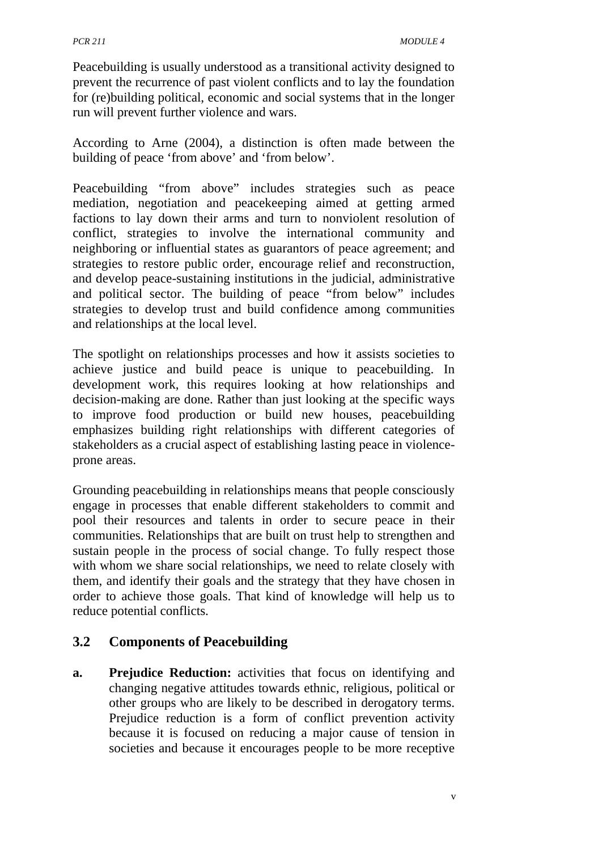Peacebuilding is usually understood as a transitional activity designed to prevent the recurrence of past violent conflicts and to lay the foundation for (re)building political, economic and social systems that in the longer run will prevent further violence and wars.

According to Arne (2004), a distinction is often made between the building of peace 'from above' and 'from below'.

Peacebuilding "from above" includes strategies such as peace mediation, negotiation and peacekeeping aimed at getting armed factions to lay down their arms and turn to nonviolent resolution of conflict, strategies to involve the international community and neighboring or influential states as guarantors of peace agreement; and strategies to restore public order, encourage relief and reconstruction, and develop peace-sustaining institutions in the judicial, administrative and political sector. The building of peace "from below" includes strategies to develop trust and build confidence among communities and relationships at the local level.

The spotlight on relationships processes and how it assists societies to achieve justice and build peace is unique to peacebuilding. In development work, this requires looking at how relationships and decision-making are done. Rather than just looking at the specific ways to improve food production or build new houses, peacebuilding emphasizes building right relationships with different categories of stakeholders as a crucial aspect of establishing lasting peace in violenceprone areas.

Grounding peacebuilding in relationships means that people consciously engage in processes that enable different stakeholders to commit and pool their resources and talents in order to secure peace in their communities. Relationships that are built on trust help to strengthen and sustain people in the process of social change. To fully respect those with whom we share social relationships, we need to relate closely with them, and identify their goals and the strategy that they have chosen in order to achieve those goals. That kind of knowledge will help us to reduce potential conflicts.

## **3.2 Components of Peacebuilding**

**a. Prejudice Reduction:** activities that focus on identifying and changing negative attitudes towards ethnic, religious, political or other groups who are likely to be described in derogatory terms. Prejudice reduction is a form of conflict prevention activity because it is focused on reducing a major cause of tension in societies and because it encourages people to be more receptive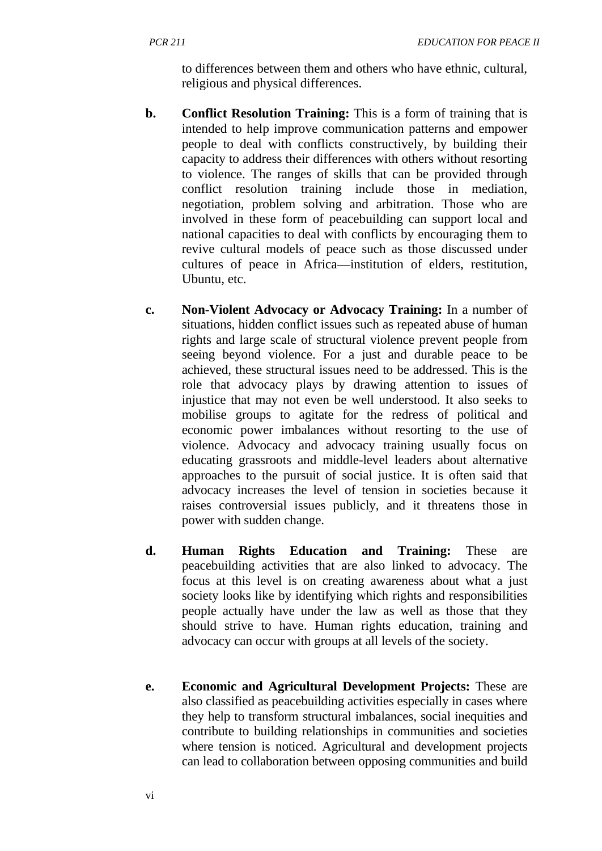to differences between them and others who have ethnic, cultural, religious and physical differences.

- **b. Conflict Resolution Training:** This is a form of training that is intended to help improve communication patterns and empower people to deal with conflicts constructively, by building their capacity to address their differences with others without resorting to violence. The ranges of skills that can be provided through conflict resolution training include those in mediation, negotiation, problem solving and arbitration. Those who are involved in these form of peacebuilding can support local and national capacities to deal with conflicts by encouraging them to revive cultural models of peace such as those discussed under cultures of peace in Africa—institution of elders, restitution, Ubuntu, etc.
- **c. Non-Violent Advocacy or Advocacy Training:** In a number of situations, hidden conflict issues such as repeated abuse of human rights and large scale of structural violence prevent people from seeing beyond violence. For a just and durable peace to be achieved, these structural issues need to be addressed. This is the role that advocacy plays by drawing attention to issues of injustice that may not even be well understood. It also seeks to mobilise groups to agitate for the redress of political and economic power imbalances without resorting to the use of violence. Advocacy and advocacy training usually focus on educating grassroots and middle-level leaders about alternative approaches to the pursuit of social justice. It is often said that advocacy increases the level of tension in societies because it raises controversial issues publicly, and it threatens those in power with sudden change.
- **d. Human Rights Education and Training:** These are peacebuilding activities that are also linked to advocacy. The focus at this level is on creating awareness about what a just society looks like by identifying which rights and responsibilities people actually have under the law as well as those that they should strive to have. Human rights education, training and advocacy can occur with groups at all levels of the society.
- **e. Economic and Agricultural Development Projects:** These are also classified as peacebuilding activities especially in cases where they help to transform structural imbalances, social inequities and contribute to building relationships in communities and societies where tension is noticed. Agricultural and development projects can lead to collaboration between opposing communities and build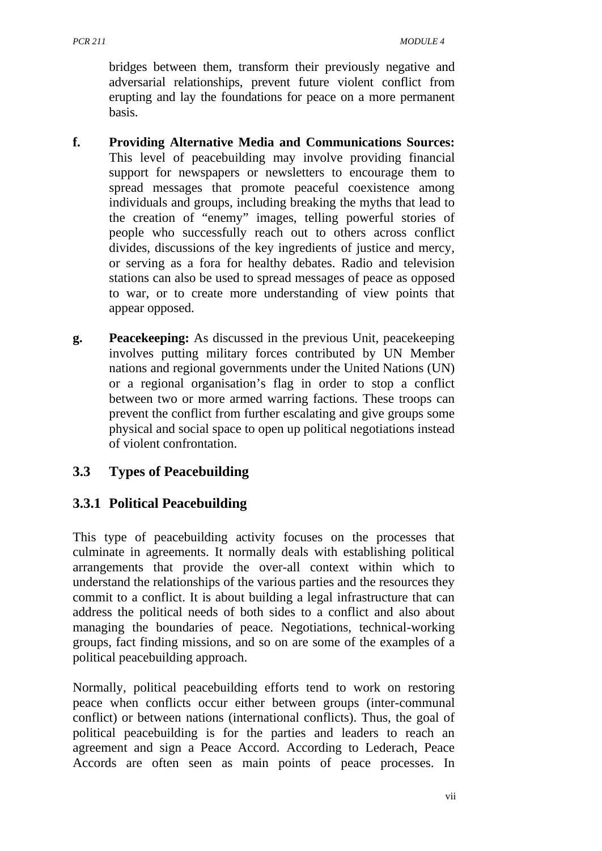bridges between them, transform their previously negative and adversarial relationships, prevent future violent conflict from erupting and lay the foundations for peace on a more permanent basis.

- **f. Providing Alternative Media and Communications Sources:**  This level of peacebuilding may involve providing financial support for newspapers or newsletters to encourage them to spread messages that promote peaceful coexistence among individuals and groups, including breaking the myths that lead to the creation of "enemy" images, telling powerful stories of people who successfully reach out to others across conflict divides, discussions of the key ingredients of justice and mercy, or serving as a fora for healthy debates. Radio and television stations can also be used to spread messages of peace as opposed to war, or to create more understanding of view points that appear opposed.
- **g. Peacekeeping:** As discussed in the previous Unit, peacekeeping involves putting military forces contributed by UN Member nations and regional governments under the United Nations (UN) or a regional organisation's flag in order to stop a conflict between two or more armed warring factions. These troops can prevent the conflict from further escalating and give groups some physical and social space to open up political negotiations instead of violent confrontation.

## **3.3 Types of Peacebuilding**

# **3.3.1 Political Peacebuilding**

This type of peacebuilding activity focuses on the processes that culminate in agreements. It normally deals with establishing political arrangements that provide the over-all context within which to understand the relationships of the various parties and the resources they commit to a conflict. It is about building a legal infrastructure that can address the political needs of both sides to a conflict and also about managing the boundaries of peace. Negotiations, technical-working groups, fact finding missions, and so on are some of the examples of a political peacebuilding approach.

Normally, political peacebuilding efforts tend to work on restoring peace when conflicts occur either between groups (inter-communal conflict) or between nations (international conflicts). Thus, the goal of political peacebuilding is for the parties and leaders to reach an agreement and sign a Peace Accord. According to Lederach, Peace Accords are often seen as main points of peace processes. In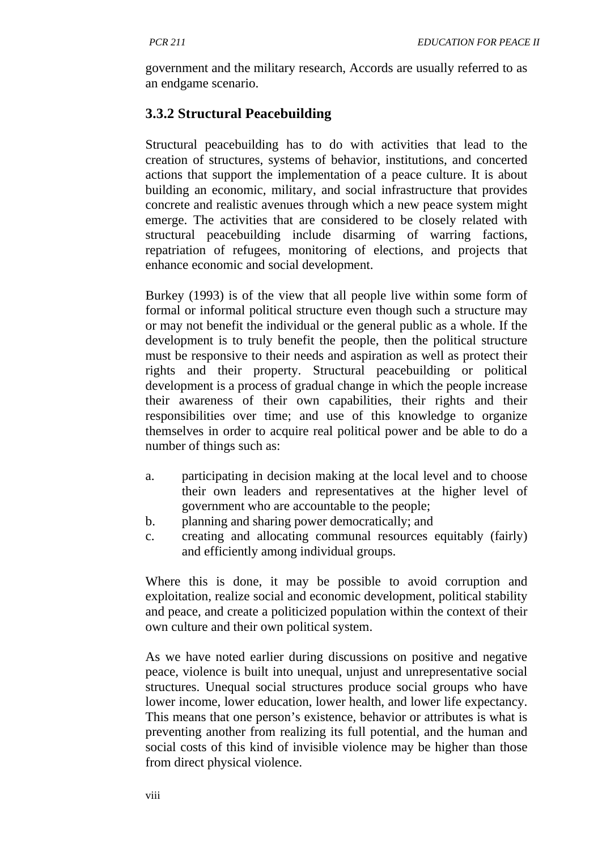government and the military research, Accords are usually referred to as an endgame scenario.

## **3.3.2 Structural Peacebuilding**

Structural peacebuilding has to do with activities that lead to the creation of structures, systems of behavior, institutions, and concerted actions that support the implementation of a peace culture. It is about building an economic, military, and social infrastructure that provides concrete and realistic avenues through which a new peace system might emerge. The activities that are considered to be closely related with structural peacebuilding include disarming of warring factions, repatriation of refugees, monitoring of elections, and projects that enhance economic and social development.

Burkey (1993) is of the view that all people live within some form of formal or informal political structure even though such a structure may or may not benefit the individual or the general public as a whole. If the development is to truly benefit the people, then the political structure must be responsive to their needs and aspiration as well as protect their rights and their property. Structural peacebuilding or political development is a process of gradual change in which the people increase their awareness of their own capabilities, their rights and their responsibilities over time; and use of this knowledge to organize themselves in order to acquire real political power and be able to do a number of things such as:

- a. participating in decision making at the local level and to choose their own leaders and representatives at the higher level of government who are accountable to the people;
- b. planning and sharing power democratically; and
- c. creating and allocating communal resources equitably (fairly) and efficiently among individual groups.

Where this is done, it may be possible to avoid corruption and exploitation, realize social and economic development, political stability and peace, and create a politicized population within the context of their own culture and their own political system.

As we have noted earlier during discussions on positive and negative peace, violence is built into unequal, unjust and unrepresentative social structures. Unequal social structures produce social groups who have lower income, lower education, lower health, and lower life expectancy. This means that one person's existence, behavior or attributes is what is preventing another from realizing its full potential, and the human and social costs of this kind of invisible violence may be higher than those from direct physical violence.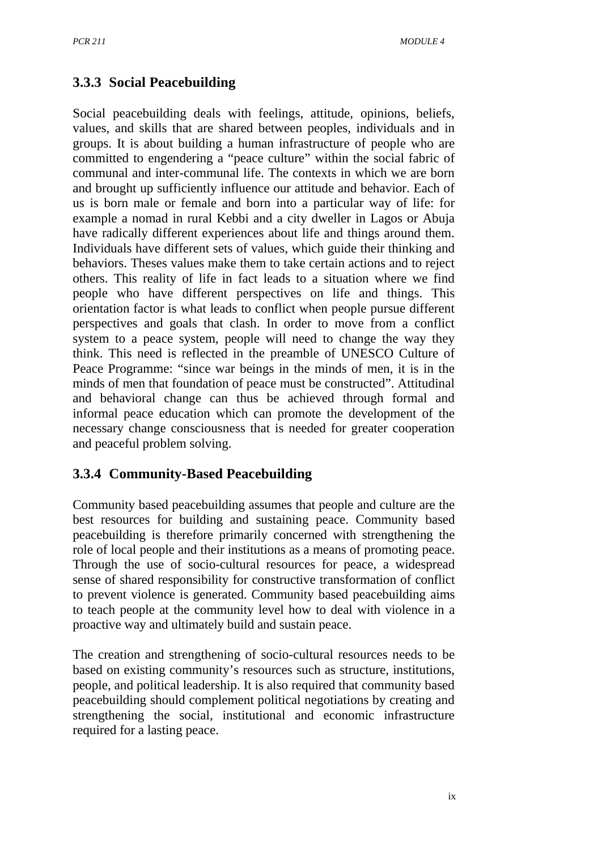## **3.3.3 Social Peacebuilding**

Social peacebuilding deals with feelings, attitude, opinions, beliefs, values, and skills that are shared between peoples, individuals and in groups. It is about building a human infrastructure of people who are committed to engendering a "peace culture" within the social fabric of communal and inter-communal life. The contexts in which we are born and brought up sufficiently influence our attitude and behavior. Each of us is born male or female and born into a particular way of life: for example a nomad in rural Kebbi and a city dweller in Lagos or Abuja have radically different experiences about life and things around them. Individuals have different sets of values, which guide their thinking and behaviors. Theses values make them to take certain actions and to reject others. This reality of life in fact leads to a situation where we find people who have different perspectives on life and things. This orientation factor is what leads to conflict when people pursue different perspectives and goals that clash. In order to move from a conflict system to a peace system, people will need to change the way they think. This need is reflected in the preamble of UNESCO Culture of Peace Programme: "since war beings in the minds of men, it is in the minds of men that foundation of peace must be constructed". Attitudinal and behavioral change can thus be achieved through formal and informal peace education which can promote the development of the necessary change consciousness that is needed for greater cooperation and peaceful problem solving.

## **3.3.4 Community-Based Peacebuilding**

Community based peacebuilding assumes that people and culture are the best resources for building and sustaining peace. Community based peacebuilding is therefore primarily concerned with strengthening the role of local people and their institutions as a means of promoting peace. Through the use of socio-cultural resources for peace, a widespread sense of shared responsibility for constructive transformation of conflict to prevent violence is generated. Community based peacebuilding aims to teach people at the community level how to deal with violence in a proactive way and ultimately build and sustain peace.

The creation and strengthening of socio-cultural resources needs to be based on existing community's resources such as structure, institutions, people, and political leadership. It is also required that community based peacebuilding should complement political negotiations by creating and strengthening the social, institutional and economic infrastructure required for a lasting peace.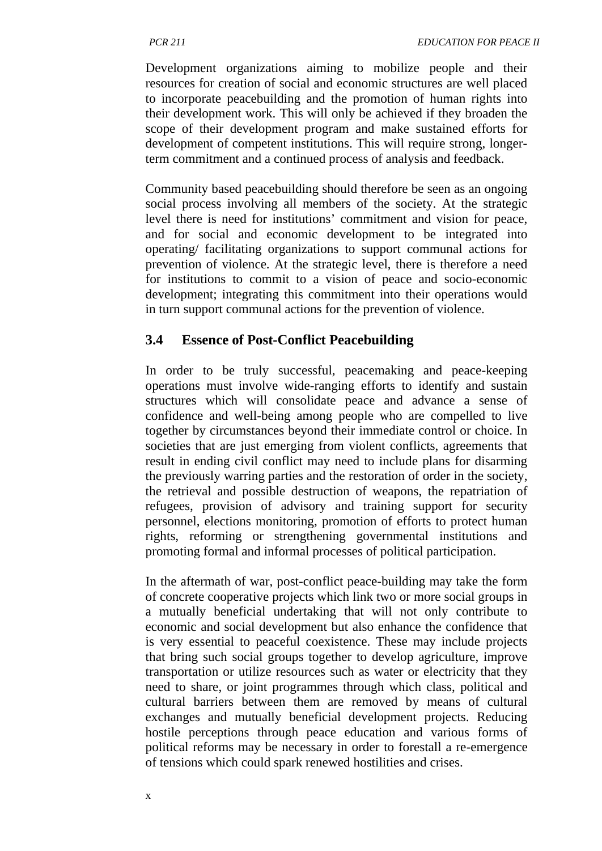Development organizations aiming to mobilize people and their resources for creation of social and economic structures are well placed to incorporate peacebuilding and the promotion of human rights into their development work. This will only be achieved if they broaden the scope of their development program and make sustained efforts for development of competent institutions. This will require strong, longerterm commitment and a continued process of analysis and feedback.

Community based peacebuilding should therefore be seen as an ongoing social process involving all members of the society. At the strategic level there is need for institutions' commitment and vision for peace, and for social and economic development to be integrated into operating/ facilitating organizations to support communal actions for prevention of violence. At the strategic level, there is therefore a need for institutions to commit to a vision of peace and socio-economic development; integrating this commitment into their operations would in turn support communal actions for the prevention of violence.

## **3.4 Essence of Post-Conflict Peacebuilding**

In order to be truly successful, peacemaking and peace-keeping operations must involve wide-ranging efforts to identify and sustain structures which will consolidate peace and advance a sense of confidence and well-being among people who are compelled to live together by circumstances beyond their immediate control or choice. In societies that are just emerging from violent conflicts, agreements that result in ending civil conflict may need to include plans for disarming the previously warring parties and the restoration of order in the society, the retrieval and possible destruction of weapons, the repatriation of refugees, provision of advisory and training support for security personnel, elections monitoring, promotion of efforts to protect human rights, reforming or strengthening governmental institutions and promoting formal and informal processes of political participation.

In the aftermath of war, post-conflict peace-building may take the form of concrete cooperative projects which link two or more social groups in a mutually beneficial undertaking that will not only contribute to economic and social development but also enhance the confidence that is very essential to peaceful coexistence. These may include projects that bring such social groups together to develop agriculture, improve transportation or utilize resources such as water or electricity that they need to share, or joint programmes through which class, political and cultural barriers between them are removed by means of cultural exchanges and mutually beneficial development projects. Reducing hostile perceptions through peace education and various forms of political reforms may be necessary in order to forestall a re-emergence of tensions which could spark renewed hostilities and crises.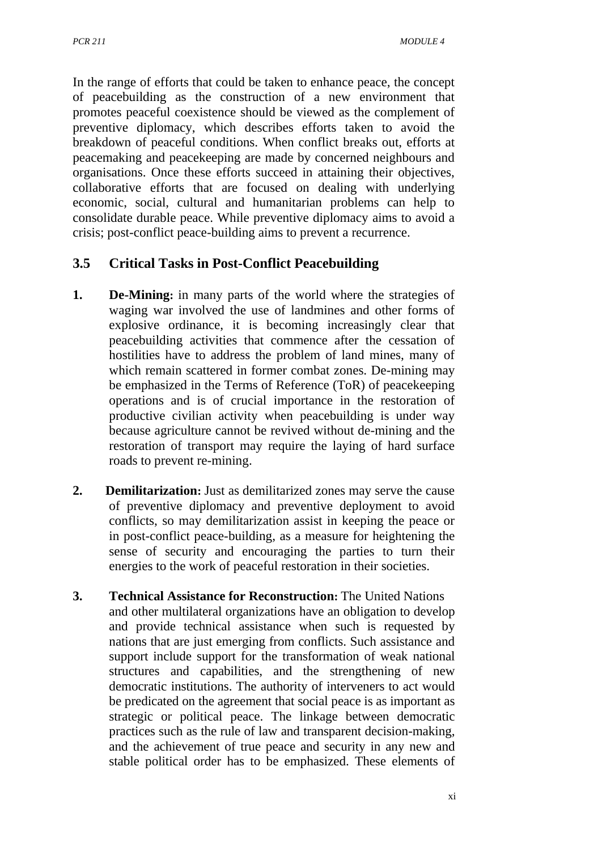In the range of efforts that could be taken to enhance peace, the concept of peacebuilding as the construction of a new environment that promotes peaceful coexistence should be viewed as the complement of preventive diplomacy, which describes efforts taken to avoid the breakdown of peaceful conditions. When conflict breaks out, efforts at peacemaking and peacekeeping are made by concerned neighbours and organisations. Once these efforts succeed in attaining their objectives, collaborative efforts that are focused on dealing with underlying economic, social, cultural and humanitarian problems can help to consolidate durable peace. While preventive diplomacy aims to avoid a crisis; post-conflict peace-building aims to prevent a recurrence.

## **3.5 Critical Tasks in Post-Conflict Peacebuilding**

- **1. De-Mining:** in many parts of the world where the strategies of waging war involved the use of landmines and other forms of explosive ordinance, it is becoming increasingly clear that peacebuilding activities that commence after the cessation of hostilities have to address the problem of land mines, many of which remain scattered in former combat zones. De-mining may be emphasized in the Terms of Reference (ToR) of peacekeeping operations and is of crucial importance in the restoration of productive civilian activity when peacebuilding is under way because agriculture cannot be revived without de-mining and the restoration of transport may require the laying of hard surface roads to prevent re-mining.
- **2. Demilitarization:** Just as demilitarized zones may serve the cause of preventive diplomacy and preventive deployment to avoid conflicts, so may demilitarization assist in keeping the peace or in post-conflict peace-building, as a measure for heightening the sense of security and encouraging the parties to turn their energies to the work of peaceful restoration in their societies.
- **3. Technical Assistance for Reconstruction:** The United Nations and other multilateral organizations have an obligation to develop and provide technical assistance when such is requested by nations that are just emerging from conflicts. Such assistance and support include support for the transformation of weak national structures and capabilities, and the strengthening of new democratic institutions. The authority of interveners to act would be predicated on the agreement that social peace is as important as strategic or political peace. The linkage between democratic practices such as the rule of law and transparent decision-making, and the achievement of true peace and security in any new and stable political order has to be emphasized. These elements of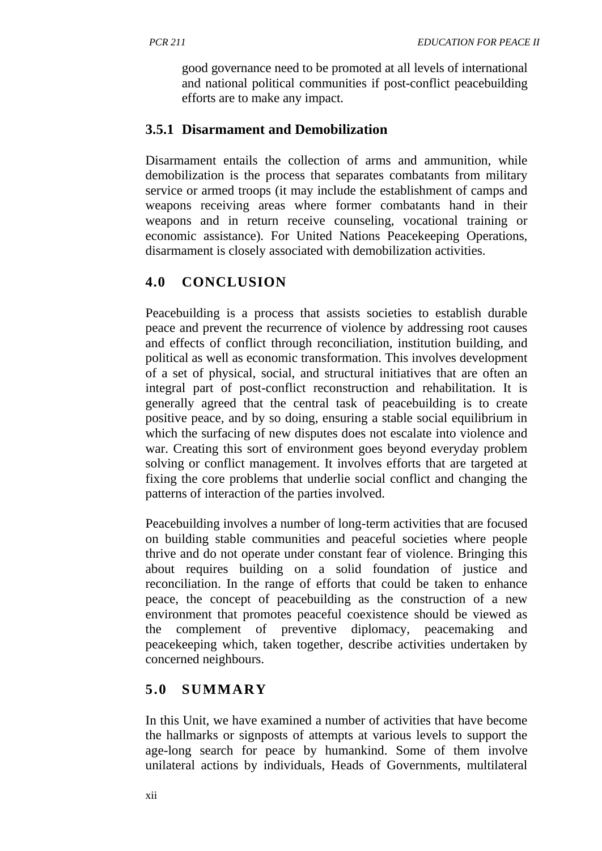good governance need to be promoted at all levels of international and national political communities if post-conflict peacebuilding efforts are to make any impact.

## **3.5.1 Disarmament and Demobilization**

Disarmament entails the collection of arms and ammunition, while demobilization is the process that separates combatants from military service or armed troops (it may include the establishment of camps and weapons receiving areas where former combatants hand in their weapons and in return receive counseling, vocational training or economic assistance). For United Nations Peacekeeping Operations, disarmament is closely associated with demobilization activities.

# **4.0 CONCLUSION**

Peacebuilding is a process that assists societies to establish durable peace and prevent the recurrence of violence by addressing root causes and effects of conflict through reconciliation, institution building, and political as well as economic transformation. This involves development of a set of physical, social, and structural initiatives that are often an integral part of post-conflict reconstruction and rehabilitation. It is generally agreed that the central task of peacebuilding is to create positive peace, and by so doing, ensuring a stable social equilibrium in which the surfacing of new disputes does not escalate into violence and war. Creating this sort of environment goes beyond everyday problem solving or conflict management. It involves efforts that are targeted at fixing the core problems that underlie social conflict and changing the patterns of interaction of the parties involved.

Peacebuilding involves a number of long-term activities that are focused on building stable communities and peaceful societies where people thrive and do not operate under constant fear of violence. Bringing this about requires building on a solid foundation of justice and reconciliation. In the range of efforts that could be taken to enhance peace, the concept of peacebuilding as the construction of a new environment that promotes peaceful coexistence should be viewed as the complement of preventive diplomacy, peacemaking and peacekeeping which, taken together, describe activities undertaken by concerned neighbours.

# **5.0 SUMMARY**

In this Unit, we have examined a number of activities that have become the hallmarks or signposts of attempts at various levels to support the age-long search for peace by humankind. Some of them involve unilateral actions by individuals, Heads of Governments, multilateral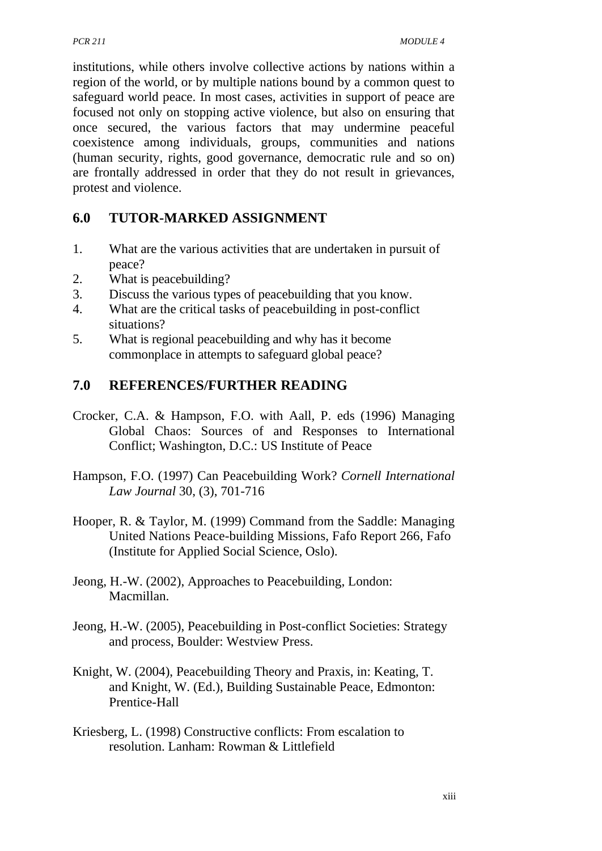institutions, while others involve collective actions by nations within a region of the world, or by multiple nations bound by a common quest to safeguard world peace. In most cases, activities in support of peace are focused not only on stopping active violence, but also on ensuring that once secured, the various factors that may undermine peaceful coexistence among individuals, groups, communities and nations (human security, rights, good governance, democratic rule and so on) are frontally addressed in order that they do not result in grievances, protest and violence.

## **6.0 TUTOR-MARKED ASSIGNMENT**

- 1. What are the various activities that are undertaken in pursuit of peace?
- 2. What is peacebuilding?
- 3. Discuss the various types of peacebuilding that you know.
- 4. What are the critical tasks of peacebuilding in post-conflict situations?
- 5. What is regional peacebuilding and why has it become commonplace in attempts to safeguard global peace?

# **7.0 REFERENCES/FURTHER READING**

- Crocker, C.A. & Hampson, F.O. with Aall, P. eds (1996) Managing Global Chaos: Sources of and Responses to International Conflict; Washington, D.C.: US Institute of Peace
- Hampson, F.O. (1997) Can Peacebuilding Work? *Cornell International Law Journal* 30, (3), 701-716
- Hooper, R. & Taylor, M. (1999) Command from the Saddle: Managing United Nations Peace-building Missions, Fafo Report 266, Fafo (Institute for Applied Social Science, Oslo).
- Jeong, H.-W. (2002), Approaches to Peacebuilding, London: Macmillan.
- Jeong, H.-W. (2005), Peacebuilding in Post-conflict Societies: Strategy and process, Boulder: Westview Press.
- Knight, W. (2004), Peacebuilding Theory and Praxis, in: Keating, T. and Knight, W. (Ed.), Building Sustainable Peace, Edmonton: Prentice-Hall
- Kriesberg, L. (1998) Constructive conflicts: From escalation to resolution. Lanham: Rowman & Littlefield